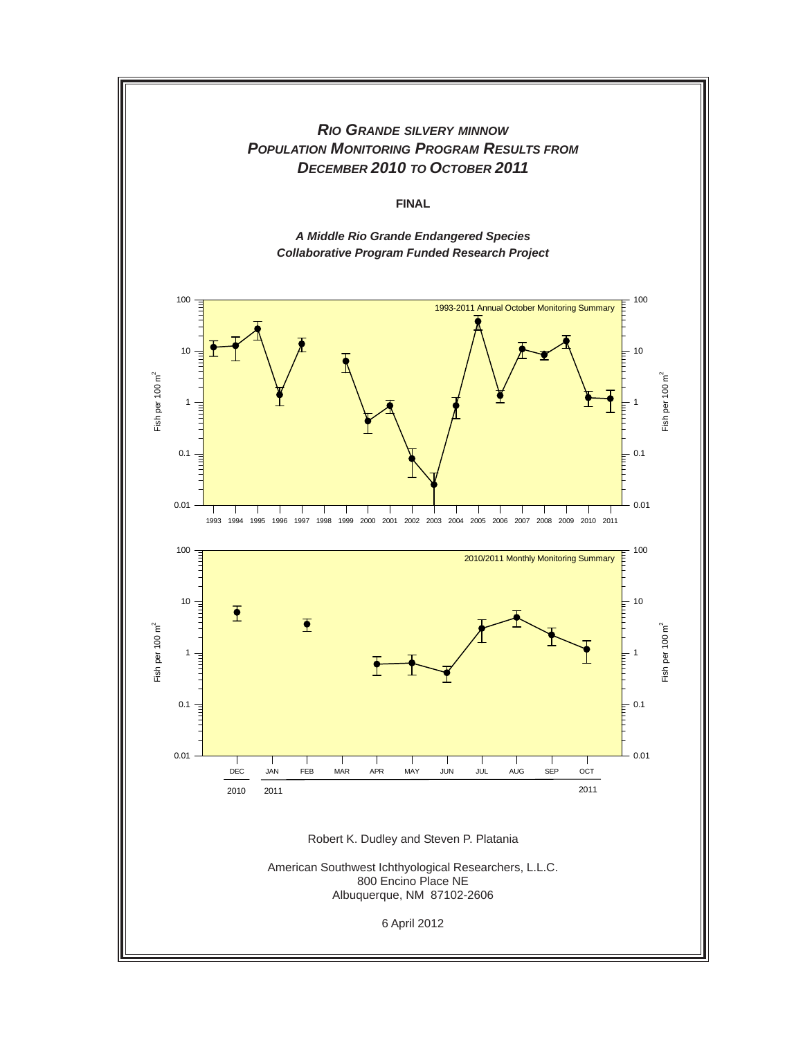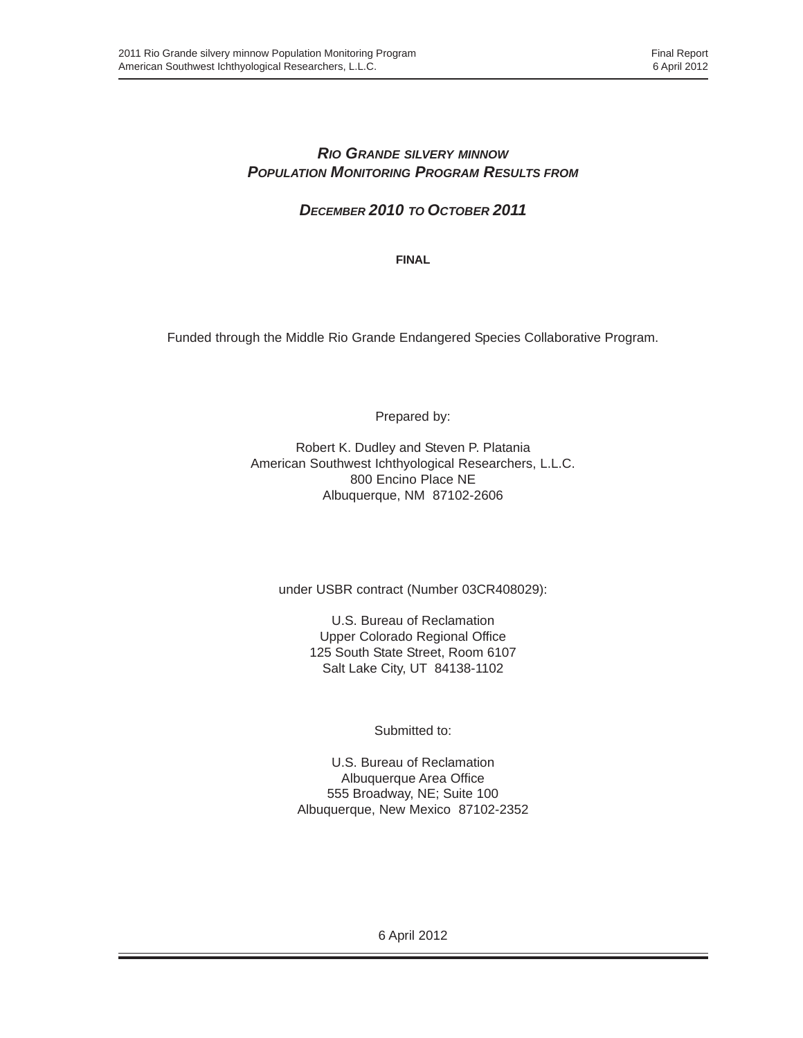## *RIO GRANDE SILVERY MINNOW POPULATION MONITORING PROGRAM RESULTS FROM*

*DECEMBER 2010 TO OCTOBER 2011*

**FINAL**

Funded through the Middle Rio Grande Endangered Species Collaborative Program.

Prepared by:

Robert K. Dudley and Steven P. Platania American Southwest Ichthyological Researchers, L.L.C. 800 Encino Place NE Albuquerque, NM 87102-2606

under USBR contract (Number 03CR408029):

U.S. Bureau of Reclamation Upper Colorado Regional Office 125 South State Street, Room 6107 Salt Lake City, UT 84138-1102

Submitted to:

U.S. Bureau of Reclamation Albuquerque Area Office 555 Broadway, NE; Suite 100 Albuquerque, New Mexico 87102-2352

6 April 2012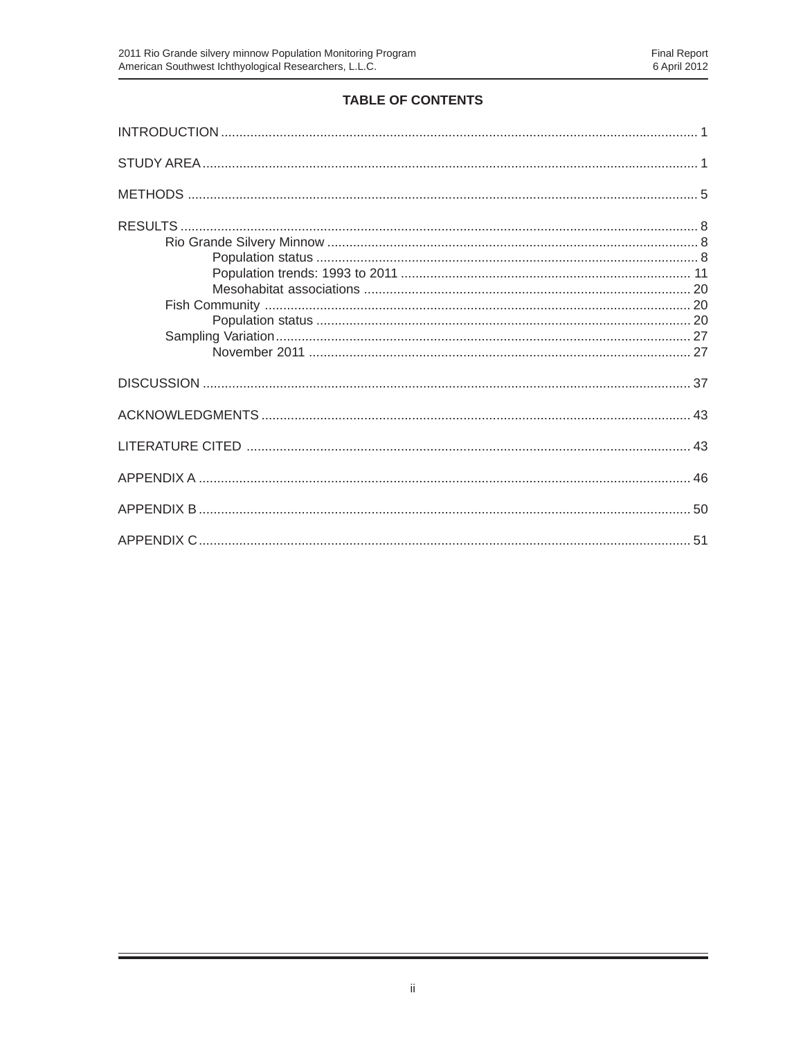## TABLE OF CONTENTS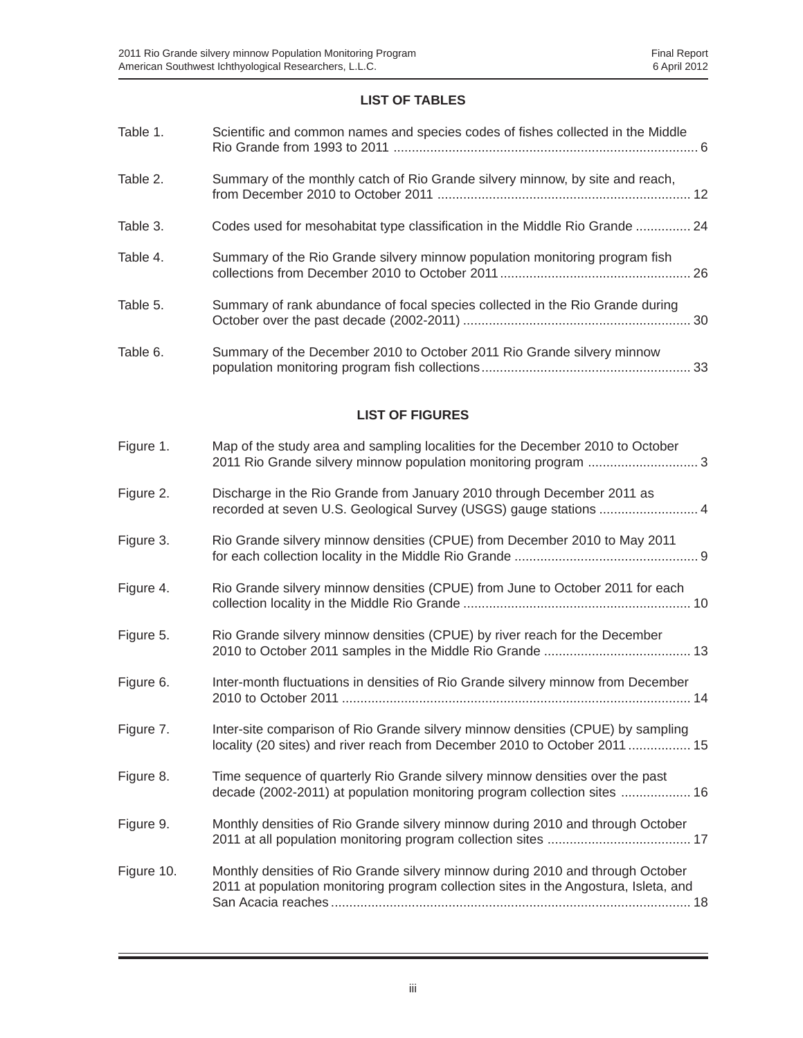#### **LIST OF TABLES**

| Table 1.   | Scientific and common names and species codes of fishes collected in the Middle                                                                                        |
|------------|------------------------------------------------------------------------------------------------------------------------------------------------------------------------|
| Table 2.   | Summary of the monthly catch of Rio Grande silvery minnow, by site and reach,                                                                                          |
| Table 3.   | Codes used for mesohabitat type classification in the Middle Rio Grande  24                                                                                            |
| Table 4.   | Summary of the Rio Grande silvery minnow population monitoring program fish                                                                                            |
| Table 5.   | Summary of rank abundance of focal species collected in the Rio Grande during                                                                                          |
| Table 6.   | Summary of the December 2010 to October 2011 Rio Grande silvery minnow                                                                                                 |
|            | <b>LIST OF FIGURES</b>                                                                                                                                                 |
| Figure 1.  | Map of the study area and sampling localities for the December 2010 to October                                                                                         |
| Figure 2.  | Discharge in the Rio Grande from January 2010 through December 2011 as                                                                                                 |
| Figure 3.  | Rio Grande silvery minnow densities (CPUE) from December 2010 to May 2011                                                                                              |
| Figure 4.  | Rio Grande silvery minnow densities (CPUE) from June to October 2011 for each                                                                                          |
| Figure 5.  | Rio Grande silvery minnow densities (CPUE) by river reach for the December                                                                                             |
| Figure 6.  | Inter-month fluctuations in densities of Rio Grande silvery minnow from December                                                                                       |
| Figure 7.  | Inter-site comparison of Rio Grande silvery minnow densities (CPUE) by sampling<br>locality (20 sites) and river reach from December 2010 to October 2011  15          |
| Figure 8.  | Time sequence of quarterly Rio Grande silvery minnow densities over the past<br>decade (2002-2011) at population monitoring program collection sites  16               |
| Figure 9.  | Monthly densities of Rio Grande silvery minnow during 2010 and through October                                                                                         |
| Figure 10. | Monthly densities of Rio Grande silvery minnow during 2010 and through October<br>2011 at population monitoring program collection sites in the Angostura, Isleta, and |

Ξ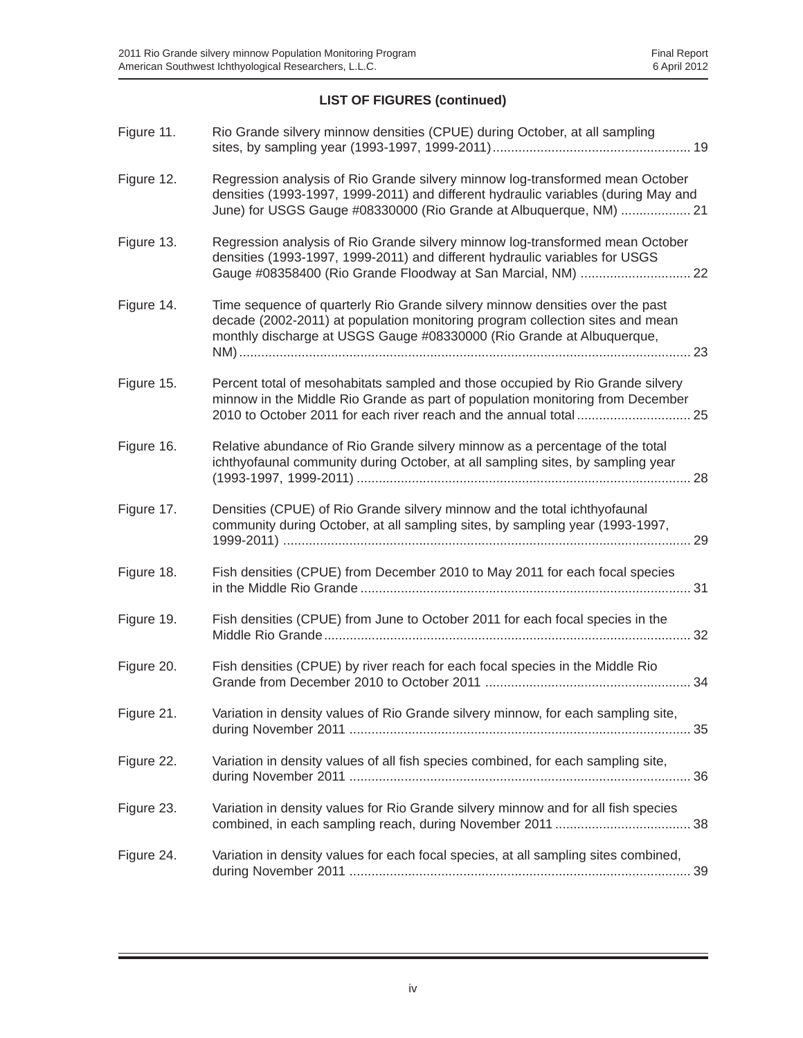## **LIST OF FIGURES (continued)**

| Figure 11. | Rio Grande silvery minnow densities (CPUE) during October, at all sampling                                                                                                                                                                |
|------------|-------------------------------------------------------------------------------------------------------------------------------------------------------------------------------------------------------------------------------------------|
| Figure 12. | Regression analysis of Rio Grande silvery minnow log-transformed mean October<br>densities (1993-1997, 1999-2011) and different hydraulic variables (during May and<br>June) for USGS Gauge #08330000 (Rio Grande at Albuquerque, NM)  21 |
| Figure 13. | Regression analysis of Rio Grande silvery minnow log-transformed mean October<br>densities (1993-1997, 1999-2011) and different hydraulic variables for USGS<br>Gauge #08358400 (Rio Grande Floodway at San Marcial, NM)  22              |
| Figure 14. | Time sequence of quarterly Rio Grande silvery minnow densities over the past<br>decade (2002-2011) at population monitoring program collection sites and mean<br>monthly discharge at USGS Gauge #08330000 (Rio Grande at Albuquerque,    |
| Figure 15. | Percent total of mesohabitats sampled and those occupied by Rio Grande silvery<br>minnow in the Middle Rio Grande as part of population monitoring from December<br>2010 to October 2011 for each river reach and the annual total  25    |
| Figure 16. | Relative abundance of Rio Grande silvery minnow as a percentage of the total<br>ichthyofaunal community during October, at all sampling sites, by sampling year                                                                           |
| Figure 17. | Densities (CPUE) of Rio Grande silvery minnow and the total ichthyofaunal<br>community during October, at all sampling sites, by sampling year (1993-1997,<br>29                                                                          |
| Figure 18. | Fish densities (CPUE) from December 2010 to May 2011 for each focal species                                                                                                                                                               |
| Figure 19. | Fish densities (CPUE) from June to October 2011 for each focal species in the<br>32                                                                                                                                                       |
| Figure 20. | Fish densities (CPUE) by river reach for each focal species in the Middle Rio                                                                                                                                                             |
| Figure 21. | Variation in density values of Rio Grande silvery minnow, for each sampling site,                                                                                                                                                         |
| Figure 22. | Variation in density values of all fish species combined, for each sampling site,                                                                                                                                                         |
| Figure 23. | Variation in density values for Rio Grande silvery minnow and for all fish species                                                                                                                                                        |
| Figure 24. | Variation in density values for each focal species, at all sampling sites combined,                                                                                                                                                       |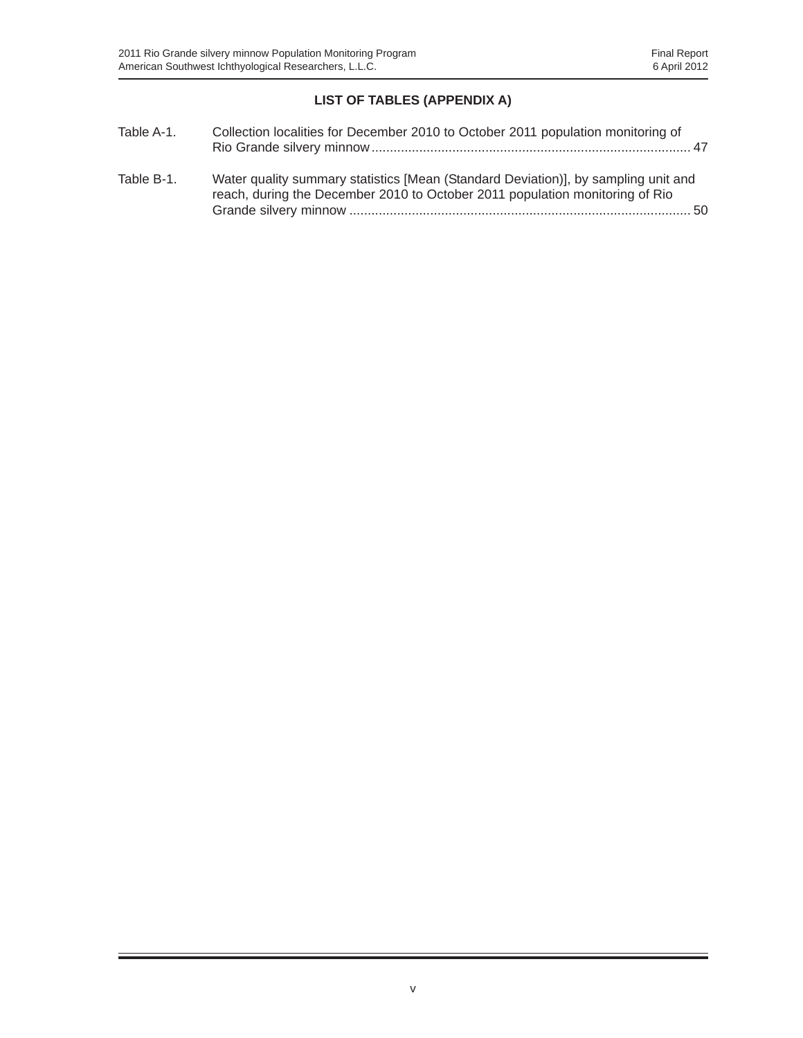## **LIST OF TABLES (APPENDIX A)**

| Table A-1. | Collection localities for December 2010 to October 2011 population monitoring of                                                                                   |
|------------|--------------------------------------------------------------------------------------------------------------------------------------------------------------------|
| Table B-1. | Water quality summary statistics [Mean (Standard Deviation)], by sampling unit and<br>reach, during the December 2010 to October 2011 population monitoring of Rio |
|            | 50                                                                                                                                                                 |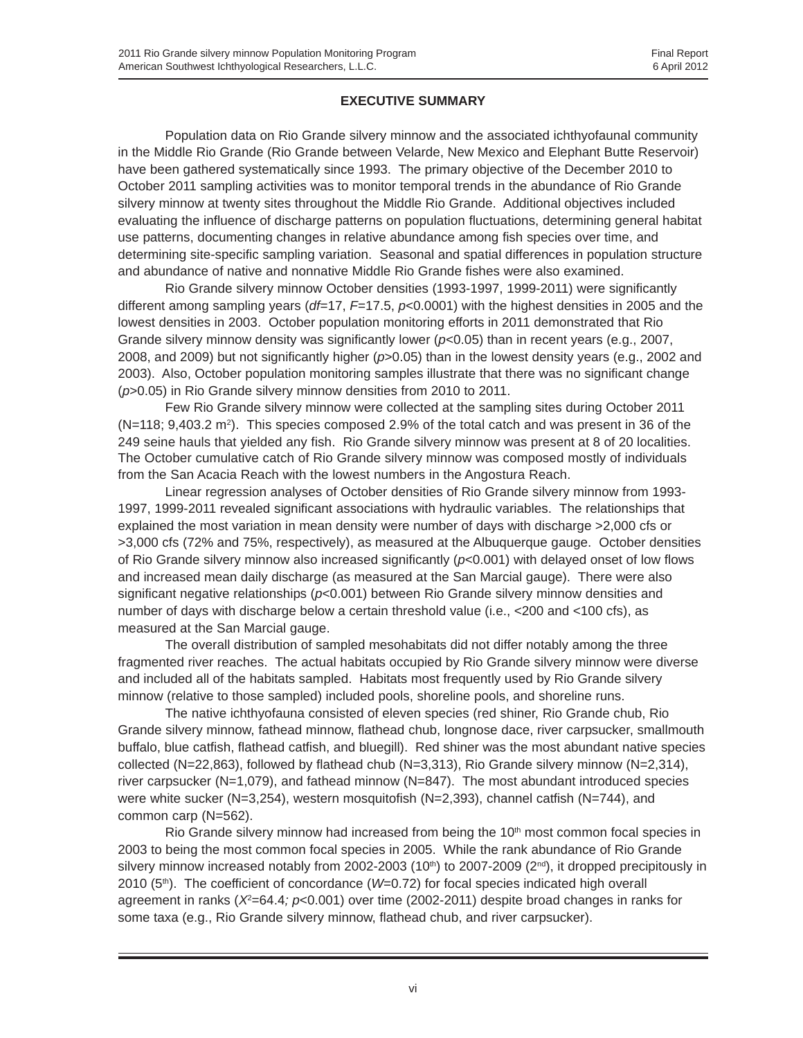#### **EXECUTIVE SUMMARY**

Population data on Rio Grande silvery minnow and the associated ichthyofaunal community in the Middle Rio Grande (Rio Grande between Velarde, New Mexico and Elephant Butte Reservoir) have been gathered systematically since 1993. The primary objective of the December 2010 to October 2011 sampling activities was to monitor temporal trends in the abundance of Rio Grande silvery minnow at twenty sites throughout the Middle Rio Grande. Additional objectives included evaluating the influence of discharge patterns on population fluctuations, determining general habitat use patterns, documenting changes in relative abundance among fish species over time, and determining site-specific sampling variation. Seasonal and spatial differences in population structure and abundance of native and nonnative Middle Rio Grande fishes were also examined.

Rio Grande silvery minnow October densities (1993-1997, 1999-2011) were significantly different among sampling years (*df*=17, *F*=17.5, *p*<0.0001) with the highest densities in 2005 and the lowest densities in 2003. October population monitoring efforts in 2011 demonstrated that Rio Grande silvery minnow density was significantly lower (*p*<0.05) than in recent years (e.g., 2007, 2008, and 2009) but not significantly higher (*p*>0.05) than in the lowest density years (e.g., 2002 and 2003). Also, October population monitoring samples illustrate that there was no significant change (*p*>0.05) in Rio Grande silvery minnow densities from 2010 to 2011.

Few Rio Grande silvery minnow were collected at the sampling sites during October 2011  $(N=118; 9,403.2 \text{ m}^2)$ . This species composed 2.9% of the total catch and was present in 36 of the 249 seine hauls that yielded any fish. Rio Grande silvery minnow was present at 8 of 20 localities. The October cumulative catch of Rio Grande silvery minnow was composed mostly of individuals from the San Acacia Reach with the lowest numbers in the Angostura Reach.

Linear regression analyses of October densities of Rio Grande silvery minnow from 1993- 1997, 1999-2011 revealed significant associations with hydraulic variables. The relationships that explained the most variation in mean density were number of days with discharge >2,000 cfs or >3,000 cfs (72% and 75%, respectively), as measured at the Albuquerque gauge. October densities of Rio Grande silvery minnow also increased significantly (*p*<0.001) with delayed onset of low flows and increased mean daily discharge (as measured at the San Marcial gauge). There were also significant negative relationships ( $p$ <0.001) between Rio Grande silvery minnow densities and number of days with discharge below a certain threshold value (i.e., <200 and <100 cfs), as measured at the San Marcial gauge.

The overall distribution of sampled mesohabitats did not differ notably among the three fragmented river reaches. The actual habitats occupied by Rio Grande silvery minnow were diverse and included all of the habitats sampled. Habitats most frequently used by Rio Grande silvery minnow (relative to those sampled) included pools, shoreline pools, and shoreline runs.

The native ichthyofauna consisted of eleven species (red shiner, Rio Grande chub, Rio Grande silvery minnow, fathead minnow, flathead chub, longnose dace, river carpsucker, smallmouth buffalo, blue catfish, flathead catfish, and bluegill). Red shiner was the most abundant native species collected (N=22,863), followed by flathead chub (N=3,313), Rio Grande silvery minnow (N=2,314), river carpsucker (N=1,079), and fathead minnow (N=847). The most abundant introduced species were white sucker (N=3,254), western mosquitofish (N=2,393), channel catfish (N=744), and common carp (N=562).

Rio Grande silvery minnow had increased from being the  $10<sup>th</sup>$  most common focal species in 2003 to being the most common focal species in 2005. While the rank abundance of Rio Grande silvery minnow increased notably from 2002-2003 (10<sup>th</sup>) to 2007-2009 ( $2<sup>nd</sup>$ ), it dropped precipitously in 2010 (5<sup>th</sup>). The coefficient of concordance (*W*=0.72) for focal species indicated high overall agreement in ranks (*X*<sup>2</sup>=64.4; *p*<0.001) over time (2002-2011) despite broad changes in ranks for some taxa (e.g., Rio Grande silvery minnow, flathead chub, and river carpsucker).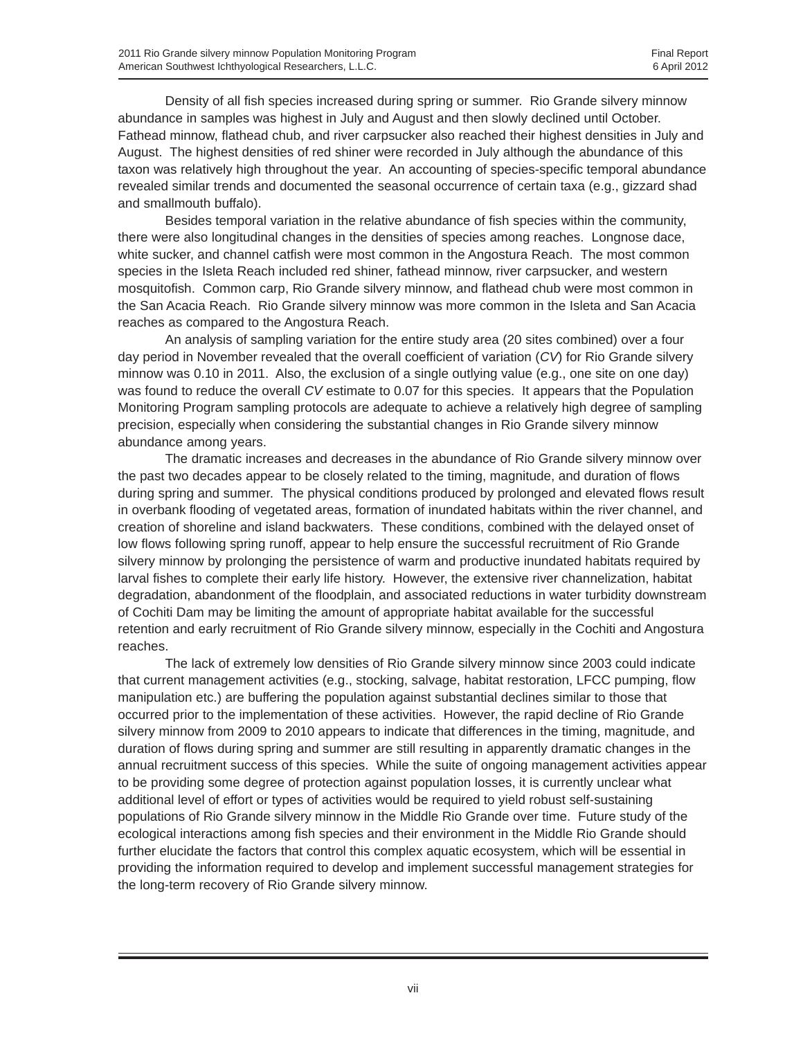Density of all fish species increased during spring or summer. Rio Grande silvery minnow abundance in samples was highest in July and August and then slowly declined until October. Fathead minnow, flathead chub, and river carpsucker also reached their highest densities in July and August. The highest densities of red shiner were recorded in July although the abundance of this taxon was relatively high throughout the year. An accounting of species-specific temporal abundance revealed similar trends and documented the seasonal occurrence of certain taxa (e.g., gizzard shad and smallmouth buffalo).

Besides temporal variation in the relative abundance of fish species within the community, there were also longitudinal changes in the densities of species among reaches. Longnose dace, white sucker, and channel catfish were most common in the Angostura Reach. The most common species in the Isleta Reach included red shiner, fathead minnow, river carpsucker, and western mosquitofish. Common carp, Rio Grande silvery minnow, and flathead chub were most common in the San Acacia Reach. Rio Grande silvery minnow was more common in the Isleta and San Acacia reaches as compared to the Angostura Reach.

An analysis of sampling variation for the entire study area (20 sites combined) over a four day period in November revealed that the overall coefficient of variation (*CV*) for Rio Grande silvery minnow was 0.10 in 2011. Also, the exclusion of a single outlying value (e.g., one site on one day) was found to reduce the overall *CV* estimate to 0.07 for this species. It appears that the Population Monitoring Program sampling protocols are adequate to achieve a relatively high degree of sampling precision, especially when considering the substantial changes in Rio Grande silvery minnow abundance among years.

The dramatic increases and decreases in the abundance of Rio Grande silvery minnow over the past two decades appear to be closely related to the timing, magnitude, and duration of flows during spring and summer. The physical conditions produced by prolonged and elevated flows result in overbank flooding of vegetated areas, formation of inundated habitats within the river channel, and creation of shoreline and island backwaters. These conditions, combined with the delayed onset of low flows following spring runoff, appear to help ensure the successful recruitment of Rio Grande silvery minnow by prolonging the persistence of warm and productive inundated habitats required by larval fishes to complete their early life history. However, the extensive river channelization, habitat degradation, abandonment of the floodplain, and associated reductions in water turbidity downstream of Cochiti Dam may be limiting the amount of appropriate habitat available for the successful retention and early recruitment of Rio Grande silvery minnow, especially in the Cochiti and Angostura reaches.

The lack of extremely low densities of Rio Grande silvery minnow since 2003 could indicate that current management activities (e.g., stocking, salvage, habitat restoration, LFCC pumping, flow manipulation etc.) are buffering the population against substantial declines similar to those that occurred prior to the implementation of these activities. However, the rapid decline of Rio Grande silvery minnow from 2009 to 2010 appears to indicate that differences in the timing, magnitude, and duration of flows during spring and summer are still resulting in apparently dramatic changes in the annual recruitment success of this species. While the suite of ongoing management activities appear to be providing some degree of protection against population losses, it is currently unclear what additional level of effort or types of activities would be required to yield robust self-sustaining populations of Rio Grande silvery minnow in the Middle Rio Grande over time. Future study of the ecological interactions among fish species and their environment in the Middle Rio Grande should further elucidate the factors that control this complex aquatic ecosystem, which will be essential in providing the information required to develop and implement successful management strategies for the long-term recovery of Rio Grande silvery minnow.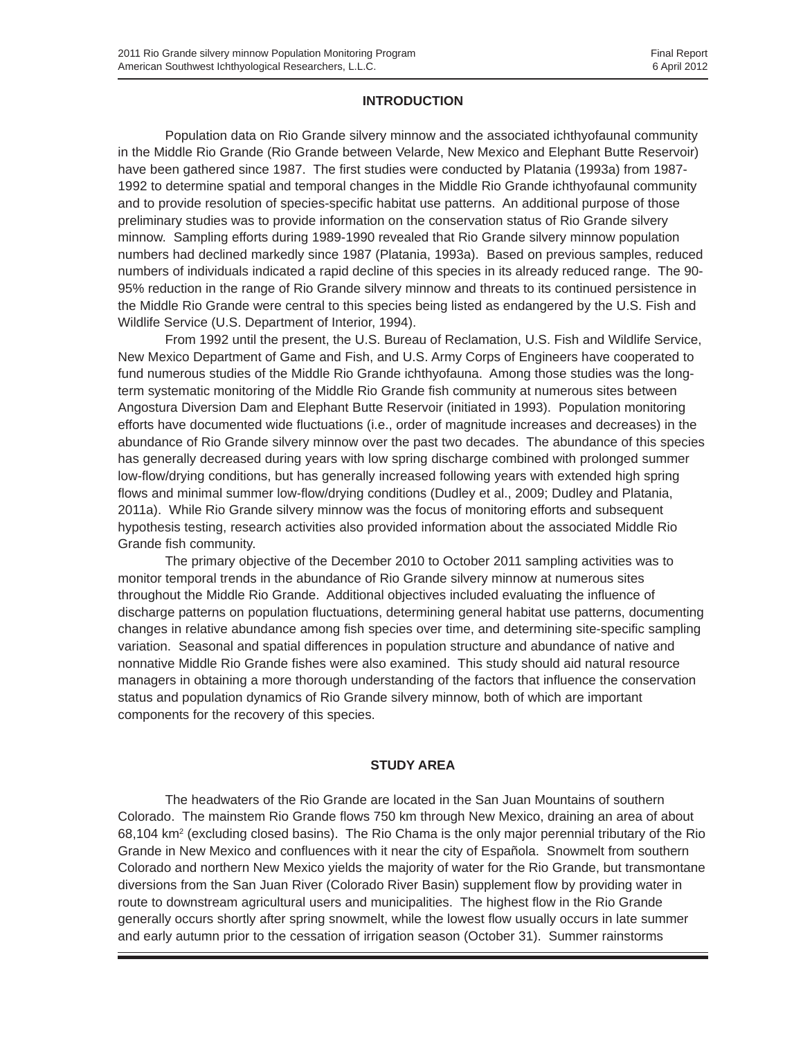#### **INTRODUCTION**

Population data on Rio Grande silvery minnow and the associated ichthyofaunal community in the Middle Rio Grande (Rio Grande between Velarde, New Mexico and Elephant Butte Reservoir) have been gathered since 1987. The first studies were conducted by Platania (1993a) from 1987- 1992 to determine spatial and temporal changes in the Middle Rio Grande ichthyofaunal community and to provide resolution of species-specific habitat use patterns. An additional purpose of those preliminary studies was to provide information on the conservation status of Rio Grande silvery minnow. Sampling efforts during 1989-1990 revealed that Rio Grande silvery minnow population numbers had declined markedly since 1987 (Platania, 1993a). Based on previous samples, reduced numbers of individuals indicated a rapid decline of this species in its already reduced range. The 90- 95% reduction in the range of Rio Grande silvery minnow and threats to its continued persistence in the Middle Rio Grande were central to this species being listed as endangered by the U.S. Fish and Wildlife Service (U.S. Department of Interior, 1994).

From 1992 until the present, the U.S. Bureau of Reclamation, U.S. Fish and Wildlife Service, New Mexico Department of Game and Fish, and U.S. Army Corps of Engineers have cooperated to fund numerous studies of the Middle Rio Grande ichthyofauna. Among those studies was the longterm systematic monitoring of the Middle Rio Grande fish community at numerous sites between Angostura Diversion Dam and Elephant Butte Reservoir (initiated in 1993). Population monitoring efforts have documented wide fluctuations (i.e., order of magnitude increases and decreases) in the abundance of Rio Grande silvery minnow over the past two decades. The abundance of this species has generally decreased during years with low spring discharge combined with prolonged summer low-flow/drying conditions, but has generally increased following years with extended high spring flows and minimal summer low-flow/drying conditions (Dudley et al., 2009; Dudley and Platania, 2011a). While Rio Grande silvery minnow was the focus of monitoring efforts and subsequent hypothesis testing, research activities also provided information about the associated Middle Rio Grande fish community.

The primary objective of the December 2010 to October 2011 sampling activities was to monitor temporal trends in the abundance of Rio Grande silvery minnow at numerous sites throughout the Middle Rio Grande. Additional objectives included evaluating the influence of discharge patterns on population fluctuations, determining general habitat use patterns, documenting changes in relative abundance among fish species over time, and determining site-specific sampling variation. Seasonal and spatial differences in population structure and abundance of native and nonnative Middle Rio Grande fishes were also examined. This study should aid natural resource managers in obtaining a more thorough understanding of the factors that influence the conservation status and population dynamics of Rio Grande silvery minnow, both of which are important components for the recovery of this species.

#### **STUDY AREA**

The headwaters of the Rio Grande are located in the San Juan Mountains of southern Colorado. The mainstem Rio Grande flows 750 km through New Mexico, draining an area of about 68,104 km<sup>2</sup> (excluding closed basins). The Rio Chama is the only major perennial tributary of the Rio Grande in New Mexico and confluences with it near the city of Española. Snowmelt from southern Colorado and northern New Mexico yields the majority of water for the Rio Grande, but transmontane diversions from the San Juan River (Colorado River Basin) supplement flow by providing water in route to downstream agricultural users and municipalities. The highest flow in the Rio Grande generally occurs shortly after spring snowmelt, while the lowest flow usually occurs in late summer and early autumn prior to the cessation of irrigation season (October 31). Summer rainstorms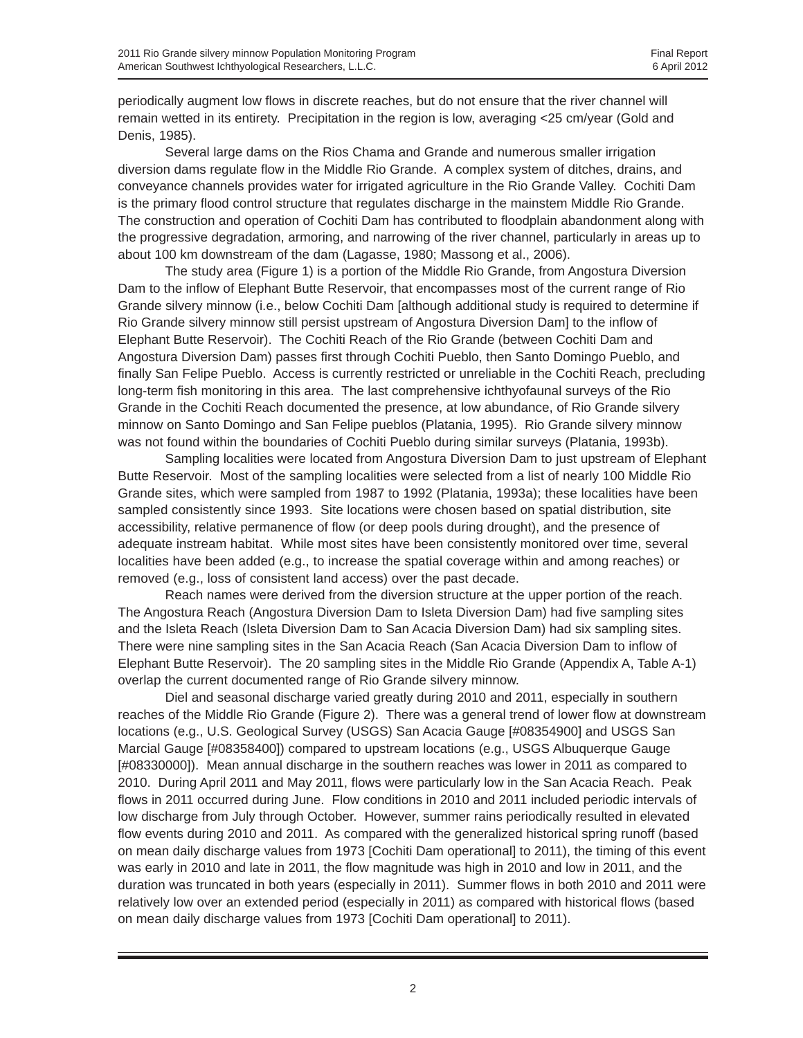periodically augment low flows in discrete reaches, but do not ensure that the river channel will remain wetted in its entirety. Precipitation in the region is low, averaging <25 cm/year (Gold and Denis, 1985).

Several large dams on the Rios Chama and Grande and numerous smaller irrigation diversion dams regulate flow in the Middle Rio Grande. A complex system of ditches, drains, and conveyance channels provides water for irrigated agriculture in the Rio Grande Valley. Cochiti Dam is the primary flood control structure that regulates discharge in the mainstem Middle Rio Grande. The construction and operation of Cochiti Dam has contributed to floodplain abandonment along with the progressive degradation, armoring, and narrowing of the river channel, particularly in areas up to about 100 km downstream of the dam (Lagasse, 1980; Massong et al., 2006).

The study area (Figure 1) is a portion of the Middle Rio Grande, from Angostura Diversion Dam to the inflow of Elephant Butte Reservoir, that encompasses most of the current range of Rio Grande silvery minnow (i.e., below Cochiti Dam [although additional study is required to determine if Rio Grande silvery minnow still persist upstream of Angostura Diversion Dam] to the inflow of Elephant Butte Reservoir). The Cochiti Reach of the Rio Grande (between Cochiti Dam and Angostura Diversion Dam) passes first through Cochiti Pueblo, then Santo Domingo Pueblo, and finally San Felipe Pueblo. Access is currently restricted or unreliable in the Cochiti Reach, precluding long-term fish monitoring in this area. The last comprehensive ichthyofaunal surveys of the Rio Grande in the Cochiti Reach documented the presence, at low abundance, of Rio Grande silvery minnow on Santo Domingo and San Felipe pueblos (Platania, 1995). Rio Grande silvery minnow was not found within the boundaries of Cochiti Pueblo during similar surveys (Platania, 1993b).

Sampling localities were located from Angostura Diversion Dam to just upstream of Elephant Butte Reservoir. Most of the sampling localities were selected from a list of nearly 100 Middle Rio Grande sites, which were sampled from 1987 to 1992 (Platania, 1993a); these localities have been sampled consistently since 1993. Site locations were chosen based on spatial distribution, site accessibility, relative permanence of flow (or deep pools during drought), and the presence of adequate instream habitat. While most sites have been consistently monitored over time, several localities have been added (e.g., to increase the spatial coverage within and among reaches) or removed (e.g., loss of consistent land access) over the past decade.

Reach names were derived from the diversion structure at the upper portion of the reach. The Angostura Reach (Angostura Diversion Dam to Isleta Diversion Dam) had five sampling sites and the Isleta Reach (Isleta Diversion Dam to San Acacia Diversion Dam) had six sampling sites. There were nine sampling sites in the San Acacia Reach (San Acacia Diversion Dam to inflow of Elephant Butte Reservoir). The 20 sampling sites in the Middle Rio Grande (Appendix A, Table A-1) overlap the current documented range of Rio Grande silvery minnow.

Diel and seasonal discharge varied greatly during 2010 and 2011, especially in southern reaches of the Middle Rio Grande (Figure 2). There was a general trend of lower flow at downstream locations (e.g., U.S. Geological Survey (USGS) San Acacia Gauge [#08354900] and USGS San Marcial Gauge [#08358400]) compared to upstream locations (e.g., USGS Albuquerque Gauge [#08330000]). Mean annual discharge in the southern reaches was lower in 2011 as compared to 2010. During April 2011 and May 2011, flows were particularly low in the San Acacia Reach. Peak flows in 2011 occurred during June. Flow conditions in 2010 and 2011 included periodic intervals of low discharge from July through October. However, summer rains periodically resulted in elevated flow events during 2010 and 2011. As compared with the generalized historical spring runoff (based on mean daily discharge values from 1973 [Cochiti Dam operational] to 2011), the timing of this event was early in 2010 and late in 2011, the flow magnitude was high in 2010 and low in 2011, and the duration was truncated in both years (especially in 2011). Summer flows in both 2010 and 2011 were relatively low over an extended period (especially in 2011) as compared with historical flows (based on mean daily discharge values from 1973 [Cochiti Dam operational] to 2011).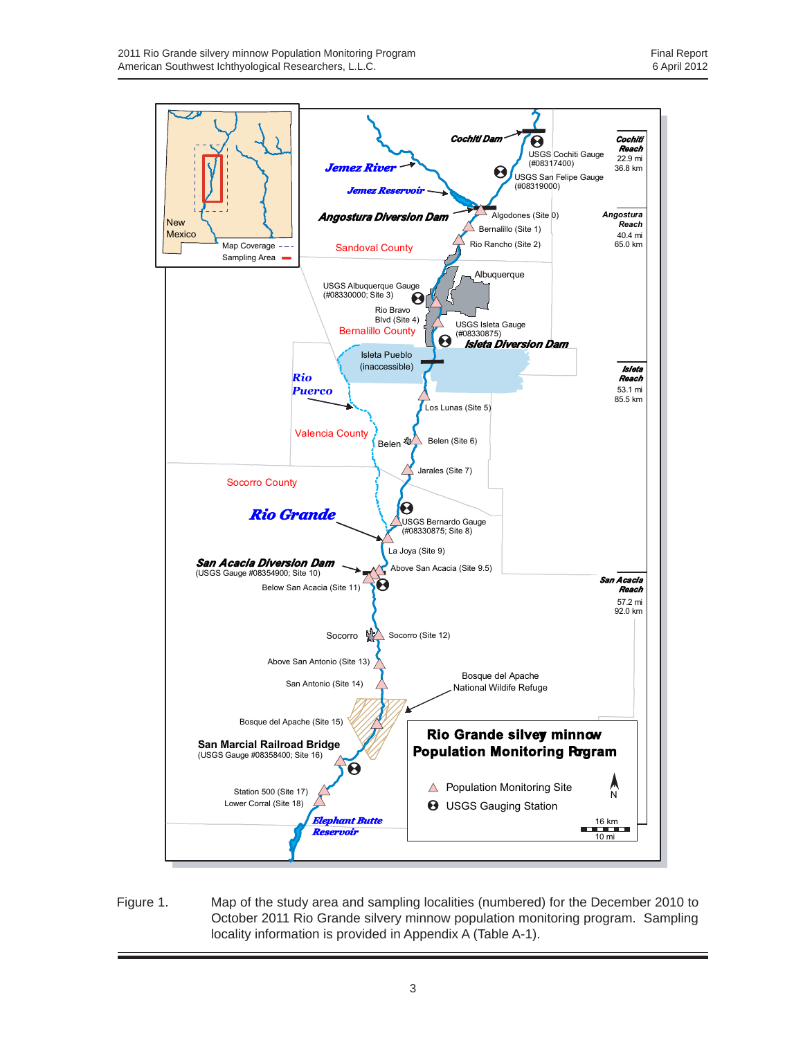

Figure 1. Map of the study area and sampling localities (numbered) for the December 2010 to October 2011 Rio Grande silvery minnow population monitoring program. Sampling locality information is provided in Appendix A (Table A-1).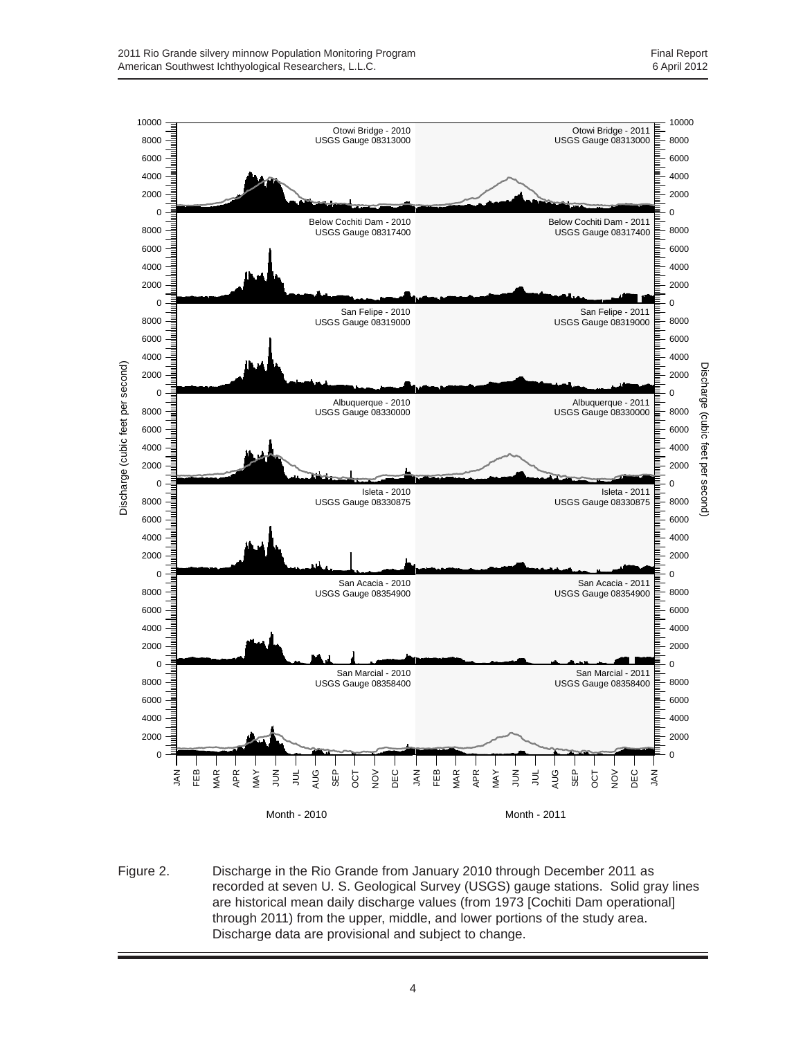

Figure 2. Discharge in the Rio Grande from January 2010 through December 2011 as recorded at seven U. S. Geological Survey (USGS) gauge stations. Solid gray lines are historical mean daily discharge values (from 1973 [Cochiti Dam operational] through 2011) from the upper, middle, and lower portions of the study area. Discharge data are provisional and subject to change.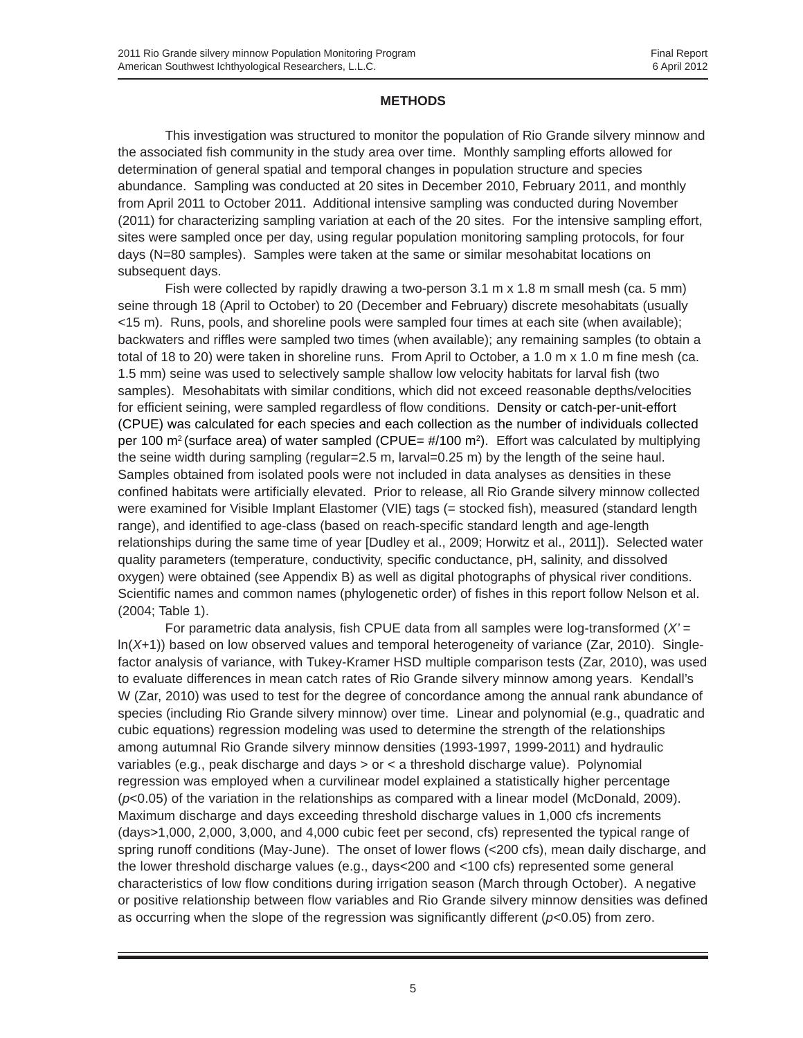#### **METHODS**

This investigation was structured to monitor the population of Rio Grande silvery minnow and the associated fish community in the study area over time. Monthly sampling efforts allowed for determination of general spatial and temporal changes in population structure and species abundance. Sampling was conducted at 20 sites in December 2010, February 2011, and monthly from April 2011 to October 2011. Additional intensive sampling was conducted during November (2011) for characterizing sampling variation at each of the 20 sites. For the intensive sampling effort, sites were sampled once per day, using regular population monitoring sampling protocols, for four days (N=80 samples). Samples were taken at the same or similar mesohabitat locations on subsequent days.

Fish were collected by rapidly drawing a two-person 3.1 m x 1.8 m small mesh (ca. 5 mm) seine through 18 (April to October) to 20 (December and February) discrete mesohabitats (usually <15 m). Runs, pools, and shoreline pools were sampled four times at each site (when available); backwaters and riffles were sampled two times (when available); any remaining samples (to obtain a total of 18 to 20) were taken in shoreline runs. From April to October, a 1.0 m x 1.0 m fine mesh (ca. 1.5 mm) seine was used to selectively sample shallow low velocity habitats for larval fish (two samples). Mesohabitats with similar conditions, which did not exceed reasonable depths/velocities for efficient seining, were sampled regardless of flow conditions. Density or catch-per-unit-effort (CPUE) was calculated for each species and each collection as the number of individuals collected per 100 m<sup>2</sup> (surface area) of water sampled (CPUE= #/100 m<sup>2</sup>). Effort was calculated by multiplying the seine width during sampling (regular=2.5 m, larval=0.25 m) by the length of the seine haul. Samples obtained from isolated pools were not included in data analyses as densities in these confined habitats were artificially elevated. Prior to release, all Rio Grande silvery minnow collected were examined for Visible Implant Elastomer (VIE) tags (= stocked fish), measured (standard length range), and identified to age-class (based on reach-specific standard length and age-length relationships during the same time of year [Dudley et al., 2009; Horwitz et al., 2011]). Selected water quality parameters (temperature, conductivity, specific conductance, pH, salinity, and dissolved oxygen) were obtained (see Appendix B) as well as digital photographs of physical river conditions. Scientific names and common names (phylogenetic order) of fishes in this report follow Nelson et al. (2004; Table 1).

For parametric data analysis, fish CPUE data from all samples were log-transformed (*X'* = ln(*X*+1)) based on low observed values and temporal heterogeneity of variance (Zar, 2010). Singlefactor analysis of variance, with Tukey-Kramer HSD multiple comparison tests (Zar, 2010), was used to evaluate differences in mean catch rates of Rio Grande silvery minnow among years. Kendall's W (Zar, 2010) was used to test for the degree of concordance among the annual rank abundance of species (including Rio Grande silvery minnow) over time. Linear and polynomial (e.g., quadratic and cubic equations) regression modeling was used to determine the strength of the relationships among autumnal Rio Grande silvery minnow densities (1993-1997, 1999-2011) and hydraulic variables (e.g., peak discharge and days > or < a threshold discharge value). Polynomial regression was employed when a curvilinear model explained a statistically higher percentage (*p*<0.05) of the variation in the relationships as compared with a linear model (McDonald, 2009). Maximum discharge and days exceeding threshold discharge values in 1,000 cfs increments (days>1,000, 2,000, 3,000, and 4,000 cubic feet per second, cfs) represented the typical range of spring runoff conditions (May-June). The onset of lower flows (<200 cfs), mean daily discharge, and the lower threshold discharge values (e.g., days<200 and <100 cfs) represented some general characteristics of low flow conditions during irrigation season (March through October). A negative or positive relationship between flow variables and Rio Grande silvery minnow densities was defined as occurring when the slope of the regression was significantly different (*p*<0.05) from zero.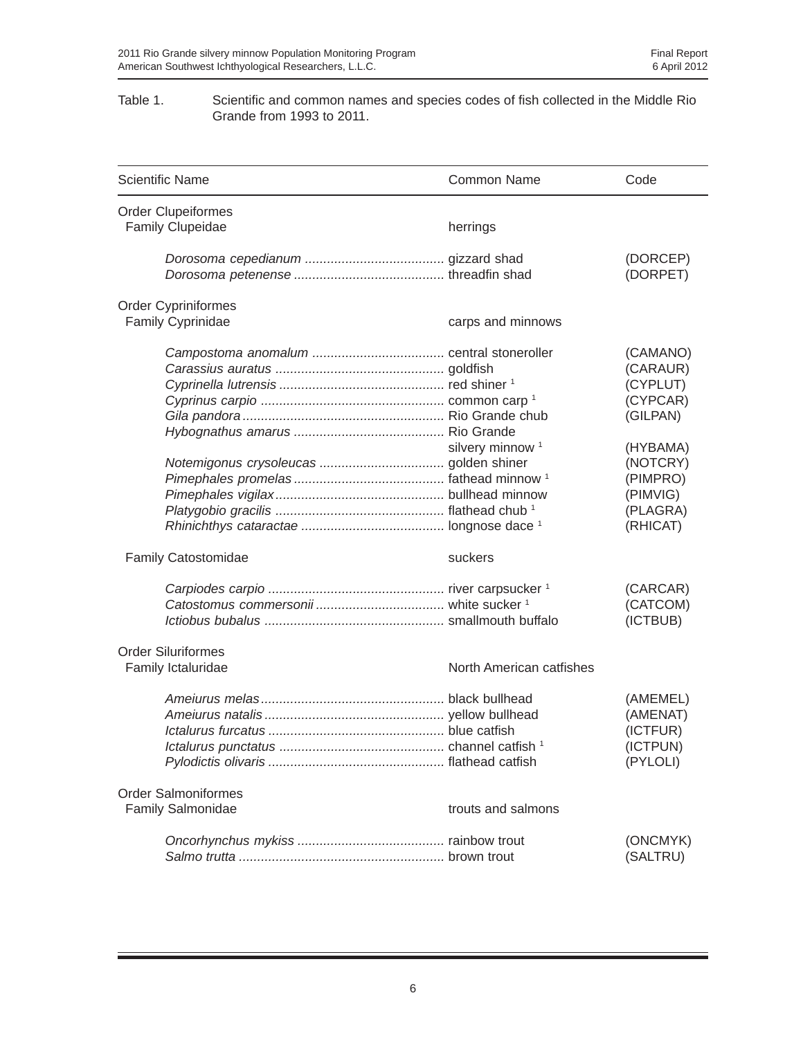#### Table 1. Scientific and common names and species codes of fish collected in the Middle Rio Grande from 1993 to 2011.

| <b>Scientific Name</b>                                 | <b>Common Name</b>          | Code                                                                                                                             |
|--------------------------------------------------------|-----------------------------|----------------------------------------------------------------------------------------------------------------------------------|
| <b>Order Clupeiformes</b><br><b>Family Clupeidae</b>   | herrings                    |                                                                                                                                  |
|                                                        |                             | (DORCEP)<br>(DORPET)                                                                                                             |
| <b>Order Cypriniformes</b><br>Family Cyprinidae        | carps and minnows           |                                                                                                                                  |
|                                                        | silvery minnow <sup>1</sup> | (CAMANO)<br>(CARAUR)<br>(CYPLUT)<br>(CYPCAR)<br>(GILPAN)<br>(HYBAMA)<br>(NOTCRY)<br>(PIMPRO)<br>(PIMVIG)<br>(PLAGRA)<br>(RHICAT) |
| Family Catostomidae                                    | suckers                     |                                                                                                                                  |
|                                                        |                             | (CARCAR)<br>(CATCOM)<br>(ICTBUB)                                                                                                 |
| <b>Order Siluriformes</b><br>Family Ictaluridae        | North American catfishes    |                                                                                                                                  |
|                                                        |                             | (AMEMEL)<br>(AMENAT)<br>(ICTFUR)<br>(ICTPUN)<br>(PYLOLI)                                                                         |
| <b>Order Salmoniformes</b><br><b>Family Salmonidae</b> | trouts and salmons          |                                                                                                                                  |
|                                                        |                             | (ONCMYK)<br>(SALTRU)                                                                                                             |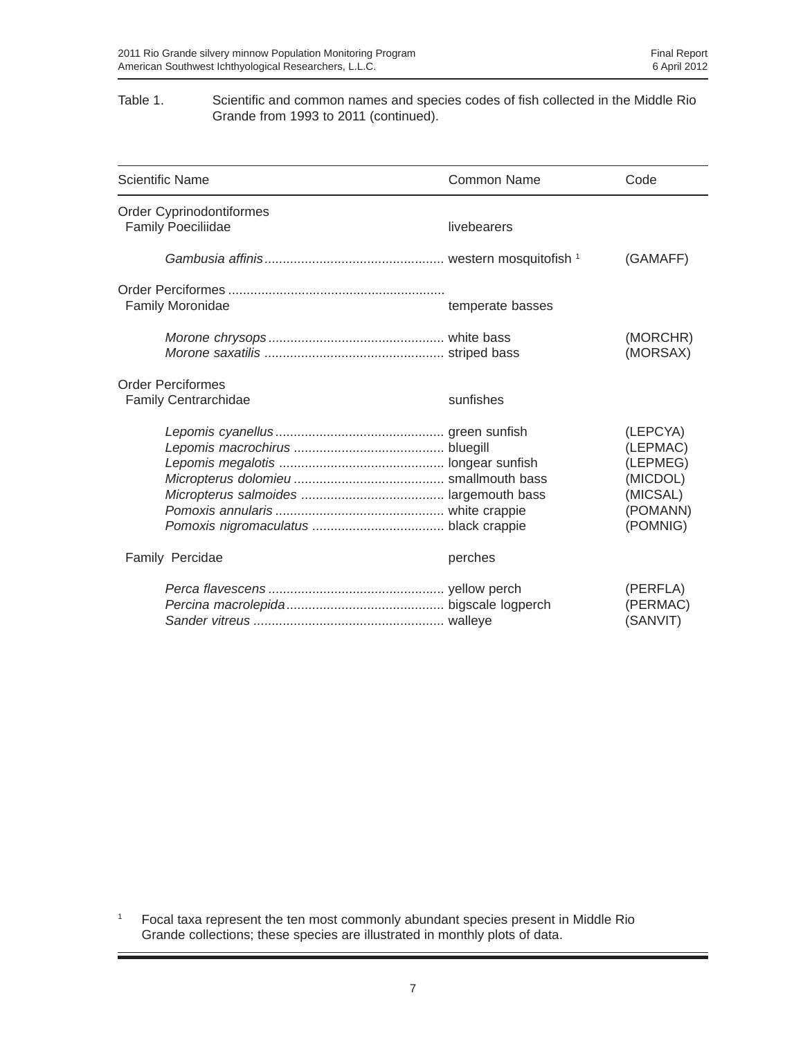#### Table 1. Scientific and common names and species codes of fish collected in the Middle Rio Grande from 1993 to 2011 (continued).

| <b>Scientific Name</b>                                  | Common Name      | Code                                                                             |
|---------------------------------------------------------|------------------|----------------------------------------------------------------------------------|
| Order Cyprinodontiformes<br><b>Family Poeciliidae</b>   | livebearers      |                                                                                  |
|                                                         |                  | (GAMAFF)                                                                         |
| Family Moronidae                                        | temperate basses |                                                                                  |
|                                                         |                  | (MORCHR)<br>(MORSAX)                                                             |
| <b>Order Perciformes</b><br><b>Family Centrarchidae</b> | sunfishes        |                                                                                  |
|                                                         |                  | (LEPCYA)<br>(LEPMAC)<br>(LEPMEG)<br>(MICDOL)<br>(MICSAL)<br>(POMANN)<br>(POMNIG) |
| Family Percidae                                         | perches          |                                                                                  |
|                                                         |                  | (PERFLA)<br>(PERMAC)<br>(SANVIT)                                                 |

<sup>1</sup> Focal taxa represent the ten most commonly abundant species present in Middle Rio Grande collections; these species are illustrated in monthly plots of data.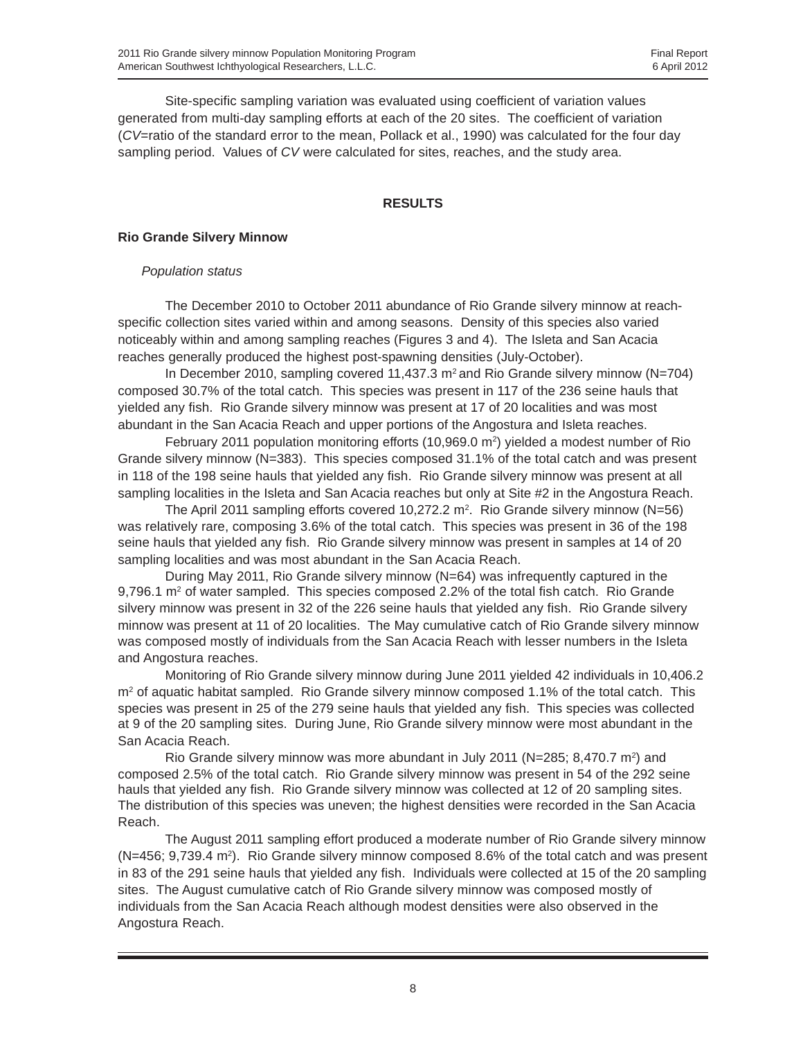Site-specific sampling variation was evaluated using coefficient of variation values generated from multi-day sampling efforts at each of the 20 sites. The coefficient of variation (*CV*=ratio of the standard error to the mean, Pollack et al., 1990) was calculated for the four day sampling period. Values of *CV* were calculated for sites, reaches, and the study area.

#### **RESULTS**

#### **Rio Grande Silvery Minnow**

#### *Population status*

The December 2010 to October 2011 abundance of Rio Grande silvery minnow at reachspecific collection sites varied within and among seasons. Density of this species also varied noticeably within and among sampling reaches (Figures 3 and 4). The Isleta and San Acacia reaches generally produced the highest post-spawning densities (July-October).

In December 2010, sampling covered 11,437.3  $m<sup>2</sup>$  and Rio Grande silvery minnow (N=704) composed 30.7% of the total catch. This species was present in 117 of the 236 seine hauls that yielded any fish. Rio Grande silvery minnow was present at 17 of 20 localities and was most abundant in the San Acacia Reach and upper portions of the Angostura and Isleta reaches.

February 2011 population monitoring efforts (10,969.0 m<sup>2</sup>) yielded a modest number of Rio Grande silvery minnow (N=383). This species composed 31.1% of the total catch and was present in 118 of the 198 seine hauls that yielded any fish. Rio Grande silvery minnow was present at all sampling localities in the Isleta and San Acacia reaches but only at Site #2 in the Angostura Reach.

The April 2011 sampling efforts covered 10,272.2 m<sup>2</sup>. Rio Grande silvery minnow (N=56) was relatively rare, composing 3.6% of the total catch. This species was present in 36 of the 198 seine hauls that yielded any fish. Rio Grande silvery minnow was present in samples at 14 of 20 sampling localities and was most abundant in the San Acacia Reach.

During May 2011, Rio Grande silvery minnow (N=64) was infrequently captured in the 9,796.1 m<sup>2</sup> of water sampled. This species composed 2.2% of the total fish catch. Rio Grande silvery minnow was present in 32 of the 226 seine hauls that yielded any fish. Rio Grande silvery minnow was present at 11 of 20 localities. The May cumulative catch of Rio Grande silvery minnow was composed mostly of individuals from the San Acacia Reach with lesser numbers in the Isleta and Angostura reaches.

Monitoring of Rio Grande silvery minnow during June 2011 yielded 42 individuals in 10,406.2 m<sup>2</sup> of aquatic habitat sampled. Rio Grande silvery minnow composed 1.1% of the total catch. This species was present in 25 of the 279 seine hauls that yielded any fish. This species was collected at 9 of the 20 sampling sites. During June, Rio Grande silvery minnow were most abundant in the San Acacia Reach.

Rio Grande silvery minnow was more abundant in July 2011 ( $N=285; 8,470.7$  m<sup>2</sup>) and composed 2.5% of the total catch. Rio Grande silvery minnow was present in 54 of the 292 seine hauls that yielded any fish. Rio Grande silvery minnow was collected at 12 of 20 sampling sites. The distribution of this species was uneven; the highest densities were recorded in the San Acacia Reach.

The August 2011 sampling effort produced a moderate number of Rio Grande silvery minnow (N=456; 9,739.4 m<sup>2</sup>). Rio Grande silvery minnow composed 8.6% of the total catch and was present in 83 of the 291 seine hauls that yielded any fish. Individuals were collected at 15 of the 20 sampling sites. The August cumulative catch of Rio Grande silvery minnow was composed mostly of individuals from the San Acacia Reach although modest densities were also observed in the Angostura Reach.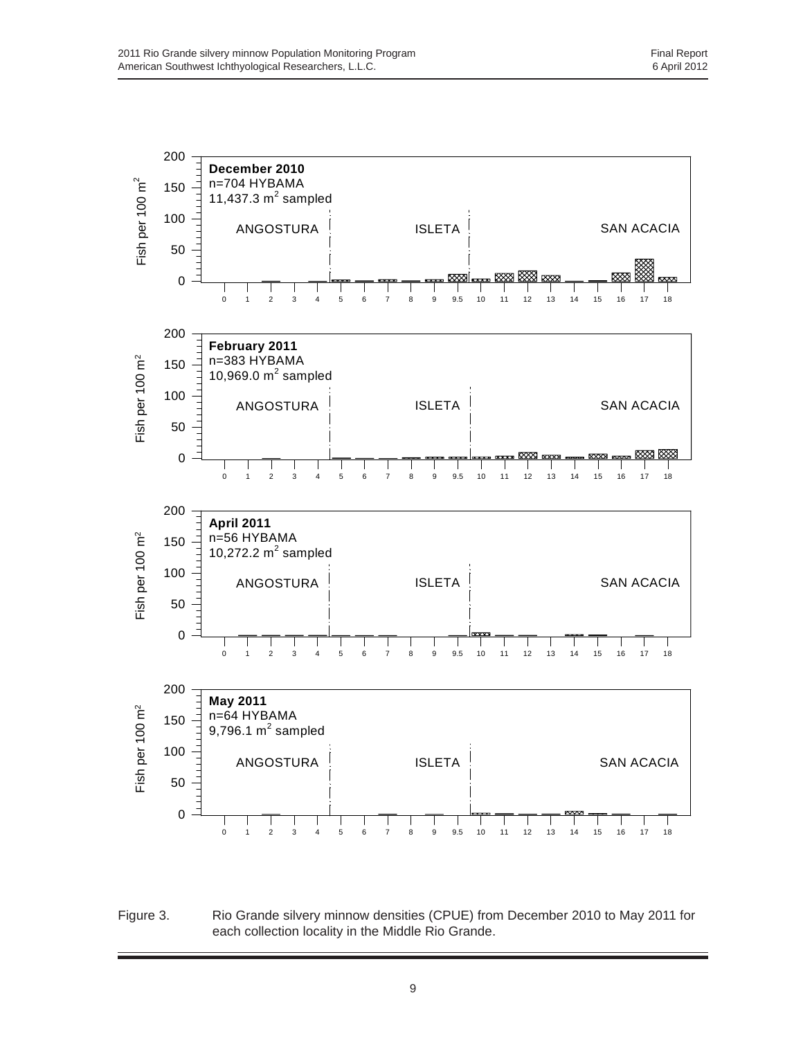

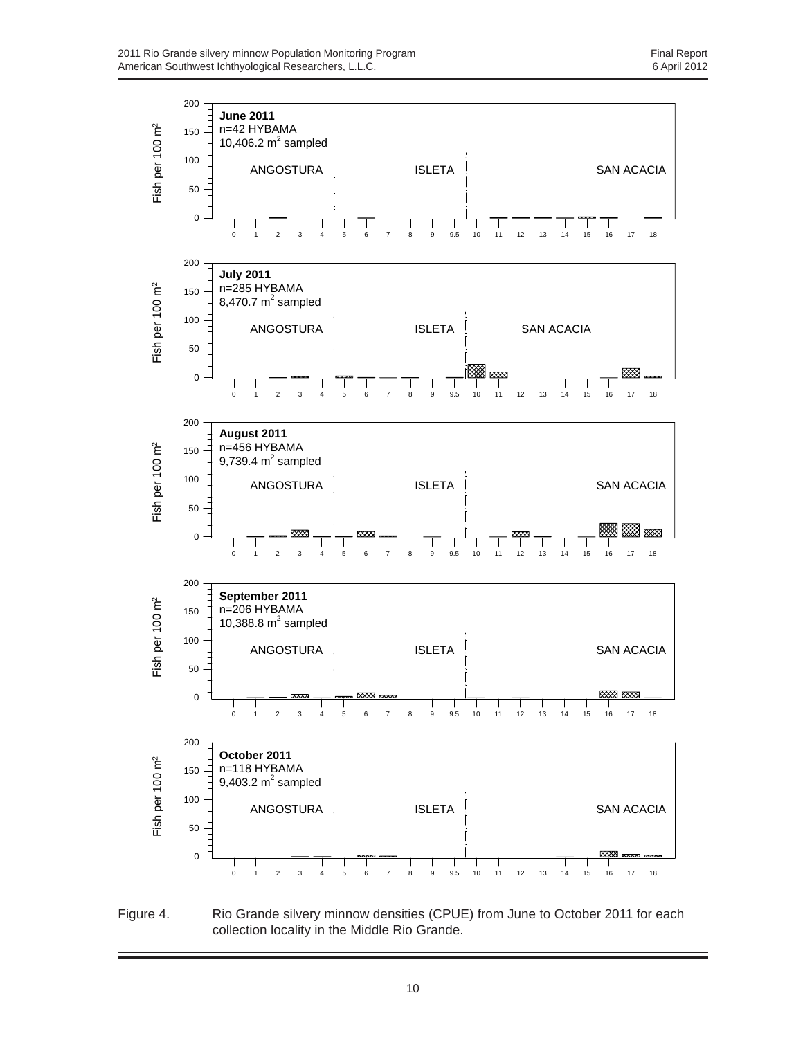

Figure 4. Rio Grande silvery minnow densities (CPUE) from June to October 2011 for each collection locality in the Middle Rio Grande.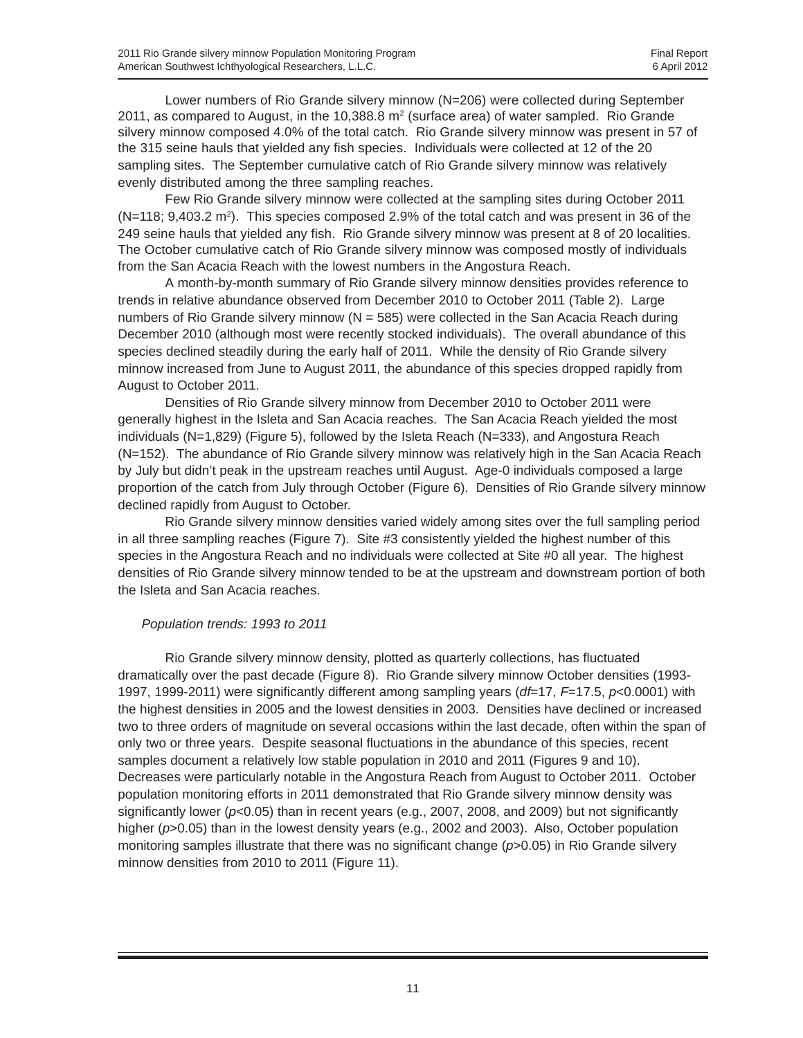Lower numbers of Rio Grande silvery minnow (N=206) were collected during September 2011, as compared to August, in the 10,388.8  $m<sup>2</sup>$  (surface area) of water sampled. Rio Grande silvery minnow composed 4.0% of the total catch. Rio Grande silvery minnow was present in 57 of the 315 seine hauls that yielded any fish species. Individuals were collected at 12 of the 20 sampling sites. The September cumulative catch of Rio Grande silvery minnow was relatively evenly distributed among the three sampling reaches.

Few Rio Grande silvery minnow were collected at the sampling sites during October 2011  $(N=118; 9,403.2 \text{ m}^2)$ . This species composed 2.9% of the total catch and was present in 36 of the 249 seine hauls that yielded any fish. Rio Grande silvery minnow was present at 8 of 20 localities. The October cumulative catch of Rio Grande silvery minnow was composed mostly of individuals from the San Acacia Reach with the lowest numbers in the Angostura Reach.

A month-by-month summary of Rio Grande silvery minnow densities provides reference to trends in relative abundance observed from December 2010 to October 2011 (Table 2). Large numbers of Rio Grande silvery minnow  $(N = 585)$  were collected in the San Acacia Reach during December 2010 (although most were recently stocked individuals). The overall abundance of this species declined steadily during the early half of 2011. While the density of Rio Grande silvery minnow increased from June to August 2011, the abundance of this species dropped rapidly from August to October 2011.

Densities of Rio Grande silvery minnow from December 2010 to October 2011 were generally highest in the Isleta and San Acacia reaches. The San Acacia Reach yielded the most individuals (N=1,829) (Figure 5), followed by the Isleta Reach (N=333), and Angostura Reach (N=152). The abundance of Rio Grande silvery minnow was relatively high in the San Acacia Reach by July but didn't peak in the upstream reaches until August. Age-0 individuals composed a large proportion of the catch from July through October (Figure 6). Densities of Rio Grande silvery minnow declined rapidly from August to October.

Rio Grande silvery minnow densities varied widely among sites over the full sampling period in all three sampling reaches (Figure 7). Site #3 consistently yielded the highest number of this species in the Angostura Reach and no individuals were collected at Site #0 all year. The highest densities of Rio Grande silvery minnow tended to be at the upstream and downstream portion of both the Isleta and San Acacia reaches.

#### *Population trends: 1993 to 2011*

Rio Grande silvery minnow density, plotted as quarterly collections, has fluctuated dramatically over the past decade (Figure 8). Rio Grande silvery minnow October densities (1993- 1997, 1999-2011) were significantly different among sampling years (*df*=17, *F*=17.5, *p*<0.0001) with the highest densities in 2005 and the lowest densities in 2003. Densities have declined or increased two to three orders of magnitude on several occasions within the last decade, often within the span of only two or three years. Despite seasonal fluctuations in the abundance of this species, recent samples document a relatively low stable population in 2010 and 2011 (Figures 9 and 10). Decreases were particularly notable in the Angostura Reach from August to October 2011. October population monitoring efforts in 2011 demonstrated that Rio Grande silvery minnow density was significantly lower (*p*<0.05) than in recent years (e.g., 2007, 2008, and 2009) but not significantly higher ( $p$ >0.05) than in the lowest density years (e.g., 2002 and 2003). Also, October population monitoring samples illustrate that there was no significant change ( $p$ >0.05) in Rio Grande silvery minnow densities from 2010 to 2011 (Figure 11).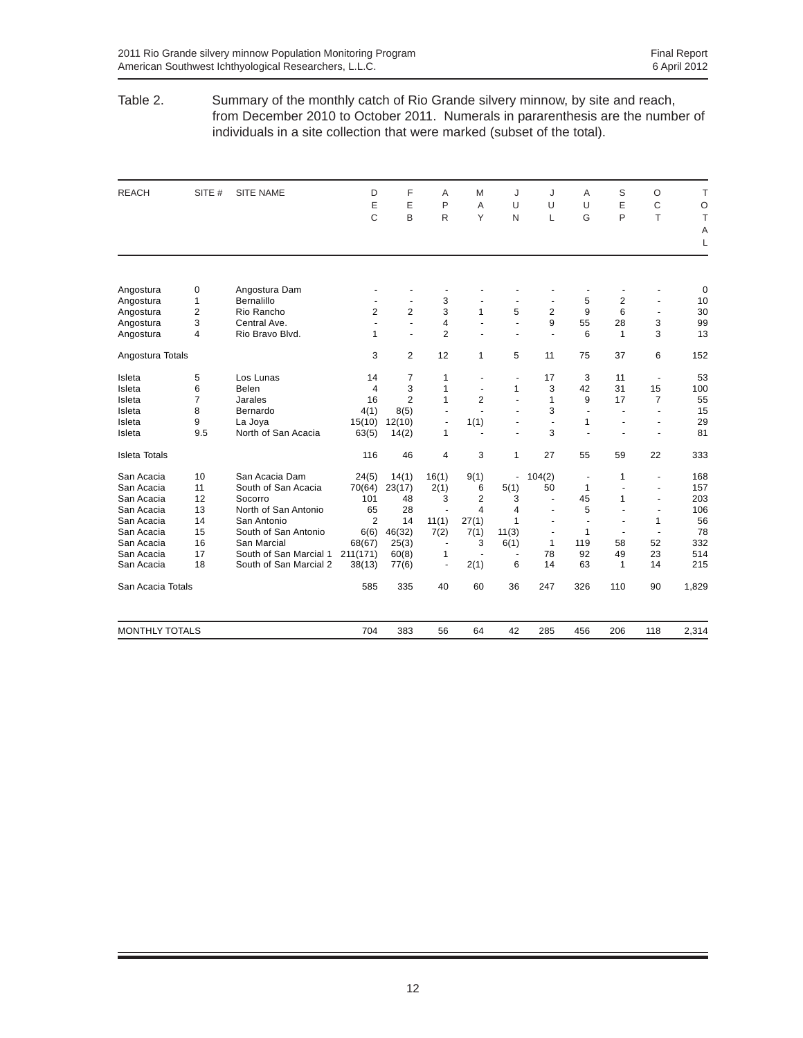#### Table 2. Summary of the monthly catch of Rio Grande silvery minnow, by site and reach, from December 2010 to October 2011. Numerals in pararenthesis are the number of individuals in a site collection that were marked (subset of the total).

| <b>REACH</b>          | SITE #         | <b>SITE NAME</b>       | D                        | F              | A                    | M                        | J                        | J                        | A              | S              | $\circ$              | T       |
|-----------------------|----------------|------------------------|--------------------------|----------------|----------------------|--------------------------|--------------------------|--------------------------|----------------|----------------|----------------------|---------|
|                       |                |                        | E                        | E              | P                    | A                        | U                        | U                        | $\cup$         | E              | C                    | $\circ$ |
|                       |                |                        | C                        | B              | R                    | Y                        | N                        | L                        | G              | P              | T                    | T       |
|                       |                |                        |                          |                |                      |                          |                          |                          |                |                |                      | Α       |
|                       |                |                        |                          |                |                      |                          |                          |                          |                |                |                      | L       |
|                       |                |                        |                          |                |                      |                          |                          |                          |                |                |                      |         |
| Angostura             | 0              | Angostura Dam          |                          |                |                      |                          |                          |                          |                |                |                      | 0       |
| Angostura             | $\mathbf{1}$   | Bernalillo             |                          | $\sim$         | 3                    |                          |                          |                          | 5              | $\overline{2}$ | $\blacksquare$       | 10      |
| Angostura             | $\overline{2}$ | Rio Rancho             | 2                        | $\overline{2}$ | 3                    | 1                        | 5                        | $\overline{2}$           | 9              | 6              | ä,                   | 30      |
| Angostura             | 3              | Central Ave.           | $\overline{\phantom{a}}$ | $\sim$         | 4                    | $\overline{\phantom{a}}$ | L.                       | 9                        | 55             | 28             | 3                    | 99      |
| Angostura             | $\overline{4}$ | Rio Bravo Blvd.        | 1                        | ÷.             | $\overline{2}$       |                          | $\ddot{\phantom{1}}$     | ÷.                       | 6              | $\mathbf{1}$   | 3                    | 13      |
| Angostura Totals      |                |                        | 3                        | 2              | 12                   | 1                        | 5                        | 11                       | 75             | 37             | 6                    | 152     |
| Isleta                | 5              | Los Lunas              | 14                       | 7              | $\mathbf{1}$         | $\overline{a}$           | $\blacksquare$           | 17                       | 3              | 11             | $\blacksquare$       | 53      |
| Isleta                | 6              | Belen                  | 4                        | 3              | 1                    | ٠                        | 1                        | 3                        | 42             | 31             | 15                   | 100     |
| Isleta                | $\overline{7}$ | Jarales                | 16                       | $\overline{2}$ | 1                    | $\overline{2}$           | $\blacksquare$           | $\mathbf{1}$             | 9              | 17             | $\overline{7}$       | 55      |
| Isleta                | 8              | Bernardo               | 4(1)                     | 8(5)           | $\ddot{\phantom{1}}$ |                          | ÷.                       | 3                        | ÷.             |                | ä,                   | 15      |
| Isleta                | 9              | La Joya                | 15(10)                   | 12(10)         | ä,                   | 1(1)                     | $\blacksquare$           | $\sim$                   | 1              |                | $\ddot{\phantom{1}}$ | 29      |
| Isleta                | 9.5            | North of San Acacia    | 63(5)                    | 14(2)          | 1                    |                          |                          | 3                        |                |                |                      | 81      |
| <b>Isleta Totals</b>  |                |                        | 116                      | 46             | 4                    | 3                        | 1                        | 27                       | 55             | 59             | 22                   | 333     |
| San Acacia            | 10             | San Acacia Dam         | 24(5)                    | 14(1)          | 16(1)                | 9(1)                     | ٠                        | 104(2)                   | $\overline{a}$ | 1              | $\blacksquare$       | 168     |
| San Acacia            | 11             | South of San Acacia    | 70(64)                   | 23(17)         | 2(1)                 | 6                        | 5(1)                     | 50                       | 1              |                | ÷                    | 157     |
| San Acacia            | 12             | Socorro                | 101                      | 48             | 3                    | $\overline{2}$           | 3                        |                          | 45             | $\mathbf{1}$   | ÷.                   | 203     |
| San Acacia            | 13             | North of San Antonio   | 65                       | 28             |                      | 4                        | 4                        | ÷.                       | 5              |                | $\blacksquare$       | 106     |
| San Acacia            | 14             | San Antonio            | 2                        | 14             | 11(1)                | 27(1)                    | 1                        | $\ddot{\phantom{1}}$     | $\blacksquare$ | ٠.             | 1                    | 56      |
| San Acacia            | 15             | South of San Antonio   | 6(6)                     | 46(32)         | 7(2)                 | 7(1)                     | 11(3)                    | $\overline{\phantom{a}}$ | 1              |                | $\blacksquare$       | 78      |
| San Acacia            | 16             | San Marcial            | 68(67)                   | 25(3)          | $\blacksquare$       | 3                        | 6(1)                     | $\mathbf{1}$             | 119            | 58             | 52                   | 332     |
| San Acacia            | 17             | South of San Marcial 1 | 211(171)                 | 60(8)          | 1                    | $\blacksquare$           | $\overline{\phantom{a}}$ | 78                       | 92             | 49             | 23                   | 514     |
| San Acacia            | 18             | South of San Marcial 2 | 38(13)                   | 77(6)          | $\blacksquare$       | 2(1)                     | 6                        | 14                       | 63             | $\mathbf{1}$   | 14                   | 215     |
| San Acacia Totals     |                |                        | 585                      | 335            | 40                   | 60                       | 36                       | 247                      | 326            | 110            | 90                   | 1,829   |
| <b>MONTHLY TOTALS</b> |                |                        | 704                      | 383            | 56                   | 64                       | 42                       | 285                      | 456            | 206            | 118                  | 2,314   |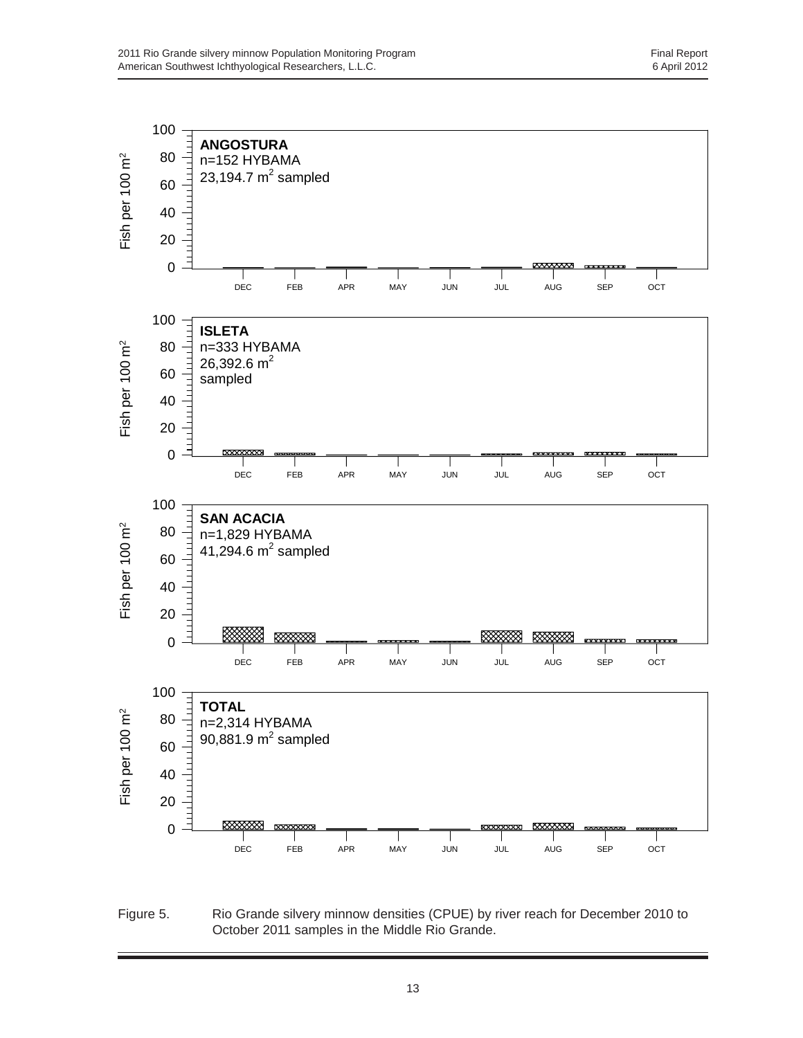

Figure 5. Rio Grande silvery minnow densities (CPUE) by river reach for December 2010 to October 2011 samples in the Middle Rio Grande.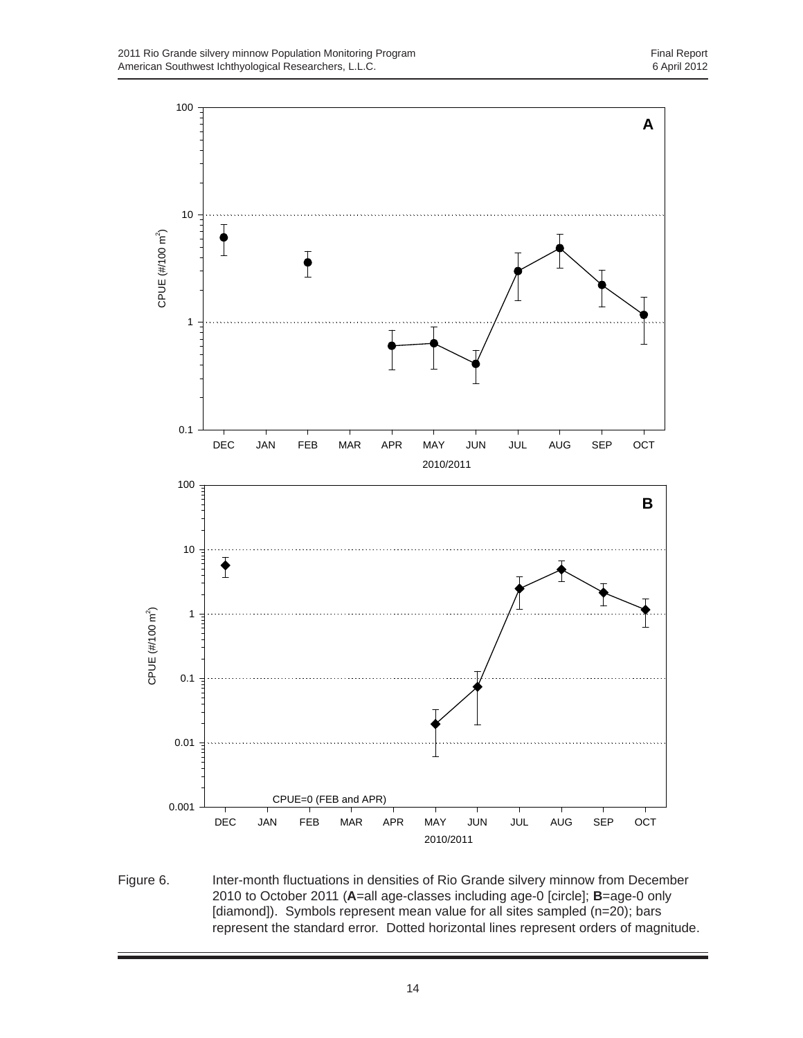

Figure 6. Inter-month fluctuations in densities of Rio Grande silvery minnow from December 2010 to October 2011 (**A**=all age-classes including age-0 [circle]; **B**=age-0 only [diamond]). Symbols represent mean value for all sites sampled (n=20); bars represent the standard error. Dotted horizontal lines represent orders of magnitude.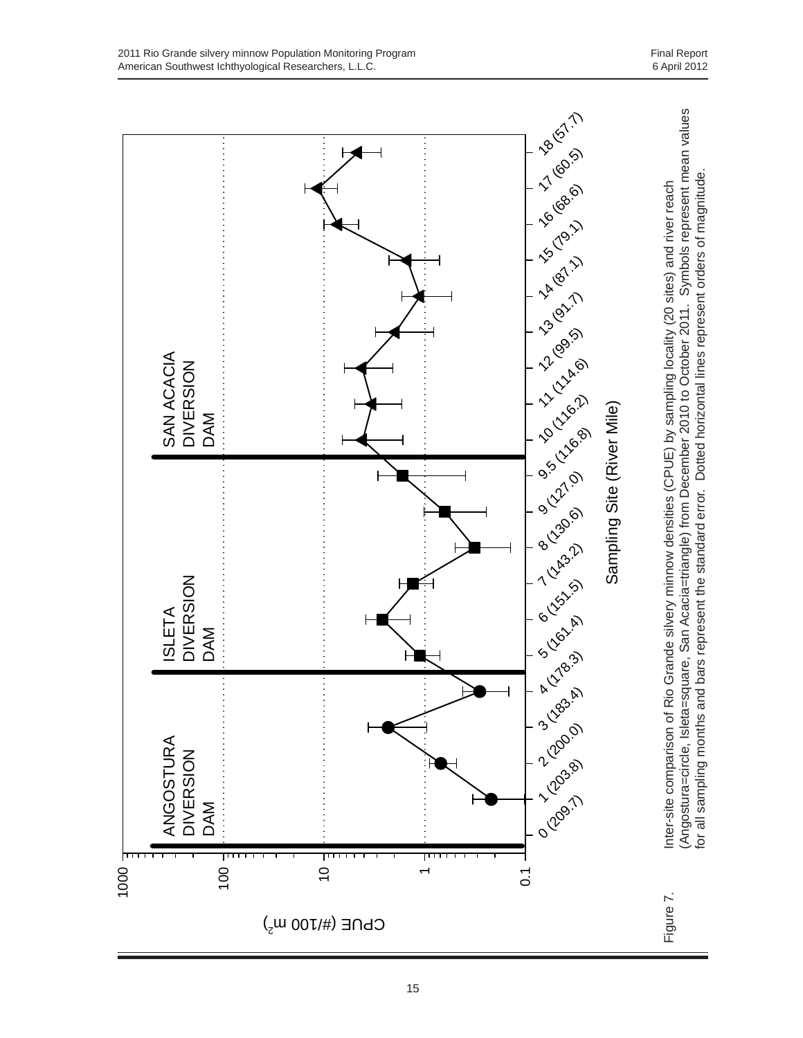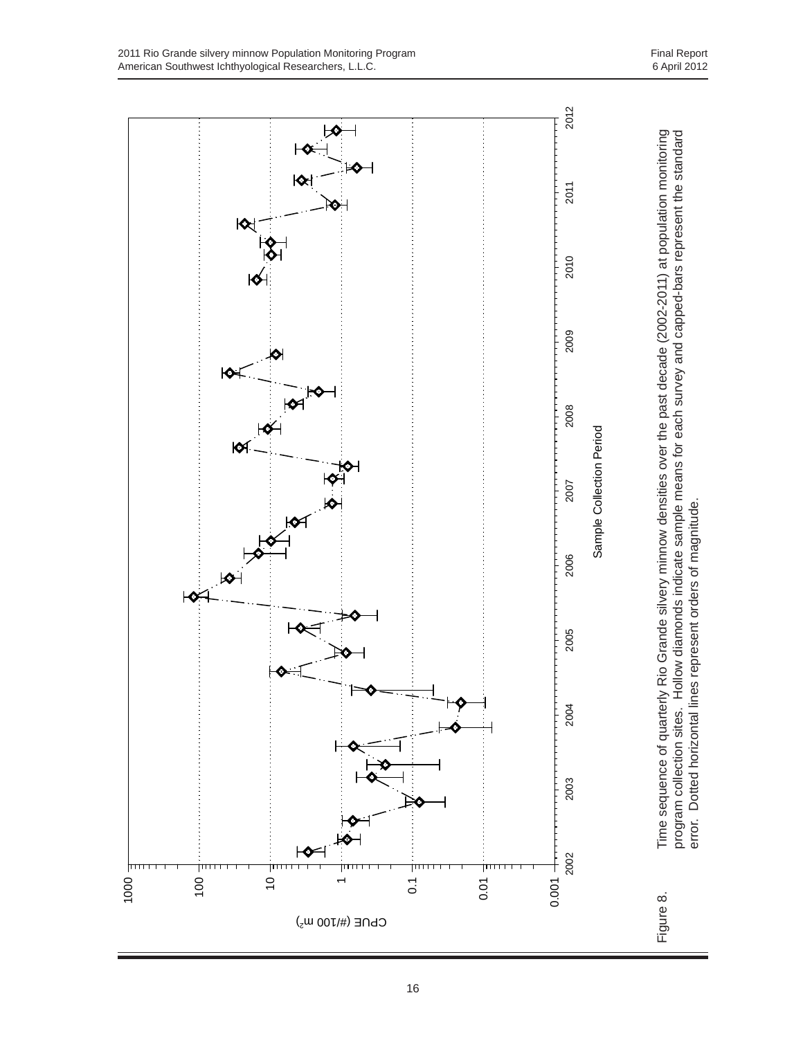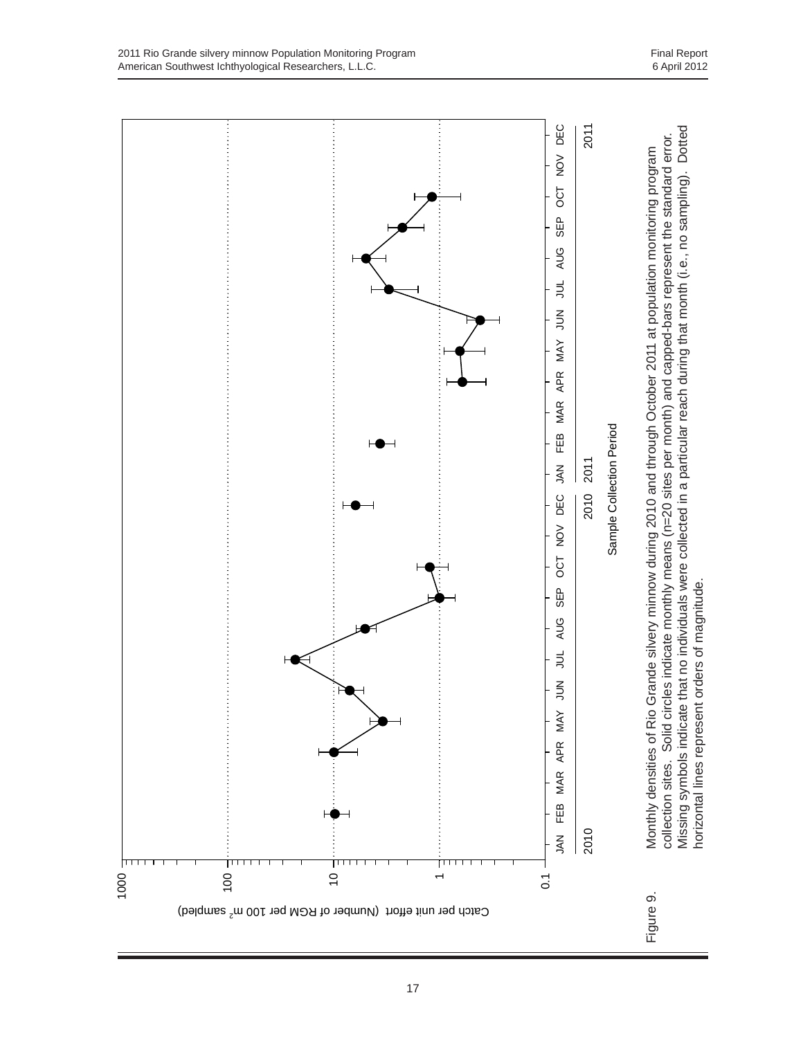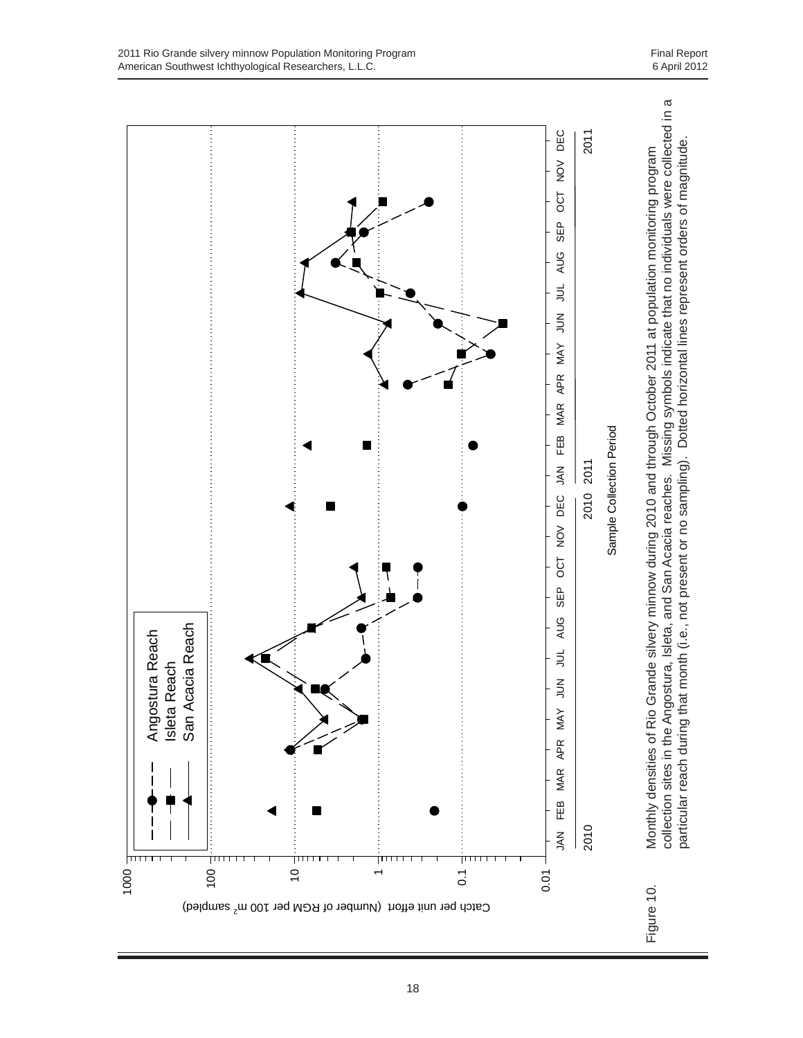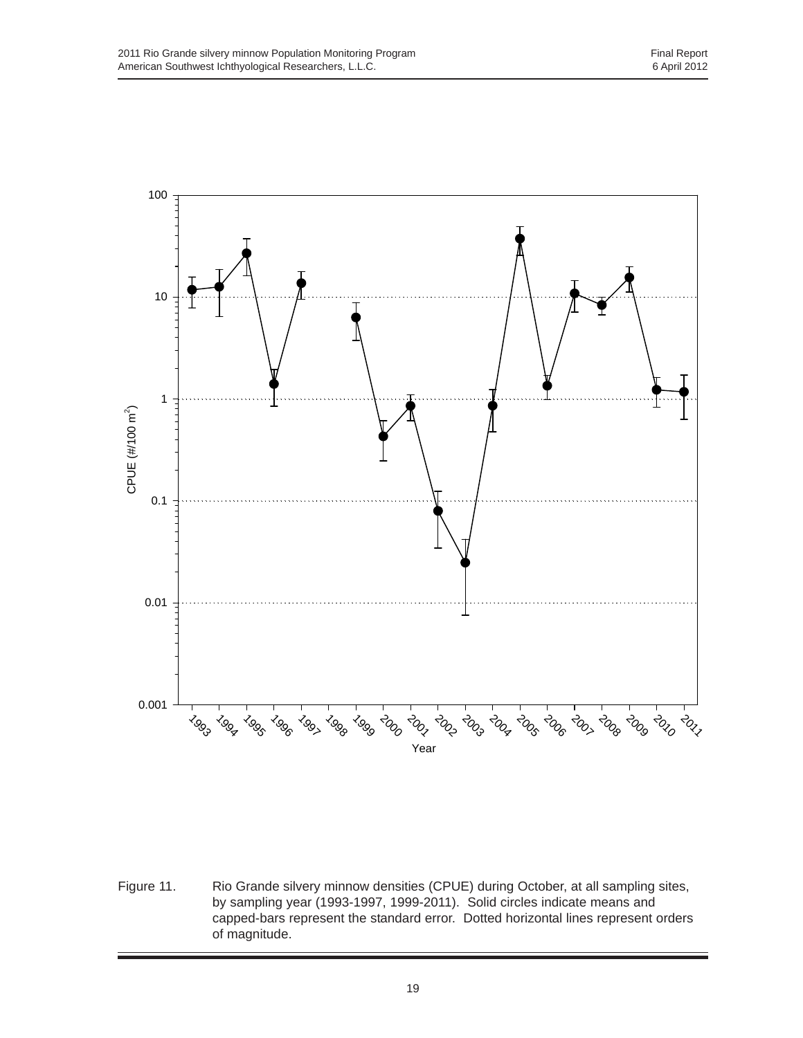

Figure 11. Rio Grande silvery minnow densities (CPUE) during October, at all sampling sites, by sampling year (1993-1997, 1999-2011). Solid circles indicate means and capped-bars represent the standard error. Dotted horizontal lines represent orders of magnitude.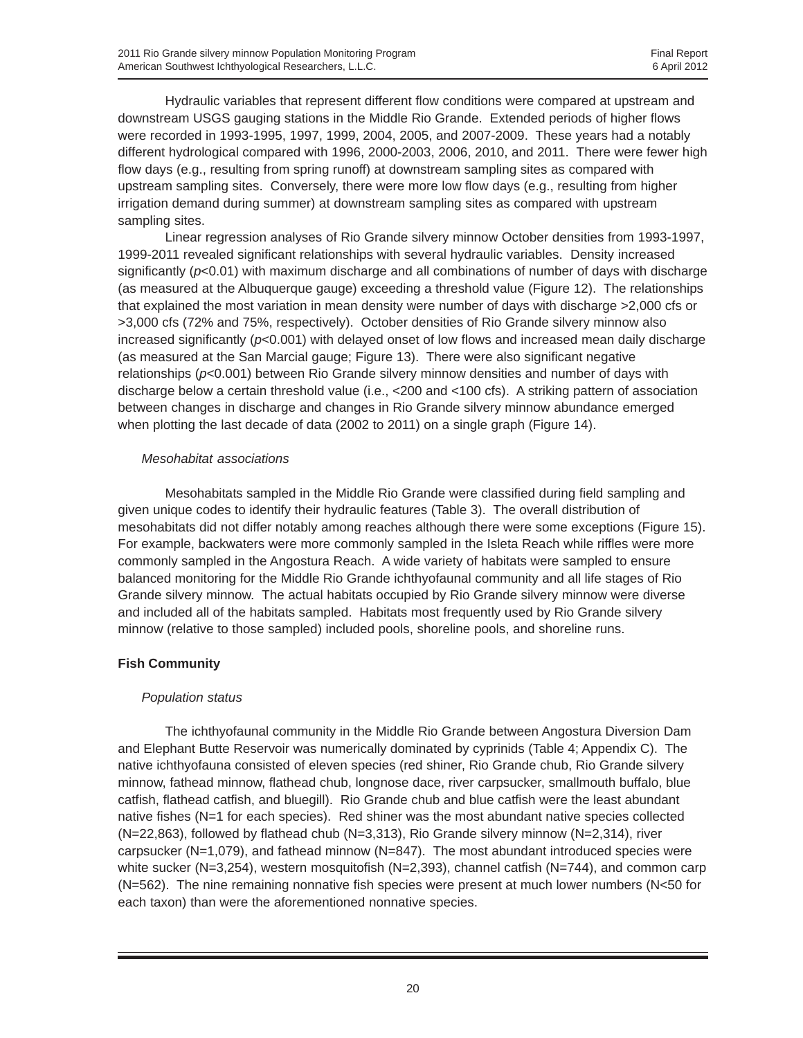Hydraulic variables that represent different flow conditions were compared at upstream and downstream USGS gauging stations in the Middle Rio Grande. Extended periods of higher flows were recorded in 1993-1995, 1997, 1999, 2004, 2005, and 2007-2009. These years had a notably different hydrological compared with 1996, 2000-2003, 2006, 2010, and 2011. There were fewer high flow days (e.g., resulting from spring runoff) at downstream sampling sites as compared with upstream sampling sites. Conversely, there were more low flow days (e.g., resulting from higher irrigation demand during summer) at downstream sampling sites as compared with upstream sampling sites.

Linear regression analyses of Rio Grande silvery minnow October densities from 1993-1997, 1999-2011 revealed significant relationships with several hydraulic variables. Density increased significantly (*p*<0.01) with maximum discharge and all combinations of number of days with discharge (as measured at the Albuquerque gauge) exceeding a threshold value (Figure 12). The relationships that explained the most variation in mean density were number of days with discharge >2,000 cfs or >3,000 cfs (72% and 75%, respectively). October densities of Rio Grande silvery minnow also increased significantly (*p*<0.001) with delayed onset of low flows and increased mean daily discharge (as measured at the San Marcial gauge; Figure 13). There were also significant negative relationships (*p*<0.001) between Rio Grande silvery minnow densities and number of days with discharge below a certain threshold value (i.e., <200 and <100 cfs). A striking pattern of association between changes in discharge and changes in Rio Grande silvery minnow abundance emerged when plotting the last decade of data (2002 to 2011) on a single graph (Figure 14).

#### *Mesohabitat associations*

Mesohabitats sampled in the Middle Rio Grande were classified during field sampling and given unique codes to identify their hydraulic features (Table 3). The overall distribution of mesohabitats did not differ notably among reaches although there were some exceptions (Figure 15). For example, backwaters were more commonly sampled in the Isleta Reach while riffles were more commonly sampled in the Angostura Reach. A wide variety of habitats were sampled to ensure balanced monitoring for the Middle Rio Grande ichthyofaunal community and all life stages of Rio Grande silvery minnow. The actual habitats occupied by Rio Grande silvery minnow were diverse and included all of the habitats sampled. Habitats most frequently used by Rio Grande silvery minnow (relative to those sampled) included pools, shoreline pools, and shoreline runs.

## **Fish Community**

## *Population status*

The ichthyofaunal community in the Middle Rio Grande between Angostura Diversion Dam and Elephant Butte Reservoir was numerically dominated by cyprinids (Table 4; Appendix C). The native ichthyofauna consisted of eleven species (red shiner, Rio Grande chub, Rio Grande silvery minnow, fathead minnow, flathead chub, longnose dace, river carpsucker, smallmouth buffalo, blue catfish, flathead catfish, and bluegill). Rio Grande chub and blue catfish were the least abundant native fishes (N=1 for each species). Red shiner was the most abundant native species collected (N=22,863), followed by flathead chub (N=3,313), Rio Grande silvery minnow (N=2,314), river carpsucker (N=1,079), and fathead minnow (N=847). The most abundant introduced species were white sucker (N=3,254), western mosquitofish (N=2,393), channel catfish (N=744), and common carp  $(N=562)$ . The nine remaining nonnative fish species were present at much lower numbers  $(N<sub>50</sub>$  for each taxon) than were the aforementioned nonnative species.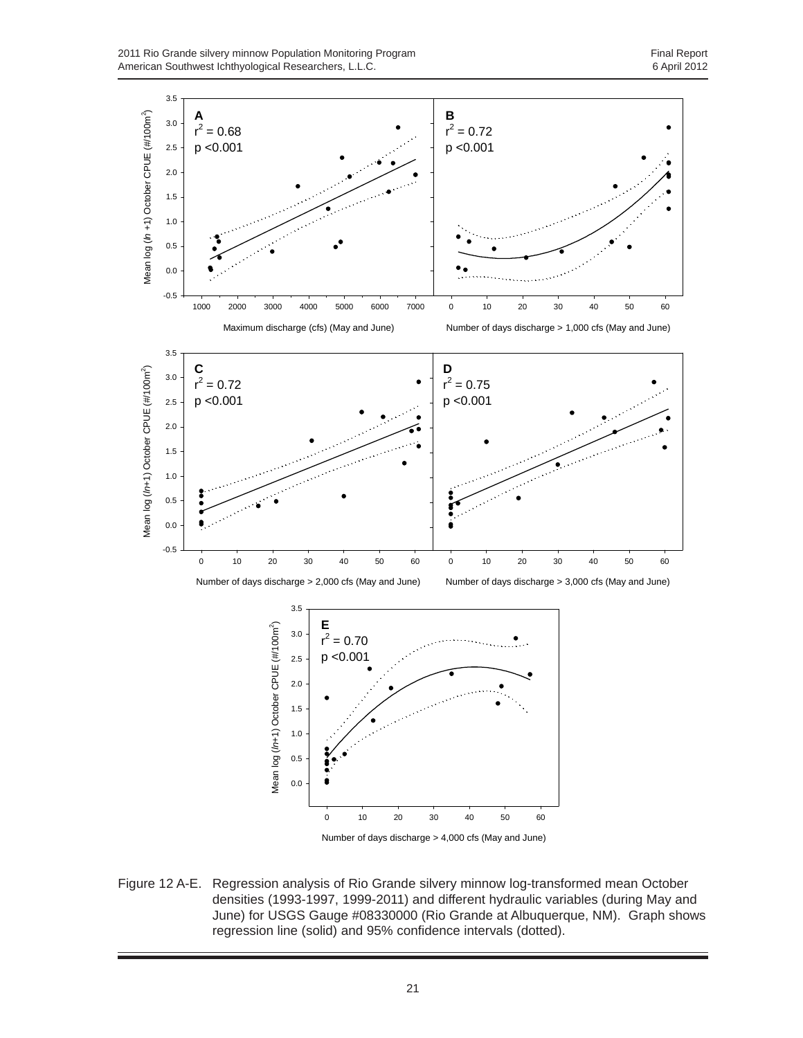2011 Rio Grande silvery minnow Population Monitoring Program<br>
American Southwest Ichthyological Researchers, L.L.C.<br>
6 April 2012 American Southwest Ichthyological Researchers, L.L.C.



Number of days discharge > 4,000 cfs (May and June)

Figure 12 A-E. Regression analysis of Rio Grande silvery minnow log-transformed mean October densities (1993-1997, 1999-2011) and different hydraulic variables (during May and June) for USGS Gauge #08330000 (Rio Grande at Albuquerque, NM). Graph shows regression line (solid) and 95% confidence intervals (dotted).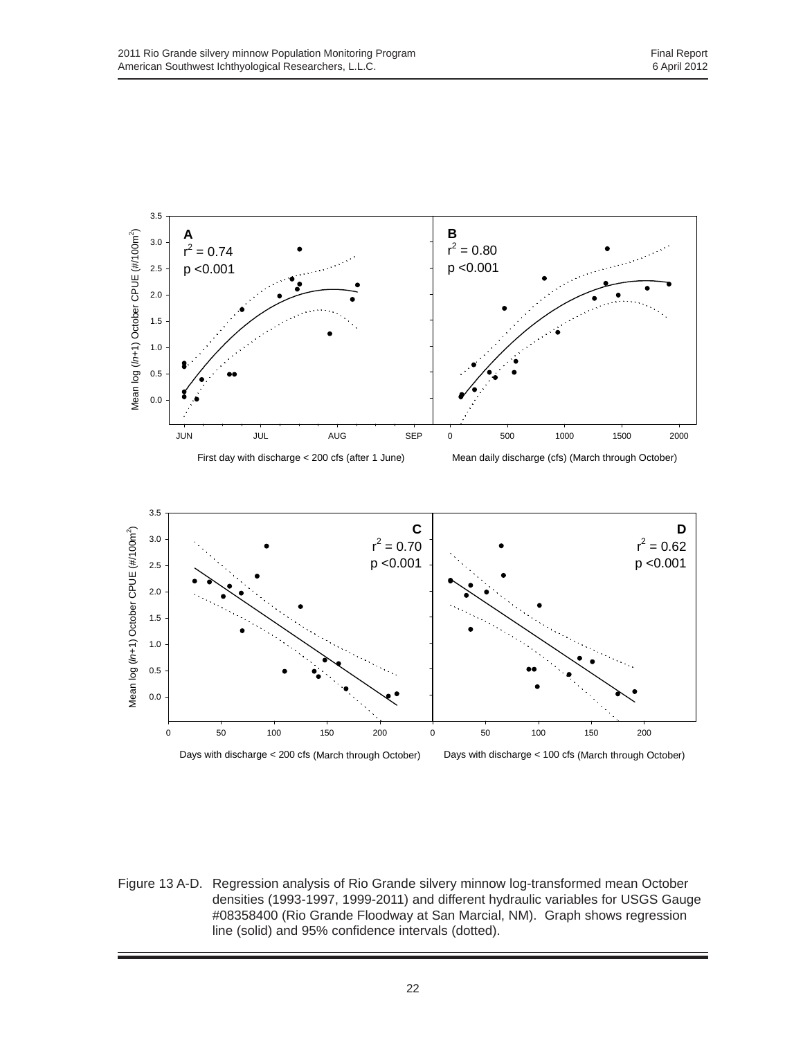

Figure 13 A-D. Regression analysis of Rio Grande silvery minnow log-transformed mean October densities (1993-1997, 1999-2011) and different hydraulic variables for USGS Gauge #08358400 (Rio Grande Floodway at San Marcial, NM). Graph shows regression line (solid) and 95% confidence intervals (dotted).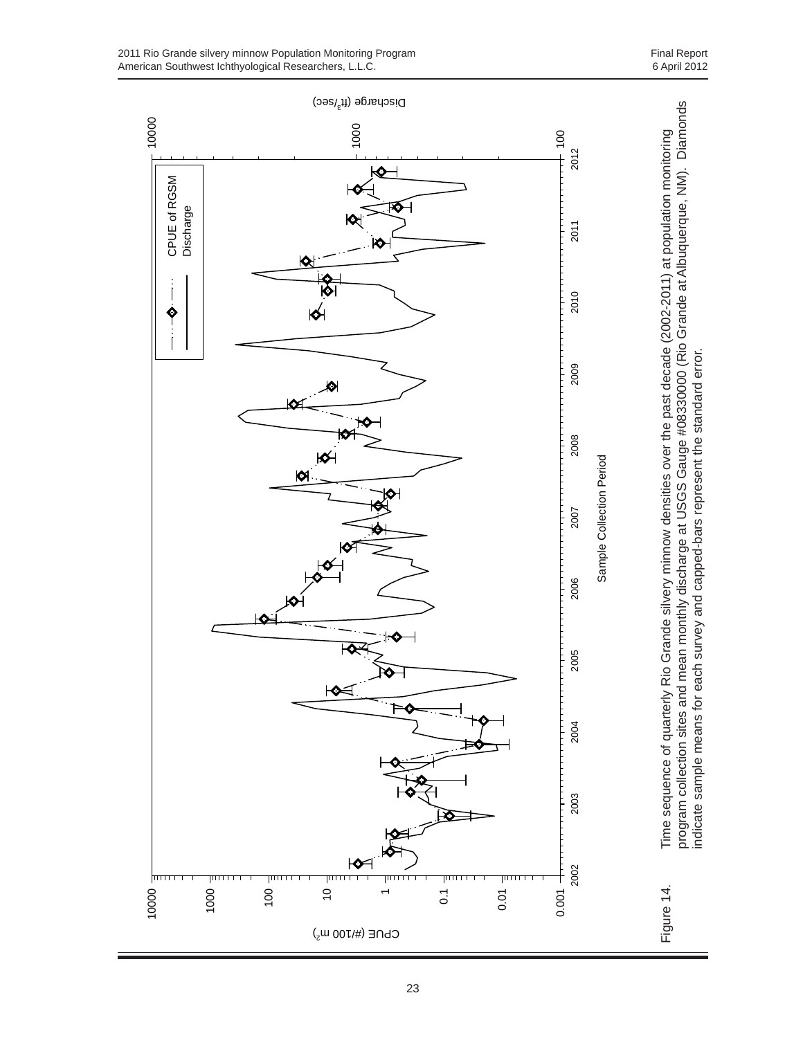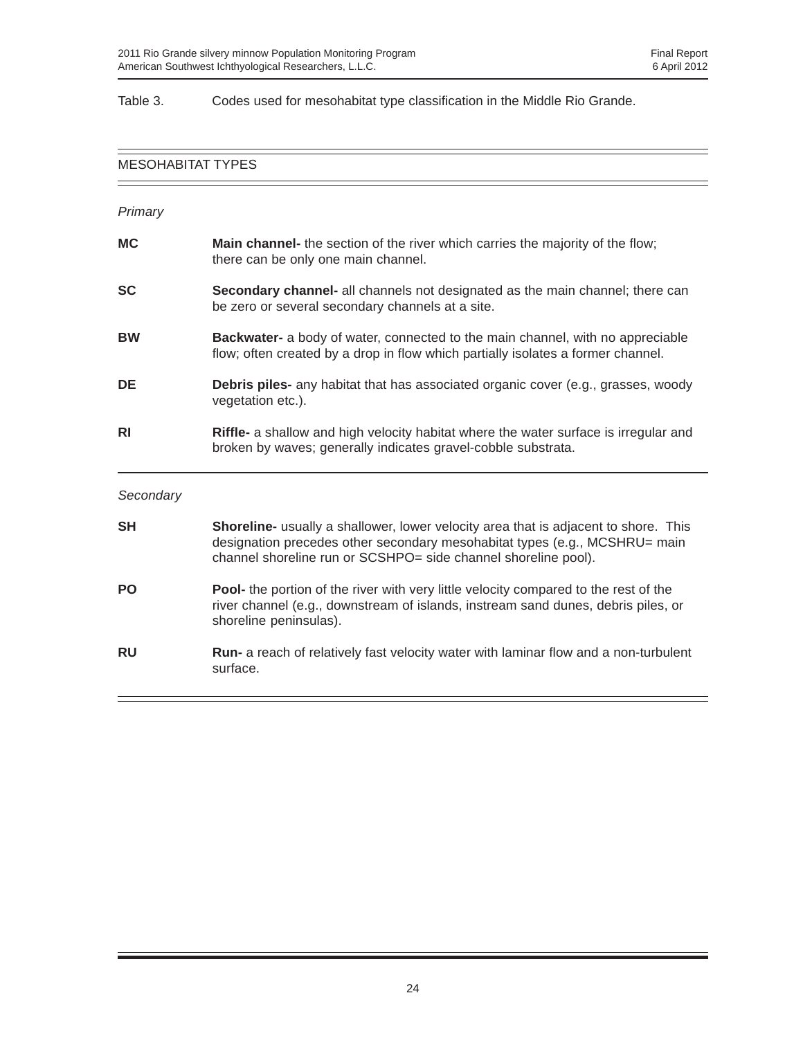#### Table 3. Codes used for mesohabitat type classification in the Middle Rio Grande.

# MESOHABITAT TYPES — *Primary* **MC** Main channel- the section of the river which carries the majority of the flow; there can be only one main channel. **SC** Secondary channel- all channels not designated as the main channel; there can be zero or several secondary channels at a site. **BW Backwater-** a body of water, connected to the main channel, with no appreciable flow; often created by a drop in flow which partially isolates a former channel. **DE Debris piles-** any habitat that has associated organic cover (e.g., grasses, woody vegetation etc.). **RI Riffle-** a shallow and high velocity habitat where the water surface is irregular and broken by waves; generally indicates gravel-cobble substrata. *Secondary* **SH Shoreline-** usually a shallower, lower velocity area that is adjacent to shore. This designation precedes other secondary mesohabitat types (e.g., MCSHRU= main channel shoreline run or SCSHPO= side channel shoreline pool). **PO Pool-** the portion of the river with very little velocity compared to the rest of the river channel (e.g., downstream of islands, instream sand dunes, debris piles, or shoreline peninsulas). **RU** Run- a reach of relatively fast velocity water with laminar flow and a non-turbulent surface.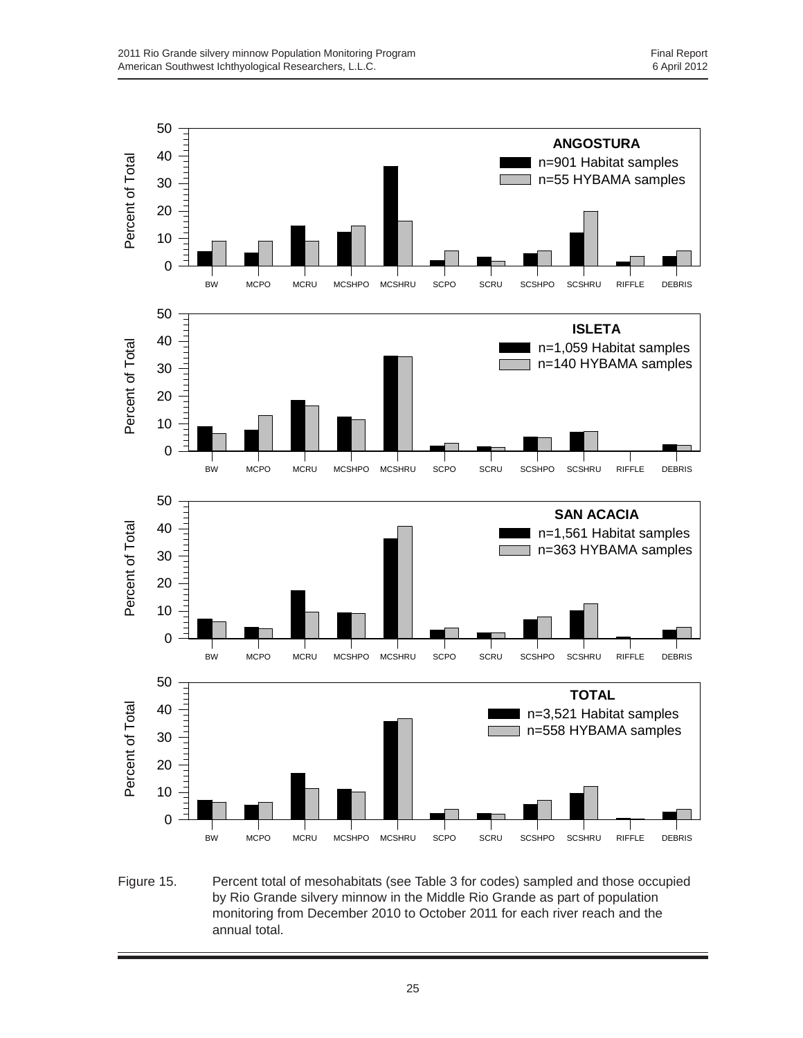

Figure 15. Percent total of mesohabitats (see Table 3 for codes) sampled and those occupied by Rio Grande silvery minnow in the Middle Rio Grande as part of population monitoring from December 2010 to October 2011 for each river reach and the annual total.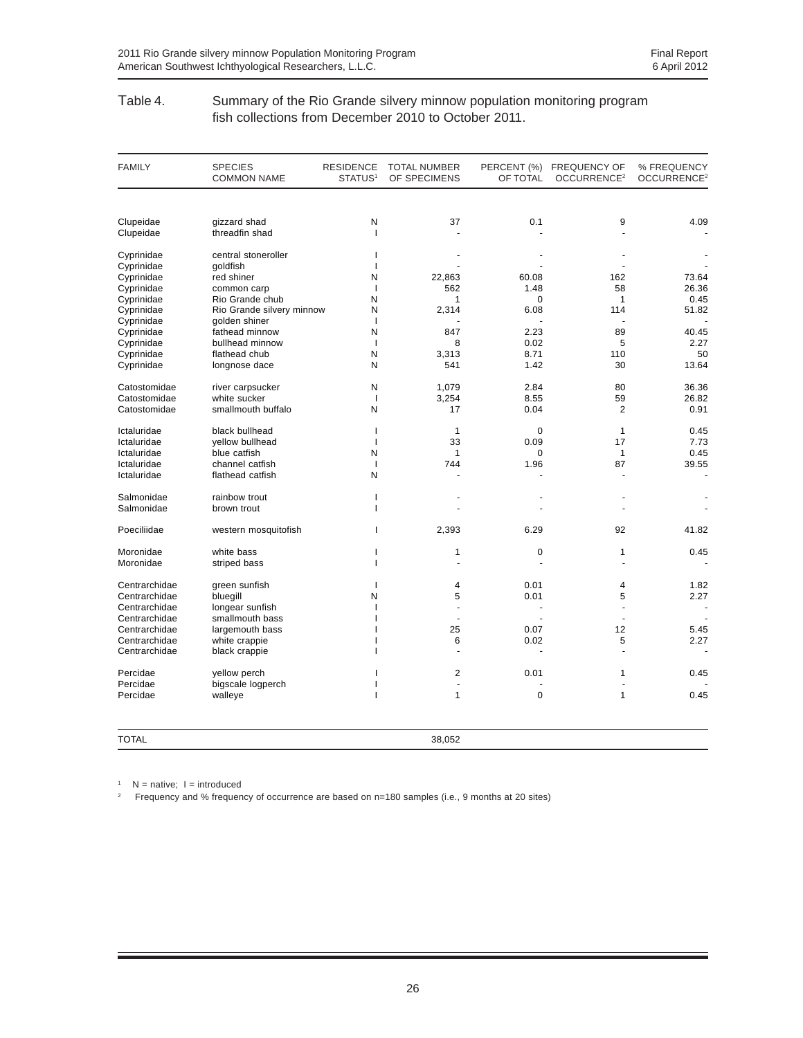#### Table 4. Summary of the Rio Grande silvery minnow population monitoring program fish collections from December 2010 to October 2011.

| <b>FAMILY</b> | <b>SPECIES</b><br><b>COMMON NAME</b> | <b>RESIDENCE</b><br>STATUS <sup>1</sup> | <b>TOTAL NUMBER</b><br>OF SPECIMENS | OF TOTAL    | PERCENT (%) FREQUENCY OF<br>OCCURRENCE <sup>2</sup> | % FREQUENCY<br>OCCURRENCE <sup>2</sup> |
|---------------|--------------------------------------|-----------------------------------------|-------------------------------------|-------------|-----------------------------------------------------|----------------------------------------|
|               |                                      |                                         |                                     |             |                                                     |                                        |
| Clupeidae     | gizzard shad                         | N                                       | 37                                  | 0.1         | 9                                                   | 4.09                                   |
| Clupeidae     | threadfin shad                       | I                                       |                                     |             |                                                     |                                        |
| Cyprinidae    | central stoneroller                  | J.                                      |                                     |             |                                                     |                                        |
| Cyprinidae    | qoldfish                             | J.                                      |                                     |             |                                                     |                                        |
| Cyprinidae    | red shiner                           | N                                       | 22,863                              | 60.08       | 162                                                 | 73.64                                  |
| Cyprinidae    | common carp                          | $\mathbf{I}$                            | 562                                 | 1.48        | 58                                                  | 26.36                                  |
| Cyprinidae    | Rio Grande chub                      | N                                       | 1                                   | 0           | $\mathbf{1}$                                        | 0.45                                   |
| Cyprinidae    | Rio Grande silvery minnow            | N                                       | 2,314                               | 6.08        | 114                                                 | 51.82                                  |
| Cyprinidae    | golden shiner                        | $\overline{1}$                          |                                     |             |                                                     |                                        |
| Cyprinidae    | fathead minnow                       | N                                       | 847                                 | 2.23        | 89                                                  | 40.45                                  |
| Cyprinidae    | bullhead minnow                      | 1                                       | 8                                   | 0.02        | 5                                                   | 2.27                                   |
| Cyprinidae    | flathead chub                        | N                                       | 3,313                               | 8.71        | 110                                                 | 50                                     |
| Cyprinidae    | longnose dace                        | N                                       | 541                                 | 1.42        | 30                                                  | 13.64                                  |
| Catostomidae  | river carpsucker                     | N                                       | 1,079                               | 2.84        | 80                                                  | 36.36                                  |
| Catostomidae  | white sucker                         | $\mathbf{I}$                            | 3,254                               | 8.55        | 59                                                  | 26.82                                  |
| Catostomidae  | smallmouth buffalo                   | N                                       | 17                                  | 0.04        | 2                                                   | 0.91                                   |
| Ictaluridae   | black bullhead                       | $\overline{1}$                          | $\mathbf{1}$                        | $\mathbf 0$ | $\mathbf{1}$                                        | 0.45                                   |
| Ictaluridae   | vellow bullhead                      | $\mathbf{I}$                            | 33                                  | 0.09        | 17                                                  | 7.73                                   |
| Ictaluridae   | blue catfish                         | N                                       | $\mathbf{1}$                        | $\mathbf 0$ | $\mathbf{1}$                                        | 0.45                                   |
| Ictaluridae   | channel catfish                      | $\mathbf{I}$                            | 744                                 | 1.96        | 87                                                  | 39.55                                  |
| Ictaluridae   | flathead catfish                     | N                                       |                                     |             |                                                     | ÷,                                     |
| Salmonidae    | rainbow trout                        | $\mathbf{I}$                            |                                     |             |                                                     |                                        |
| Salmonidae    | brown trout                          | J.                                      |                                     |             |                                                     |                                        |
| Poeciliidae   | western mosquitofish                 | т                                       | 2,393                               | 6.29        | 92                                                  | 41.82                                  |
| Moronidae     | white bass                           | ı                                       | 1                                   | $\mathbf 0$ | $\mathbf{1}$                                        | 0.45                                   |
| Moronidae     | striped bass                         | J.                                      |                                     |             |                                                     |                                        |
| Centrarchidae | green sunfish                        |                                         | 4                                   | 0.01        | 4                                                   | 1.82                                   |
| Centrarchidae | bluegill                             | N                                       | 5                                   | 0.01        | 5                                                   | 2.27                                   |
| Centrarchidae | longear sunfish                      | ı                                       | $\overline{a}$                      |             |                                                     |                                        |
| Centrarchidae | smallmouth bass                      |                                         | $\blacksquare$                      |             |                                                     |                                        |
| Centrarchidae | largemouth bass                      |                                         | 25                                  | 0.07        | 12                                                  | 5.45                                   |
| Centrarchidae | white crappie                        |                                         | 6                                   | 0.02        | 5                                                   | 2.27                                   |
| Centrarchidae | black crappie                        |                                         |                                     |             |                                                     |                                        |
| Percidae      | yellow perch                         |                                         | $\overline{2}$                      | 0.01        | $\mathbf{1}$                                        | 0.45                                   |
| Percidae      | bigscale logperch                    |                                         | $\overline{a}$                      |             |                                                     |                                        |
| Percidae      | walleye                              |                                         | $\mathbf{1}$                        | $\mathbf 0$ | $\mathbf{1}$                                        | 0.45                                   |
| <b>TOTAL</b>  |                                      |                                         | 38,052                              |             |                                                     |                                        |

 $1$  N = native; I = introduced

2 Frequency and % frequency of occurrence are based on n=180 samples (i.e., 9 months at 20 sites)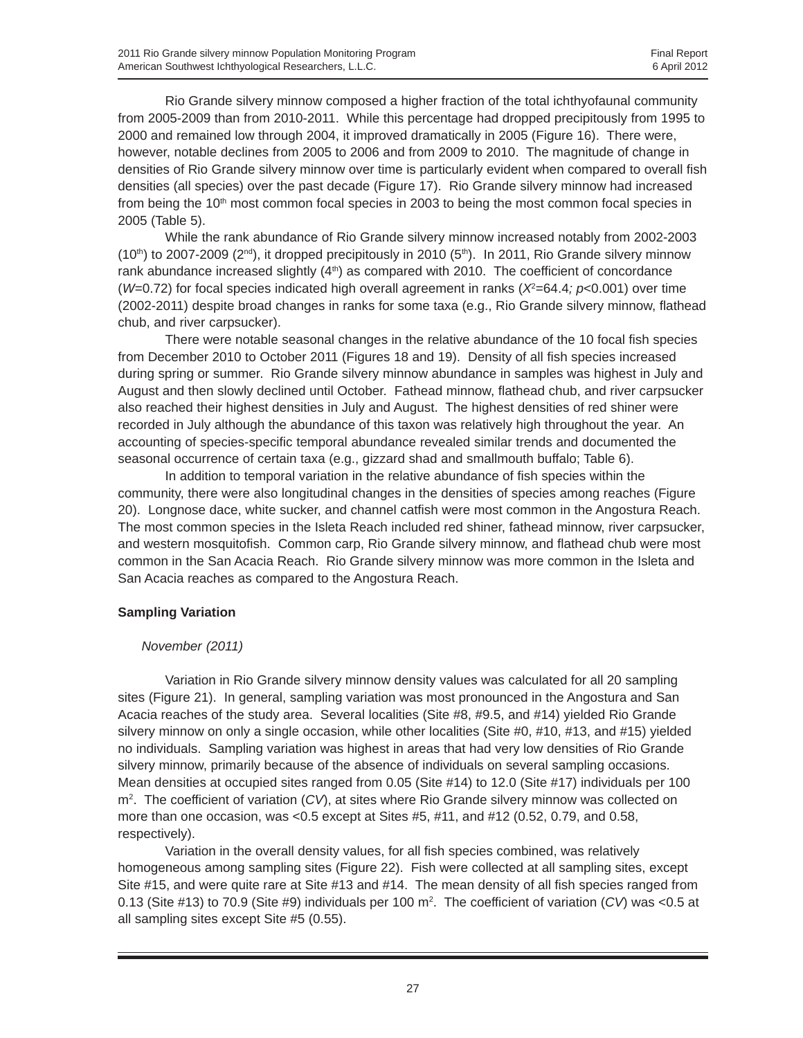Rio Grande silvery minnow composed a higher fraction of the total ichthyofaunal community from 2005-2009 than from 2010-2011. While this percentage had dropped precipitously from 1995 to 2000 and remained low through 2004, it improved dramatically in 2005 (Figure 16). There were, however, notable declines from 2005 to 2006 and from 2009 to 2010. The magnitude of change in densities of Rio Grande silvery minnow over time is particularly evident when compared to overall fish densities (all species) over the past decade (Figure 17). Rio Grande silvery minnow had increased from being the 10<sup>th</sup> most common focal species in 2003 to being the most common focal species in 2005 (Table 5).

While the rank abundance of Rio Grande silvery minnow increased notably from 2002-2003  $(10<sup>th</sup>)$  to 2007-2009 ( $2<sup>nd</sup>$ ), it dropped precipitously in 2010 (5<sup>th</sup>). In 2011, Rio Grande silvery minnow rank abundance increased slightly  $(4<sup>th</sup>)$  as compared with 2010. The coefficient of concordance (*W*=0.72) for focal species indicated high overall agreement in ranks ( $X^2=64.4$ ;  $p<0.001$ ) over time (2002-2011) despite broad changes in ranks for some taxa (e.g., Rio Grande silvery minnow, flathead chub, and river carpsucker).

There were notable seasonal changes in the relative abundance of the 10 focal fish species from December 2010 to October 2011 (Figures 18 and 19). Density of all fish species increased during spring or summer. Rio Grande silvery minnow abundance in samples was highest in July and August and then slowly declined until October. Fathead minnow, flathead chub, and river carpsucker also reached their highest densities in July and August. The highest densities of red shiner were recorded in July although the abundance of this taxon was relatively high throughout the year. An accounting of species-specific temporal abundance revealed similar trends and documented the seasonal occurrence of certain taxa (e.g., gizzard shad and smallmouth buffalo; Table 6).

In addition to temporal variation in the relative abundance of fish species within the community, there were also longitudinal changes in the densities of species among reaches (Figure 20). Longnose dace, white sucker, and channel catfish were most common in the Angostura Reach. The most common species in the Isleta Reach included red shiner, fathead minnow, river carpsucker, and western mosquitofish. Common carp, Rio Grande silvery minnow, and flathead chub were most common in the San Acacia Reach. Rio Grande silvery minnow was more common in the Isleta and San Acacia reaches as compared to the Angostura Reach.

## **Sampling Variation**

#### *November (2011)*

Variation in Rio Grande silvery minnow density values was calculated for all 20 sampling sites (Figure 21). In general, sampling variation was most pronounced in the Angostura and San Acacia reaches of the study area. Several localities (Site #8, #9.5, and #14) yielded Rio Grande silvery minnow on only a single occasion, while other localities (Site #0, #10, #13, and #15) yielded no individuals. Sampling variation was highest in areas that had very low densities of Rio Grande silvery minnow, primarily because of the absence of individuals on several sampling occasions. Mean densities at occupied sites ranged from 0.05 (Site #14) to 12.0 (Site #17) individuals per 100 m2 . The coefficient of variation (*CV*), at sites where Rio Grande silvery minnow was collected on more than one occasion, was <0.5 except at Sites #5, #11, and #12 (0.52, 0.79, and 0.58, respectively).

Variation in the overall density values, for all fish species combined, was relatively homogeneous among sampling sites (Figure 22). Fish were collected at all sampling sites, except Site #15, and were quite rare at Site #13 and #14. The mean density of all fish species ranged from 0.13 (Site #13) to 70.9 (Site #9) individuals per 100 m2 . The coefficient of variation (*CV*) was <0.5 at all sampling sites except Site #5 (0.55).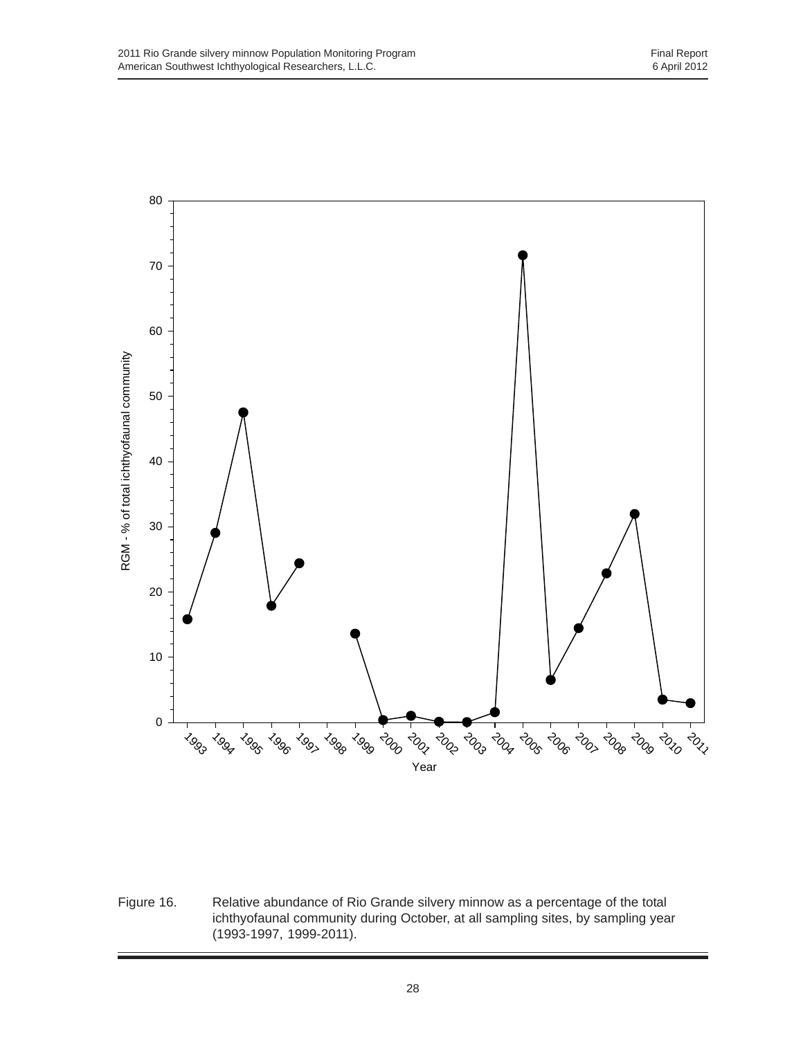

Figure 16. Relative abundance of Rio Grande silvery minnow as a percentage of the total ichthyofaunal community during October, at all sampling sites, by sampling year (1993-1997, 1999-2011).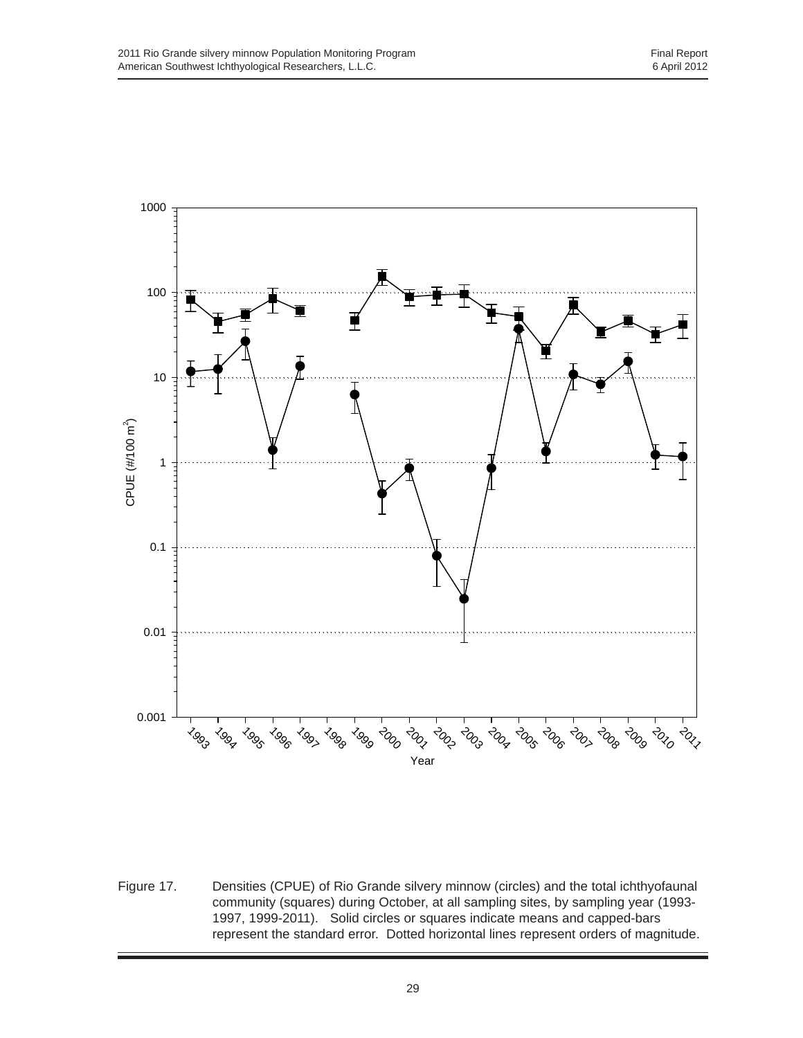

Figure 17. Densities (CPUE) of Rio Grande silvery minnow (circles) and the total ichthyofaunal community (squares) during October, at all sampling sites, by sampling year (1993- 1997, 1999-2011). Solid circles or squares indicate means and capped-bars represent the standard error. Dotted horizontal lines represent orders of magnitude.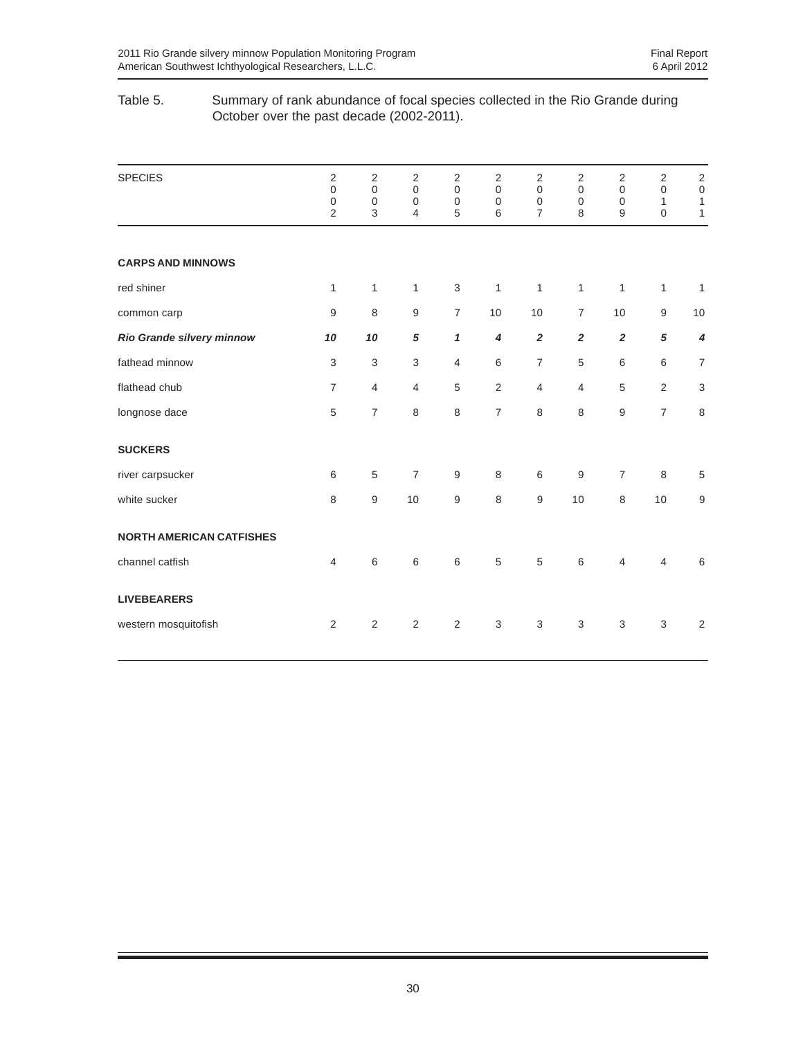#### Table 5. Summary of rank abundance of focal species collected in the Rio Grande during October over the past decade (2002-2011).

| <b>SPECIES</b>                  | 2<br>$\boldsymbol{0}$<br>$\boldsymbol{0}$<br>$\overline{2}$ | $\sqrt{2}$<br>$\boldsymbol{0}$<br>$\boldsymbol{0}$<br>3 | $\overline{2}$<br>$\mathbf 0$<br>$\mathbf 0$<br>4 | 2<br>$\mathbf 0$<br>$\mathbf 0$<br>5 | $\overline{2}$<br>$\mathbf 0$<br>$\mathbf 0$<br>$\,6$ | 2<br>$\boldsymbol{0}$<br>$\boldsymbol{0}$<br>$\overline{7}$ | $\sqrt{2}$<br>$\mathbf 0$<br>$\mathbf 0$<br>8 | $\sqrt{2}$<br>$\mathbf 0$<br>$\mathbf 0$<br>9 | $\sqrt{2}$<br>$\mathbf 0$<br>$\mathbf{1}$<br>$\overline{0}$ | $\overline{c}$<br>$\mbox{O}$<br>$\mathbf{1}$<br>$\mathbf{1}$ |
|---------------------------------|-------------------------------------------------------------|---------------------------------------------------------|---------------------------------------------------|--------------------------------------|-------------------------------------------------------|-------------------------------------------------------------|-----------------------------------------------|-----------------------------------------------|-------------------------------------------------------------|--------------------------------------------------------------|
| <b>CARPS AND MINNOWS</b>        |                                                             |                                                         |                                                   |                                      |                                                       |                                                             |                                               |                                               |                                                             |                                                              |
| red shiner                      | 1                                                           | 1                                                       | $\mathbf{1}$                                      | 3                                    | 1                                                     | $\mathbf{1}$                                                | 1                                             | 1                                             | $\mathbf{1}$                                                | $\overline{1}$                                               |
| common carp                     | 9                                                           | 8                                                       | 9                                                 | $\overline{7}$                       | 10                                                    | 10                                                          | $\overline{7}$                                | 10                                            | 9                                                           | 10                                                           |
| Rio Grande silvery minnow       | 10                                                          | 10                                                      | 5                                                 | 1                                    | $\boldsymbol{4}$                                      | $\overline{2}$                                              | $\overline{\mathbf{2}}$                       | $\overline{2}$                                | $\sqrt{5}$                                                  | 4                                                            |
| fathead minnow                  | 3                                                           | $\mathsf 3$                                             | $\sqrt{3}$                                        | $\overline{4}$                       | $\,6$                                                 | $\boldsymbol{7}$                                            | $\sqrt{5}$                                    | $\,6$                                         | 6                                                           | $\boldsymbol{7}$                                             |
| flathead chub                   | $\overline{7}$                                              | $\overline{4}$                                          | 4                                                 | 5                                    | $\sqrt{2}$                                            | $\overline{4}$                                              | $\overline{4}$                                | 5                                             | $\overline{2}$                                              | $\sqrt{3}$                                                   |
| longnose dace                   | 5                                                           | $\boldsymbol{7}$                                        | 8                                                 | 8                                    | $\overline{7}$                                        | 8                                                           | 8                                             | $\hbox{9}$                                    | $\overline{7}$                                              | $\,8\,$                                                      |
| <b>SUCKERS</b>                  |                                                             |                                                         |                                                   |                                      |                                                       |                                                             |                                               |                                               |                                                             |                                                              |
| river carpsucker                | 6                                                           | $\sqrt{5}$                                              | $\overline{7}$                                    | 9                                    | 8                                                     | $\,6\,$                                                     | 9                                             | $\overline{7}$                                | 8                                                           | $\sqrt{5}$                                                   |
| white sucker                    | 8                                                           | 9                                                       | 10                                                | 9                                    | 8                                                     | $\hbox{9}$                                                  | 10                                            | 8                                             | 10                                                          | $\boldsymbol{9}$                                             |
| <b>NORTH AMERICAN CATFISHES</b> |                                                             |                                                         |                                                   |                                      |                                                       |                                                             |                                               |                                               |                                                             |                                                              |
| channel catfish                 | $\overline{4}$                                              | 6                                                       | 6                                                 | 6                                    | 5                                                     | 5                                                           | 6                                             | $\overline{4}$                                | $\overline{4}$                                              | 6                                                            |
| <b>LIVEBEARERS</b>              |                                                             |                                                         |                                                   |                                      |                                                       |                                                             |                                               |                                               |                                                             |                                                              |
| western mosquitofish            | $\overline{2}$                                              | $\mathbf 2$                                             | $\overline{2}$                                    | $\overline{2}$                       | $\sqrt{3}$                                            | $\ensuremath{\mathsf{3}}$                                   | $\sqrt{3}$                                    | $\mathsf 3$                                   | 3                                                           | $\sqrt{2}$                                                   |
|                                 |                                                             |                                                         |                                                   |                                      |                                                       |                                                             |                                               |                                               |                                                             |                                                              |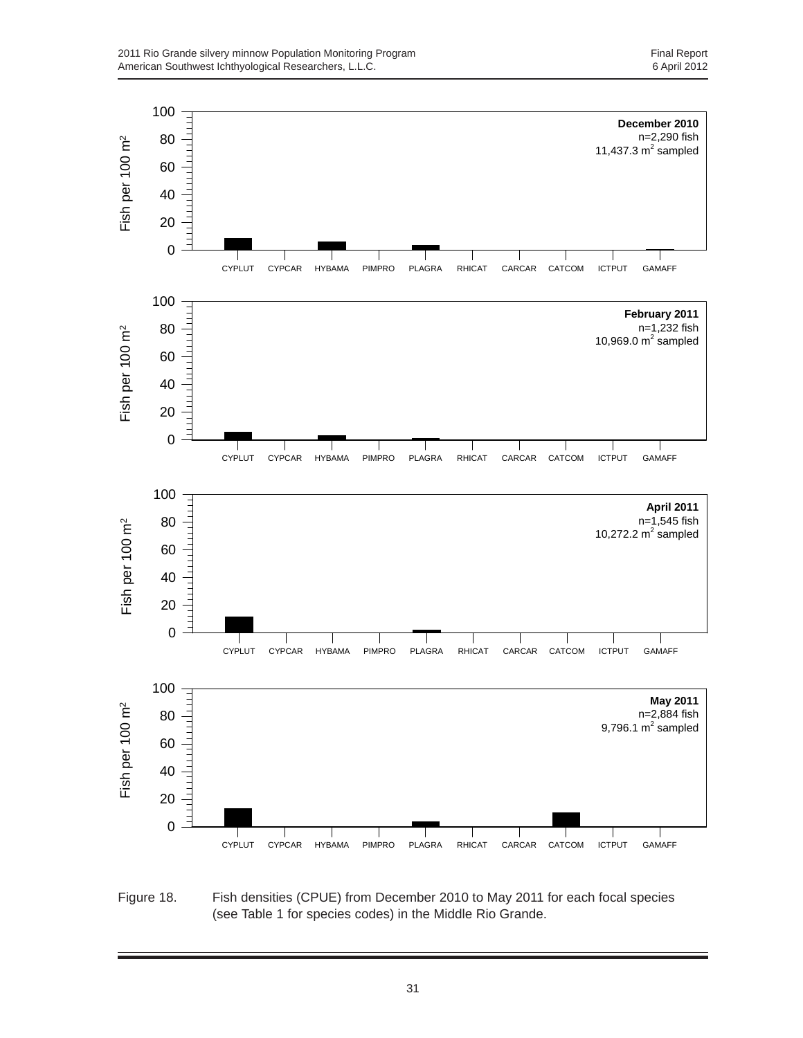

Figure 18. Fish densities (CPUE) from December 2010 to May 2011 for each focal species (see Table 1 for species codes) in the Middle Rio Grande.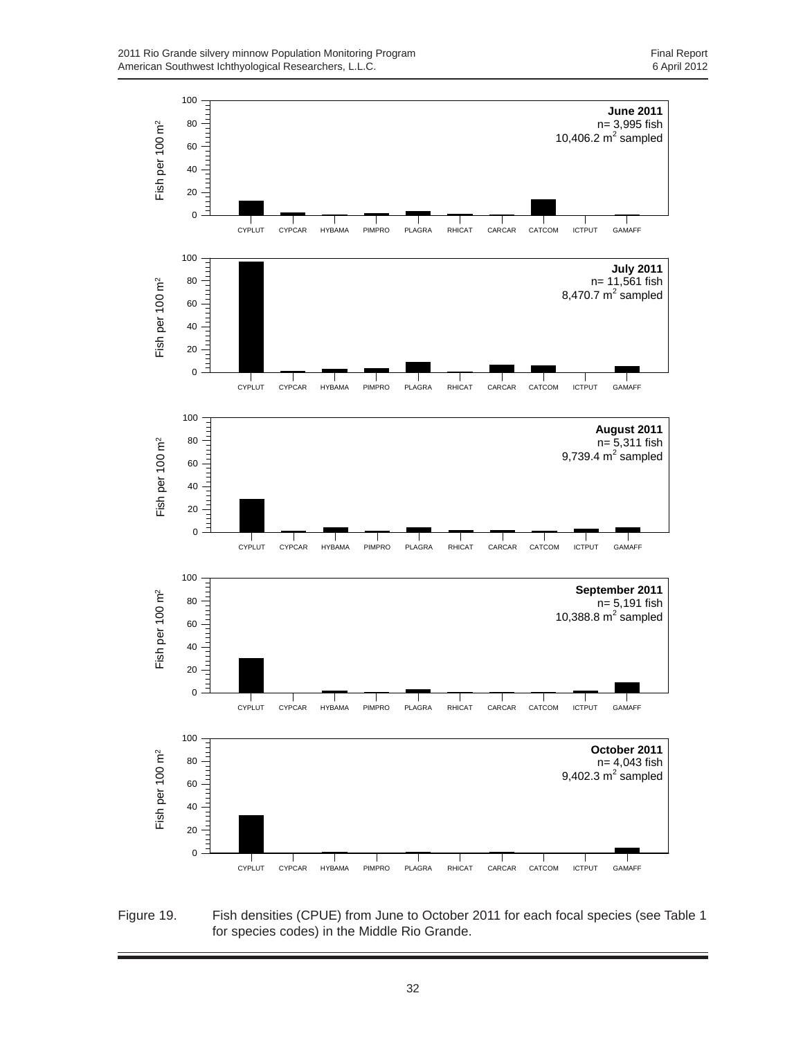

Figure 19. Fish densities (CPUE) from June to October 2011 for each focal species (see Table 1 for species codes) in the Middle Rio Grande.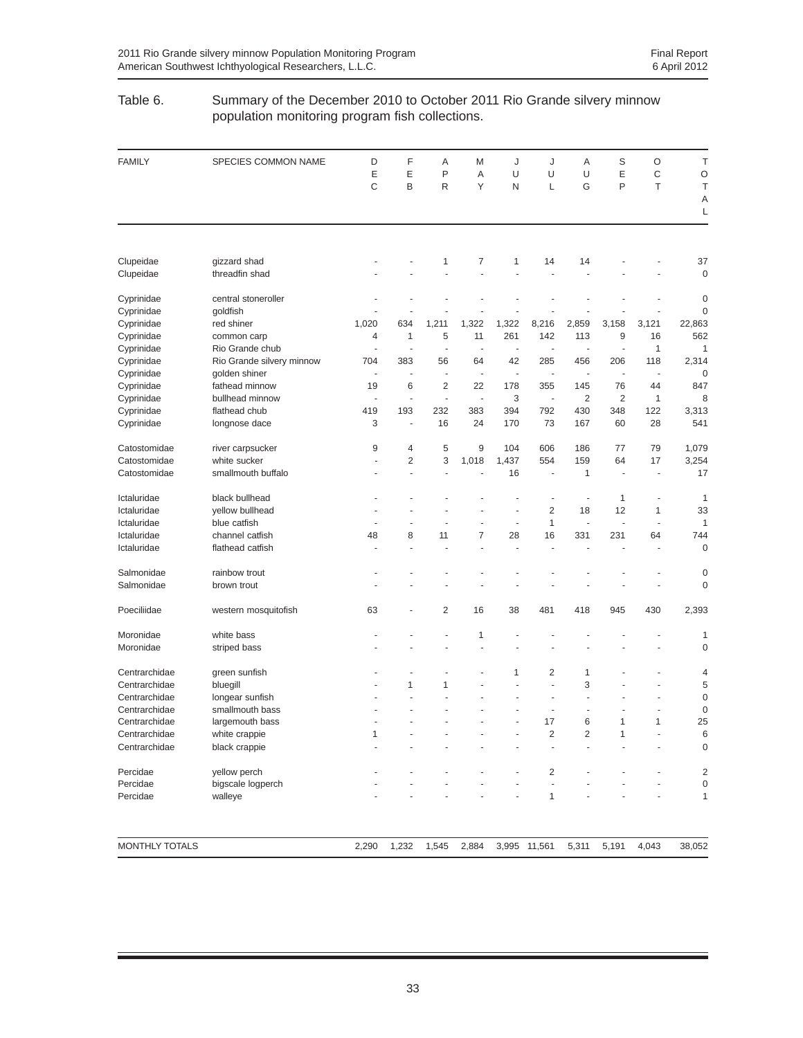#### Table 6. Summary of the December 2010 to October 2011 Rio Grande silvery minnow population monitoring program fish collections.

| <b>FAMILY</b>         | SPECIES COMMON NAME       | D<br>E<br>C              | F<br>E<br>B    | Α<br>P<br>R | M<br>A<br>Y | J<br>U<br>N              | J<br>U<br>L              | Α<br>U<br>G    | S<br>E<br>P    | O<br>$\mathsf C$<br>T    | T<br>O<br>T<br>A<br>L |
|-----------------------|---------------------------|--------------------------|----------------|-------------|-------------|--------------------------|--------------------------|----------------|----------------|--------------------------|-----------------------|
|                       |                           |                          |                |             |             |                          |                          |                |                |                          |                       |
| Clupeidae             | gizzard shad              |                          |                | 1           | 7           | 1                        | 14                       | 14             |                |                          | 37                    |
| Clupeidae             | threadfin shad            |                          |                |             |             |                          |                          |                |                |                          | $\mathbf 0$           |
| Cyprinidae            | central stoneroller       |                          |                |             |             |                          |                          |                |                |                          | 0                     |
| Cyprinidae            | goldfish                  |                          |                |             |             |                          |                          |                |                |                          | 0                     |
| Cyprinidae            | red shiner                | 1,020                    | 634            | 1,211       | 1,322       | 1,322                    | 8,216                    | 2,859          | 3,158          | 3,121                    | 22,863                |
| Cyprinidae            | common carp               | 4                        | 1              | 5           | 11          | 261                      | 142                      | 113            | 9              | 16                       | 562                   |
| Cyprinidae            | Rio Grande chub           |                          | ÷,             | ä,          | ä,          | ÷,                       | ÷,                       | ÷,             |                | 1                        | 1                     |
| Cyprinidae            | Rio Grande silvery minnow | 704                      | 383            | 56          | 64          | 42                       | 285                      | 456            | 206            | 118                      | 2,314                 |
| Cyprinidae            | golden shiner             | ÷,                       | ÷,             | ÷,          | ÷,          | $\overline{\phantom{a}}$ | ÷,                       | ÷,             | ÷              | $\overline{\phantom{a}}$ | 0                     |
| Cyprinidae            | fathead minnow            | 19                       | 6              | 2           | 22          | 178                      | 355                      | 145            | 76             | 44                       | 847                   |
| Cyprinidae            | bullhead minnow           | $\overline{\phantom{a}}$ | ä,             | ÷,          | ä,          | 3                        | ÷,                       | $\overline{2}$ | $\overline{2}$ | 1                        | 8                     |
| Cyprinidae            | flathead chub             | 419                      | 193            | 232         | 383         | 394                      | 792                      | 430            | 348            | 122                      | 3,313                 |
| Cyprinidae            | longnose dace             | 3                        | ÷,             | 16          | 24          | 170                      | 73                       | 167            | 60             | 28                       | 541                   |
| Catostomidae          | river carpsucker          | 9                        | $\overline{4}$ | 5           | 9           | 104                      | 606                      | 186            | 77             | 79                       | 1,079                 |
| Catostomidae          | white sucker              |                          | $\overline{2}$ | 3           | 1,018       | 1,437                    | 554                      | 159            | 64             | 17                       | 3,254                 |
| Catostomidae          | smallmouth buffalo        |                          | ÷              |             |             | 16                       |                          | $\mathbf{1}$   | ٠              | ٠                        | 17                    |
| Ictaluridae           | black bullhead            |                          |                |             |             |                          | ÷,                       | ÷,             | 1              | ÷,                       | 1                     |
| Ictaluridae           | yellow bullhead           |                          |                |             |             | ÷,                       | $\overline{2}$           | 18             | 12             | 1                        | 33                    |
| Ictaluridae           | blue catfish              |                          |                | ÷,          | ÷           | ÷,                       | $\mathbf{1}$             | ÷,             | ÷,             | ä,                       | 1                     |
| Ictaluridae           | channel catfish           | 48                       | 8              | 11          | 7           | 28                       | 16                       | 331            | 231            | 64                       | 744                   |
| Ictaluridae           | flathead catfish          |                          |                | ä,          | ÷,          | ä,                       |                          |                |                | ä,                       | $\mathbf 0$           |
| Salmonidae            | rainbow trout             |                          |                |             |             |                          |                          |                |                |                          | 0                     |
| Salmonidae            | brown trout               |                          |                |             |             |                          |                          |                |                |                          | 0                     |
| Poeciliidae           | western mosquitofish      | 63                       |                | 2           | 16          | 38                       | 481                      | 418            | 945            | 430                      | 2,393                 |
| Moronidae             | white bass                |                          |                |             | 1           |                          |                          |                |                |                          | 1                     |
| Moronidae             | striped bass              |                          |                |             |             |                          |                          |                |                |                          | 0                     |
| Centrarchidae         | green sunfish             |                          |                |             |             | 1                        | 2                        | 1              |                |                          | 4                     |
| Centrarchidae         | bluegill                  |                          | 1              | 1           |             |                          | L,                       | 3              |                |                          | 5                     |
| Centrarchidae         | longear sunfish           |                          |                |             |             |                          | $\overline{\phantom{a}}$ | ÷,             |                |                          | $\mathbf 0$           |
| Centrarchidae         | smallmouth bass           |                          |                |             |             |                          |                          | ÷,             |                |                          | $\mathbf 0$           |
| Centrarchidae         | largemouth bass           |                          |                |             |             | Ĭ.                       | 17                       | 6              | 1              | 1                        | 25                    |
| Centrarchidae         | white crappie             | 1                        |                |             |             |                          | 2                        | 2              |                |                          | 6                     |
| Centrarchidae         | black crappie             |                          |                |             |             |                          |                          |                |                |                          | $\mathbf 0$           |
| Percidae              | yellow perch              |                          |                |             |             |                          | 2                        |                |                |                          | 2                     |
| Percidae              | bigscale logperch         |                          |                |             |             |                          |                          |                |                |                          | 0                     |
| Percidae              | walleye                   |                          |                |             |             |                          | 1                        |                |                |                          | 1                     |
| <b>MONTHLY TOTALS</b> |                           | 2,290                    | 1,232          | 1,545       | 2,884       |                          | 3,995 11,561             | 5,311          | 5,191          | 4,043                    | 38,052                |
|                       |                           |                          |                |             |             |                          |                          |                |                |                          |                       |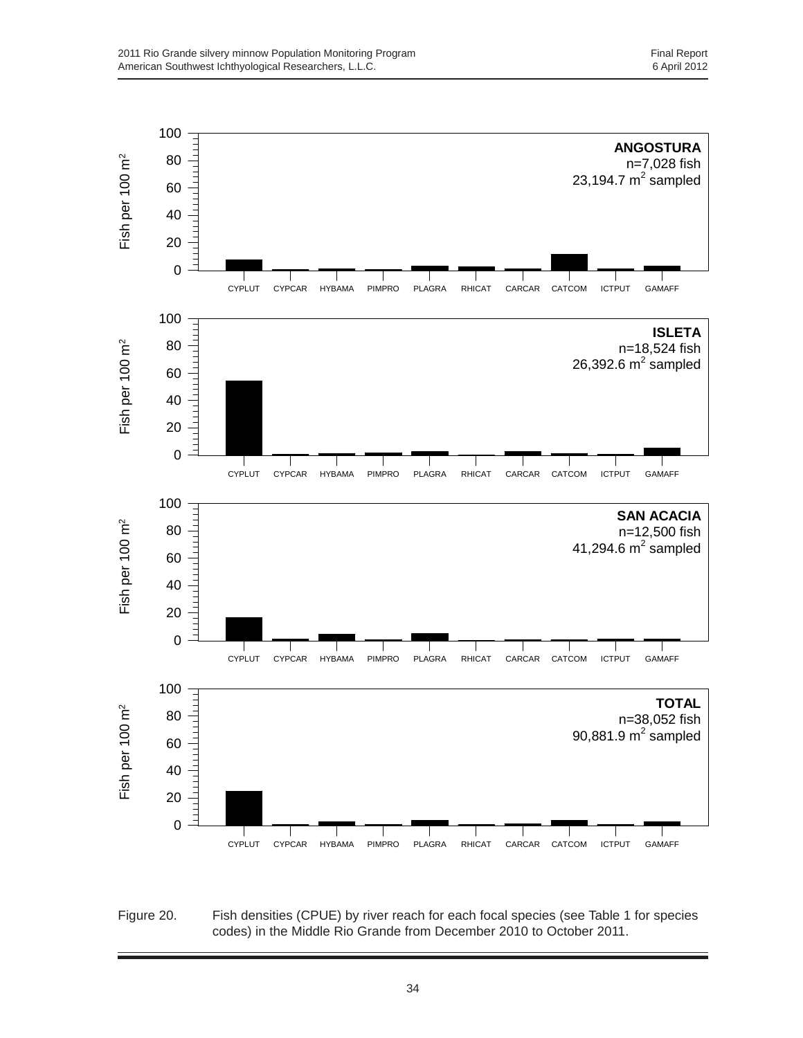

Figure 20. Fish densities (CPUE) by river reach for each focal species (see Table 1 for species codes) in the Middle Rio Grande from December 2010 to October 2011.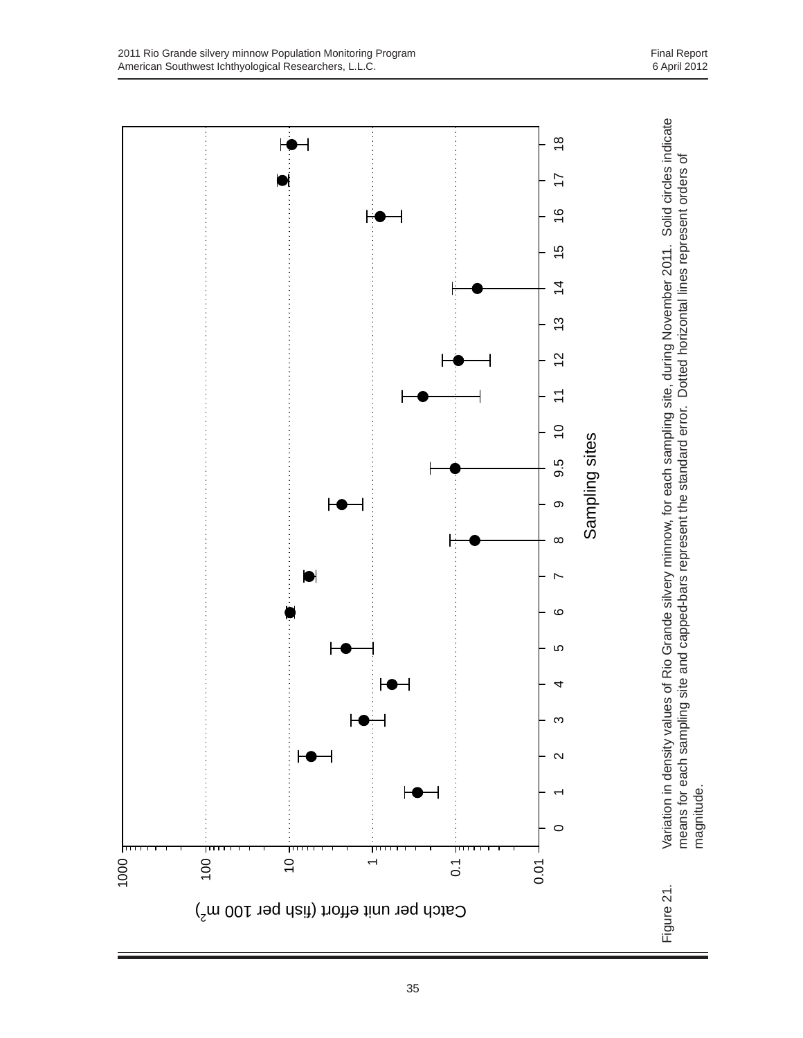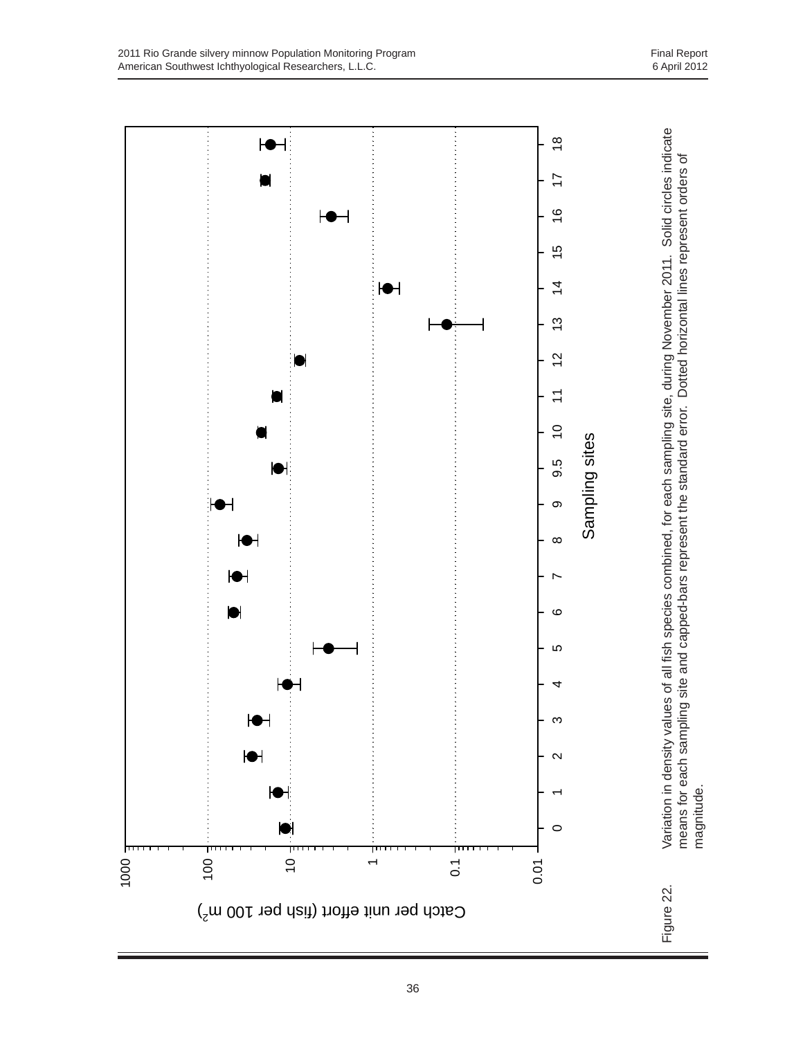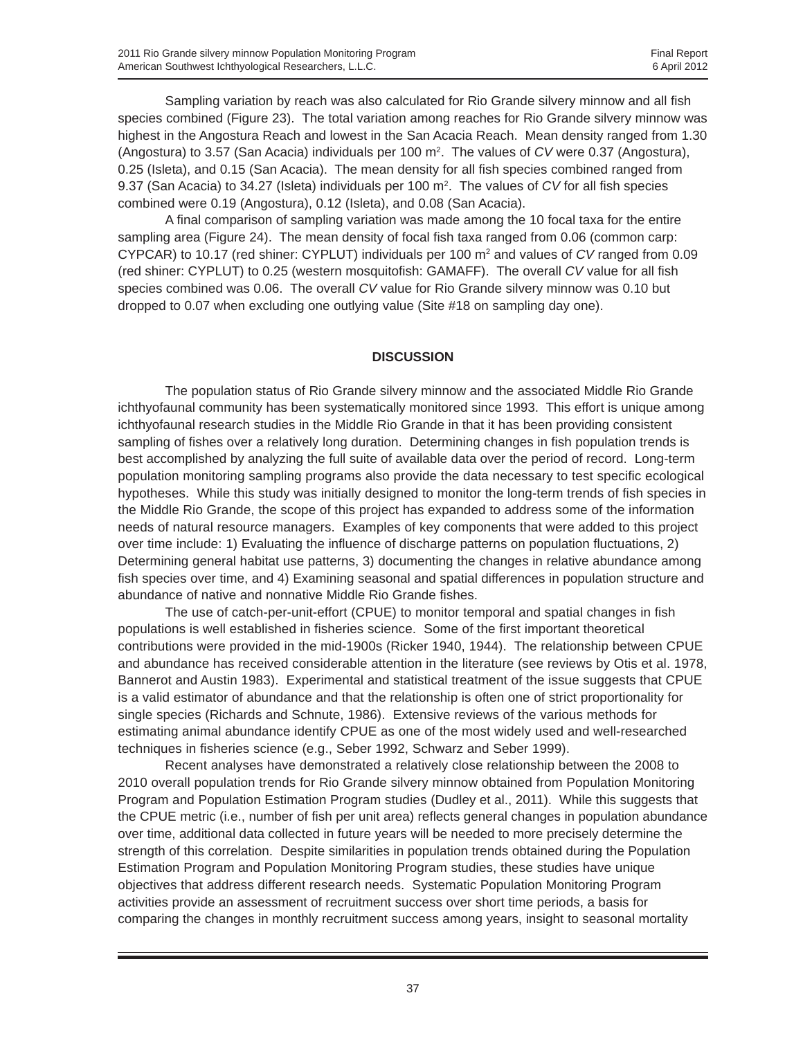Sampling variation by reach was also calculated for Rio Grande silvery minnow and all fish species combined (Figure 23). The total variation among reaches for Rio Grande silvery minnow was highest in the Angostura Reach and lowest in the San Acacia Reach. Mean density ranged from 1.30 (Angostura) to 3.57 (San Acacia) individuals per 100 m2 . The values of *CV* were 0.37 (Angostura), 0.25 (Isleta), and 0.15 (San Acacia). The mean density for all fish species combined ranged from 9.37 (San Acacia) to 34.27 (Isleta) individuals per 100 m2 . The values of *CV* for all fish species combined were 0.19 (Angostura), 0.12 (Isleta), and 0.08 (San Acacia).

A final comparison of sampling variation was made among the 10 focal taxa for the entire sampling area (Figure 24). The mean density of focal fish taxa ranged from 0.06 (common carp: CYPCAR) to 10.17 (red shiner: CYPLUT) individuals per 100 m2 and values of *CV* ranged from 0.09 (red shiner: CYPLUT) to 0.25 (western mosquitofish: GAMAFF). The overall *CV* value for all fish species combined was 0.06. The overall *CV* value for Rio Grande silvery minnow was 0.10 but dropped to 0.07 when excluding one outlying value (Site #18 on sampling day one).

#### **DISCUSSION**

The population status of Rio Grande silvery minnow and the associated Middle Rio Grande ichthyofaunal community has been systematically monitored since 1993. This effort is unique among ichthyofaunal research studies in the Middle Rio Grande in that it has been providing consistent sampling of fishes over a relatively long duration. Determining changes in fish population trends is best accomplished by analyzing the full suite of available data over the period of record. Long-term population monitoring sampling programs also provide the data necessary to test specific ecological hypotheses. While this study was initially designed to monitor the long-term trends of fish species in the Middle Rio Grande, the scope of this project has expanded to address some of the information needs of natural resource managers. Examples of key components that were added to this project over time include: 1) Evaluating the influence of discharge patterns on population fluctuations, 2) Determining general habitat use patterns, 3) documenting the changes in relative abundance among fish species over time, and 4) Examining seasonal and spatial differences in population structure and abundance of native and nonnative Middle Rio Grande fishes.

The use of catch-per-unit-effort (CPUE) to monitor temporal and spatial changes in fish populations is well established in fisheries science. Some of the first important theoretical contributions were provided in the mid-1900s (Ricker 1940, 1944). The relationship between CPUE and abundance has received considerable attention in the literature (see reviews by Otis et al. 1978, Bannerot and Austin 1983). Experimental and statistical treatment of the issue suggests that CPUE is a valid estimator of abundance and that the relationship is often one of strict proportionality for single species (Richards and Schnute, 1986). Extensive reviews of the various methods for estimating animal abundance identify CPUE as one of the most widely used and well-researched techniques in fisheries science (e.g., Seber 1992, Schwarz and Seber 1999).

Recent analyses have demonstrated a relatively close relationship between the 2008 to 2010 overall population trends for Rio Grande silvery minnow obtained from Population Monitoring Program and Population Estimation Program studies (Dudley et al., 2011). While this suggests that the CPUE metric (i.e., number of fish per unit area) reflects general changes in population abundance over time, additional data collected in future years will be needed to more precisely determine the strength of this correlation. Despite similarities in population trends obtained during the Population Estimation Program and Population Monitoring Program studies, these studies have unique objectives that address different research needs. Systematic Population Monitoring Program activities provide an assessment of recruitment success over short time periods, a basis for comparing the changes in monthly recruitment success among years, insight to seasonal mortality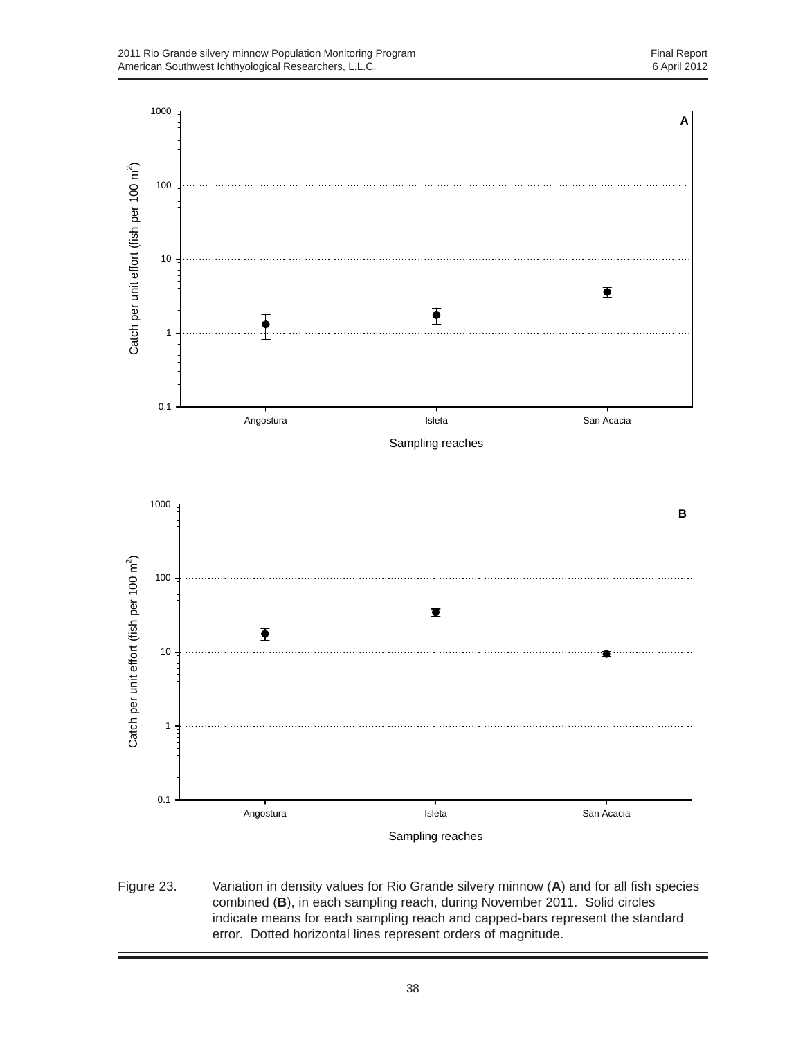

Figure 23. Variation in density values for Rio Grande silvery minnow (**A**) and for all fish species combined (**B**), in each sampling reach, during November 2011. Solid circles indicate means for each sampling reach and capped-bars represent the standard error. Dotted horizontal lines represent orders of magnitude.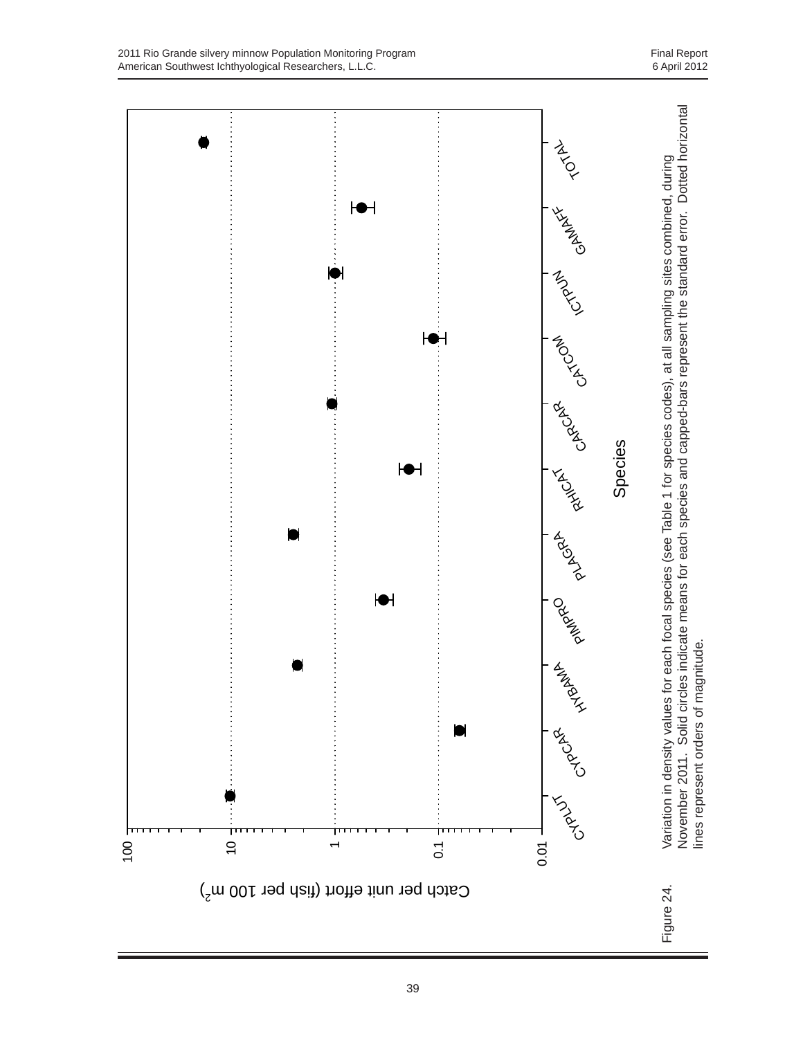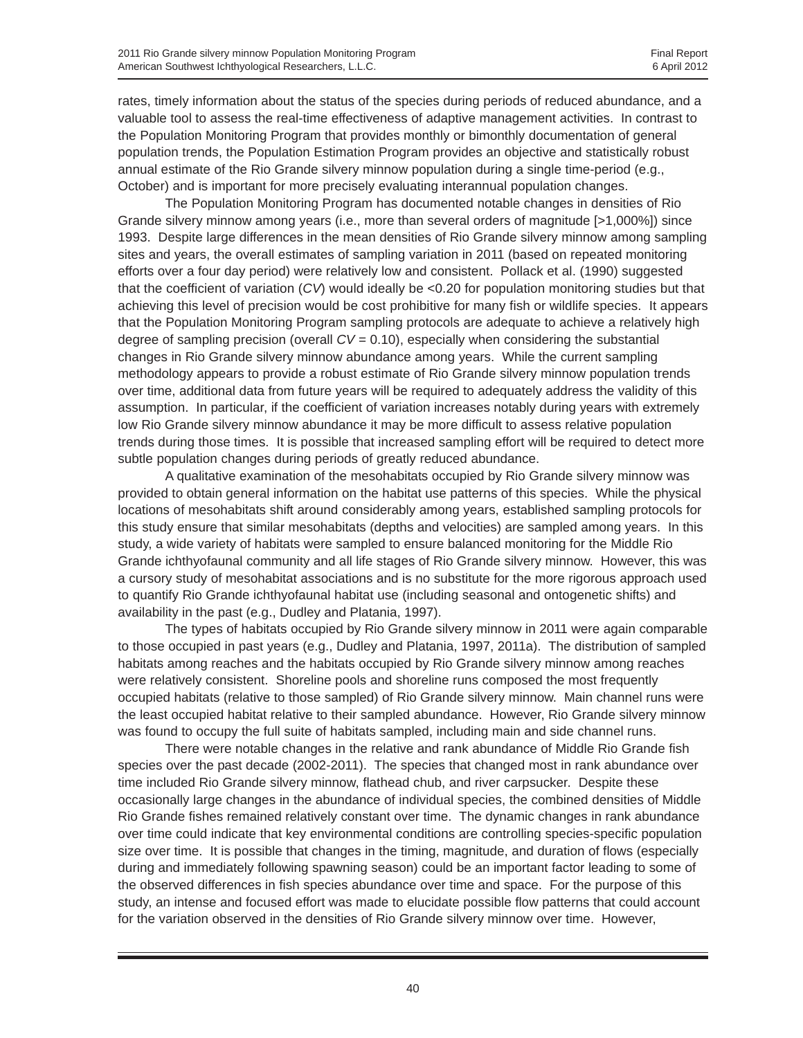rates, timely information about the status of the species during periods of reduced abundance, and a valuable tool to assess the real-time effectiveness of adaptive management activities. In contrast to the Population Monitoring Program that provides monthly or bimonthly documentation of general population trends, the Population Estimation Program provides an objective and statistically robust annual estimate of the Rio Grande silvery minnow population during a single time-period (e.g., October) and is important for more precisely evaluating interannual population changes.

The Population Monitoring Program has documented notable changes in densities of Rio Grande silvery minnow among years (i.e., more than several orders of magnitude [>1,000%]) since 1993. Despite large differences in the mean densities of Rio Grande silvery minnow among sampling sites and years, the overall estimates of sampling variation in 2011 (based on repeated monitoring efforts over a four day period) were relatively low and consistent. Pollack et al. (1990) suggested that the coefficient of variation (*CV*) would ideally be <0.20 for population monitoring studies but that achieving this level of precision would be cost prohibitive for many fish or wildlife species. It appears that the Population Monitoring Program sampling protocols are adequate to achieve a relatively high degree of sampling precision (overall *CV* = 0.10), especially when considering the substantial changes in Rio Grande silvery minnow abundance among years. While the current sampling methodology appears to provide a robust estimate of Rio Grande silvery minnow population trends over time, additional data from future years will be required to adequately address the validity of this assumption. In particular, if the coefficient of variation increases notably during years with extremely low Rio Grande silvery minnow abundance it may be more difficult to assess relative population trends during those times. It is possible that increased sampling effort will be required to detect more subtle population changes during periods of greatly reduced abundance.

A qualitative examination of the mesohabitats occupied by Rio Grande silvery minnow was provided to obtain general information on the habitat use patterns of this species. While the physical locations of mesohabitats shift around considerably among years, established sampling protocols for this study ensure that similar mesohabitats (depths and velocities) are sampled among years. In this study, a wide variety of habitats were sampled to ensure balanced monitoring for the Middle Rio Grande ichthyofaunal community and all life stages of Rio Grande silvery minnow. However, this was a cursory study of mesohabitat associations and is no substitute for the more rigorous approach used to quantify Rio Grande ichthyofaunal habitat use (including seasonal and ontogenetic shifts) and availability in the past (e.g., Dudley and Platania, 1997).

The types of habitats occupied by Rio Grande silvery minnow in 2011 were again comparable to those occupied in past years (e.g., Dudley and Platania, 1997, 2011a). The distribution of sampled habitats among reaches and the habitats occupied by Rio Grande silvery minnow among reaches were relatively consistent. Shoreline pools and shoreline runs composed the most frequently occupied habitats (relative to those sampled) of Rio Grande silvery minnow. Main channel runs were the least occupied habitat relative to their sampled abundance. However, Rio Grande silvery minnow was found to occupy the full suite of habitats sampled, including main and side channel runs.

There were notable changes in the relative and rank abundance of Middle Rio Grande fish species over the past decade (2002-2011). The species that changed most in rank abundance over time included Rio Grande silvery minnow, flathead chub, and river carpsucker. Despite these occasionally large changes in the abundance of individual species, the combined densities of Middle Rio Grande fishes remained relatively constant over time. The dynamic changes in rank abundance over time could indicate that key environmental conditions are controlling species-specific population size over time. It is possible that changes in the timing, magnitude, and duration of flows (especially during and immediately following spawning season) could be an important factor leading to some of the observed differences in fish species abundance over time and space. For the purpose of this study, an intense and focused effort was made to elucidate possible flow patterns that could account for the variation observed in the densities of Rio Grande silvery minnow over time. However,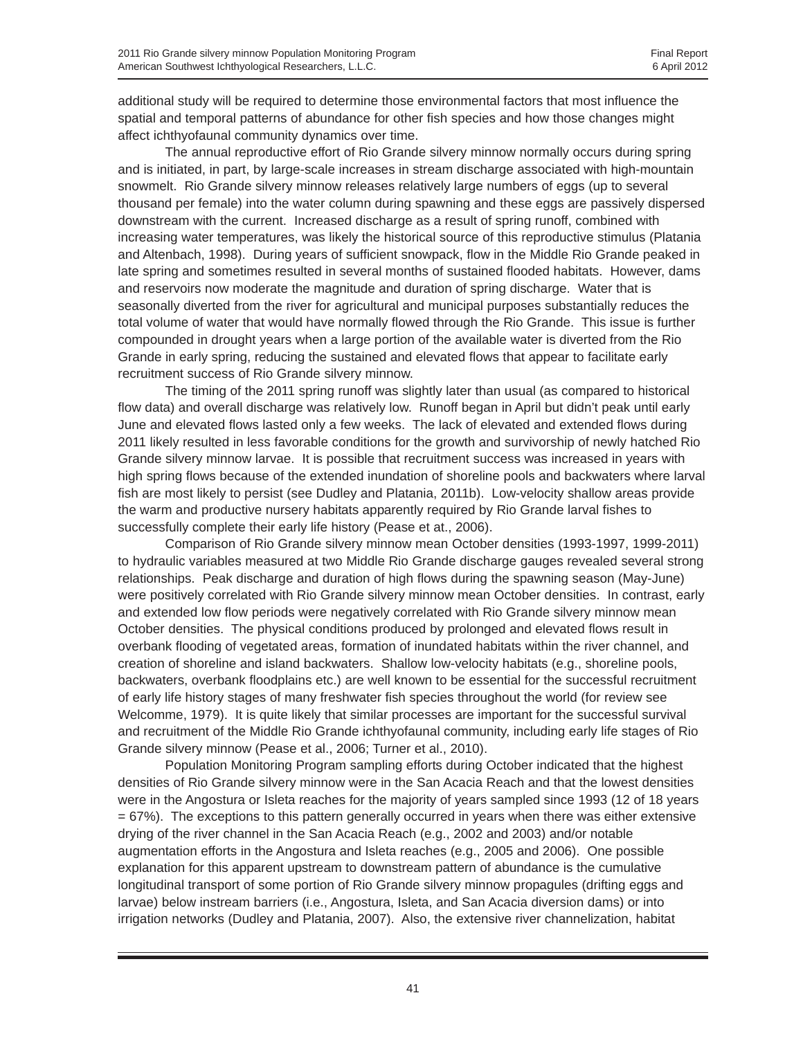additional study will be required to determine those environmental factors that most influence the spatial and temporal patterns of abundance for other fish species and how those changes might affect ichthyofaunal community dynamics over time.

The annual reproductive effort of Rio Grande silvery minnow normally occurs during spring and is initiated, in part, by large-scale increases in stream discharge associated with high-mountain snowmelt. Rio Grande silvery minnow releases relatively large numbers of eggs (up to several thousand per female) into the water column during spawning and these eggs are passively dispersed downstream with the current. Increased discharge as a result of spring runoff, combined with increasing water temperatures, was likely the historical source of this reproductive stimulus (Platania and Altenbach, 1998). During years of sufficient snowpack, flow in the Middle Rio Grande peaked in late spring and sometimes resulted in several months of sustained flooded habitats. However, dams and reservoirs now moderate the magnitude and duration of spring discharge. Water that is seasonally diverted from the river for agricultural and municipal purposes substantially reduces the total volume of water that would have normally flowed through the Rio Grande. This issue is further compounded in drought years when a large portion of the available water is diverted from the Rio Grande in early spring, reducing the sustained and elevated flows that appear to facilitate early recruitment success of Rio Grande silvery minnow.

The timing of the 2011 spring runoff was slightly later than usual (as compared to historical flow data) and overall discharge was relatively low. Runoff began in April but didn't peak until early June and elevated flows lasted only a few weeks. The lack of elevated and extended flows during 2011 likely resulted in less favorable conditions for the growth and survivorship of newly hatched Rio Grande silvery minnow larvae. It is possible that recruitment success was increased in years with high spring flows because of the extended inundation of shoreline pools and backwaters where larval fish are most likely to persist (see Dudley and Platania, 2011b). Low-velocity shallow areas provide the warm and productive nursery habitats apparently required by Rio Grande larval fishes to successfully complete their early life history (Pease et at., 2006).

Comparison of Rio Grande silvery minnow mean October densities (1993-1997, 1999-2011) to hydraulic variables measured at two Middle Rio Grande discharge gauges revealed several strong relationships. Peak discharge and duration of high flows during the spawning season (May-June) were positively correlated with Rio Grande silvery minnow mean October densities. In contrast, early and extended low flow periods were negatively correlated with Rio Grande silvery minnow mean October densities. The physical conditions produced by prolonged and elevated flows result in overbank flooding of vegetated areas, formation of inundated habitats within the river channel, and creation of shoreline and island backwaters. Shallow low-velocity habitats (e.g., shoreline pools, backwaters, overbank floodplains etc.) are well known to be essential for the successful recruitment of early life history stages of many freshwater fish species throughout the world (for review see Welcomme, 1979). It is quite likely that similar processes are important for the successful survival and recruitment of the Middle Rio Grande ichthyofaunal community, including early life stages of Rio Grande silvery minnow (Pease et al., 2006; Turner et al., 2010).

Population Monitoring Program sampling efforts during October indicated that the highest densities of Rio Grande silvery minnow were in the San Acacia Reach and that the lowest densities were in the Angostura or Isleta reaches for the majority of years sampled since 1993 (12 of 18 years = 67%). The exceptions to this pattern generally occurred in years when there was either extensive drying of the river channel in the San Acacia Reach (e.g., 2002 and 2003) and/or notable augmentation efforts in the Angostura and Isleta reaches (e.g., 2005 and 2006). One possible explanation for this apparent upstream to downstream pattern of abundance is the cumulative longitudinal transport of some portion of Rio Grande silvery minnow propagules (drifting eggs and larvae) below instream barriers (i.e., Angostura, Isleta, and San Acacia diversion dams) or into irrigation networks (Dudley and Platania, 2007). Also, the extensive river channelization, habitat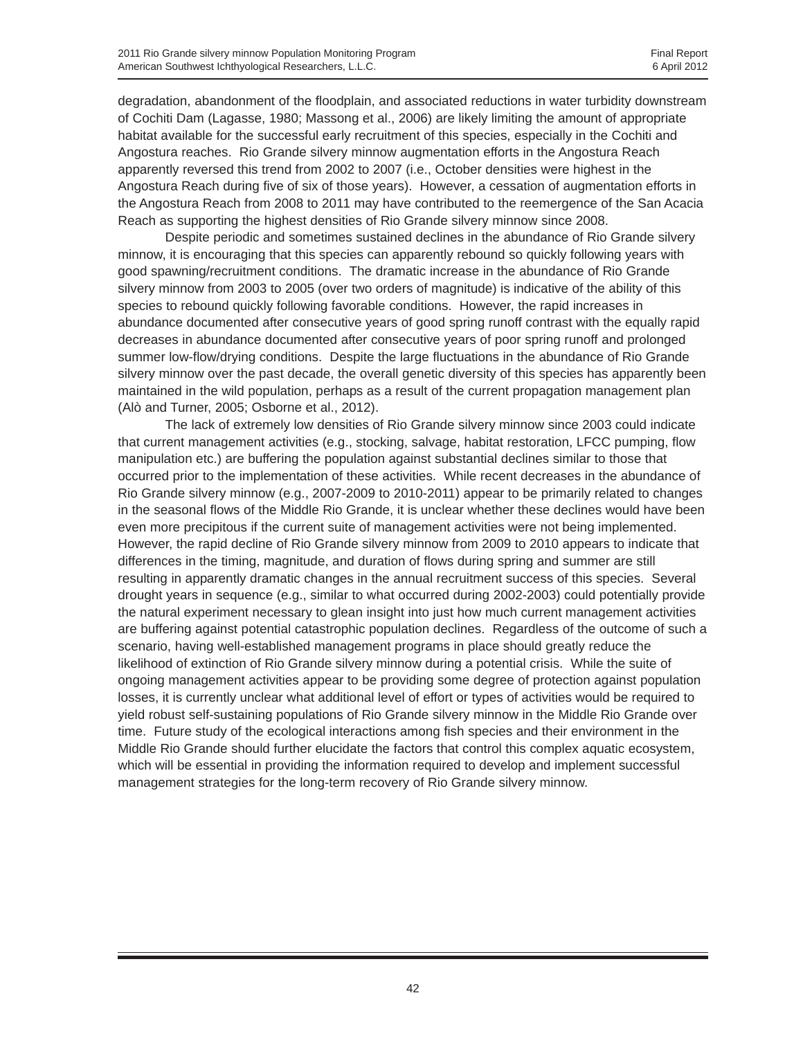degradation, abandonment of the floodplain, and associated reductions in water turbidity downstream of Cochiti Dam (Lagasse, 1980; Massong et al., 2006) are likely limiting the amount of appropriate habitat available for the successful early recruitment of this species, especially in the Cochiti and Angostura reaches. Rio Grande silvery minnow augmentation efforts in the Angostura Reach apparently reversed this trend from 2002 to 2007 (i.e., October densities were highest in the Angostura Reach during five of six of those years). However, a cessation of augmentation efforts in the Angostura Reach from 2008 to 2011 may have contributed to the reemergence of the San Acacia Reach as supporting the highest densities of Rio Grande silvery minnow since 2008.

Despite periodic and sometimes sustained declines in the abundance of Rio Grande silvery minnow, it is encouraging that this species can apparently rebound so quickly following years with good spawning/recruitment conditions. The dramatic increase in the abundance of Rio Grande silvery minnow from 2003 to 2005 (over two orders of magnitude) is indicative of the ability of this species to rebound quickly following favorable conditions. However, the rapid increases in abundance documented after consecutive years of good spring runoff contrast with the equally rapid decreases in abundance documented after consecutive years of poor spring runoff and prolonged summer low-flow/drying conditions. Despite the large fluctuations in the abundance of Rio Grande silvery minnow over the past decade, the overall genetic diversity of this species has apparently been maintained in the wild population, perhaps as a result of the current propagation management plan (Alò and Turner, 2005; Osborne et al., 2012).

The lack of extremely low densities of Rio Grande silvery minnow since 2003 could indicate that current management activities (e.g., stocking, salvage, habitat restoration, LFCC pumping, flow manipulation etc.) are buffering the population against substantial declines similar to those that occurred prior to the implementation of these activities. While recent decreases in the abundance of Rio Grande silvery minnow (e.g., 2007-2009 to 2010-2011) appear to be primarily related to changes in the seasonal flows of the Middle Rio Grande, it is unclear whether these declines would have been even more precipitous if the current suite of management activities were not being implemented. However, the rapid decline of Rio Grande silvery minnow from 2009 to 2010 appears to indicate that differences in the timing, magnitude, and duration of flows during spring and summer are still resulting in apparently dramatic changes in the annual recruitment success of this species. Several drought years in sequence (e.g., similar to what occurred during 2002-2003) could potentially provide the natural experiment necessary to glean insight into just how much current management activities are buffering against potential catastrophic population declines. Regardless of the outcome of such a scenario, having well-established management programs in place should greatly reduce the likelihood of extinction of Rio Grande silvery minnow during a potential crisis. While the suite of ongoing management activities appear to be providing some degree of protection against population losses, it is currently unclear what additional level of effort or types of activities would be required to yield robust self-sustaining populations of Rio Grande silvery minnow in the Middle Rio Grande over time. Future study of the ecological interactions among fish species and their environment in the Middle Rio Grande should further elucidate the factors that control this complex aquatic ecosystem, which will be essential in providing the information required to develop and implement successful management strategies for the long-term recovery of Rio Grande silvery minnow.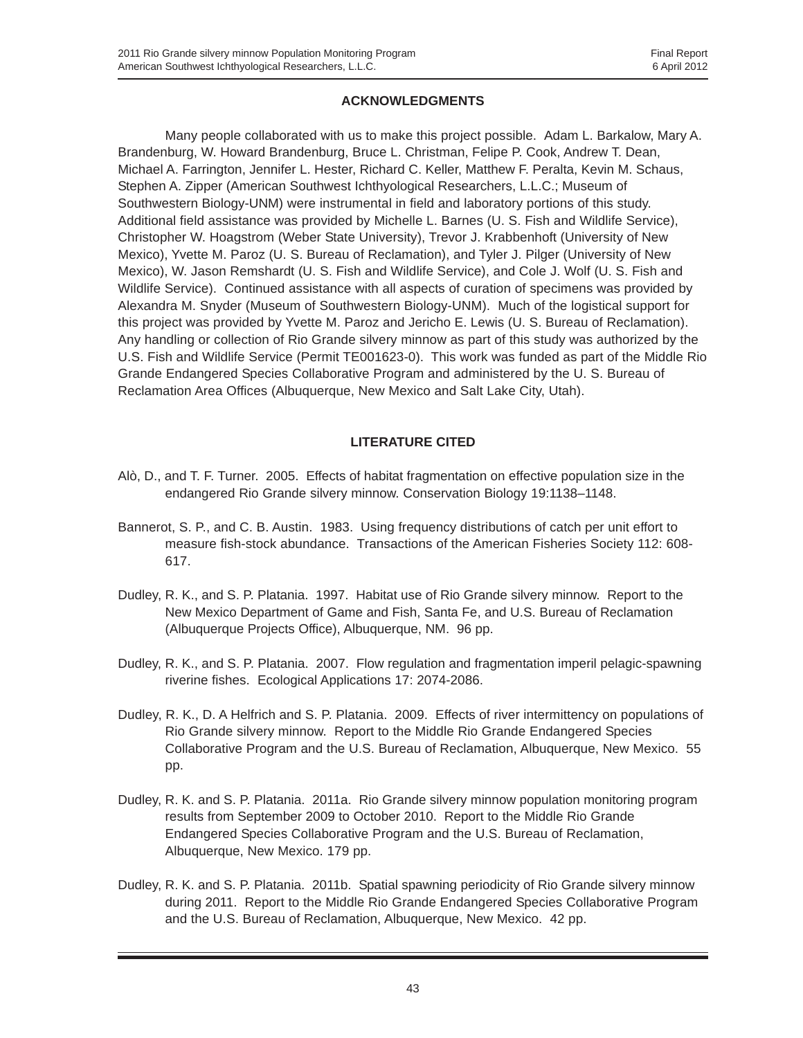#### **ACKNOWLEDGMENTS**

Many people collaborated with us to make this project possible. Adam L. Barkalow, Mary A. Brandenburg, W. Howard Brandenburg, Bruce L. Christman, Felipe P. Cook, Andrew T. Dean, Michael A. Farrington, Jennifer L. Hester, Richard C. Keller, Matthew F. Peralta, Kevin M. Schaus, Stephen A. Zipper (American Southwest Ichthyological Researchers, L.L.C.; Museum of Southwestern Biology-UNM) were instrumental in field and laboratory portions of this study. Additional field assistance was provided by Michelle L. Barnes (U. S. Fish and Wildlife Service), Christopher W. Hoagstrom (Weber State University), Trevor J. Krabbenhoft (University of New Mexico), Yvette M. Paroz (U. S. Bureau of Reclamation), and Tyler J. Pilger (University of New Mexico), W. Jason Remshardt (U. S. Fish and Wildlife Service), and Cole J. Wolf (U. S. Fish and Wildlife Service). Continued assistance with all aspects of curation of specimens was provided by Alexandra M. Snyder (Museum of Southwestern Biology-UNM). Much of the logistical support for this project was provided by Yvette M. Paroz and Jericho E. Lewis (U. S. Bureau of Reclamation). Any handling or collection of Rio Grande silvery minnow as part of this study was authorized by the U.S. Fish and Wildlife Service (Permit TE001623-0). This work was funded as part of the Middle Rio Grande Endangered Species Collaborative Program and administered by the U. S. Bureau of Reclamation Area Offices (Albuquerque, New Mexico and Salt Lake City, Utah).

#### **LITERATURE CITED**

- Alò, D., and T. F. Turner. 2005. Effects of habitat fragmentation on effective population size in the endangered Rio Grande silvery minnow. Conservation Biology 19:1138–1148.
- Bannerot, S. P., and C. B. Austin. 1983. Using frequency distributions of catch per unit effort to measure fish-stock abundance. Transactions of the American Fisheries Society 112: 608- 617.
- Dudley, R. K., and S. P. Platania. 1997. Habitat use of Rio Grande silvery minnow. Report to the New Mexico Department of Game and Fish, Santa Fe, and U.S. Bureau of Reclamation (Albuquerque Projects Office), Albuquerque, NM. 96 pp.
- Dudley, R. K., and S. P. Platania. 2007. Flow regulation and fragmentation imperil pelagic-spawning riverine fishes. Ecological Applications 17: 2074-2086.
- Dudley, R. K., D. A Helfrich and S. P. Platania. 2009. Effects of river intermittency on populations of Rio Grande silvery minnow. Report to the Middle Rio Grande Endangered Species Collaborative Program and the U.S. Bureau of Reclamation, Albuquerque, New Mexico. 55 pp.
- Dudley, R. K. and S. P. Platania. 2011a. Rio Grande silvery minnow population monitoring program results from September 2009 to October 2010. Report to the Middle Rio Grande Endangered Species Collaborative Program and the U.S. Bureau of Reclamation, Albuquerque, New Mexico. 179 pp.
- Dudley, R. K. and S. P. Platania. 2011b. Spatial spawning periodicity of Rio Grande silvery minnow during 2011. Report to the Middle Rio Grande Endangered Species Collaborative Program and the U.S. Bureau of Reclamation, Albuquerque, New Mexico. 42 pp.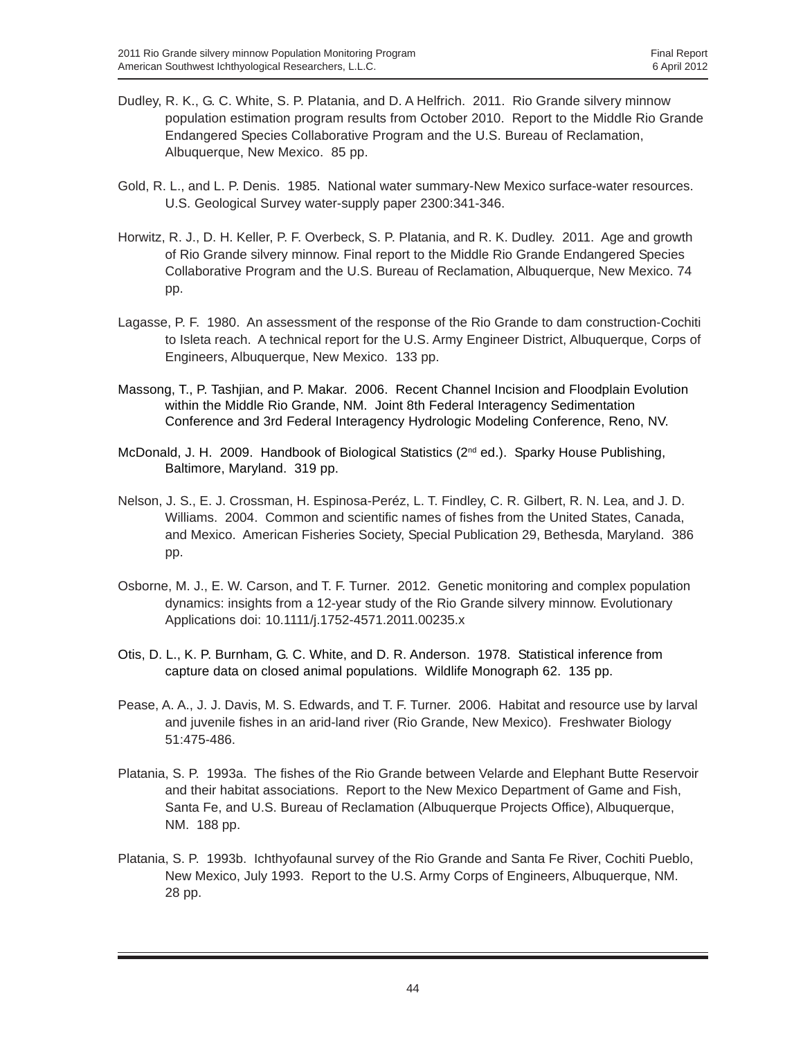- Dudley, R. K., G. C. White, S. P. Platania, and D. A Helfrich. 2011. Rio Grande silvery minnow population estimation program results from October 2010. Report to the Middle Rio Grande Endangered Species Collaborative Program and the U.S. Bureau of Reclamation, Albuquerque, New Mexico. 85 pp.
- Gold, R. L., and L. P. Denis. 1985. National water summary-New Mexico surface-water resources. U.S. Geological Survey water-supply paper 2300:341-346.
- Horwitz, R. J., D. H. Keller, P. F. Overbeck, S. P. Platania, and R. K. Dudley. 2011. Age and growth of Rio Grande silvery minnow. Final report to the Middle Rio Grande Endangered Species Collaborative Program and the U.S. Bureau of Reclamation, Albuquerque, New Mexico. 74 pp.
- Lagasse, P. F. 1980. An assessment of the response of the Rio Grande to dam construction-Cochiti to Isleta reach. A technical report for the U.S. Army Engineer District, Albuquerque, Corps of Engineers, Albuquerque, New Mexico. 133 pp.
- Massong, T., P. Tashjian, and P. Makar. 2006. Recent Channel Incision and Floodplain Evolution within the Middle Rio Grande, NM. Joint 8th Federal Interagency Sedimentation Conference and 3rd Federal Interagency Hydrologic Modeling Conference, Reno, NV.
- McDonald, J. H. 2009. Handbook of Biological Statistics (2nd ed.). Sparky House Publishing, Baltimore, Maryland. 319 pp.
- Nelson, J. S., E. J. Crossman, H. Espinosa-Peréz, L. T. Findley, C. R. Gilbert, R. N. Lea, and J. D. Williams. 2004. Common and scientific names of fishes from the United States, Canada, and Mexico. American Fisheries Society, Special Publication 29, Bethesda, Maryland. 386 pp.
- Osborne, M. J., E. W. Carson, and T. F. Turner. 2012. Genetic monitoring and complex population dynamics: insights from a 12-year study of the Rio Grande silvery minnow. Evolutionary Applications doi: 10.1111/j.1752-4571.2011.00235.x
- Otis, D. L., K. P. Burnham, G. C. White, and D. R. Anderson. 1978. Statistical inference from capture data on closed animal populations. Wildlife Monograph 62. 135 pp.
- Pease, A. A., J. J. Davis, M. S. Edwards, and T. F. Turner. 2006. Habitat and resource use by larval and juvenile fishes in an arid-land river (Rio Grande, New Mexico). Freshwater Biology 51:475-486.
- Platania, S. P. 1993a. The fishes of the Rio Grande between Velarde and Elephant Butte Reservoir and their habitat associations. Report to the New Mexico Department of Game and Fish, Santa Fe, and U.S. Bureau of Reclamation (Albuquerque Projects Office), Albuquerque, NM. 188 pp.
- Platania, S. P. 1993b. Ichthyofaunal survey of the Rio Grande and Santa Fe River, Cochiti Pueblo, New Mexico, July 1993. Report to the U.S. Army Corps of Engineers, Albuquerque, NM. 28 pp.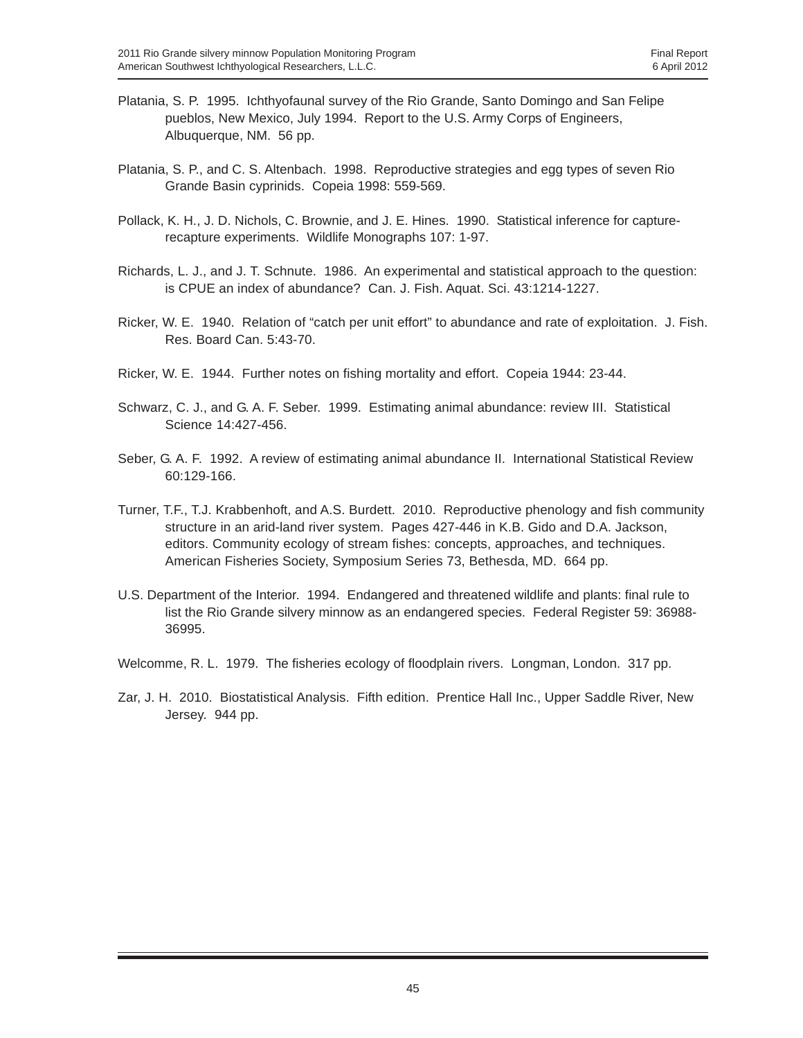- Platania, S. P. 1995. Ichthyofaunal survey of the Rio Grande, Santo Domingo and San Felipe pueblos, New Mexico, July 1994. Report to the U.S. Army Corps of Engineers, Albuquerque, NM. 56 pp.
- Platania, S. P., and C. S. Altenbach. 1998. Reproductive strategies and egg types of seven Rio Grande Basin cyprinids. Copeia 1998: 559-569.
- Pollack, K. H., J. D. Nichols, C. Brownie, and J. E. Hines. 1990. Statistical inference for capturerecapture experiments. Wildlife Monographs 107: 1-97.
- Richards, L. J., and J. T. Schnute. 1986. An experimental and statistical approach to the question: is CPUE an index of abundance? Can. J. Fish. Aquat. Sci. 43:1214-1227.
- Ricker, W. E. 1940. Relation of "catch per unit effort" to abundance and rate of exploitation. J. Fish. Res. Board Can. 5:43-70.
- Ricker, W. E. 1944. Further notes on fishing mortality and effort. Copeia 1944: 23-44.
- Schwarz, C. J., and G. A. F. Seber. 1999. Estimating animal abundance: review III. Statistical Science 14:427-456.
- Seber, G. A. F. 1992. A review of estimating animal abundance II. International Statistical Review 60:129-166.
- Turner, T.F., T.J. Krabbenhoft, and A.S. Burdett. 2010. Reproductive phenology and fish community structure in an arid-land river system. Pages 427-446 in K.B. Gido and D.A. Jackson, editors. Community ecology of stream fishes: concepts, approaches, and techniques. American Fisheries Society, Symposium Series 73, Bethesda, MD. 664 pp.
- U.S. Department of the Interior. 1994. Endangered and threatened wildlife and plants: final rule to list the Rio Grande silvery minnow as an endangered species. Federal Register 59: 36988- 36995.
- Welcomme, R. L. 1979. The fisheries ecology of floodplain rivers. Longman, London. 317 pp.
- Zar, J. H. 2010. Biostatistical Analysis. Fifth edition. Prentice Hall Inc., Upper Saddle River, New Jersey. 944 pp.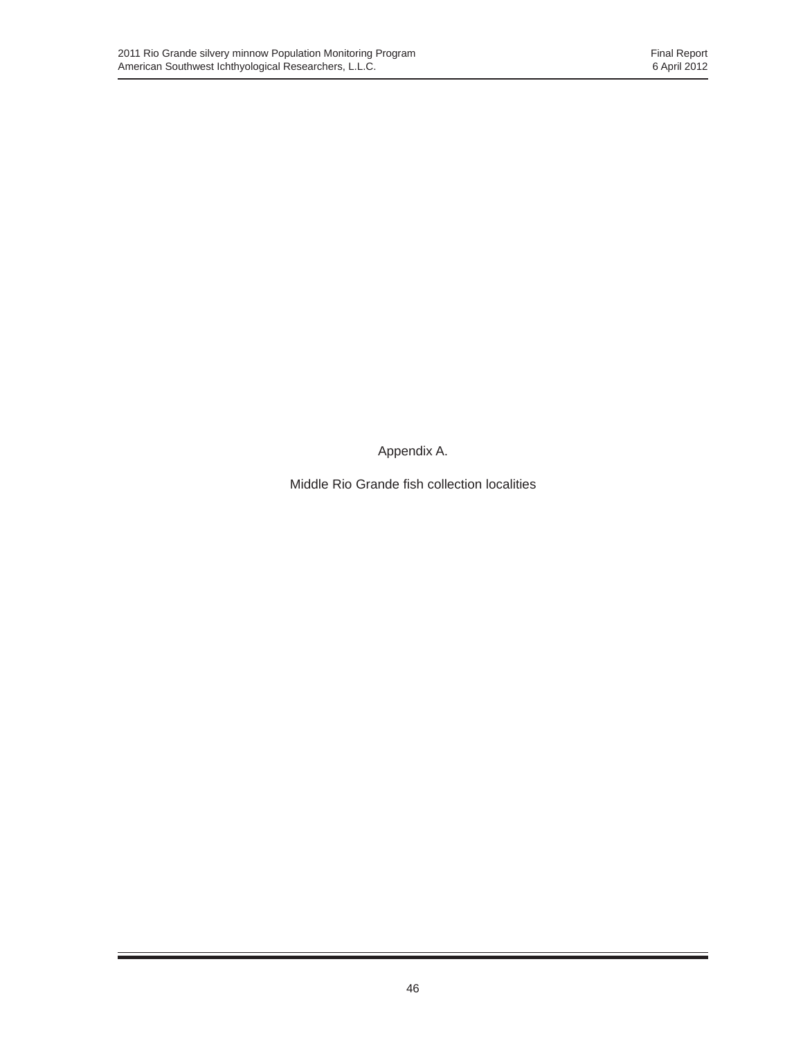Appendix A.

Middle Rio Grande fish collection localities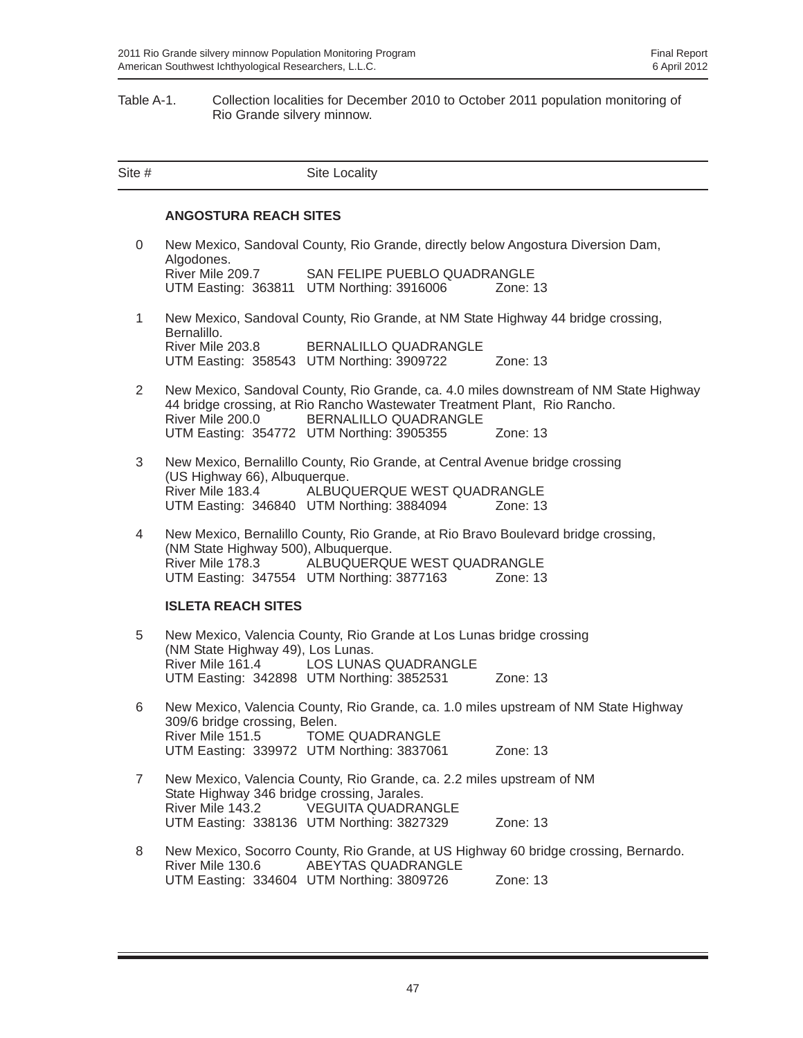#### Table A-1. Collection localities for December 2010 to October 2011 population monitoring of Rio Grande silvery minnow.

| Site #         |                                                                 | Site Locality                                                                                                                                                                   |                                                                                       |
|----------------|-----------------------------------------------------------------|---------------------------------------------------------------------------------------------------------------------------------------------------------------------------------|---------------------------------------------------------------------------------------|
|                | <b>ANGOSTURA REACH SITES</b>                                    |                                                                                                                                                                                 |                                                                                       |
| 0              |                                                                 | New Mexico, Sandoval County, Rio Grande, directly below Angostura Diversion Dam,                                                                                                |                                                                                       |
|                | Algodones.<br>River Mile 209.7                                  | SAN FELIPE PUEBLO QUADRANGLE<br>UTM Easting: 363811 UTM Northing: 3916006                                                                                                       | Zone: 13                                                                              |
| $\mathbf{1}$   |                                                                 | New Mexico, Sandoval County, Rio Grande, at NM State Highway 44 bridge crossing,                                                                                                |                                                                                       |
|                | Bernalillo.<br>River Mile 203.8                                 | BERNALILLO QUADRANGLE<br>UTM Easting: 358543 UTM Northing: 3909722                                                                                                              | Zone: 13                                                                              |
| $\overline{2}$ | River Mile 200.0                                                | 44 bridge crossing, at Rio Rancho Wastewater Treatment Plant, Rio Rancho.<br>BERNALILLO QUADRANGLE                                                                              | New Mexico, Sandoval County, Rio Grande, ca. 4.0 miles downstream of NM State Highway |
|                |                                                                 | UTM Easting: 354772 UTM Northing: 3905355                                                                                                                                       | Zone: 13                                                                              |
| 3              | (US Highway 66), Albuquerque.<br>River Mile 183.4               | New Mexico, Bernalillo County, Rio Grande, at Central Avenue bridge crossing<br>ALBUQUERQUE WEST QUADRANGLE                                                                     |                                                                                       |
|                |                                                                 | UTM Easting: 346840 UTM Northing: 3884094                                                                                                                                       | Zone: 13                                                                              |
| 4              | (NM State Highway 500), Albuquerque.                            | New Mexico, Bernalillo County, Rio Grande, at Rio Bravo Boulevard bridge crossing,<br>River Mile 178.3 ALBUQUERQUE WEST QUADRANGLE<br>UTM Easting: 347554 UTM Northing: 3877163 | Zone: 13                                                                              |
|                | <b>ISLETA REACH SITES</b>                                       |                                                                                                                                                                                 |                                                                                       |
| 5              |                                                                 | New Mexico, Valencia County, Rio Grande at Los Lunas bridge crossing                                                                                                            |                                                                                       |
|                | (NM State Highway 49), Los Lunas.<br>River Mile 161.4           | LOS LUNAS QUADRANGLE<br>UTM Easting: 342898 UTM Northing: 3852531                                                                                                               | Zone: 13                                                                              |
| 6              | 309/6 bridge crossing, Belen.                                   |                                                                                                                                                                                 | New Mexico, Valencia County, Rio Grande, ca. 1.0 miles upstream of NM State Highway   |
|                | River Mile 151.5                                                | <b>TOME QUADRANGLE</b><br>UTM Easting: 339972 UTM Northing: 3837061                                                                                                             | Zone: 13                                                                              |
| $\overline{7}$ | State Highway 346 bridge crossing, Jarales.<br>River Mile 143.2 | New Mexico, Valencia County, Rio Grande, ca. 2.2 miles upstream of NM<br><b>VEGUITA QUADRANGLE</b>                                                                              |                                                                                       |
|                |                                                                 | UTM Easting: 338136 UTM Northing: 3827329                                                                                                                                       | Zone: 13                                                                              |
| 8              | River Mile 130.6                                                | ABEYTAS QUADRANGLE                                                                                                                                                              | New Mexico, Socorro County, Rio Grande, at US Highway 60 bridge crossing, Bernardo.   |
|                |                                                                 | UTM Easting: 334604 UTM Northing: 3809726                                                                                                                                       | Zone: 13                                                                              |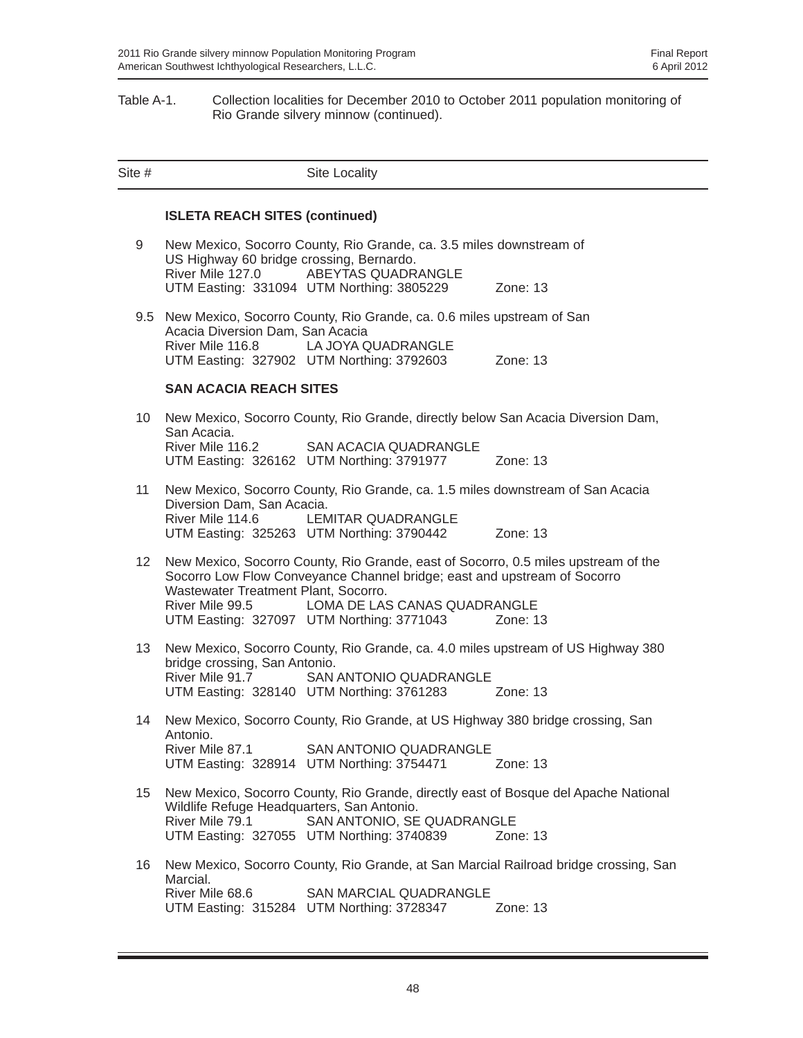#### Table A-1. Collection localities for December 2010 to October 2011 population monitoring of Rio Grande silvery minnow (continued).

| Site # |                                                               | Site Locality                                                                                                                                                                                                                               |                                                                                                  |
|--------|---------------------------------------------------------------|---------------------------------------------------------------------------------------------------------------------------------------------------------------------------------------------------------------------------------------------|--------------------------------------------------------------------------------------------------|
|        | <b>ISLETA REACH SITES (continued)</b>                         |                                                                                                                                                                                                                                             |                                                                                                  |
| 9      | US Highway 60 bridge crossing, Bernardo.<br>River Mile 127.0  | New Mexico, Socorro County, Rio Grande, ca. 3.5 miles downstream of<br>ABEYTAS QUADRANGLE<br>UTM Easting: 331094 UTM Northing: 3805229                                                                                                      | Zone: $13$                                                                                       |
|        | Acacia Diversion Dam, San Acacia<br>River Mile 116.8          | 9.5 New Mexico, Socorro County, Rio Grande, ca. 0.6 miles upstream of San<br>LA JOYA QUADRANGLE<br>UTM Easting: 327902 UTM Northing: 3792603                                                                                                | Zone: $13$                                                                                       |
|        | <b>SAN ACACIA REACH SITES</b>                                 |                                                                                                                                                                                                                                             |                                                                                                  |
| 10     | San Acacia.<br>River Mile 116.2                               | New Mexico, Socorro County, Rio Grande, directly below San Acacia Diversion Dam,<br><b>SAN ACACIA QUADRANGLE</b><br>UTM Easting: 326162 UTM Northing: 3791977                                                                               | Zone: $13$                                                                                       |
| 11     | Diversion Dam, San Acacia.<br>River Mile 114.6                | New Mexico, Socorro County, Rio Grande, ca. 1.5 miles downstream of San Acacia<br>LEMITAR QUADRANGLE<br>UTM Easting: 325263 UTM Northing: 3790442                                                                                           | Zone: $13$                                                                                       |
| 12     | Wastewater Treatment Plant, Socorro.<br>River Mile 99.5       | New Mexico, Socorro County, Rio Grande, east of Socorro, 0.5 miles upstream of the<br>Socorro Low Flow Conveyance Channel bridge; east and upstream of Socorro<br>LOMA DE LAS CANAS QUADRANGLE<br>UTM Easting: 327097 UTM Northing: 3771043 | Zone: $13$                                                                                       |
| 13     | bridge crossing, San Antonio.<br>River Mile 91.7              | New Mexico, Socorro County, Rio Grande, ca. 4.0 miles upstream of US Highway 380<br><b>SAN ANTONIO QUADRANGLE</b><br>UTM Easting: 328140 UTM Northing: 3761283                                                                              | Zone: 13                                                                                         |
| 14     | Antonio.<br>River Mile 87.1                                   | New Mexico, Socorro County, Rio Grande, at US Highway 380 bridge crossing, San<br>SAN ANTONIO QUADRANGLE<br>UTM Easting: 328914 UTM Northing: 3754471                                                                                       | Zone: 13                                                                                         |
| 15     | Wildlife Refuge Headquarters, San Antonio.<br>River Mile 79.1 | New Mexico, Socorro County, Rio Grande, directly east of Bosque del Apache National<br>SAN ANTONIO, SE QUADRANGLE<br>UTM Easting: 327055 UTM Northing: 3740839                                                                              | Zone: 13                                                                                         |
| 16     | Marcial.<br>River Mile 68.6                                   | <b>SAN MARCIAL QUADRANGLE</b><br>UTM Easting: 315284 UTM Northing: 3728347                                                                                                                                                                  | New Mexico, Socorro County, Rio Grande, at San Marcial Railroad bridge crossing, San<br>Zone: 13 |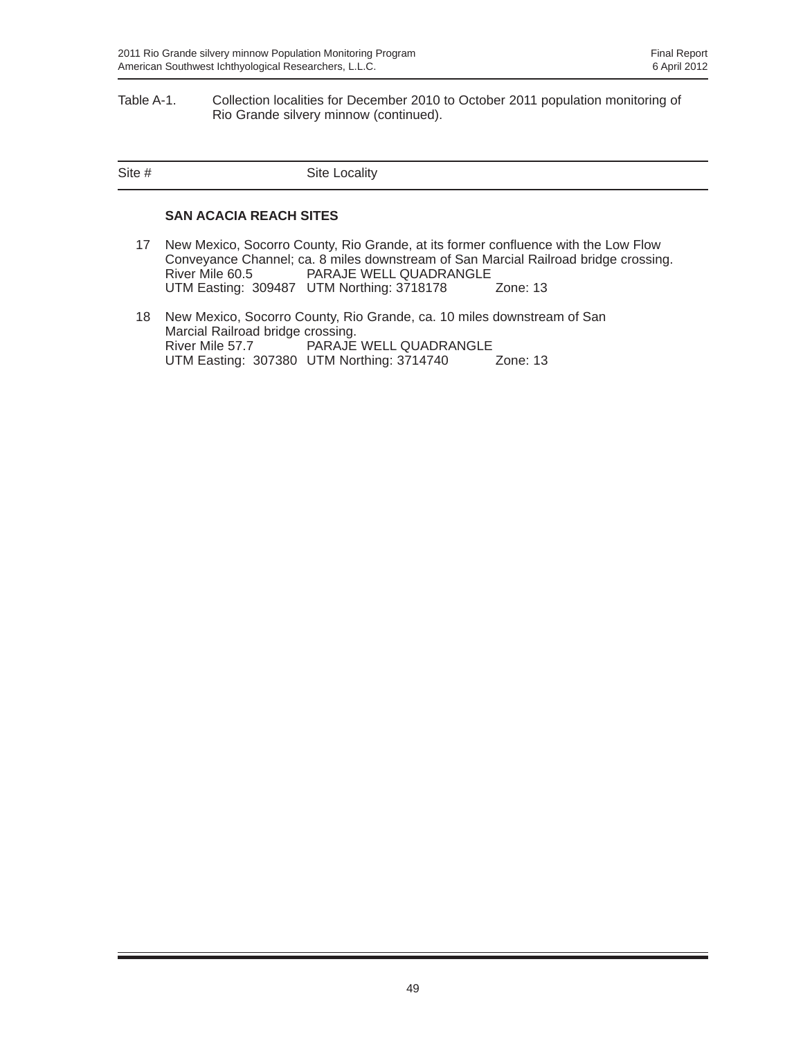#### Table A-1. Collection localities for December 2010 to October 2011 population monitoring of Rio Grande silvery minnow (continued).

| Site # | Site Locality |
|--------|---------------|
|        |               |

#### **SAN ACACIA REACH SITES**

- 17 New Mexico, Socorro County, Rio Grande, at its former confluence with the Low Flow Conveyance Channel; ca. 8 miles downstream of San Marcial Railroad bridge crossing. PARAJE WELL QUADRANGLE UTM Easting: 309487 UTM Northing: 3718178 Zone: 13
- 18 New Mexico, Socorro County, Rio Grande, ca. 10 miles downstream of San Marcial Railroad bridge crossing.<br>River Mile 57.7 PARAJE PARAJE WELL QUADRANGLE<br>UTM Northing: 3714740 Zone: 13 UTM Easting: 307380 UTM Northing: 3714740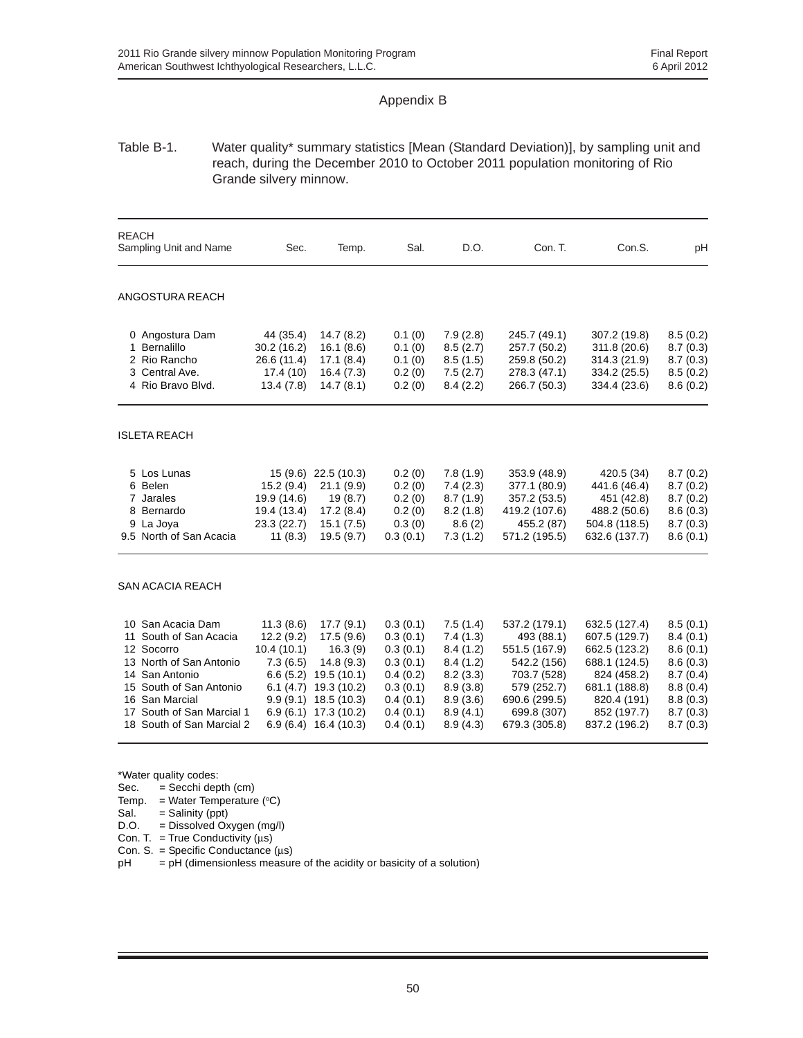#### Appendix B

#### Table B-1. Water quality\* summary statistics [Mean (Standard Deviation)], by sampling unit and reach, during the December 2010 to October 2011 population monitoring of Rio Grande silvery minnow.

| <b>REACH</b><br>Sampling Unit and Name                                                                                                                                                                                 | Sec.                                                                                             | Temp.                                                                                                                              | Sal.                                                                                                     | D.O.                                                                                                     | Con. T.                                                                                                                                    | Con.S.                                                                                                                                          | pH                                                                                                       |
|------------------------------------------------------------------------------------------------------------------------------------------------------------------------------------------------------------------------|--------------------------------------------------------------------------------------------------|------------------------------------------------------------------------------------------------------------------------------------|----------------------------------------------------------------------------------------------------------|----------------------------------------------------------------------------------------------------------|--------------------------------------------------------------------------------------------------------------------------------------------|-------------------------------------------------------------------------------------------------------------------------------------------------|----------------------------------------------------------------------------------------------------------|
| ANGOSTURA REACH                                                                                                                                                                                                        |                                                                                                  |                                                                                                                                    |                                                                                                          |                                                                                                          |                                                                                                                                            |                                                                                                                                                 |                                                                                                          |
| 0 Angostura Dam<br>1 Bernalillo<br>2 Rio Rancho<br>3 Central Ave.<br>4 Rio Bravo Blvd.                                                                                                                                 | 44 (35.4)<br>30.2(16.2)<br>26.6 (11.4)<br>17.4(10)<br>13.4(7.8)                                  | 14.7(8.2)<br>16.1(8.6)<br>17.1(8.4)<br>16.4(7.3)<br>14.7(8.1)                                                                      | 0.1(0)<br>0.1(0)<br>0.1(0)<br>0.2(0)<br>0.2(0)                                                           | 7.9(2.8)<br>8.5(2.7)<br>8.5(1.5)<br>7.5(2.7)<br>8.4(2.2)                                                 | 245.7 (49.1)<br>257.7 (50.2)<br>259.8 (50.2)<br>278.3 (47.1)<br>266.7 (50.3)                                                               | 307.2 (19.8)<br>311.8 (20.6)<br>314.3 (21.9)<br>334.2 (25.5)<br>334.4 (23.6)                                                                    | 8.5(0.2)<br>8.7(0.3)<br>8.7(0.3)<br>8.5(0.2)<br>8.6(0.2)                                                 |
| <b>ISLETA REACH</b>                                                                                                                                                                                                    |                                                                                                  |                                                                                                                                    |                                                                                                          |                                                                                                          |                                                                                                                                            |                                                                                                                                                 |                                                                                                          |
| 5 Los Lunas<br>6 Belen<br>7 Jarales<br>8 Bernardo<br>9 La Joya<br>9.5 North of San Acacia                                                                                                                              | 15(9.6)<br>15.2(9.4)<br>19.9 (14.6)<br>19.4 (13.4)<br>23.3 (22.7)<br>11(8.3)                     | 22.5(10.3)<br>21.1(9.9)<br>19(8.7)<br>17.2(8.4)<br>15.1(7.5)<br>19.5(9.7)                                                          | 0.2(0)<br>0.2(0)<br>0.2(0)<br>0.2(0)<br>0.3(0)<br>0.3(0.1)                                               | 7.8(1.9)<br>7.4(2.3)<br>8.7(1.9)<br>8.2(1.8)<br>8.6(2)<br>7.3(1.2)                                       | 353.9 (48.9)<br>377.1 (80.9)<br>357.2 (53.5)<br>419.2 (107.6)<br>455.2 (87)<br>571.2 (195.5)                                               | 420.5 (34)<br>441.6 (46.4)<br>451 (42.8)<br>488.2 (50.6)<br>504.8 (118.5)<br>632.6 (137.7)                                                      | 8.7(0.2)<br>8.7(0.2)<br>8.7(0.2)<br>8.6(0.3)<br>8.7(0.3)<br>8.6(0.1)                                     |
| <b>SAN ACACIA REACH</b>                                                                                                                                                                                                |                                                                                                  |                                                                                                                                    |                                                                                                          |                                                                                                          |                                                                                                                                            |                                                                                                                                                 |                                                                                                          |
| San Acacia Dam<br>10<br>South of San Acacia<br>11<br>12 Socorro<br>13 North of San Antonio<br>14 San Antonio<br>South of San Antonio<br>15<br>16 San Marcial<br>17 South of San Marcial 1<br>18 South of San Marcial 2 | 11.3(8.6)<br>12.2(9.2)<br>10.4(10.1)<br>7.3(6.5)<br>6.6(5.2)<br>6.1(4.7)<br>9.9(9.1)<br>6.9(6.1) | 17.7(9.1)<br>17.5(9.6)<br>16.3(9)<br>14.8(9.3)<br>19.5(10.1)<br>19.3 (10.2)<br>18.5 (10.3)<br>17.3(10.2)<br>$6.9(6.4)$ 16.4 (10.3) | 0.3(0.1)<br>0.3(0.1)<br>0.3(0.1)<br>0.3(0.1)<br>0.4(0.2)<br>0.3(0.1)<br>0.4(0.1)<br>0.4(0.1)<br>0.4(0.1) | 7.5(1.4)<br>7.4(1.3)<br>8.4(1.2)<br>8.4(1.2)<br>8.2(3.3)<br>8.9(3.8)<br>8.9(3.6)<br>8.9(4.1)<br>8.9(4.3) | 537.2 (179.1)<br>493 (88.1)<br>551.5 (167.9)<br>542.2 (156)<br>703.7 (528)<br>579 (252.7)<br>690.6 (299.5)<br>699.8 (307)<br>679.3 (305.8) | 632.5 (127.4)<br>607.5 (129.7)<br>662.5 (123.2)<br>688.1 (124.5)<br>824 (458.2)<br>681.1 (188.8)<br>820.4 (191)<br>852 (197.7)<br>837.2 (196.2) | 8.5(0.1)<br>8.4(0.1)<br>8.6(0.1)<br>8.6(0.3)<br>8.7(0.4)<br>8.8(0.4)<br>8.8(0.3)<br>8.7(0.3)<br>8.7(0.3) |

\*Water quality codes:

- Sec.  $=$  Secchi depth (cm)
- Temp.  $=$  Water Temperature ( $\degree$ C)
- $S$ al. = Salinity (ppt)
- D.O. = Dissolved Oxygen (mg/l)
- Con. T. = True Conductivity  $(\mu s)$
- Con. S. = Specific Conductance (μs)
- $pH = pH$  (dimensionless measure of the acidity or basicity of a solution)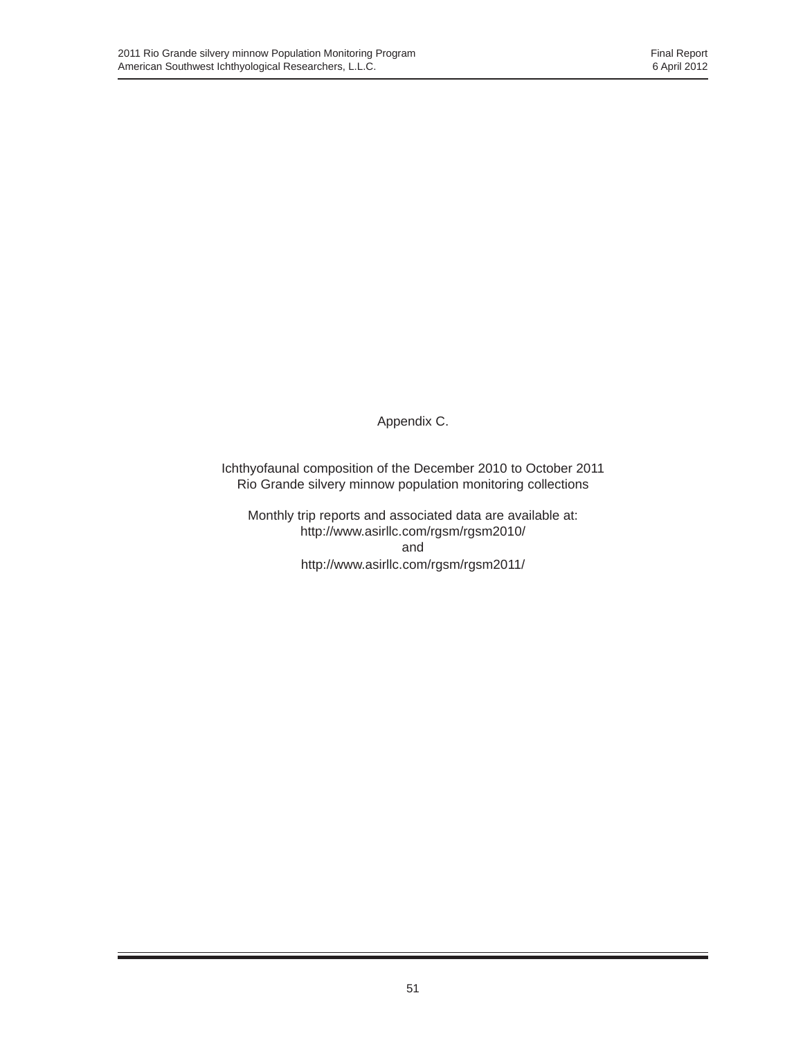Appendix C.

Ichthyofaunal composition of the December 2010 to October 2011 Rio Grande silvery minnow population monitoring collections

Monthly trip reports and associated data are available at: http://www.asirllc.com/rgsm/rgsm2010/ and http://www.asirllc.com/rgsm/rgsm2011/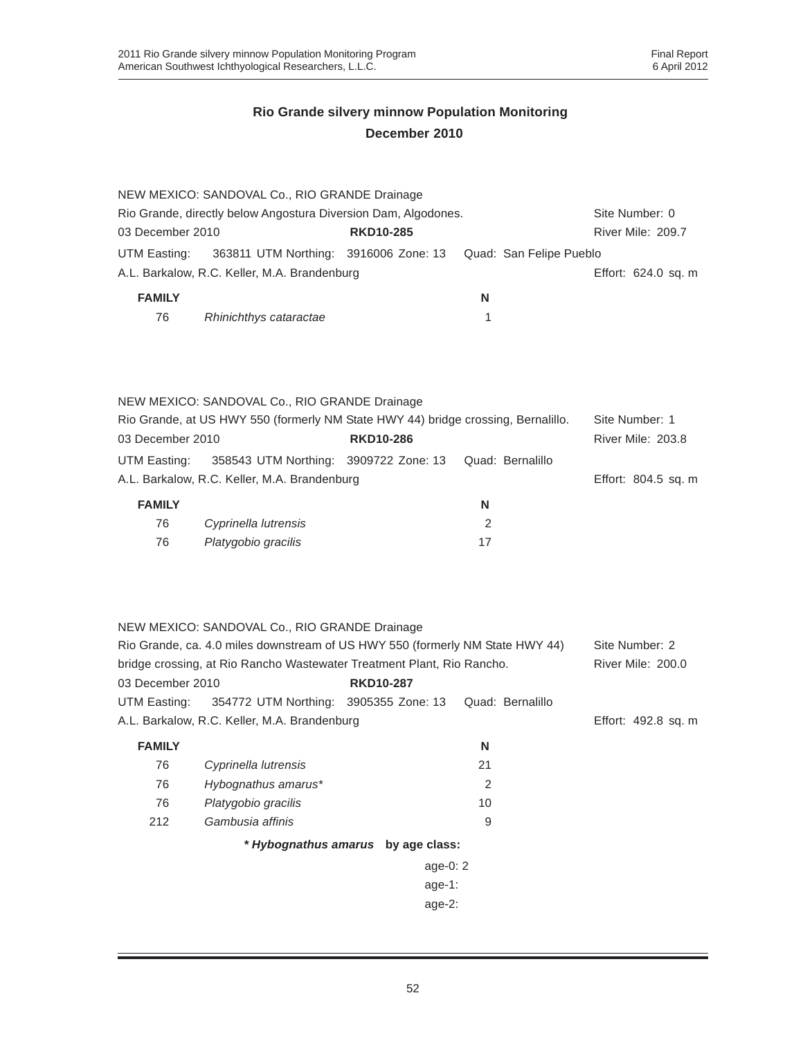| NEW MEXICO: SANDOVAL Co., RIO GRANDE Drainage                                    |                         |                     |  |  |  |  |
|----------------------------------------------------------------------------------|-------------------------|---------------------|--|--|--|--|
| Rio Grande, directly below Angostura Diversion Dam, Algodones.<br>Site Number: 0 |                         |                     |  |  |  |  |
| <b>RKD10-285</b>                                                                 |                         | River Mile: 209.7   |  |  |  |  |
| 363811 UTM Northing: 3916006 Zone: 13                                            | Quad: San Felipe Pueblo |                     |  |  |  |  |
| A.L. Barkalow, R.C. Keller, M.A. Brandenburg                                     |                         | Effort: 624.0 sq. m |  |  |  |  |
|                                                                                  | N                       |                     |  |  |  |  |
|                                                                                  |                         |                     |  |  |  |  |
|                                                                                  |                         |                     |  |  |  |  |
|                                                                                  |                         |                     |  |  |  |  |

|                                                                                   | NEW MEXICO: SANDOVAL Co., RIO GRANDE Drainage |                  |                  |                     |
|-----------------------------------------------------------------------------------|-----------------------------------------------|------------------|------------------|---------------------|
| Rio Grande, at US HWY 550 (formerly NM State HWY 44) bridge crossing, Bernalillo. | Site Number: 1                                |                  |                  |                     |
| 03 December 2010                                                                  |                                               | <b>RKD10-286</b> |                  | River Mile: 203.8   |
| UTM Easting:                                                                      | 358543 UTM Northing: 3909722 Zone: 13         |                  | Quad: Bernalillo |                     |
|                                                                                   | A.L. Barkalow, R.C. Keller, M.A. Brandenburg  |                  |                  | Effort: 804.5 sq. m |
| <b>FAMILY</b>                                                                     |                                               |                  | N                |                     |

| <b>AIVILLI</b> |                      | w  |
|----------------|----------------------|----|
| 76             | Cyprinella lutrensis |    |
| 76             | Platygobio gracilis  | 17 |

|                                                                                                 | NEW MEXICO: SANDOVAL Co., RIO GRANDE Drainage |                                    |                  |                     |  |  |
|-------------------------------------------------------------------------------------------------|-----------------------------------------------|------------------------------------|------------------|---------------------|--|--|
| Rio Grande, ca. 4.0 miles downstream of US HWY 550 (formerly NM State HWY 44)<br>Site Number: 2 |                                               |                                    |                  |                     |  |  |
| bridge crossing, at Rio Rancho Wastewater Treatment Plant, Rio Rancho.                          | <b>River Mile: 200.0</b>                      |                                    |                  |                     |  |  |
| 03 December 2010                                                                                |                                               | <b>RKD10-287</b>                   |                  |                     |  |  |
| UTM Easting:                                                                                    | 354772 UTM Northing: 3905355 Zone: 13         |                                    | Quad: Bernalillo |                     |  |  |
|                                                                                                 | A.L. Barkalow, R.C. Keller, M.A. Brandenburg  |                                    |                  | Effort: 492.8 sq. m |  |  |
| <b>FAMILY</b>                                                                                   |                                               |                                    | N                |                     |  |  |
| 76                                                                                              | Cyprinella lutrensis                          |                                    | 21               |                     |  |  |
| 76                                                                                              | Hybognathus amarus*                           |                                    | 2                |                     |  |  |
| 76                                                                                              | Platygobio gracilis                           |                                    | 10               |                     |  |  |
| 212                                                                                             | Gambusia affinis                              |                                    | 9                |                     |  |  |
|                                                                                                 |                                               | * Hybognathus amarus by age class: |                  |                     |  |  |
|                                                                                                 |                                               | age-0: $2$                         |                  |                     |  |  |
|                                                                                                 |                                               | age-1:                             |                  |                     |  |  |
|                                                                                                 |                                               | age- $2:$                          |                  |                     |  |  |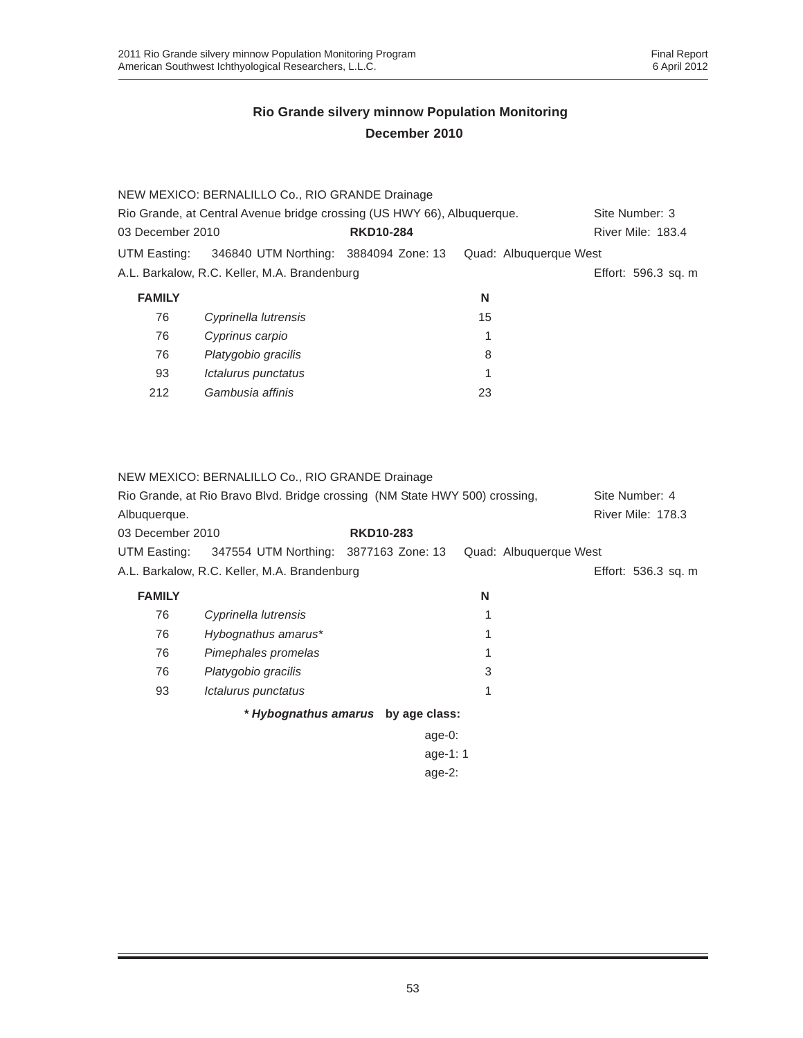|                  | NEW MEXICO: BERNALILLO Co., RIO GRANDE Drainage                             |                  |    |                        |                                     |
|------------------|-----------------------------------------------------------------------------|------------------|----|------------------------|-------------------------------------|
|                  | Rio Grande, at Central Avenue bridge crossing (US HWY 66), Albuquerque.     |                  |    |                        | Site Number: 3                      |
| 03 December 2010 |                                                                             | <b>RKD10-284</b> |    |                        | River Mile: 183.4                   |
| UTM Easting:     | 346840 UTM Northing: 3884094 Zone: 13                                       |                  |    | Quad: Albuquerque West |                                     |
|                  | A.L. Barkalow, R.C. Keller, M.A. Brandenburg                                |                  |    |                        | Effort: 596.3 sq. m                 |
| <b>FAMILY</b>    |                                                                             |                  | N  |                        |                                     |
| 76               | Cyprinella lutrensis                                                        |                  | 15 |                        |                                     |
| 76               | Cyprinus carpio                                                             |                  | 1  |                        |                                     |
| 76               | Platygobio gracilis                                                         |                  | 8  |                        |                                     |
| 93               | Ictalurus punctatus                                                         |                  | 1  |                        |                                     |
| 212              | Gambusia affinis                                                            |                  | 23 |                        |                                     |
|                  | NEW MEXICO: BERNALILLO Co., RIO GRANDE Drainage                             |                  |    |                        |                                     |
| Albuquerque.     | Rio Grande, at Rio Bravo Blvd. Bridge crossing (NM State HWY 500) crossing, |                  |    |                        | Site Number: 4<br>River Mile: 178.3 |
| 03 December 2010 |                                                                             | <b>RKD10-283</b> |    |                        |                                     |
| UTM Easting:     | 347554 UTM Northing: 3877163 Zone: 13                                       |                  |    | Quad: Albuquerque West |                                     |
|                  | A.L. Barkalow, R.C. Keller, M.A. Brandenburg                                |                  |    |                        | Effort: 536.3 sq. m                 |
| <b>FAMILY</b>    |                                                                             |                  | N  |                        |                                     |
| 76               | Cyprinella lutrensis                                                        |                  | 1  |                        |                                     |
| 76               | Hybognathus amarus*                                                         |                  | 1  |                        |                                     |
| 76               | Pimephales promelas                                                         |                  | 1  |                        |                                     |
| 76               | Platygobio gracilis                                                         |                  | 3  |                        |                                     |
| 93               | Ictalurus punctatus                                                         |                  | 1  |                        |                                     |

*\* Hybognathus amarus* **by age class:**

| age-0:   |  |
|----------|--|
| age-1: 1 |  |
| age-2:   |  |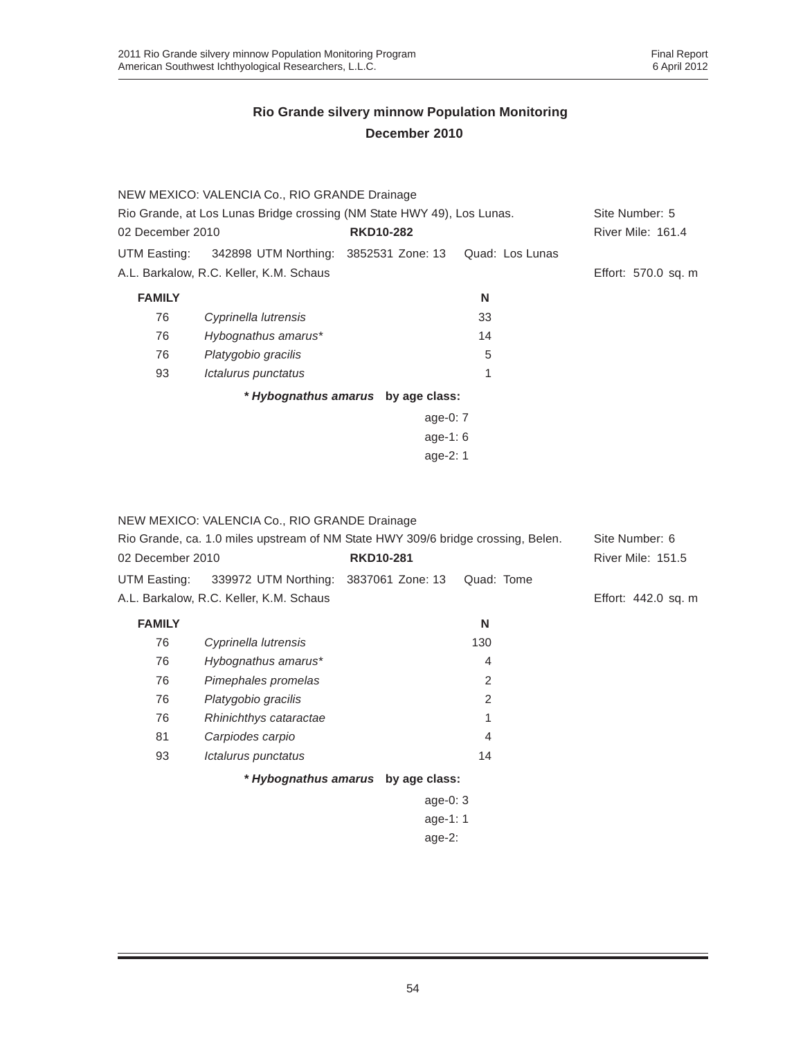|                  | NEW MEXICO: VALENCIA Co., RIO GRANDE Drainage                          |                                    |                 |                          |
|------------------|------------------------------------------------------------------------|------------------------------------|-----------------|--------------------------|
|                  | Rio Grande, at Los Lunas Bridge crossing (NM State HWY 49), Los Lunas. |                                    |                 |                          |
| 02 December 2010 |                                                                        | <b>RKD10-282</b>                   |                 | <b>River Mile: 161.4</b> |
| UTM Easting:     | 342898 UTM Northing: 3852531 Zone: 13                                  |                                    | Quad: Los Lunas |                          |
|                  | A.L. Barkalow, R.C. Keller, K.M. Schaus                                |                                    |                 | Effort: 570.0 sq. m      |
| <b>FAMILY</b>    |                                                                        |                                    | N               |                          |
| 76               | Cyprinella lutrensis                                                   |                                    | 33              |                          |
| 76               | Hybognathus amarus*                                                    |                                    | 14              |                          |
| 76               | Platygobio gracilis                                                    |                                    | 5               |                          |
| 93               | Ictalurus punctatus                                                    |                                    |                 |                          |
|                  |                                                                        | * Hybognathus amarus by age class: |                 |                          |
|                  |                                                                        | age-0: $7$                         |                 |                          |
|                  |                                                                        | age-1: $6$                         |                 |                          |
|                  |                                                                        | age-2: 1                           |                 |                          |

| NEW MEXICO: VALENCIA Co., RIO GRANDE Drainage<br>Rio Grande, ca. 1.0 miles upstream of NM State HWY 309/6 bridge crossing, Belen.<br>02 December 2010 | Site Number: 6<br>River Mile: 151.5                |                                    |                |                     |
|-------------------------------------------------------------------------------------------------------------------------------------------------------|----------------------------------------------------|------------------------------------|----------------|---------------------|
|                                                                                                                                                       | UTM Easting: 339972 UTM Northing: 3837061 Zone: 13 | <b>RKD10-281</b>                   | Quad: Tome     |                     |
|                                                                                                                                                       | A.L. Barkalow, R.C. Keller, K.M. Schaus            |                                    |                | Effort: 442.0 sq. m |
| <b>FAMILY</b>                                                                                                                                         |                                                    |                                    | N              |                     |
| 76                                                                                                                                                    | Cyprinella lutrensis                               |                                    | 130            |                     |
| 76                                                                                                                                                    | Hybognathus amarus*                                |                                    | 4              |                     |
| 76                                                                                                                                                    | Pimephales promelas                                |                                    | $\overline{2}$ |                     |
| 76                                                                                                                                                    | Platygobio gracilis                                |                                    | $\overline{2}$ |                     |
| 76                                                                                                                                                    | Rhinichthys cataractae                             |                                    | 1              |                     |
| 81                                                                                                                                                    | Carpiodes carpio                                   |                                    | 4              |                     |
| 93                                                                                                                                                    | Ictalurus punctatus                                |                                    | 14             |                     |
|                                                                                                                                                       |                                                    | * Hybognathus amarus by age class: |                |                     |
|                                                                                                                                                       |                                                    | age-0: $3$                         |                |                     |
|                                                                                                                                                       |                                                    | age-1: $1$                         |                |                     |
|                                                                                                                                                       |                                                    | age- $2:$                          |                |                     |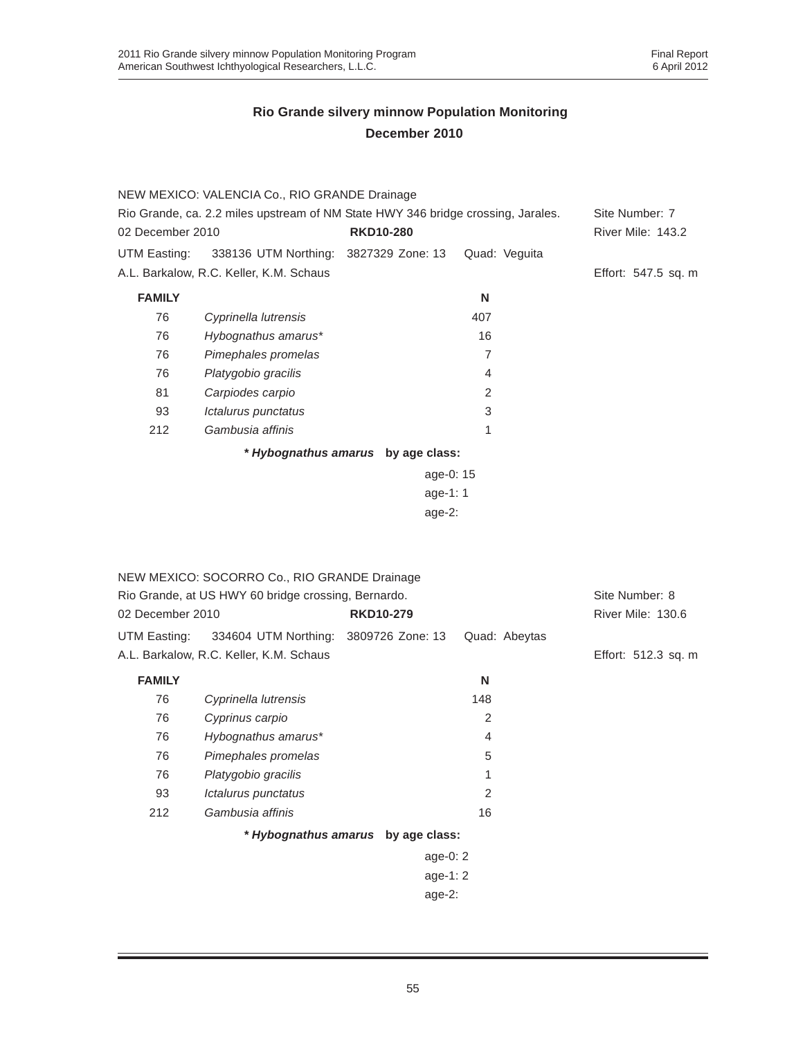|                  | NEW MEXICO: VALENCIA Co., RIO GRANDE Drainage                                    |                                    |                |                          |
|------------------|----------------------------------------------------------------------------------|------------------------------------|----------------|--------------------------|
|                  | Rio Grande, ca. 2.2 miles upstream of NM State HWY 346 bridge crossing, Jarales. |                                    |                | Site Number: 7           |
| 02 December 2010 |                                                                                  | <b>RKD10-280</b>                   |                | <b>River Mile: 143.2</b> |
| UTM Easting:     | 338136 UTM Northing: 3827329 Zone: 13                                            |                                    | Quad: Veguita  |                          |
|                  | A.L. Barkalow, R.C. Keller, K.M. Schaus                                          |                                    |                | Effort: 547.5 sq. m      |
| <b>FAMILY</b>    |                                                                                  |                                    | N              |                          |
| 76               | Cyprinella lutrensis                                                             |                                    | 407            |                          |
| 76               | Hybognathus amarus*                                                              |                                    | 16             |                          |
| 76               | Pimephales promelas                                                              |                                    | $\overline{7}$ |                          |
| 76               | Platygobio gracilis                                                              |                                    | 4              |                          |
| 81               | Carpiodes carpio                                                                 |                                    | 2              |                          |
| 93               | Ictalurus punctatus                                                              |                                    | 3              |                          |
| 212              | Gambusia affinis                                                                 |                                    | 1              |                          |
|                  |                                                                                  | * Hybognathus amarus by age class: |                |                          |
|                  |                                                                                  | age-0: 15                          |                |                          |
|                  |                                                                                  | age-1: $1$                         |                |                          |
|                  |                                                                                  | $age-2$ :                          |                |                          |
|                  |                                                                                  |                                    |                |                          |

|                                                     | NEW MEXICO: SOCORRO Co., RIO GRANDE Drainage |                                    |               |                     |
|-----------------------------------------------------|----------------------------------------------|------------------------------------|---------------|---------------------|
| Rio Grande, at US HWY 60 bridge crossing, Bernardo. |                                              |                                    |               | Site Number: 8      |
| 02 December 2010                                    |                                              | <b>RKD10-279</b>                   |               | River Mile: 130.6   |
| UTM Easting:                                        | 334604 UTM Northing: 3809726 Zone: 13        |                                    | Quad: Abeytas |                     |
|                                                     | A.L. Barkalow, R.C. Keller, K.M. Schaus      |                                    |               | Effort: 512.3 sq. m |
| <b>FAMILY</b>                                       |                                              |                                    | N             |                     |
| 76                                                  | Cyprinella lutrensis                         |                                    | 148           |                     |
| 76                                                  | Cyprinus carpio                              |                                    | 2             |                     |
| 76                                                  | Hybognathus amarus*                          |                                    | 4             |                     |
| 76                                                  | Pimephales promelas                          |                                    | 5             |                     |
| 76                                                  | Platygobio gracilis                          |                                    | 1             |                     |
| 93                                                  | Ictalurus punctatus                          |                                    | 2             |                     |
| 212                                                 | Gambusia affinis                             |                                    | 16            |                     |
|                                                     |                                              | * Hybognathus amarus by age class: |               |                     |
|                                                     |                                              | age-0: $2$                         |               |                     |
|                                                     |                                              | age-1: $2$                         |               |                     |
|                                                     |                                              | age- $2:$                          |               |                     |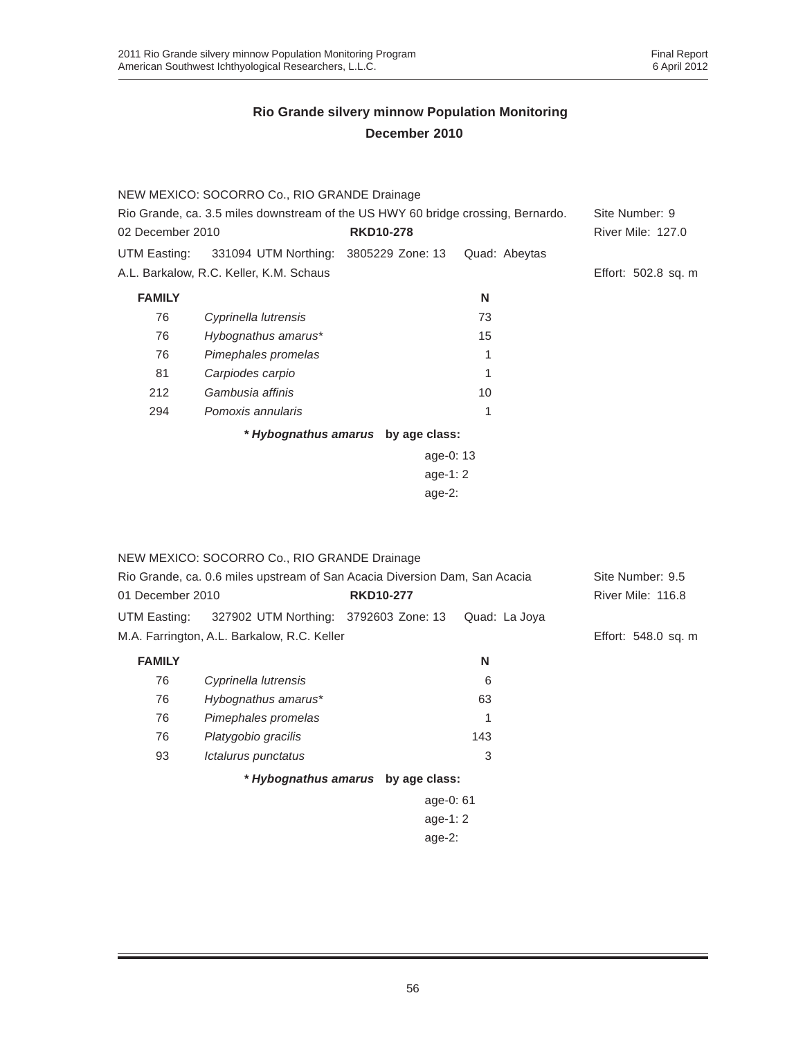|                                                                                  | NEW MEXICO: SOCORRO Co., RIO GRANDE Drainage |                                    |               |                          |
|----------------------------------------------------------------------------------|----------------------------------------------|------------------------------------|---------------|--------------------------|
| Rio Grande, ca. 3.5 miles downstream of the US HWY 60 bridge crossing, Bernardo. | Site Number: 9                               |                                    |               |                          |
| 02 December 2010                                                                 |                                              | <b>RKD10-278</b>                   |               | <b>River Mile: 127.0</b> |
| UTM Easting:                                                                     | 331094 UTM Northing: 3805229 Zone: 13        |                                    | Quad: Abeytas |                          |
|                                                                                  | A.L. Barkalow, R.C. Keller, K.M. Schaus      |                                    |               | Effort: 502.8 sq. m      |
| <b>FAMILY</b>                                                                    |                                              |                                    | N             |                          |
| 76                                                                               | Cyprinella lutrensis                         |                                    | 73            |                          |
| 76                                                                               | Hybognathus amarus*                          |                                    | 15            |                          |
| 76                                                                               | Pimephales promelas                          |                                    |               |                          |
| 81                                                                               | Carpiodes carpio                             |                                    |               |                          |
| 212                                                                              | Gambusia affinis                             |                                    | 10            |                          |
| 294                                                                              | Pomoxis annularis                            |                                    |               |                          |
|                                                                                  |                                              | * Hybognathus amarus by age class: |               |                          |
|                                                                                  |                                              | age-0: $13$                        |               |                          |
|                                                                                  |                                              | age-1: $2 \overline{ }$            |               |                          |
|                                                                                  |                                              | age- $2:$                          |               |                          |

| NEW MEXICO: SOCORRO Co., RIO GRANDE Drainage                               |                  |               |                     |
|----------------------------------------------------------------------------|------------------|---------------|---------------------|
| Rio Grande, ca. 0.6 miles upstream of San Acacia Diversion Dam, San Acacia |                  |               | Site Number: 9.5    |
| 01 December 2010                                                           | <b>RKD10-277</b> |               | River Mile: 116.8   |
| UTM Easting: 327902 UTM Northing: 3792603 Zone: 13                         |                  | Quad: La Joya |                     |
| M.A. Farrington, A.L. Barkalow, R.C. Keller                                |                  |               | Effort: 548.0 sq. m |
| <b>FAMILY</b>                                                              |                  | N             |                     |
| 76<br>Cyprinella lutrensis                                                 |                  | 6             |                     |

| 76 | Cyprinella lutrensis               | 6           |  |
|----|------------------------------------|-------------|--|
| 76 | Hybognathus amarus*                | 63          |  |
| 76 | Pimephales promelas                | 1           |  |
| 76 | Platygobio gracilis                | 143         |  |
| 93 | Ictalurus punctatus                | 3           |  |
|    | * Hybognathus amarus by age class: |             |  |
|    |                                    | age-0: $61$ |  |

age-1: 2 age-2: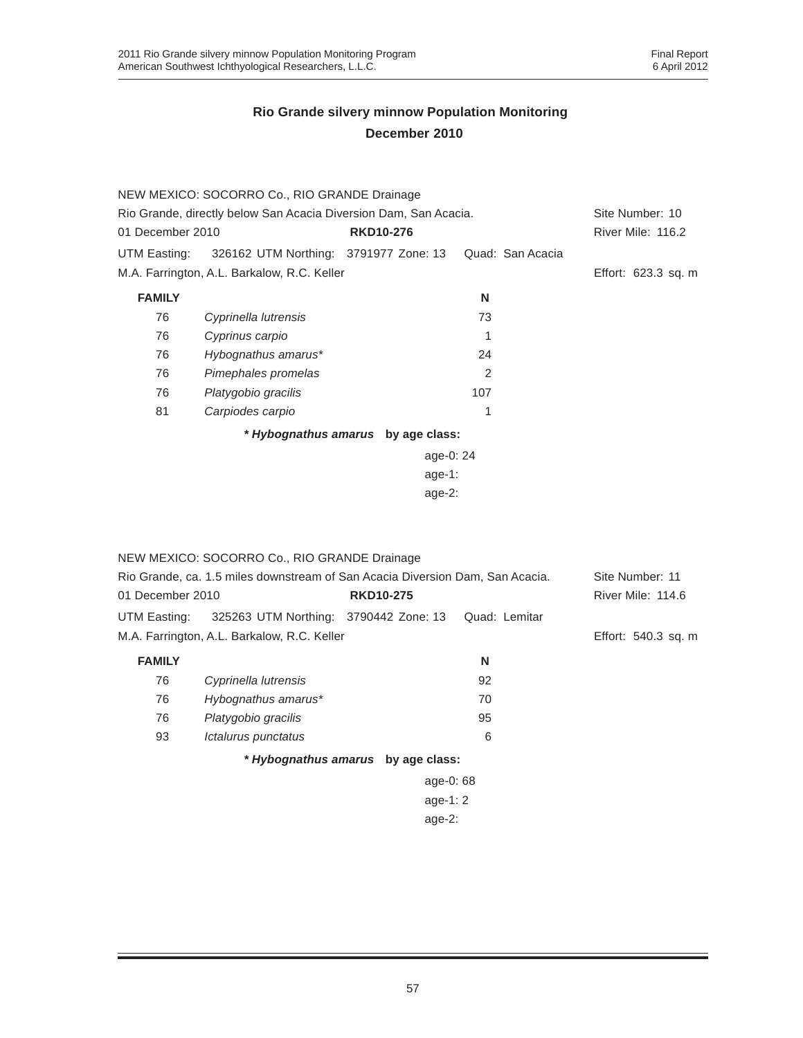|                                                                  | NEW MEXICO: SOCORRO Co., RIO GRANDE Drainage |                                    |                  |                     |
|------------------------------------------------------------------|----------------------------------------------|------------------------------------|------------------|---------------------|
| Rio Grande, directly below San Acacia Diversion Dam, San Acacia. |                                              |                                    |                  | Site Number: 10     |
| 01 December 2010                                                 |                                              | <b>RKD10-276</b>                   |                  | River Mile: 116.2   |
| UTM Easting:                                                     | 326162 UTM Northing: 3791977 Zone: 13        |                                    | Quad: San Acacia |                     |
|                                                                  | M.A. Farrington, A.L. Barkalow, R.C. Keller  |                                    |                  | Effort: 623.3 sq. m |
| <b>FAMILY</b>                                                    |                                              |                                    | N                |                     |
| 76                                                               | Cyprinella lutrensis                         |                                    | 73               |                     |
| 76                                                               | Cyprinus carpio                              |                                    |                  |                     |
| 76                                                               | Hybognathus amarus*                          |                                    | 24               |                     |
| 76                                                               | Pimephales promelas                          |                                    | $\overline{2}$   |                     |
| 76                                                               | Platygobio gracilis                          |                                    | 107              |                     |
| 81                                                               | Carpiodes carpio                             |                                    | 1                |                     |
|                                                                  |                                              | * Hybognathus amarus by age class: |                  |                     |
|                                                                  |                                              | age-0: 24                          |                  |                     |
|                                                                  |                                              | age-1:                             |                  |                     |
|                                                                  |                                              | age- $2:$                          |                  |                     |

|                                                                               | NEW MEXICO: SOCORRO Co., RIO GRANDE Drainage |                  |               |                     |
|-------------------------------------------------------------------------------|----------------------------------------------|------------------|---------------|---------------------|
| Rio Grande, ca. 1.5 miles downstream of San Acacia Diversion Dam, San Acacia. | Site Number: 11                              |                  |               |                     |
| 01 December 2010                                                              |                                              | <b>RKD10-275</b> |               | River Mile: 114.6   |
| UTM Easting:                                                                  | 325263 UTM Northing: 3790442 Zone: 13        |                  | Quad: Lemitar |                     |
|                                                                               | M.A. Farrington, A.L. Barkalow, R.C. Keller  |                  |               | Effort: 540.3 sq. m |
| <b>FAMILY</b>                                                                 |                                              |                  | N             |                     |
| 76                                                                            | Cyprinella lutrensis                         |                  | 92            |                     |
| 76                                                                            | Hybognathus amarus*                          |                  | 70            |                     |
| 76                                                                            | Platygobio gracilis                          |                  | 95            |                     |
| 93                                                                            | Ictalurus punctatus                          |                  | 6             |                     |
|                                                                               | * Hybognathus amarus by age class:           |                  |               |                     |
|                                                                               |                                              | age-0: 68        |               |                     |
|                                                                               |                                              | age-1: $2$       |               |                     |

### age-2: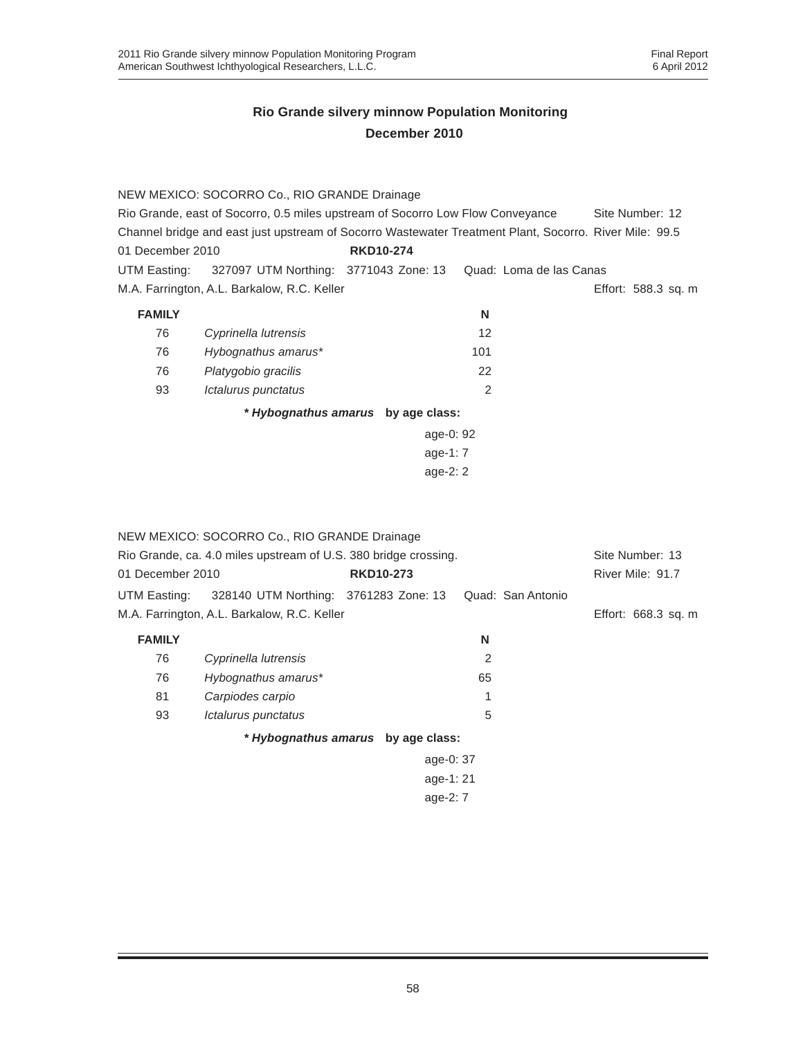|                  | NEW MEXICO: SOCORRO Co., RIO GRANDE Drainage                                                           |                  |     |                     |
|------------------|--------------------------------------------------------------------------------------------------------|------------------|-----|---------------------|
|                  | Rio Grande, east of Socorro, 0.5 miles upstream of Socorro Low Flow Conveyance                         |                  |     | Site Number: 12     |
|                  | Channel bridge and east just upstream of Socorro Wastewater Treatment Plant, Socorro, River Mile: 99.5 |                  |     |                     |
| 01 December 2010 |                                                                                                        | <b>RKD10-274</b> |     |                     |
|                  | UTM Easting: 327097 UTM Northing: 3771043 Zone: 13 Quad: Loma de las Canas                             |                  |     |                     |
|                  | M.A. Farrington, A.L. Barkalow, R.C. Keller                                                            |                  |     | Effort: 588.3 sq. m |
| <b>FAMILY</b>    |                                                                                                        |                  | N   |                     |
| 76               | Cyprinella lutrensis                                                                                   |                  | 12  |                     |
| 76               | Hybognathus amarus*                                                                                    |                  | 101 |                     |
| 76               | Platygobio gracilis                                                                                    |                  | 22  |                     |
| 93               | Ictalurus punctatus                                                                                    |                  | 2   |                     |
|                  |                                                                                                        |                  |     |                     |

*\* Hybognathus amarus* **by age class:**

| age-0: 92  |  |
|------------|--|
| age-1: $7$ |  |
| age- $2:2$ |  |

| Rio Grande, ca. 4.0 miles upstream of U.S. 380 bridge crossing. |  |                                                                  |                                                                                                                                  |                     |
|-----------------------------------------------------------------|--|------------------------------------------------------------------|----------------------------------------------------------------------------------------------------------------------------------|---------------------|
| 01 December 2010                                                |  |                                                                  |                                                                                                                                  | River Mile: 91.7    |
|                                                                 |  |                                                                  |                                                                                                                                  |                     |
| M.A. Farrington, A.L. Barkalow, R.C. Keller                     |  |                                                                  |                                                                                                                                  | Effort: 668.3 sq. m |
|                                                                 |  | N                                                                |                                                                                                                                  |                     |
| Cyprinella lutrensis                                            |  | 2                                                                |                                                                                                                                  |                     |
| Hybognathus amarus*                                             |  | 65                                                               |                                                                                                                                  |                     |
| Carpiodes carpio                                                |  |                                                                  |                                                                                                                                  |                     |
| Ictalurus punctatus                                             |  | 5                                                                |                                                                                                                                  |                     |
|                                                                 |  |                                                                  |                                                                                                                                  |                     |
|                                                                 |  |                                                                  |                                                                                                                                  |                     |
|                                                                 |  |                                                                  |                                                                                                                                  |                     |
|                                                                 |  |                                                                  |                                                                                                                                  |                     |
|                                                                 |  | NEW MEXICO: SOCORRO Co., RIO GRANDE Drainage<br><b>RKD10-273</b> | UTM Easting: 328140 UTM Northing: 3761283 Zone: 13<br>* Hybognathus amarus by age class:<br>age-0: 37<br>age-1: 21<br>age- $2:7$ | Quad: San Antonio   |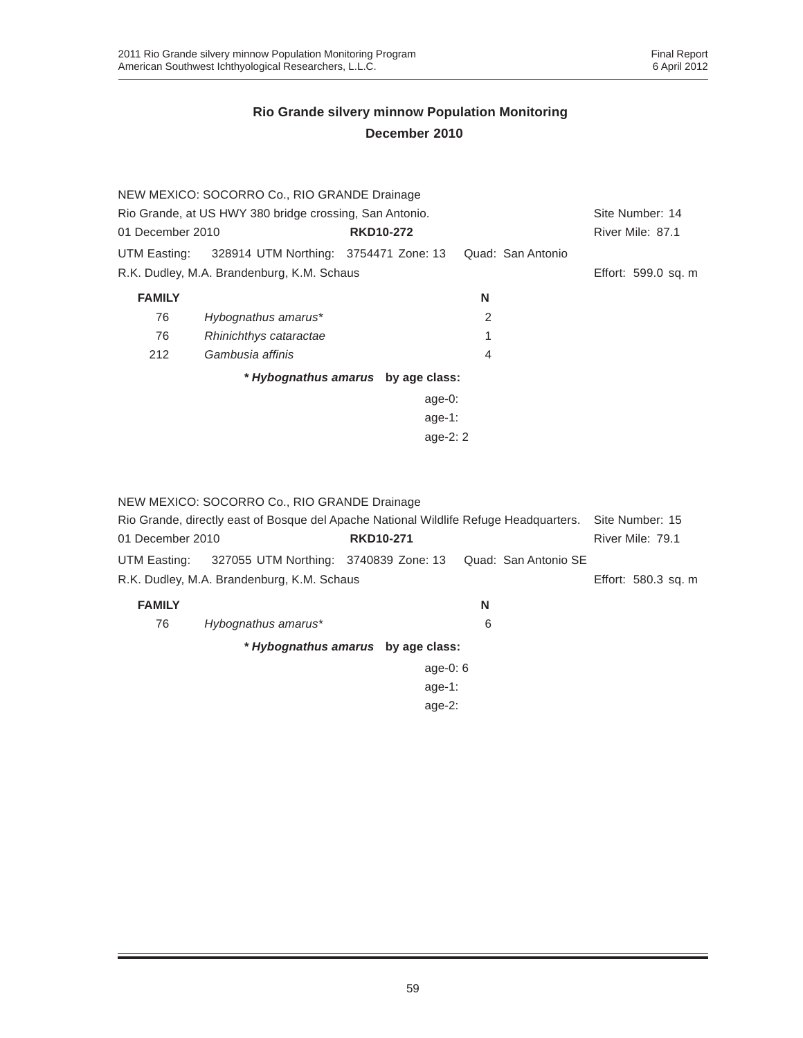|                  | NEW MEXICO: SOCORRO Co., RIO GRANDE Drainage            |                  |            |                   |                 |                     |  |
|------------------|---------------------------------------------------------|------------------|------------|-------------------|-----------------|---------------------|--|
|                  | Rio Grande, at US HWY 380 bridge crossing, San Antonio. |                  |            |                   | Site Number: 14 |                     |  |
| 01 December 2010 |                                                         | <b>RKD10-272</b> |            |                   |                 | River Mile: 87.1    |  |
| UTM Easting:     | 328914 UTM Northing: 3754471 Zone: 13                   |                  |            | Quad: San Antonio |                 |                     |  |
|                  | R.K. Dudley, M.A. Brandenburg, K.M. Schaus              |                  |            |                   |                 | Effort: 599.0 sq. m |  |
| <b>FAMILY</b>    |                                                         |                  |            | N                 |                 |                     |  |
| 76               | Hybognathus amarus*                                     |                  |            | 2                 |                 |                     |  |
| 76               | Rhinichthys cataractae                                  |                  |            | 1                 |                 |                     |  |
| 212              | Gambusia affinis                                        |                  |            | 4                 |                 |                     |  |
|                  | * Hybognathus amarus by age class:                      |                  |            |                   |                 |                     |  |
|                  |                                                         |                  | age- $0$ : |                   |                 |                     |  |
|                  |                                                         |                  | age-1:     |                   |                 |                     |  |
|                  |                                                         |                  | age- $2:2$ |                   |                 |                     |  |
|                  |                                                         |                  |            |                   |                 |                     |  |
|                  |                                                         |                  |            |                   |                 |                     |  |
|                  |                                                         |                  |            |                   |                 |                     |  |

|                                                                                       | NEW MEXICO: SOCORRO Co., RIO GRANDE Drainage |                                    |                      |                  |  |
|---------------------------------------------------------------------------------------|----------------------------------------------|------------------------------------|----------------------|------------------|--|
| Rio Grande, directly east of Bosque del Apache National Wildlife Refuge Headquarters. | Site Number: 15                              |                                    |                      |                  |  |
| 01 December 2010                                                                      |                                              | <b>RKD10-271</b>                   |                      | River Mile: 79.1 |  |
| UTM Easting:                                                                          | 327055 UTM Northing: 3740839 Zone: 13        |                                    | Quad: San Antonio SE |                  |  |
| R.K. Dudley, M.A. Brandenburg, K.M. Schaus                                            |                                              |                                    | Effort: 580.3 sq. m  |                  |  |
| <b>FAMILY</b>                                                                         |                                              |                                    | N                    |                  |  |
| 76                                                                                    | Hybognathus amarus*                          |                                    | 6                    |                  |  |
|                                                                                       |                                              | * Hybognathus amarus by age class: |                      |                  |  |
| age-0: $6$                                                                            |                                              |                                    |                      |                  |  |
|                                                                                       | age-1:                                       |                                    |                      |                  |  |

age-2: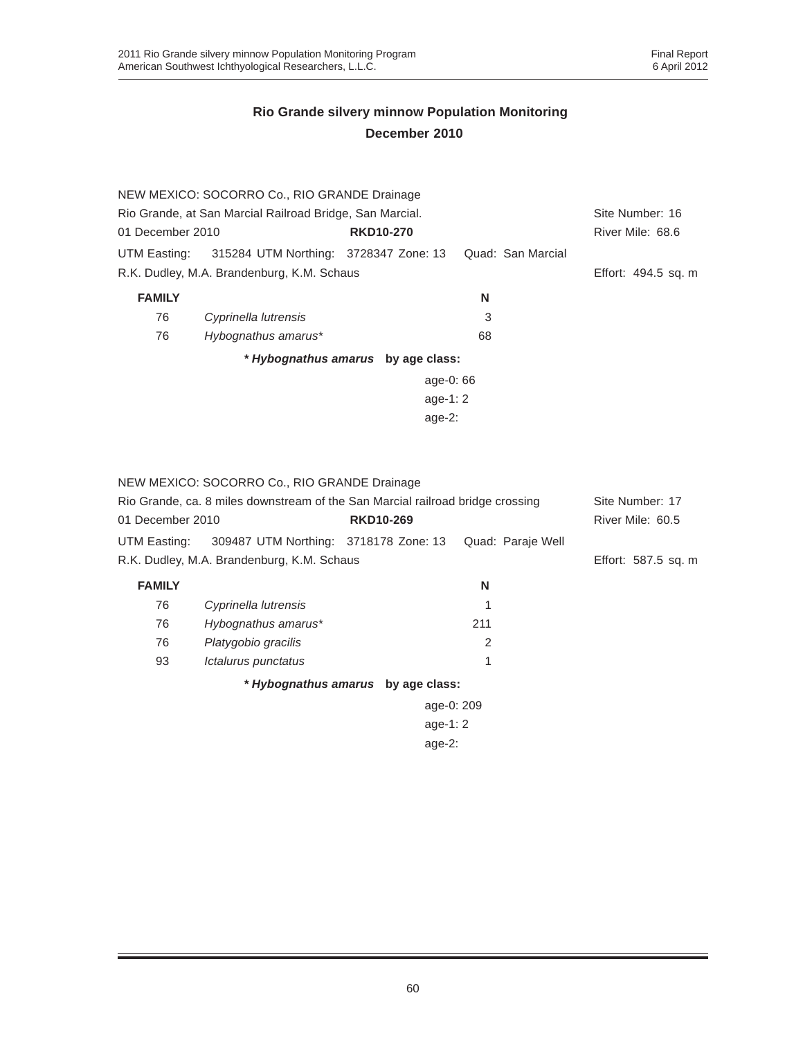|                                      | NEW MEXICO: SOCORRO Co., RIO GRANDE Drainage             |                                    |                   |                     |
|--------------------------------------|----------------------------------------------------------|------------------------------------|-------------------|---------------------|
|                                      | Rio Grande, at San Marcial Railroad Bridge, San Marcial. |                                    |                   | Site Number: 16     |
| 01 December 2010<br><b>RKD10-270</b> |                                                          |                                    |                   | River Mile: 68.6    |
| UTM Easting:                         | 315284 UTM Northing: 3728347 Zone: 13                    |                                    | Quad: San Marcial |                     |
|                                      | R.K. Dudley, M.A. Brandenburg, K.M. Schaus               |                                    |                   | Effort: 494.5 sq. m |
| <b>FAMILY</b>                        |                                                          |                                    | N                 |                     |
| 76                                   | Cyprinella lutrensis                                     |                                    | 3                 |                     |
| 76                                   | Hybognathus amarus*                                      |                                    | 68                |                     |
|                                      |                                                          | * Hybognathus amarus by age class: |                   |                     |
|                                      |                                                          | age-0: 66                          |                   |                     |
|                                      |                                                          | age-1: $2$                         |                   |                     |
|                                      |                                                          | age- $2$ :                         |                   |                     |
|                                      |                                                          |                                    |                   |                     |
|                                      |                                                          |                                    |                   |                     |

|                                                                                | NEW MEXICO: SOCORRO Co., RIO GRANDE Drainage |                                    |                   |                     |
|--------------------------------------------------------------------------------|----------------------------------------------|------------------------------------|-------------------|---------------------|
| Rio Grande, ca. 8 miles downstream of the San Marcial railroad bridge crossing | Site Number: 17                              |                                    |                   |                     |
| 01 December 2010<br><b>RKD10-269</b>                                           |                                              |                                    | River Mile: 60.5  |                     |
| UTM Easting:                                                                   | 309487 UTM Northing: 3718178 Zone: 13        |                                    | Quad: Paraje Well |                     |
|                                                                                | R.K. Dudley, M.A. Brandenburg, K.M. Schaus   |                                    |                   | Effort: 587.5 sq. m |
| <b>FAMILY</b>                                                                  |                                              |                                    | N                 |                     |
| 76                                                                             | Cyprinella lutrensis                         |                                    |                   |                     |
| 76                                                                             | Hybognathus amarus*                          |                                    | 211               |                     |
| 76                                                                             | Platygobio gracilis                          |                                    | 2                 |                     |
| 93                                                                             | Ictalurus punctatus                          |                                    | 1                 |                     |
|                                                                                |                                              | * Hybognathus amarus by age class: |                   |                     |
|                                                                                |                                              | age-0: 209                         |                   |                     |
|                                                                                |                                              |                                    |                   |                     |
|                                                                                |                                              |                                    |                   |                     |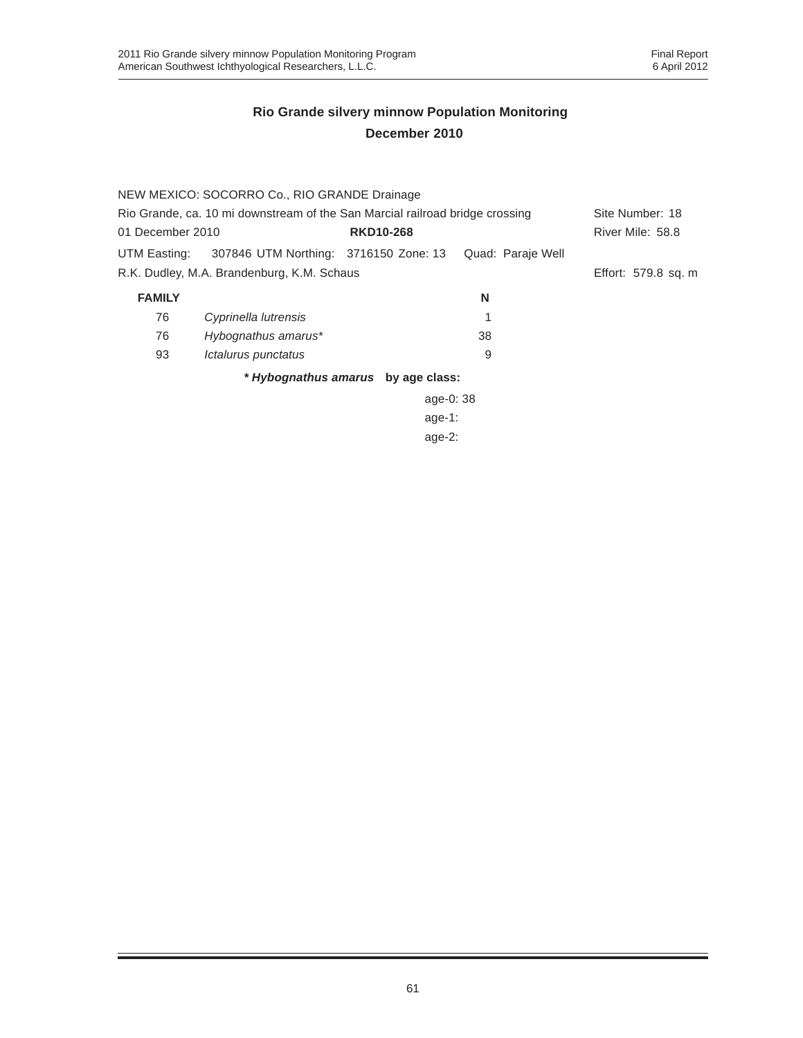|                                                                              | NEW MEXICO: SOCORRO Co., RIO GRANDE Drainage |                                    |                   |                     |
|------------------------------------------------------------------------------|----------------------------------------------|------------------------------------|-------------------|---------------------|
| Rio Grande, ca. 10 mi downstream of the San Marcial railroad bridge crossing | Site Number: 18                              |                                    |                   |                     |
| 01 December 2010<br><b>RKD10-268</b>                                         |                                              |                                    | River Mile: 58.8  |                     |
| UTM Easting:                                                                 | 307846 UTM Northing: 3716150 Zone: 13        |                                    | Quad: Paraje Well |                     |
|                                                                              | R.K. Dudley, M.A. Brandenburg, K.M. Schaus   |                                    |                   | Effort: 579.8 sq. m |
| <b>FAMILY</b>                                                                |                                              |                                    | N                 |                     |
| 76                                                                           | Cyprinella lutrensis                         |                                    |                   |                     |
| 76                                                                           | Hybognathus amarus*                          |                                    | 38                |                     |
| 93                                                                           | Ictalurus punctatus                          |                                    | 9                 |                     |
|                                                                              |                                              | * Hybognathus amarus by age class: |                   |                     |
|                                                                              |                                              | age-0: 38                          |                   |                     |
|                                                                              |                                              | $age-1$ :                          |                   |                     |
|                                                                              |                                              | age- $2:$                          |                   |                     |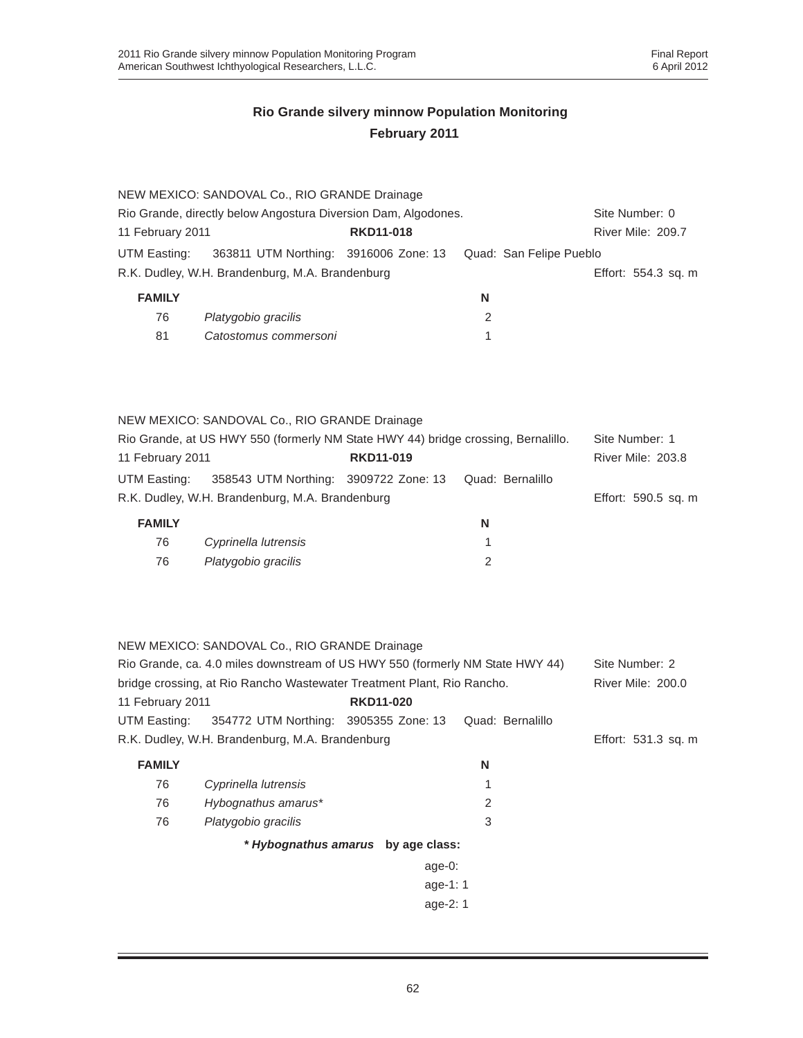|                                      | NEW MEXICO: SANDOVAL Co., RIO GRANDE Drainage                                                                                                                                                            |                                    |                         |                                     |
|--------------------------------------|----------------------------------------------------------------------------------------------------------------------------------------------------------------------------------------------------------|------------------------------------|-------------------------|-------------------------------------|
|                                      | Rio Grande, directly below Angostura Diversion Dam, Algodones.                                                                                                                                           |                                    |                         | Site Number: 0                      |
| 11 February 2011<br><b>RKD11-018</b> |                                                                                                                                                                                                          |                                    | River Mile: 209.7       |                                     |
| UTM Easting:                         | 363811 UTM Northing: 3916006 Zone: 13                                                                                                                                                                    |                                    | Quad: San Felipe Pueblo |                                     |
|                                      | R.K. Dudley, W.H. Brandenburg, M.A. Brandenburg                                                                                                                                                          |                                    |                         | Effort: 554.3 sq. m                 |
| <b>FAMILY</b>                        |                                                                                                                                                                                                          |                                    | N                       |                                     |
| 76                                   | Platygobio gracilis                                                                                                                                                                                      |                                    | 2                       |                                     |
| 81                                   | Catostomus commersoni                                                                                                                                                                                    |                                    | 1                       |                                     |
|                                      | NEW MEXICO: SANDOVAL Co., RIO GRANDE Drainage<br>Rio Grande, at US HWY 550 (formerly NM State HWY 44) bridge crossing, Bernalillo.                                                                       |                                    |                         | Site Number: 1                      |
| 11 February 2011                     |                                                                                                                                                                                                          | <b>RKD11-019</b>                   |                         | <b>River Mile: 203.8</b>            |
| UTM Easting:                         | 358543 UTM Northing: 3909722 Zone: 13                                                                                                                                                                    |                                    | Quad: Bernalillo        |                                     |
|                                      | R.K. Dudley, W.H. Brandenburg, M.A. Brandenburg                                                                                                                                                          |                                    |                         | Effort: 590.5 sq. m                 |
| <b>FAMILY</b>                        |                                                                                                                                                                                                          |                                    | N                       |                                     |
| 76                                   | Cyprinella lutrensis                                                                                                                                                                                     |                                    | 1                       |                                     |
| 76                                   | Platygobio gracilis                                                                                                                                                                                      |                                    | 2                       |                                     |
| 11 February 2011                     | NEW MEXICO: SANDOVAL Co., RIO GRANDE Drainage<br>Rio Grande, ca. 4.0 miles downstream of US HWY 550 (formerly NM State HWY 44)<br>bridge crossing, at Rio Rancho Wastewater Treatment Plant, Rio Rancho. | <b>RKD11-020</b>                   |                         | Site Number: 2<br>River Mile: 200.0 |
| UTM Easting:                         | 354772 UTM Northing: 3905355 Zone: 13                                                                                                                                                                    |                                    | Quad: Bernalillo        |                                     |
|                                      | R.K. Dudley, W.H. Brandenburg, M.A. Brandenburg                                                                                                                                                          |                                    |                         | Effort: 531.3 sq. m                 |
| <b>FAMILY</b>                        |                                                                                                                                                                                                          |                                    | N                       |                                     |
| 76                                   | Cyprinella lutrensis                                                                                                                                                                                     |                                    | 1                       |                                     |
| 76                                   | Hybognathus amarus*                                                                                                                                                                                      |                                    | $\overline{2}$          |                                     |
| 76                                   | Platygobio gracilis                                                                                                                                                                                      |                                    | 3                       |                                     |
|                                      |                                                                                                                                                                                                          | * Hybognathus amarus by age class: |                         |                                     |
|                                      |                                                                                                                                                                                                          | age-0:                             |                         |                                     |
|                                      |                                                                                                                                                                                                          | age-1: 1                           |                         |                                     |
|                                      |                                                                                                                                                                                                          | age-2: 1                           |                         |                                     |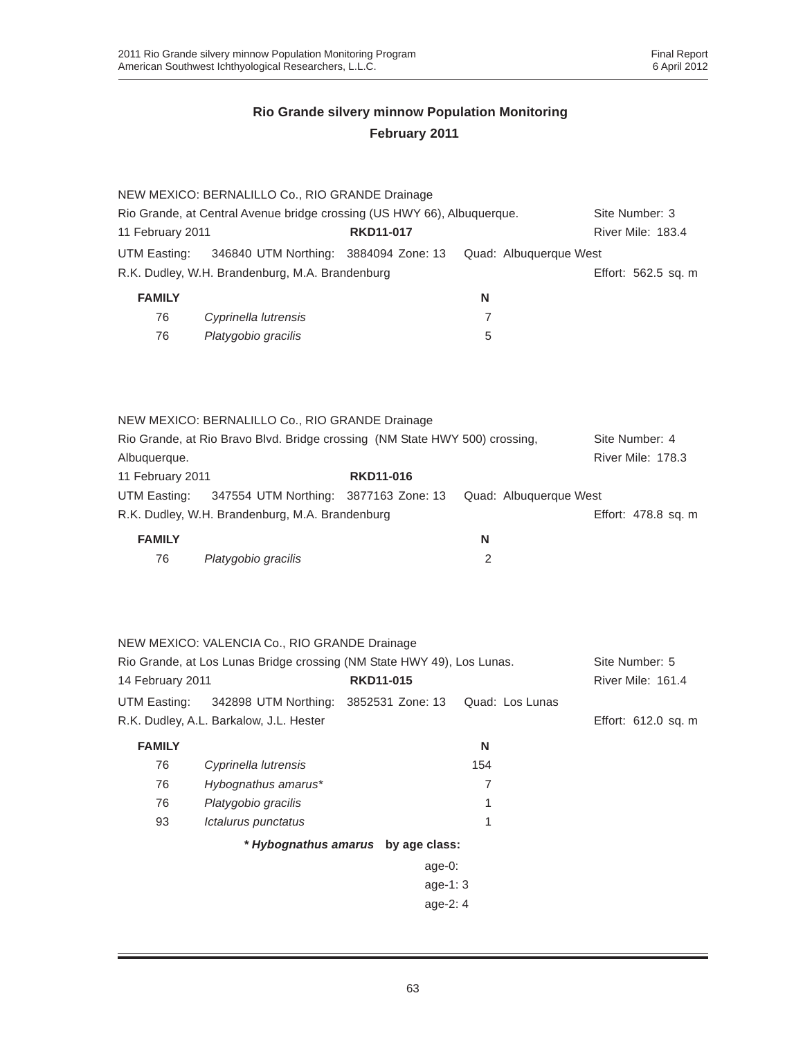| Rio Grande, at Central Avenue bridge crossing (US HWY 66), Albuquerque. |                                                                                 |                                                                                                                                                                                                                                                                                                                                                                                      |                                                                                                                                                                                                                   |  |
|-------------------------------------------------------------------------|---------------------------------------------------------------------------------|--------------------------------------------------------------------------------------------------------------------------------------------------------------------------------------------------------------------------------------------------------------------------------------------------------------------------------------------------------------------------------------|-------------------------------------------------------------------------------------------------------------------------------------------------------------------------------------------------------------------|--|
| <b>RKD11-017</b><br>11 February 2011                                    |                                                                                 | River Mile: 183.4                                                                                                                                                                                                                                                                                                                                                                    |                                                                                                                                                                                                                   |  |
|                                                                         |                                                                                 | Quad: Albuquerque West                                                                                                                                                                                                                                                                                                                                                               |                                                                                                                                                                                                                   |  |
|                                                                         |                                                                                 |                                                                                                                                                                                                                                                                                                                                                                                      | Effort: 562.5 sq. m                                                                                                                                                                                               |  |
|                                                                         |                                                                                 | N                                                                                                                                                                                                                                                                                                                                                                                    |                                                                                                                                                                                                                   |  |
| Cyprinella lutrensis                                                    |                                                                                 | 7                                                                                                                                                                                                                                                                                                                                                                                    |                                                                                                                                                                                                                   |  |
| Platygobio gracilis                                                     |                                                                                 | 5                                                                                                                                                                                                                                                                                                                                                                                    |                                                                                                                                                                                                                   |  |
|                                                                         |                                                                                 |                                                                                                                                                                                                                                                                                                                                                                                      |                                                                                                                                                                                                                   |  |
|                                                                         |                                                                                 |                                                                                                                                                                                                                                                                                                                                                                                      | Site Number: 4                                                                                                                                                                                                    |  |
|                                                                         |                                                                                 |                                                                                                                                                                                                                                                                                                                                                                                      | River Mile: 178.3                                                                                                                                                                                                 |  |
|                                                                         | <b>RKD11-016</b>                                                                |                                                                                                                                                                                                                                                                                                                                                                                      |                                                                                                                                                                                                                   |  |
|                                                                         |                                                                                 | Quad: Albuquerque West                                                                                                                                                                                                                                                                                                                                                               |                                                                                                                                                                                                                   |  |
|                                                                         |                                                                                 |                                                                                                                                                                                                                                                                                                                                                                                      | Effort: 478.8 sq. m                                                                                                                                                                                               |  |
|                                                                         |                                                                                 | N                                                                                                                                                                                                                                                                                                                                                                                    |                                                                                                                                                                                                                   |  |
| Platygobio gracilis                                                     |                                                                                 | $\overline{2}$                                                                                                                                                                                                                                                                                                                                                                       |                                                                                                                                                                                                                   |  |
|                                                                         |                                                                                 |                                                                                                                                                                                                                                                                                                                                                                                      |                                                                                                                                                                                                                   |  |
|                                                                         |                                                                                 |                                                                                                                                                                                                                                                                                                                                                                                      | Site Number: 5                                                                                                                                                                                                    |  |
|                                                                         | <b>RKD11-015</b>                                                                |                                                                                                                                                                                                                                                                                                                                                                                      | River Mile: 161.4                                                                                                                                                                                                 |  |
|                                                                         |                                                                                 | Quad: Los Lunas                                                                                                                                                                                                                                                                                                                                                                      |                                                                                                                                                                                                                   |  |
|                                                                         |                                                                                 |                                                                                                                                                                                                                                                                                                                                                                                      | Effort: 612.0 sq. m                                                                                                                                                                                               |  |
|                                                                         |                                                                                 | N                                                                                                                                                                                                                                                                                                                                                                                    |                                                                                                                                                                                                                   |  |
| Cyprinella lutrensis                                                    |                                                                                 | 154                                                                                                                                                                                                                                                                                                                                                                                  |                                                                                                                                                                                                                   |  |
| Hybognathus amarus*                                                     |                                                                                 | $\overline{7}$                                                                                                                                                                                                                                                                                                                                                                       |                                                                                                                                                                                                                   |  |
| Platygobio gracilis                                                     |                                                                                 | 1                                                                                                                                                                                                                                                                                                                                                                                    |                                                                                                                                                                                                                   |  |
| Ictalurus punctatus                                                     |                                                                                 | 1                                                                                                                                                                                                                                                                                                                                                                                    |                                                                                                                                                                                                                   |  |
|                                                                         |                                                                                 |                                                                                                                                                                                                                                                                                                                                                                                      |                                                                                                                                                                                                                   |  |
|                                                                         |                                                                                 |                                                                                                                                                                                                                                                                                                                                                                                      |                                                                                                                                                                                                                   |  |
|                                                                         |                                                                                 |                                                                                                                                                                                                                                                                                                                                                                                      |                                                                                                                                                                                                                   |  |
|                                                                         |                                                                                 |                                                                                                                                                                                                                                                                                                                                                                                      |                                                                                                                                                                                                                   |  |
|                                                                         | 11 February 2011<br>14 February 2011<br>R.K. Dudley, A.L. Barkalow, J.L. Hester | NEW MEXICO: BERNALILLO Co., RIO GRANDE Drainage<br>346840 UTM Northing: 3884094 Zone: 13<br>R.K. Dudley, W.H. Brandenburg, M.A. Brandenburg<br>NEW MEXICO: BERNALILLO Co., RIO GRANDE Drainage<br>347554 UTM Northing: 3877163 Zone: 13<br>R.K. Dudley, W.H. Brandenburg, M.A. Brandenburg<br>NEW MEXICO: VALENCIA Co., RIO GRANDE Drainage<br>342898 UTM Northing: 3852531 Zone: 13 | Rio Grande, at Rio Bravo Blvd. Bridge crossing (NM State HWY 500) crossing,<br>Rio Grande, at Los Lunas Bridge crossing (NM State HWY 49), Los Lunas.<br>* Hybognathus amarus by age class:<br>age-0:<br>age-1: 3 |  |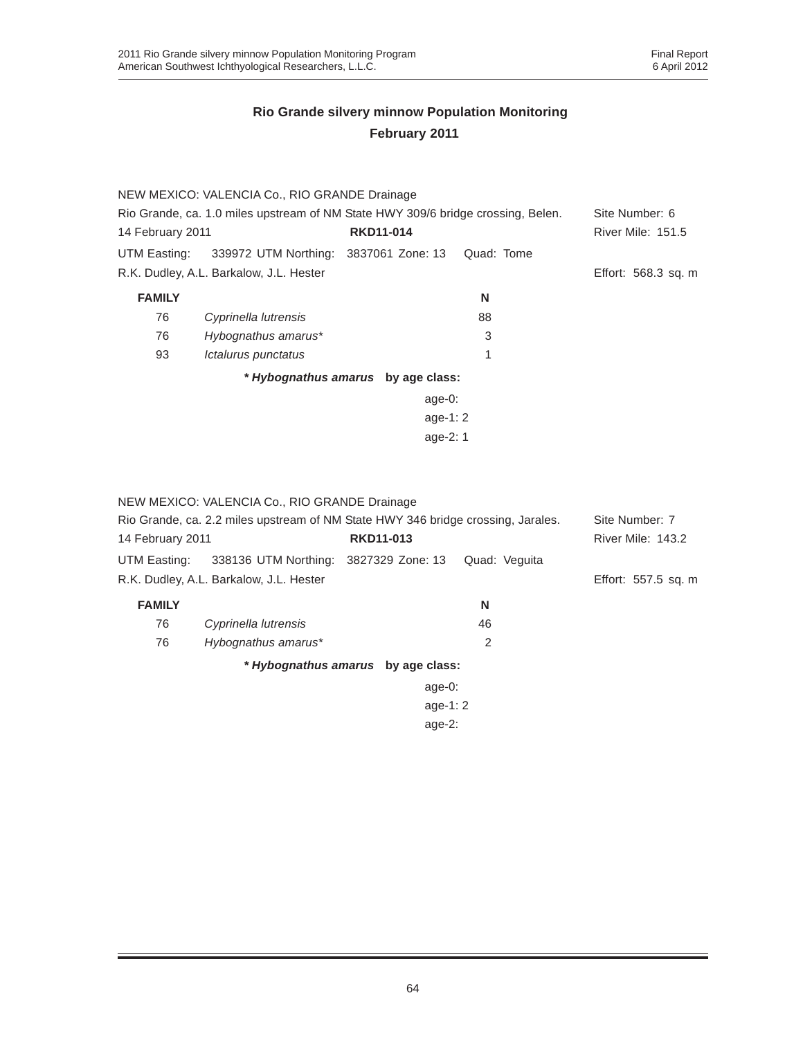|                  | NEW MEXICO: VALENCIA Co., RIO GRANDE Drainage                                    |                                    |            |                          |
|------------------|----------------------------------------------------------------------------------|------------------------------------|------------|--------------------------|
|                  | Rio Grande, ca. 1.0 miles upstream of NM State HWY 309/6 bridge crossing, Belen. |                                    |            | Site Number: 6           |
| 14 February 2011 |                                                                                  | <b>RKD11-014</b>                   |            | <b>River Mile: 151.5</b> |
| UTM Easting:     | 339972 UTM Northing: 3837061 Zone: 13                                            |                                    | Quad: Tome |                          |
|                  | R.K. Dudley, A.L. Barkalow, J.L. Hester                                          |                                    |            | Effort: 568.3 sq. m      |
| <b>FAMILY</b>    |                                                                                  |                                    | N          |                          |
| 76               | Cyprinella lutrensis                                                             |                                    | 88         |                          |
| 76               | Hybognathus amarus*                                                              |                                    | 3          |                          |
| 93               | Ictalurus punctatus                                                              |                                    | 1          |                          |
|                  |                                                                                  | * Hybognathus amarus by age class: |            |                          |
|                  |                                                                                  | age- $0:$                          |            |                          |
|                  |                                                                                  | age-1: $2$                         |            |                          |
|                  |                                                                                  | age-2: 1                           |            |                          |
|                  |                                                                                  |                                    |            |                          |

NEW MEXICO: VALENCIA Co., RIO GRANDE Drainage

| Rio Grande, ca. 2.2 miles upstream of NM State HWY 346 bridge crossing, Jarales. | Site Number: 7                          |                                    |                   |                     |
|----------------------------------------------------------------------------------|-----------------------------------------|------------------------------------|-------------------|---------------------|
| <b>RKD11-013</b><br>14 February 2011                                             |                                         |                                    | River Mile: 143.2 |                     |
| UTM Easting:                                                                     | 338136 UTM Northing: 3827329 Zone: 13   |                                    | Quad: Veguita     |                     |
|                                                                                  | R.K. Dudley, A.L. Barkalow, J.L. Hester |                                    |                   | Effort: 557.5 sq. m |
| <b>FAMILY</b>                                                                    |                                         |                                    | N                 |                     |
| 76                                                                               | Cyprinella lutrensis                    |                                    | 46                |                     |
| 76                                                                               | Hybognathus amarus*                     |                                    | 2                 |                     |
|                                                                                  |                                         | * Hybognathus amarus by age class: |                   |                     |
|                                                                                  |                                         | age-0:                             |                   |                     |
|                                                                                  |                                         | age-1: $2$                         |                   |                     |
|                                                                                  |                                         | age- $2:$                          |                   |                     |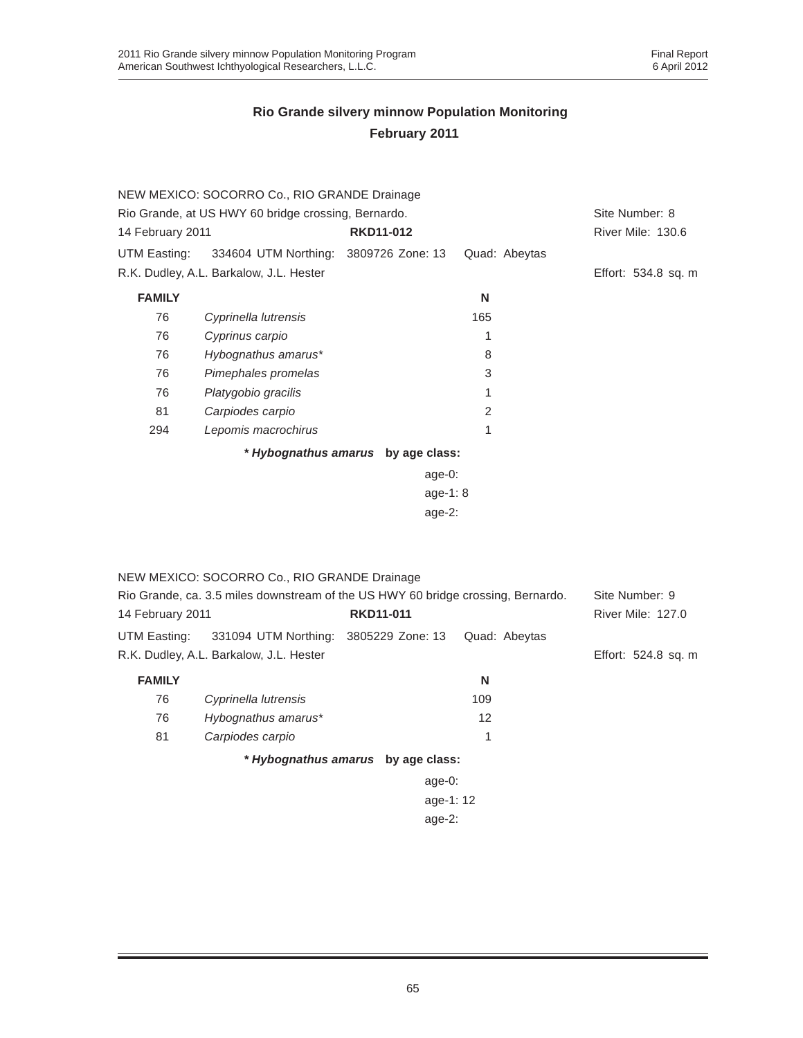|                  | NEW MEXICO: SOCORRO Co., RIO GRANDE Drainage        |                                    |               |                     |
|------------------|-----------------------------------------------------|------------------------------------|---------------|---------------------|
|                  | Rio Grande, at US HWY 60 bridge crossing, Bernardo. |                                    |               | Site Number: 8      |
| 14 February 2011 |                                                     | <b>RKD11-012</b>                   |               | River Mile: 130.6   |
| UTM Easting:     | 334604 UTM Northing: 3809726 Zone: 13               |                                    | Quad: Abeytas |                     |
|                  | R.K. Dudley, A.L. Barkalow, J.L. Hester             |                                    |               | Effort: 534.8 sq. m |
| <b>FAMILY</b>    |                                                     |                                    | N             |                     |
| 76               | Cyprinella lutrensis                                |                                    | 165           |                     |
| 76               | Cyprinus carpio                                     |                                    | 1             |                     |
| 76               | Hybognathus amarus*                                 |                                    | 8             |                     |
| 76               | Pimephales promelas                                 |                                    | 3             |                     |
| 76               | Platygobio gracilis                                 |                                    | 1             |                     |
| 81               | Carpiodes carpio                                    |                                    | 2             |                     |
| 294              | Lepomis macrochirus                                 |                                    | 1             |                     |
|                  |                                                     | * Hybognathus amarus by age class: |               |                     |
|                  |                                                     | $age-0:$                           |               |                     |
|                  |                                                     | age-1: $8$                         |               |                     |
|                  |                                                     | age- $2$ :                         |               |                     |
|                  |                                                     |                                    |               |                     |

|                                                                                  | NEW MEXICO: SOCORRO Co., RIO GRANDE Drainage       |                                    |               |                          |
|----------------------------------------------------------------------------------|----------------------------------------------------|------------------------------------|---------------|--------------------------|
| Rio Grande, ca. 3.5 miles downstream of the US HWY 60 bridge crossing, Bernardo. |                                                    |                                    |               | Site Number: 9           |
| 14 February 2011                                                                 |                                                    | <b>RKD11-011</b>                   |               | <b>River Mile: 127.0</b> |
|                                                                                  | UTM Easting: 331094 UTM Northing: 3805229 Zone: 13 |                                    | Quad: Abeytas |                          |
|                                                                                  | R.K. Dudley, A.L. Barkalow, J.L. Hester            |                                    |               | Effort: 524.8 sq. m      |
| <b>FAMILY</b>                                                                    |                                                    |                                    | N             |                          |
| 76                                                                               | Cyprinella lutrensis                               |                                    | 109           |                          |
| 76                                                                               | Hybognathus amarus*                                |                                    | 12            |                          |
| 81                                                                               | Carpiodes carpio                                   |                                    | 1             |                          |
|                                                                                  |                                                    | * Hybognathus amarus by age class: |               |                          |
|                                                                                  |                                                    | age- $0$ :                         |               |                          |
| age-1: 12                                                                        |                                                    |                                    |               |                          |

age-2: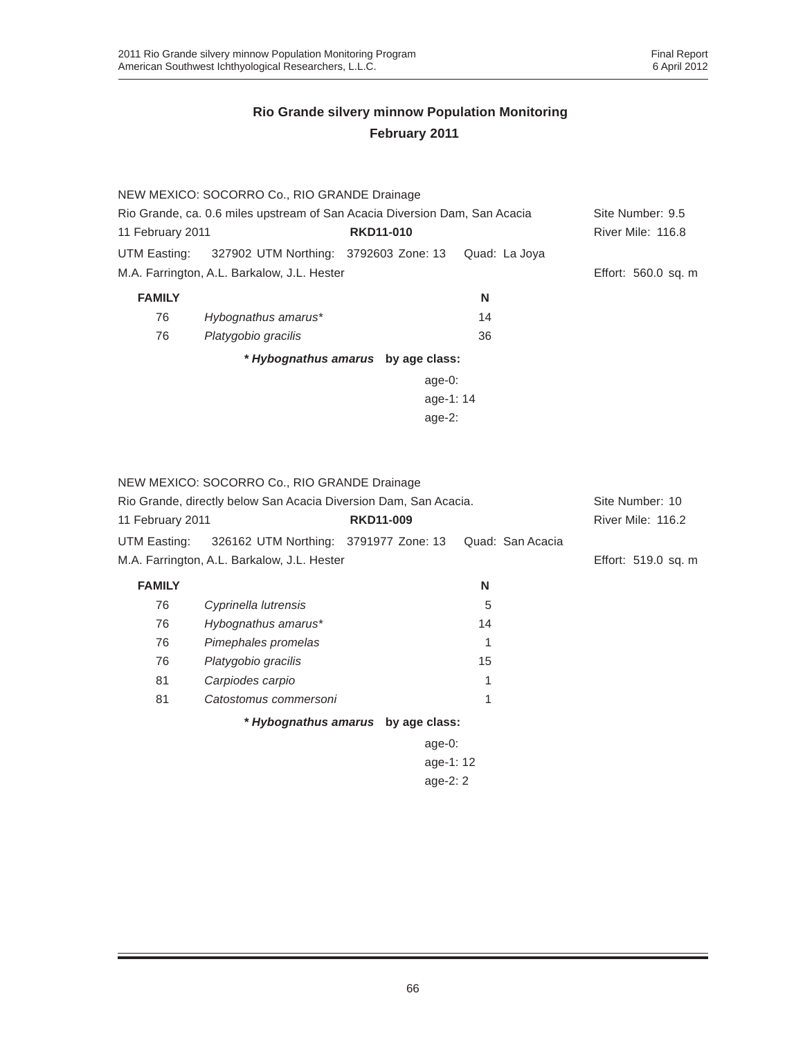|                                                                            | NEW MEXICO: SOCORRO Co., RIO GRANDE Drainage |                                    |               |                     |
|----------------------------------------------------------------------------|----------------------------------------------|------------------------------------|---------------|---------------------|
| Rio Grande, ca. 0.6 miles upstream of San Acacia Diversion Dam, San Acacia |                                              |                                    |               | Site Number: 9.5    |
| 11 February 2011                                                           |                                              | <b>RKD11-010</b>                   |               | River Mile: 116.8   |
| UTM Easting:                                                               | 327902 UTM Northing: 3792603 Zone: 13        |                                    | Quad: La Joya |                     |
| M.A. Farrington, A.L. Barkalow, J.L. Hester                                |                                              |                                    |               | Effort: 560.0 sq. m |
| <b>FAMILY</b>                                                              |                                              |                                    | N             |                     |
| 76                                                                         | Hybognathus amarus*                          |                                    | 14            |                     |
| 76                                                                         | Platygobio gracilis                          |                                    | 36            |                     |
|                                                                            |                                              | * Hybognathus amarus by age class: |               |                     |
|                                                                            |                                              | age-0:                             |               |                     |
|                                                                            |                                              | age-1:14                           |               |                     |
|                                                                            |                                              | age- $2$ :                         |               |                     |
|                                                                            |                                              |                                    |               |                     |

|                  | NEW MEXICO: SOCORRO Co., RIO GRANDE Drainage                     |                  |        |    |                  |                     |
|------------------|------------------------------------------------------------------|------------------|--------|----|------------------|---------------------|
|                  | Rio Grande, directly below San Acacia Diversion Dam, San Acacia. |                  |        |    |                  | Site Number: 10     |
| 11 February 2011 |                                                                  | <b>RKD11-009</b> |        |    |                  | River Mile: 116.2   |
| UTM Easting:     | 326162 UTM Northing: 3791977 Zone: 13                            |                  |        |    | Quad: San Acacia |                     |
|                  | M.A. Farrington, A.L. Barkalow, J.L. Hester                      |                  |        |    |                  | Effort: 519.0 sq. m |
| <b>FAMILY</b>    |                                                                  |                  |        | N  |                  |                     |
| 76               | Cyprinella lutrensis                                             |                  |        | 5  |                  |                     |
| 76               | Hybognathus amarus*                                              |                  |        | 14 |                  |                     |
| 76               | Pimephales promelas                                              |                  |        | 1  |                  |                     |
| 76               | Platygobio gracilis                                              |                  |        | 15 |                  |                     |
| 81               | Carpiodes carpio                                                 |                  |        | 1  |                  |                     |
| 81               | Catostomus commersoni                                            |                  |        | 1  |                  |                     |
|                  | * Hybognathus amarus by age class:                               |                  |        |    |                  |                     |
|                  |                                                                  |                  | age-0: |    |                  |                     |
| age-1: 12        |                                                                  |                  |        |    |                  |                     |
| age- $2:2$       |                                                                  |                  |        |    |                  |                     |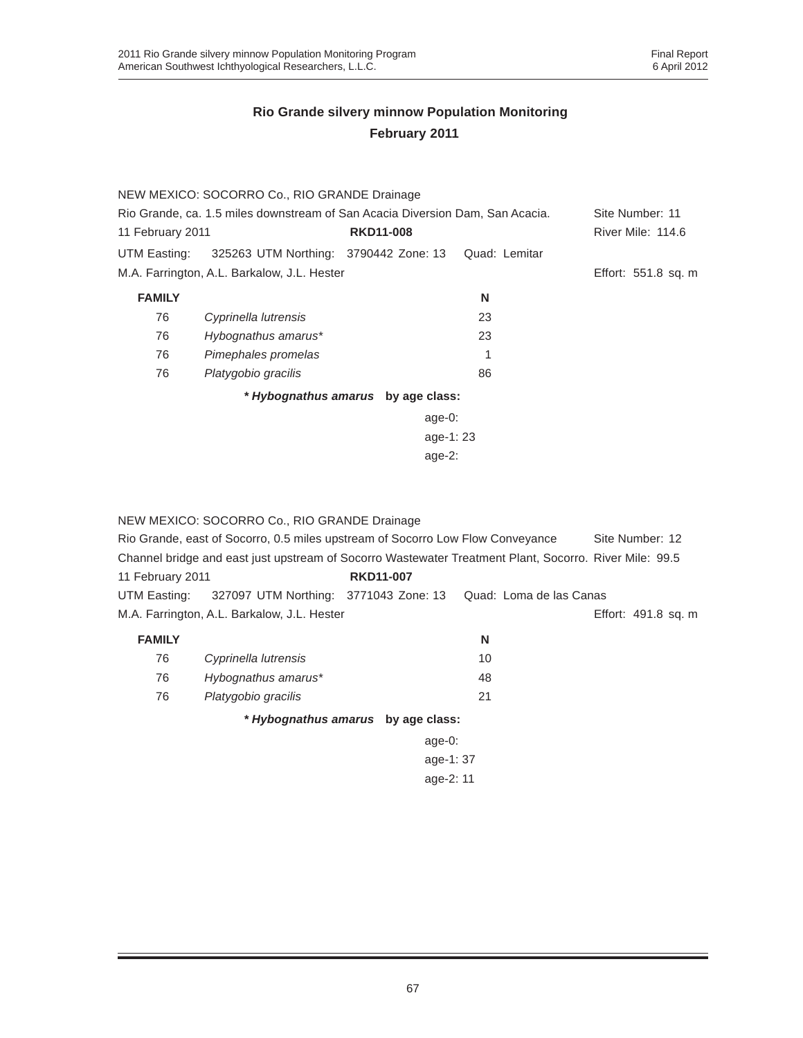|                                                                               | NEW MEXICO: SOCORRO Co., RIO GRANDE Drainage |                                    |               |                     |
|-------------------------------------------------------------------------------|----------------------------------------------|------------------------------------|---------------|---------------------|
| Rio Grande, ca. 1.5 miles downstream of San Acacia Diversion Dam, San Acacia. |                                              |                                    |               | Site Number: 11     |
| 11 February 2011                                                              |                                              | <b>RKD11-008</b>                   |               | River Mile: 114.6   |
| UTM Easting:                                                                  | 325263 UTM Northing: 3790442 Zone: 13        |                                    | Quad: Lemitar |                     |
|                                                                               | M.A. Farrington, A.L. Barkalow, J.L. Hester  |                                    |               | Effort: 551.8 sq. m |
| <b>FAMILY</b>                                                                 |                                              |                                    | N             |                     |
| 76                                                                            | Cyprinella lutrensis                         |                                    | 23            |                     |
| 76                                                                            | Hybognathus amarus*                          |                                    | 23            |                     |
| 76                                                                            | Pimephales promelas                          |                                    |               |                     |
| 76                                                                            | Platygobio gracilis                          |                                    | 86            |                     |
|                                                                               |                                              | * Hybognathus amarus by age class: |               |                     |
|                                                                               |                                              | age- $0:$                          |               |                     |
| age-1:23                                                                      |                                              |                                    |               |                     |
|                                                                               |                                              | age- $2:$                          |               |                     |

|                                                                                | NEW MEXICO: SOCORRO Co., RIO GRANDE Drainage |                  |                                                                                                        |                     |  |
|--------------------------------------------------------------------------------|----------------------------------------------|------------------|--------------------------------------------------------------------------------------------------------|---------------------|--|
| Rio Grande, east of Socorro, 0.5 miles upstream of Socorro Low Flow Conveyance | Site Number: 12                              |                  |                                                                                                        |                     |  |
|                                                                                |                                              |                  | Channel bridge and east just upstream of Socorro Wastewater Treatment Plant, Socorro. River Mile: 99.5 |                     |  |
| 11 February 2011                                                               |                                              | <b>RKD11-007</b> |                                                                                                        |                     |  |
| UTM Easting:                                                                   | 327097 UTM Northing: 3771043 Zone: 13        |                  | Quad: Loma de las Canas                                                                                |                     |  |
|                                                                                | M.A. Farrington, A.L. Barkalow, J.L. Hester  |                  |                                                                                                        | Effort: 491.8 sq. m |  |
| <b>FAMILY</b>                                                                  |                                              |                  | N                                                                                                      |                     |  |
| 76                                                                             | Cyprinella lutrensis                         |                  | 10                                                                                                     |                     |  |
| 76                                                                             | Hybognathus amarus*                          |                  | 48                                                                                                     |                     |  |
| 76                                                                             | Platygobio gracilis                          |                  | 21                                                                                                     |                     |  |
|                                                                                | * Hybognathus amarus by age class:           |                  |                                                                                                        |                     |  |
|                                                                                |                                              | age- $0$ :       |                                                                                                        |                     |  |
|                                                                                |                                              |                  |                                                                                                        |                     |  |

age-1: 37 age-2: 11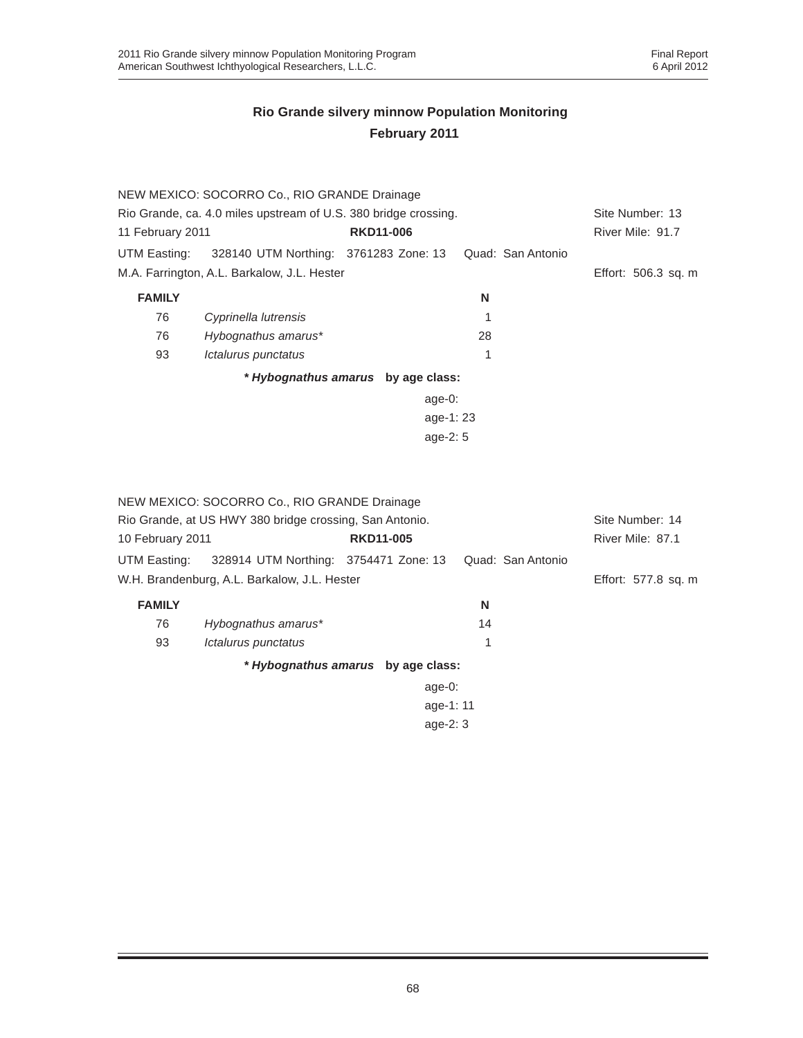|                                                                 | NEW MEXICO: SOCORRO Co., RIO GRANDE Drainage |                                    |                   |                     |
|-----------------------------------------------------------------|----------------------------------------------|------------------------------------|-------------------|---------------------|
| Rio Grande, ca. 4.0 miles upstream of U.S. 380 bridge crossing. | Site Number: 13                              |                                    |                   |                     |
| 11 February 2011                                                |                                              | <b>RKD11-006</b>                   |                   | River Mile: 91.7    |
| UTM Easting:                                                    | 328140 UTM Northing: 3761283 Zone: 13        |                                    | Quad: San Antonio |                     |
|                                                                 | M.A. Farrington, A.L. Barkalow, J.L. Hester  |                                    |                   | Effort: 506.3 sq. m |
| <b>FAMILY</b>                                                   |                                              |                                    | N                 |                     |
| 76                                                              | Cyprinella lutrensis                         |                                    |                   |                     |
| 76                                                              | Hybognathus amarus*                          |                                    | 28                |                     |
| 93                                                              | <i><b>Ictalurus punctatus</b></i>            |                                    |                   |                     |
|                                                                 |                                              | * Hybognathus amarus by age class: |                   |                     |
|                                                                 |                                              | age-0:                             |                   |                     |
|                                                                 |                                              | age-1:23                           |                   |                     |
|                                                                 |                                              | age- $2:5$                         |                   |                     |
|                                                                 |                                              |                                    |                   |                     |
|                                                                 |                                              |                                    |                   |                     |
|                                                                 |                                              |                                    |                   |                     |

|                                                         | NEW MEXICO: SOCORRO Co., RIO GRANDE Drainage |                                    |                   |                     |
|---------------------------------------------------------|----------------------------------------------|------------------------------------|-------------------|---------------------|
| Rio Grande, at US HWY 380 bridge crossing, San Antonio. | Site Number: 14                              |                                    |                   |                     |
| 10 February 2011                                        |                                              | <b>RKD11-005</b>                   |                   | River Mile: 87.1    |
| UTM Easting:                                            | 328914 UTM Northing: 3754471 Zone: 13        |                                    | Quad: San Antonio |                     |
|                                                         | W.H. Brandenburg, A.L. Barkalow, J.L. Hester |                                    |                   | Effort: 577.8 sq. m |
| <b>FAMILY</b>                                           |                                              |                                    | N                 |                     |
| 76                                                      | Hybognathus amarus*                          |                                    | 14                |                     |
| 93                                                      | Ictalurus punctatus                          |                                    | 1                 |                     |
|                                                         |                                              | * Hybognathus amarus by age class: |                   |                     |
|                                                         |                                              | age- $0$ :                         |                   |                     |
|                                                         |                                              | age-1: 11                          |                   |                     |
|                                                         |                                              | age- $2:3$                         |                   |                     |
|                                                         |                                              |                                    |                   |                     |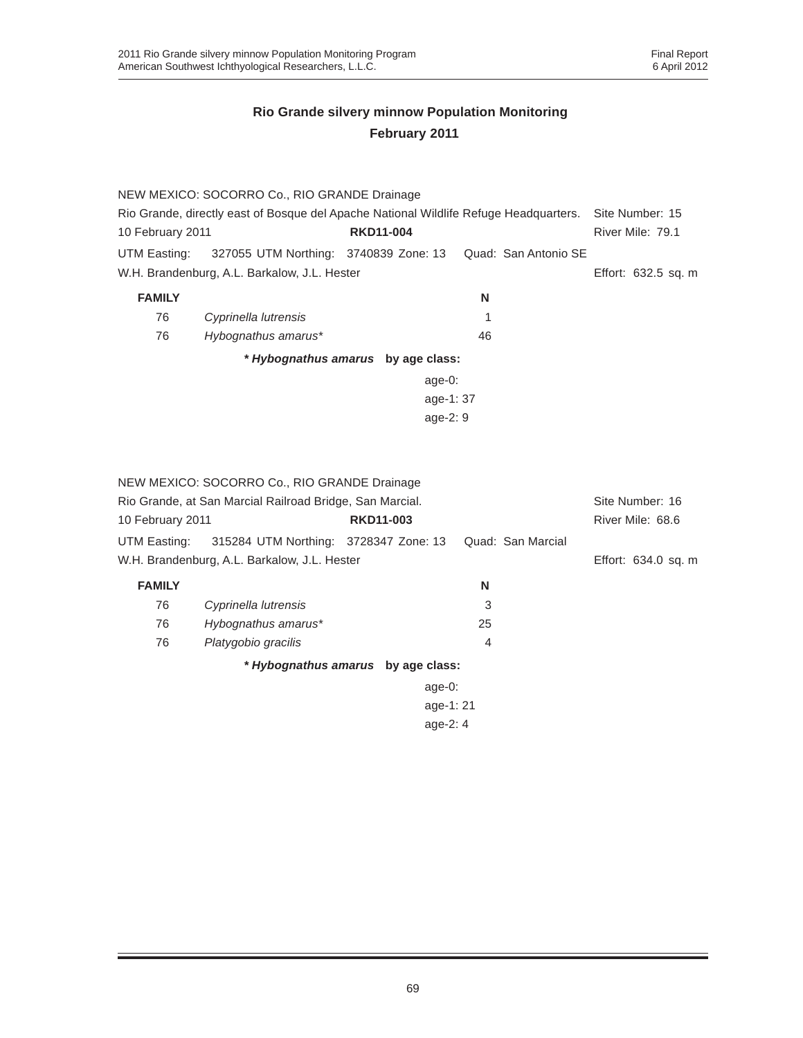|                                                                                       | NEW MEXICO: SOCORRO Co., RIO GRANDE Drainage             |                  |           |                      |                     |  |
|---------------------------------------------------------------------------------------|----------------------------------------------------------|------------------|-----------|----------------------|---------------------|--|
| Rio Grande, directly east of Bosque del Apache National Wildlife Refuge Headquarters. |                                                          |                  |           |                      | Site Number: 15     |  |
| 10 February 2011                                                                      |                                                          | <b>RKD11-004</b> |           |                      | River Mile: 79.1    |  |
| UTM Easting:                                                                          | 327055 UTM Northing: 3740839 Zone: 13                    |                  |           | Quad: San Antonio SE |                     |  |
|                                                                                       | W.H. Brandenburg, A.L. Barkalow, J.L. Hester             |                  |           |                      | Effort: 632.5 sq. m |  |
| <b>FAMILY</b>                                                                         |                                                          |                  | N         |                      |                     |  |
| 76                                                                                    | Cyprinella lutrensis                                     |                  | 1         |                      |                     |  |
| 76                                                                                    | Hybognathus amarus*                                      |                  | 46        |                      |                     |  |
|                                                                                       | * Hybognathus amarus by age class:                       |                  |           |                      |                     |  |
|                                                                                       |                                                          |                  | $age-0$ : |                      |                     |  |
|                                                                                       |                                                          |                  | age-1:37  |                      |                     |  |
|                                                                                       |                                                          |                  | age-2: 9  |                      |                     |  |
|                                                                                       |                                                          |                  |           |                      |                     |  |
|                                                                                       |                                                          |                  |           |                      |                     |  |
|                                                                                       | NEW MEXICO: SOCORRO Co., RIO GRANDE Drainage             |                  |           |                      |                     |  |
|                                                                                       | Rio Grande, at San Marcial Railroad Bridge, San Marcial. |                  |           |                      | Site Number: 16     |  |
| 10 February 2011                                                                      |                                                          | <b>RKD11-003</b> |           |                      | River Mile: 68.6    |  |
| UTM Easting:                                                                          | 315284 UTM Northing: 3728347 Zone: 13                    |                  |           | Quad: San Marcial    |                     |  |
|                                                                                       | W.H. Brandenburg, A.L. Barkalow, J.L. Hester             |                  |           |                      | Effort: 634.0 sq. m |  |
| <b>FAMILY</b>                                                                         |                                                          |                  | N         |                      |                     |  |
| 76                                                                                    | Cyprinella lutrensis                                     |                  | 3         |                      |                     |  |
| 76                                                                                    | Hybognathus amarus*                                      |                  | 25        |                      |                     |  |
| 76                                                                                    | Platygobio gracilis                                      |                  | 4         |                      |                     |  |
|                                                                                       | * Hybognathus amarus by age class:                       |                  |           |                      |                     |  |
|                                                                                       |                                                          |                  | $age-0$ : |                      |                     |  |
|                                                                                       |                                                          |                  | age-1:21  |                      |                     |  |
|                                                                                       | age-2: 4                                                 |                  |           |                      |                     |  |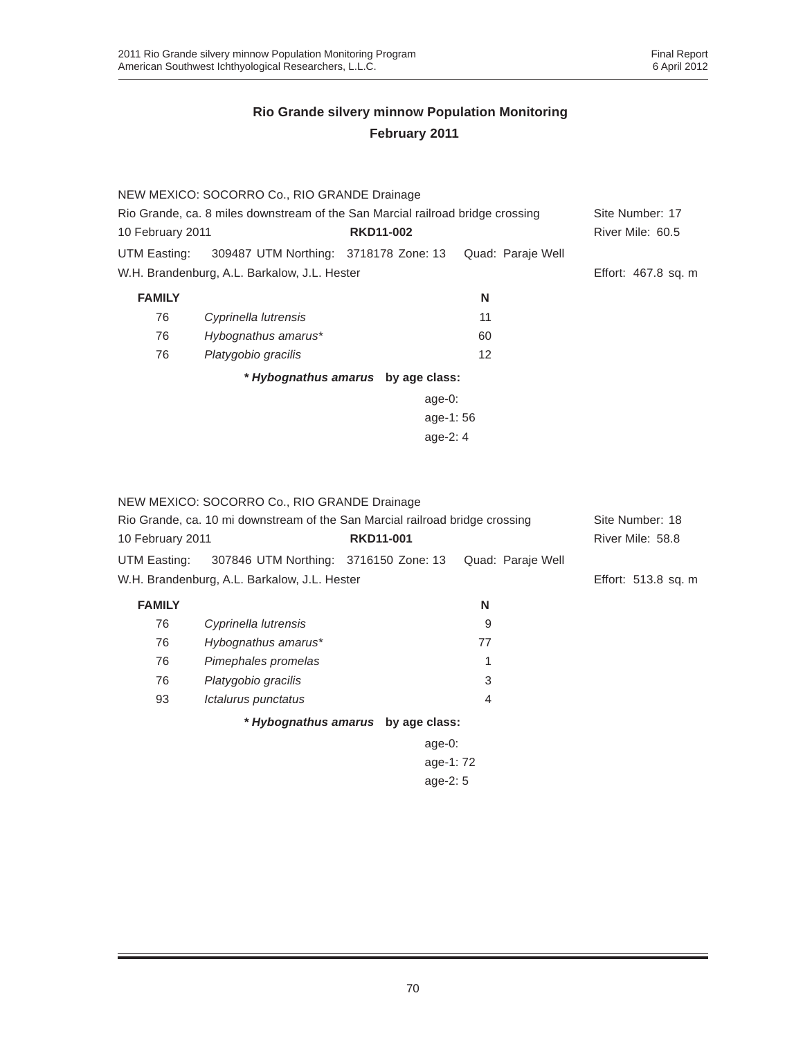|                                                                                | NEW MEXICO: SOCORRO Co., RIO GRANDE Drainage |                                    |                   |                     |
|--------------------------------------------------------------------------------|----------------------------------------------|------------------------------------|-------------------|---------------------|
| Rio Grande, ca. 8 miles downstream of the San Marcial railroad bridge crossing |                                              |                                    |                   | Site Number: 17     |
| 10 February 2011                                                               |                                              | <b>RKD11-002</b>                   |                   | River Mile: 60.5    |
| UTM Easting:                                                                   | 309487 UTM Northing: 3718178 Zone: 13        |                                    | Quad: Paraje Well |                     |
| W.H. Brandenburg, A.L. Barkalow, J.L. Hester                                   |                                              |                                    |                   | Effort: 467.8 sq. m |
| <b>FAMILY</b>                                                                  |                                              |                                    | N                 |                     |
| 76                                                                             | Cyprinella lutrensis                         |                                    | 11                |                     |
| 76                                                                             | Hybognathus amarus*                          |                                    | 60                |                     |
| 76                                                                             | Platygobio gracilis                          |                                    | 12                |                     |
|                                                                                |                                              | * Hybognathus amarus by age class: |                   |                     |
|                                                                                |                                              | age- $0:$                          |                   |                     |
|                                                                                |                                              | age-1:56                           |                   |                     |
|                                                                                |                                              |                                    |                   |                     |
|                                                                                |                                              |                                    |                   |                     |

|                  | NEW MEXICO: SOCORRO Co., RIO GRANDE Drainage                                 |                                    |                   |                     |  |
|------------------|------------------------------------------------------------------------------|------------------------------------|-------------------|---------------------|--|
|                  | Rio Grande, ca. 10 mi downstream of the San Marcial railroad bridge crossing |                                    |                   | Site Number: 18     |  |
| 10 February 2011 |                                                                              | <b>RKD11-001</b>                   |                   | River Mile: 58.8    |  |
| UTM Easting:     | 307846 UTM Northing: 3716150 Zone: 13                                        |                                    | Quad: Paraje Well |                     |  |
|                  | W.H. Brandenburg, A.L. Barkalow, J.L. Hester                                 |                                    |                   | Effort: 513.8 sq. m |  |
| <b>FAMILY</b>    |                                                                              |                                    | N                 |                     |  |
| 76               | Cyprinella lutrensis                                                         |                                    | 9                 |                     |  |
| 76               | Hybognathus amarus*                                                          |                                    | 77                |                     |  |
| 76               | Pimephales promelas                                                          |                                    | 1                 |                     |  |
| 76               | Platygobio gracilis                                                          |                                    | 3                 |                     |  |
| 93               | Ictalurus punctatus                                                          |                                    | 4                 |                     |  |
|                  |                                                                              | * Hybognathus amarus by age class: |                   |                     |  |
|                  |                                                                              | age- $0$ :                         |                   |                     |  |
|                  | age-1:72                                                                     |                                    |                   |                     |  |
| age- $2:5$       |                                                                              |                                    |                   |                     |  |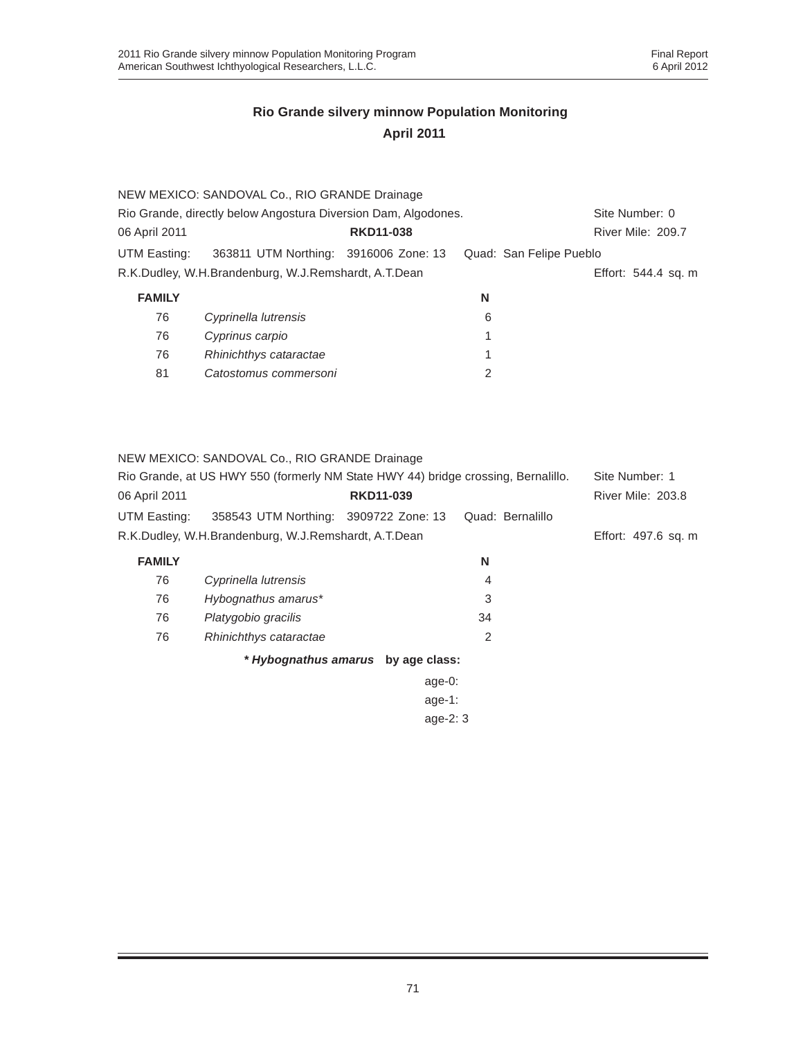|                                                                | NEW MEXICO: SANDOVAL Co., RIO GRANDE Drainage        |                  |                         |                     |
|----------------------------------------------------------------|------------------------------------------------------|------------------|-------------------------|---------------------|
| Rio Grande, directly below Angostura Diversion Dam, Algodones. | Site Number: 0                                       |                  |                         |                     |
| 06 April 2011                                                  |                                                      | <b>RKD11-038</b> |                         | River Mile: 209.7   |
| UTM Easting:                                                   | 363811 UTM Northing: 3916006 Zone: 13                |                  | Quad: San Felipe Pueblo |                     |
|                                                                | R.K.Dudley, W.H.Brandenburg, W.J.Remshardt, A.T.Dean |                  |                         | Effort: 544.4 sq. m |
| <b>FAMILY</b>                                                  |                                                      |                  | N                       |                     |
| 76                                                             | Cyprinella lutrensis                                 |                  | 6                       |                     |
| 76                                                             | Cyprinus carpio                                      |                  |                         |                     |
| 76                                                             | Rhinichthys cataractae                               |                  | 1                       |                     |
| 81                                                             | Catostomus commersoni                                |                  | 2                       |                     |
|                                                                |                                                      |                  |                         |                     |
|                                                                |                                                      |                  |                         |                     |

NEW MEXICO: SANDOVAL Co., RIO GRANDE Drainage

| Rio Grande, at US HWY 550 (formerly NM State HWY 44) bridge crossing, Bernalillo. |                                       |                  |                     | Site Number: 1    |
|-----------------------------------------------------------------------------------|---------------------------------------|------------------|---------------------|-------------------|
| 06 April 2011                                                                     |                                       | <b>RKD11-039</b> |                     | River Mile: 203.8 |
| UTM Easting:                                                                      | 358543 UTM Northing: 3909722 Zone: 13 |                  | Quad: Bernalillo    |                   |
| R.K.Dudley, W.H.Brandenburg, W.J.Remshardt, A.T.Dean                              |                                       |                  | Effort: 497.6 sq. m |                   |
| <b>FAMILY</b>                                                                     |                                       |                  | N                   |                   |
| 76                                                                                | Cyprinella lutrensis                  |                  | 4                   |                   |
| 76.                                                                               | $Huhonnathus amarus*$                 |                  |                     |                   |

| 76 | Hybognathus amarus*    |    |
|----|------------------------|----|
| 76 | Platygobio gracilis    | 34 |
| 76 | Rhinichthys cataractae |    |

*\* Hybognathus amarus* **by age class:**

age-0: age-1: age-2: 3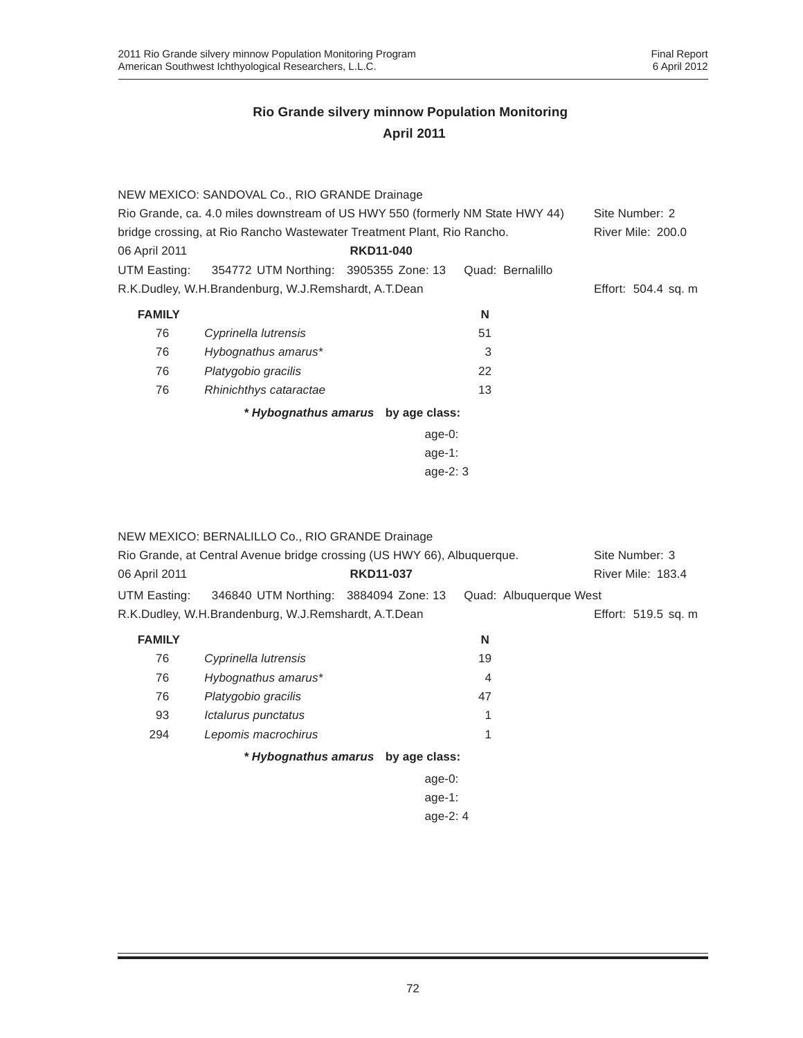|                                                                               | NEW MEXICO: SANDOVAL Co., RIO GRANDE Drainage                          |                                    |                  |                     |
|-------------------------------------------------------------------------------|------------------------------------------------------------------------|------------------------------------|------------------|---------------------|
| Rio Grande, ca. 4.0 miles downstream of US HWY 550 (formerly NM State HWY 44) |                                                                        |                                    |                  | Site Number: 2      |
|                                                                               | bridge crossing, at Rio Rancho Wastewater Treatment Plant, Rio Rancho. |                                    |                  | River Mile: 200.0   |
| 06 April 2011                                                                 |                                                                        | <b>RKD11-040</b>                   |                  |                     |
| UTM Easting:                                                                  | 354772 UTM Northing: 3905355 Zone: 13                                  |                                    | Quad: Bernalillo |                     |
|                                                                               | R.K.Dudley, W.H.Brandenburg, W.J.Remshardt, A.T.Dean                   |                                    |                  | Effort: 504.4 sq. m |
| <b>FAMILY</b>                                                                 |                                                                        |                                    | N                |                     |
| 76                                                                            | Cyprinella lutrensis                                                   |                                    | 51               |                     |
| 76                                                                            | Hybognathus amarus*                                                    |                                    | 3                |                     |
| 76                                                                            | Platygobio gracilis                                                    |                                    | 22               |                     |
| 76                                                                            | Rhinichthys cataractae                                                 |                                    | 13               |                     |
|                                                                               |                                                                        | * Hybognathus amarus by age class: |                  |                     |
|                                                                               |                                                                        | age-0:                             |                  |                     |
|                                                                               |                                                                        | age-1:                             |                  |                     |
|                                                                               |                                                                        | age-2: 3                           |                  |                     |

|               | NEW MEXICO: BERNALILLO Co., RIO GRANDE Drainage                         |                  |                        |                     |
|---------------|-------------------------------------------------------------------------|------------------|------------------------|---------------------|
|               | Rio Grande, at Central Avenue bridge crossing (US HWY 66), Albuquerque. |                  |                        | Site Number: 3      |
| 06 April 2011 |                                                                         | <b>RKD11-037</b> |                        | River Mile: 183.4   |
| UTM Easting:  | 346840 UTM Northing: 3884094 Zone: 13                                   |                  | Quad: Albuquerque West |                     |
|               | R.K.Dudley, W.H.Brandenburg, W.J.Remshardt, A.T.Dean                    |                  |                        | Effort: 519.5 sq. m |
| <b>FAMILY</b> |                                                                         |                  | N                      |                     |
| 76            | Cyprinella lutrensis                                                    |                  | 19                     |                     |
| 76            | Hybognathus amarus*                                                     |                  | 4                      |                     |
| 76            | Platygobio gracilis                                                     |                  | 47                     |                     |
| 93            | Ictalurus punctatus                                                     |                  | 1                      |                     |
| 294           | Lepomis macrochirus                                                     |                  | 1                      |                     |
|               | * Hybognathus amarus by age class:                                      |                  |                        |                     |
|               |                                                                         | age-0:           |                        |                     |
|               |                                                                         | age-1:           |                        |                     |
|               |                                                                         | age- $2:4$       |                        |                     |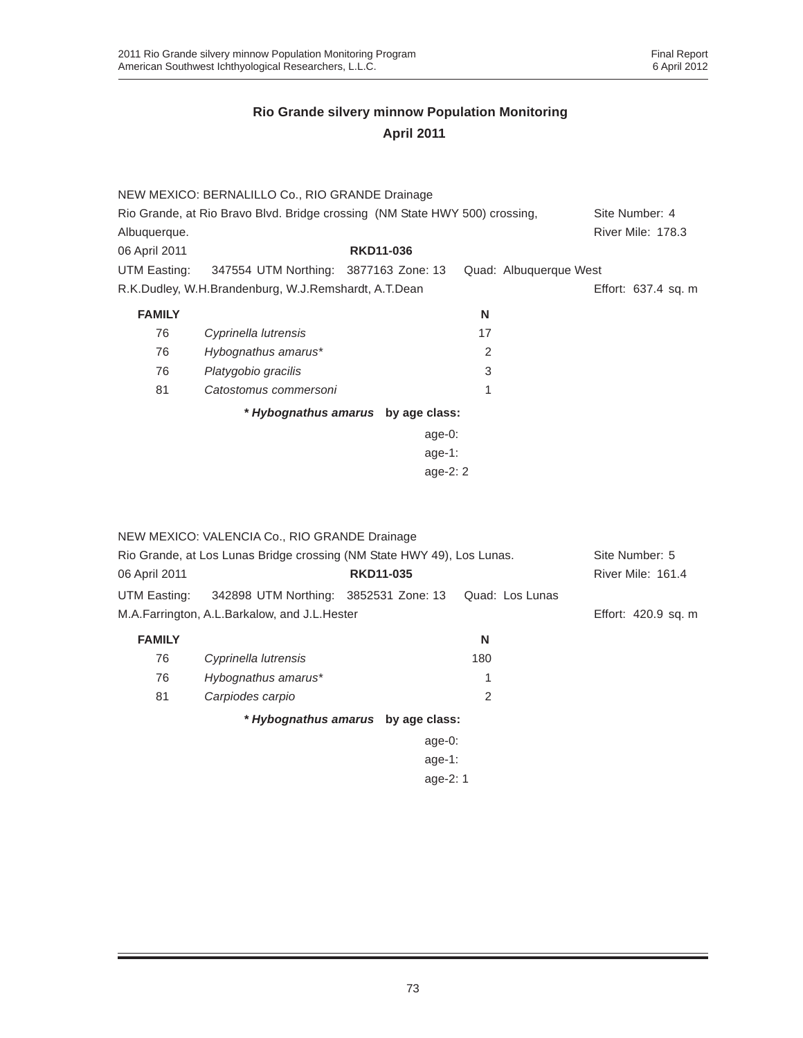|               | NEW MEXICO: BERNALILLO Co., RIO GRANDE Drainage                             |                                    |                        |                     |
|---------------|-----------------------------------------------------------------------------|------------------------------------|------------------------|---------------------|
|               | Rio Grande, at Rio Bravo Blvd. Bridge crossing (NM State HWY 500) crossing, |                                    |                        | Site Number: 4      |
| Albuquerque.  |                                                                             |                                    |                        | River Mile: 178.3   |
| 06 April 2011 |                                                                             | <b>RKD11-036</b>                   |                        |                     |
| UTM Easting:  | 347554 UTM Northing: 3877163 Zone: 13                                       |                                    | Quad: Albuquerque West |                     |
|               | R.K.Dudley, W.H.Brandenburg, W.J.Remshardt, A.T.Dean                        |                                    |                        | Effort: 637.4 sq. m |
| <b>FAMILY</b> |                                                                             |                                    | N                      |                     |
| 76            | Cyprinella lutrensis                                                        |                                    | 17                     |                     |
| 76            | Hybognathus amarus*                                                         |                                    | 2                      |                     |
| 76            | Platygobio gracilis                                                         |                                    | 3                      |                     |
| 81            | Catostomus commersoni                                                       |                                    | 1                      |                     |
|               |                                                                             | * Hybognathus amarus by age class: |                        |                     |
|               |                                                                             | age-0:                             |                        |                     |
|               |                                                                             | age-1:                             |                        |                     |
|               |                                                                             | age- $2:2$                         |                        |                     |

| 06 April 2011 | NEW MEXICO: VALENCIA Co., RIO GRANDE Drainage<br>Rio Grande, at Los Lunas Bridge crossing (NM State HWY 49), Los Lunas. | <b>RKD11-035</b>                   |                 | Site Number: 5<br>River Mile: 161.4 |
|---------------|-------------------------------------------------------------------------------------------------------------------------|------------------------------------|-----------------|-------------------------------------|
| UTM Easting:  | 342898 UTM Northing: 3852531 Zone: 13                                                                                   |                                    | Quad: Los Lunas |                                     |
|               |                                                                                                                         |                                    |                 |                                     |
|               | M.A.Farrington, A.L.Barkalow, and J.L.Hester                                                                            |                                    |                 | Effort: 420.9 sq. m                 |
| <b>FAMILY</b> |                                                                                                                         |                                    | N               |                                     |
| 76            | Cyprinella lutrensis                                                                                                    |                                    | 180             |                                     |
| 76            | Hybognathus amarus*                                                                                                     |                                    |                 |                                     |
| 81            | Carpiodes carpio                                                                                                        |                                    | 2               |                                     |
|               |                                                                                                                         | * Hybognathus amarus by age class: |                 |                                     |
|               |                                                                                                                         | age- $0:$                          |                 |                                     |
|               |                                                                                                                         | age-1:                             |                 |                                     |
|               |                                                                                                                         | age-2: 1                           |                 |                                     |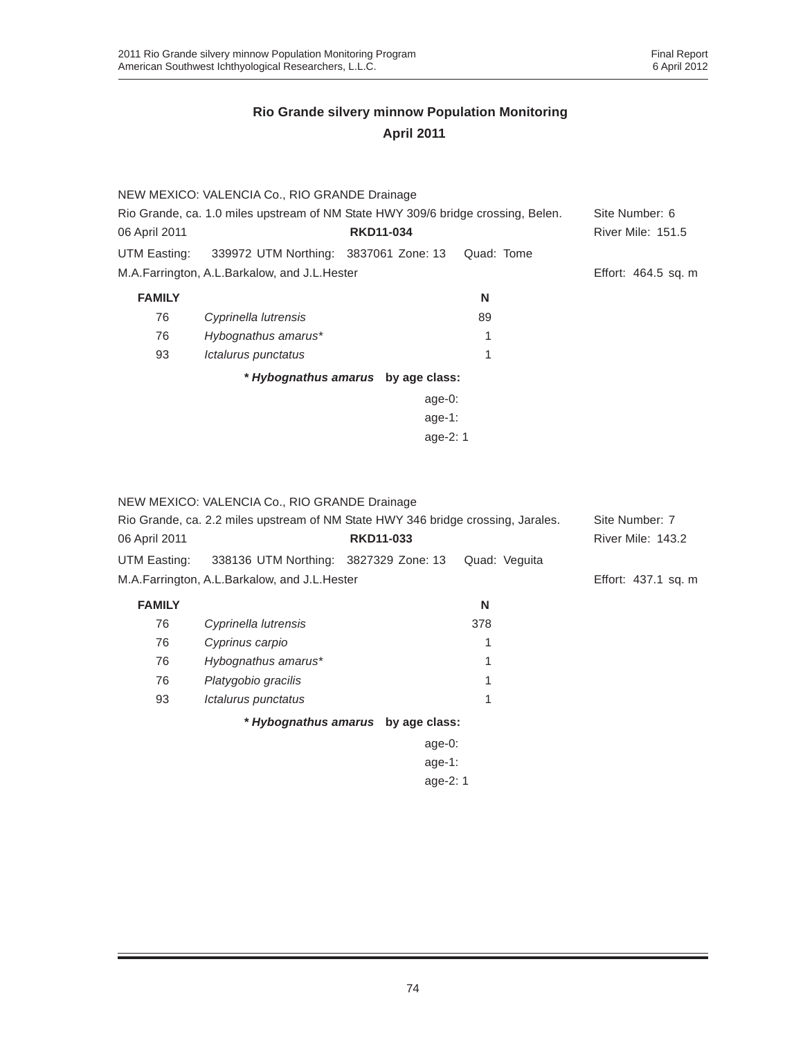|                                                                                  | NEW MEXICO: VALENCIA Co., RIO GRANDE Drainage |                                    |            |                          |
|----------------------------------------------------------------------------------|-----------------------------------------------|------------------------------------|------------|--------------------------|
| Rio Grande, ca. 1.0 miles upstream of NM State HWY 309/6 bridge crossing, Belen. | Site Number: 6                                |                                    |            |                          |
| 06 April 2011                                                                    |                                               | <b>RKD11-034</b>                   |            | <b>River Mile: 151.5</b> |
| UTM Easting:                                                                     | 339972 UTM Northing: 3837061 Zone: 13         |                                    | Quad: Tome |                          |
|                                                                                  | M.A.Farrington, A.L.Barkalow, and J.L.Hester  |                                    |            | Effort: 464.5 sq. m      |
| <b>FAMILY</b>                                                                    |                                               |                                    | N          |                          |
| 76                                                                               | Cyprinella lutrensis                          |                                    | 89         |                          |
| 76                                                                               | Hybognathus amarus*                           |                                    |            |                          |
| 93                                                                               | Ictalurus punctatus                           |                                    |            |                          |
|                                                                                  |                                               | * Hybognathus amarus by age class: |            |                          |
|                                                                                  |                                               | age-0:                             |            |                          |
|                                                                                  |                                               | age-1:                             |            |                          |
|                                                                                  |                                               | age-2: 1                           |            |                          |

NEW MEXICO: VALENCIA Co., RIO GRANDE Drainage

| Rio Grande, ca. 2.2 miles upstream of NM State HWY 346 bridge crossing, Jarales. |                  |                                              | Site Number: 7                                                                                      |
|----------------------------------------------------------------------------------|------------------|----------------------------------------------|-----------------------------------------------------------------------------------------------------|
|                                                                                  | <b>RKD11-033</b> |                                              | <b>River Mile: 143.2</b>                                                                            |
|                                                                                  |                  | Quad: Veguita                                |                                                                                                     |
|                                                                                  |                  |                                              | Effort: 437.1 sq. m                                                                                 |
|                                                                                  |                  | N                                            |                                                                                                     |
| Cyprinella lutrensis                                                             |                  | 378                                          |                                                                                                     |
| Cyprinus carpio                                                                  |                  |                                              |                                                                                                     |
| Hybognathus amarus*                                                              |                  |                                              |                                                                                                     |
| Platygobio gracilis                                                              |                  |                                              |                                                                                                     |
| Ictalurus punctatus                                                              |                  |                                              |                                                                                                     |
|                                                                                  |                  |                                              |                                                                                                     |
|                                                                                  |                  |                                              |                                                                                                     |
|                                                                                  |                  |                                              |                                                                                                     |
|                                                                                  |                  | M.A.Farrington, A.L.Barkalow, and J.L.Hester | 338136 UTM Northing: 3827329 Zone: 13<br>* Hybognathus amarus by age class:<br>age- $0$ :<br>age-1: |

age-2: 1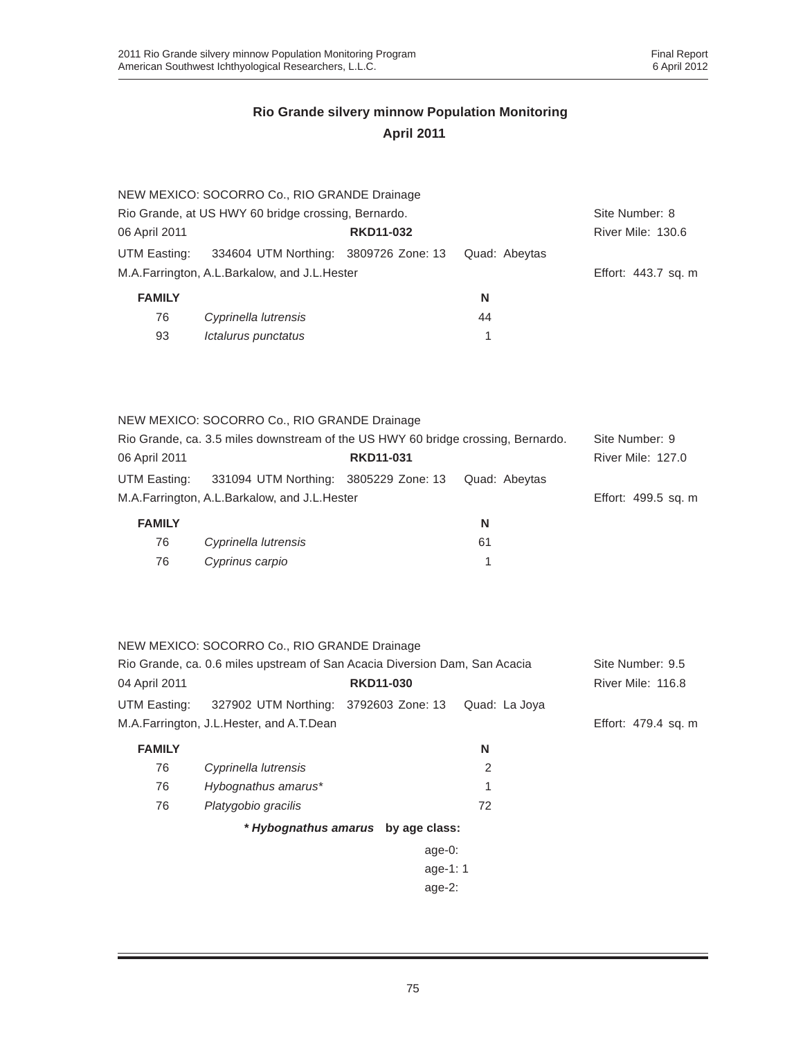|                                                     | NEW MEXICO: SOCORRO Co., RIO GRANDE Drainage |                  |                     |                   |
|-----------------------------------------------------|----------------------------------------------|------------------|---------------------|-------------------|
| Rio Grande, at US HWY 60 bridge crossing, Bernardo. |                                              |                  |                     | Site Number: 8    |
| 06 April 2011                                       |                                              | <b>RKD11-032</b> |                     | River Mile: 130.6 |
| UTM Easting:                                        | 334604 UTM Northing: 3809726 Zone: 13        |                  | Quad: Abeytas       |                   |
| M.A.Farrington, A.L.Barkalow, and J.L.Hester        |                                              |                  | Effort: 443.7 sq. m |                   |
| <b>FAMILY</b>                                       |                                              |                  | N                   |                   |
| 76                                                  | Cyprinella lutrensis                         |                  | 44                  |                   |
| 93                                                  | Ictalurus punctatus                          |                  |                     |                   |
|                                                     |                                              |                  |                     |                   |

| <b>FAMILY</b> |                                                                                  |                  | N             |                          |
|---------------|----------------------------------------------------------------------------------|------------------|---------------|--------------------------|
|               | M.A.Farrington, A.L.Barkalow, and J.L.Hester                                     |                  |               | Effort: 499.5 sq. m      |
| UTM Easting:  | 331094 UTM Northing: 3805229 Zone: 13                                            |                  | Quad: Abeytas |                          |
| 06 April 2011 |                                                                                  | <b>RKD11-031</b> |               | <b>River Mile: 127.0</b> |
|               | Rio Grande, ca. 3.5 miles downstream of the US HWY 60 bridge crossing, Bernardo. |                  |               | Site Number: 9           |
|               | NEW MEXICO: SOCORRO Co., RIO GRANDE Drainage                                     |                  |               |                          |

| . AMILI |                      | . . |
|---------|----------------------|-----|
| 76      | Cyprinella lutrensis | 61  |
| 76      | Cyprinus carpio      |     |

|               | NEW MEXICO: SOCORRO Co., RIO GRANDE Drainage                               |                                    |               |                     |
|---------------|----------------------------------------------------------------------------|------------------------------------|---------------|---------------------|
|               | Rio Grande, ca. 0.6 miles upstream of San Acacia Diversion Dam, San Acacia |                                    |               | Site Number: 9.5    |
| 04 April 2011 |                                                                            | <b>RKD11-030</b>                   |               | River Mile: 116.8   |
| UTM Easting:  | 327902 UTM Northing: 3792603 Zone: 13                                      |                                    | Quad: La Joya |                     |
|               | M.A.Farrington, J.L.Hester, and A.T.Dean                                   |                                    |               | Effort: 479.4 sq. m |
| <b>FAMILY</b> |                                                                            |                                    | N             |                     |
| 76            | Cyprinella lutrensis                                                       |                                    | 2             |                     |
| 76            | Hybognathus amarus*                                                        |                                    |               |                     |
| 76            | Platygobio gracilis                                                        |                                    | 72            |                     |
|               |                                                                            | * Hybognathus amarus by age class: |               |                     |
|               |                                                                            | age- $0$ :                         |               |                     |
|               |                                                                            | age-1: $1$                         |               |                     |
|               |                                                                            | age- $2$ :                         |               |                     |
|               |                                                                            |                                    |               |                     |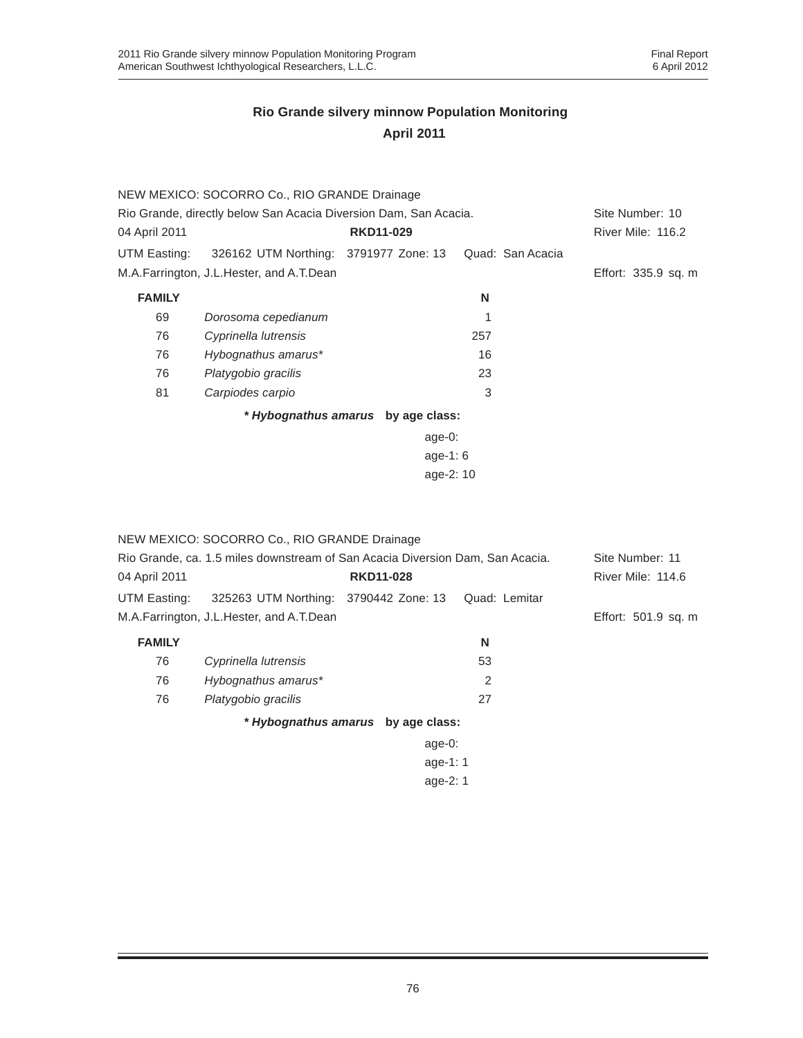|               | NEW MEXICO: SOCORRO Co., RIO GRANDE Drainage                     |                                    |                  |                     |
|---------------|------------------------------------------------------------------|------------------------------------|------------------|---------------------|
|               | Rio Grande, directly below San Acacia Diversion Dam, San Acacia. |                                    |                  | Site Number: 10     |
| 04 April 2011 |                                                                  | <b>RKD11-029</b>                   |                  | River Mile: 116.2   |
| UTM Easting:  | 326162 UTM Northing: 3791977 Zone: 13                            |                                    | Quad: San Acacia |                     |
|               | M.A.Farrington, J.L.Hester, and A.T.Dean                         |                                    |                  | Effort: 335.9 sq. m |
| <b>FAMILY</b> |                                                                  |                                    | N                |                     |
| 69            | Dorosoma cepedianum                                              |                                    |                  |                     |
| 76            | Cyprinella lutrensis                                             |                                    | 257              |                     |
| 76            | Hybognathus amarus*                                              |                                    | 16               |                     |
| 76            | Platygobio gracilis                                              |                                    | 23               |                     |
| 81            | Carpiodes carpio                                                 |                                    | 3                |                     |
|               |                                                                  | * Hybognathus amarus by age class: |                  |                     |
|               |                                                                  | age-0:                             |                  |                     |
|               |                                                                  |                                    |                  |                     |
|               |                                                                  |                                    |                  |                     |

|               | NEW MEXICO: SOCORRO Co., RIO GRANDE Drainage                                  |                                    |               |                     |
|---------------|-------------------------------------------------------------------------------|------------------------------------|---------------|---------------------|
|               | Rio Grande, ca. 1.5 miles downstream of San Acacia Diversion Dam, San Acacia. |                                    |               | Site Number: 11     |
| 04 April 2011 |                                                                               | <b>RKD11-028</b>                   |               | River Mile: 114.6   |
| UTM Easting:  | 325263 UTM Northing: 3790442 Zone: 13                                         |                                    | Quad: Lemitar |                     |
|               | M.A.Farrington, J.L.Hester, and A.T.Dean                                      |                                    |               | Effort: 501.9 sq. m |
| <b>FAMILY</b> |                                                                               |                                    | N             |                     |
| 76            | Cyprinella lutrensis                                                          |                                    | 53            |                     |
| 76            | Hybognathus amarus*                                                           |                                    | 2             |                     |
| 76            | Platygobio gracilis                                                           |                                    | 27            |                     |
|               |                                                                               | * Hybognathus amarus by age class: |               |                     |
|               |                                                                               | age-0:                             |               |                     |
|               |                                                                               | age-1: $1$                         |               |                     |
|               |                                                                               | age- $2:1$                         |               |                     |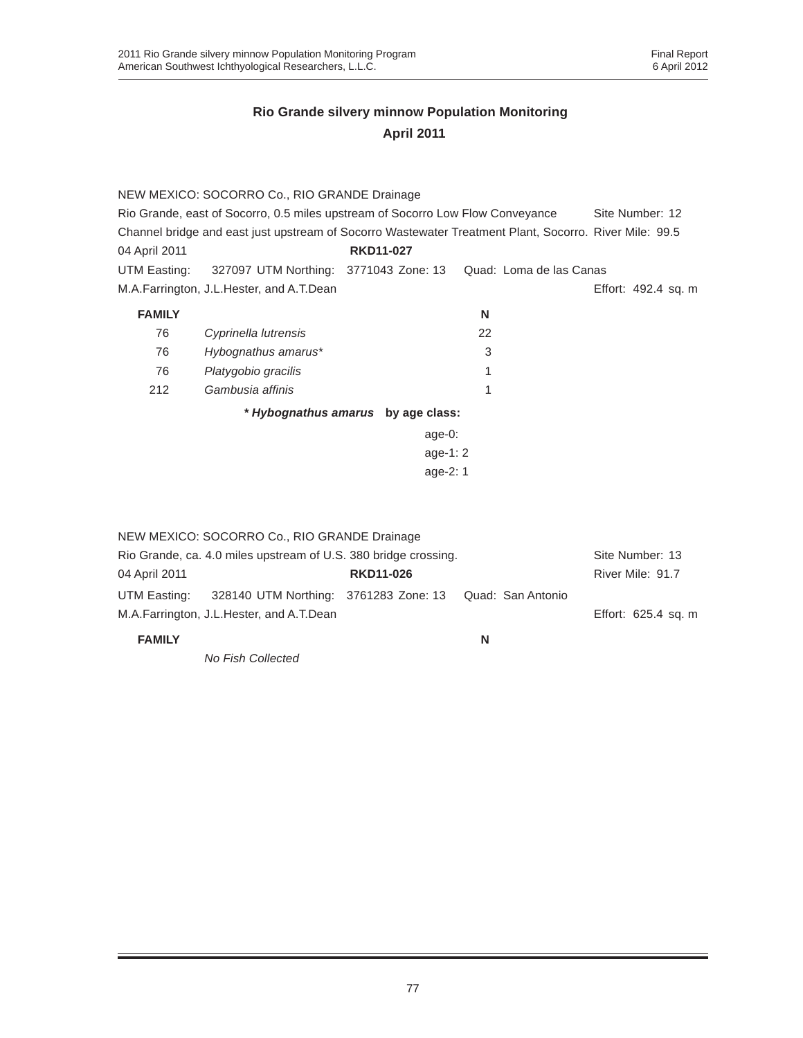|               | NEW MEXICO: SOCORRO Co., RIO GRANDE Drainage                                                           |                                    |    |                         |                     |
|---------------|--------------------------------------------------------------------------------------------------------|------------------------------------|----|-------------------------|---------------------|
|               | Rio Grande, east of Socorro, 0.5 miles upstream of Socorro Low Flow Conveyance                         |                                    |    |                         | Site Number: 12     |
|               | Channel bridge and east just upstream of Socorro Wastewater Treatment Plant, Socorro. River Mile: 99.5 |                                    |    |                         |                     |
| 04 April 2011 |                                                                                                        | <b>RKD11-027</b>                   |    |                         |                     |
| UTM Easting:  | 327097 UTM Northing: 3771043 Zone: 13                                                                  |                                    |    | Quad: Loma de las Canas |                     |
|               | M.A.Farrington, J.L.Hester, and A.T.Dean                                                               |                                    |    |                         | Effort: 492.4 sq. m |
| <b>FAMILY</b> |                                                                                                        |                                    | N  |                         |                     |
| 76            | Cyprinella lutrensis                                                                                   |                                    | 22 |                         |                     |
| 76            | Hybognathus amarus*                                                                                    |                                    | 3  |                         |                     |
| 76            | Platygobio gracilis                                                                                    |                                    |    |                         |                     |
| 212           | Gambusia affinis                                                                                       |                                    |    |                         |                     |
|               |                                                                                                        | * Hybognathus amarus by age class: |    |                         |                     |
|               |                                                                                                        | $age-0:$                           |    |                         |                     |
|               |                                                                                                        | age-1: 2                           |    |                         |                     |
|               |                                                                                                        | age-2: 1                           |    |                         |                     |
|               |                                                                                                        |                                    |    |                         |                     |
|               |                                                                                                        |                                    |    |                         |                     |
|               | NEW MEXICO: SOCORRO Co., RIO GRANDE Drainage                                                           |                                    |    |                         |                     |
|               | Rio Grande, ca. 4.0 miles upstream of U.S. 380 bridge crossing.                                        |                                    |    |                         | Site Number: 13     |

|               | The Grander car no mnoe apolicant or Gigi ood bridge crocomigi |                  |   |                     |
|---------------|----------------------------------------------------------------|------------------|---|---------------------|
| 04 April 2011 |                                                                | <b>RKD11-026</b> |   | River Mile: 91.7    |
| UTM Easting:  | 328140 UTM Northing: 3761283 Zone: 13 Quad: San Antonio        |                  |   |                     |
|               | M.A.Farrington, J.L.Hester, and A.T.Dean                       |                  |   | Effort: 625.4 sq. m |
| <b>FAMILY</b> |                                                                |                  | N |                     |

*No Fish Collected*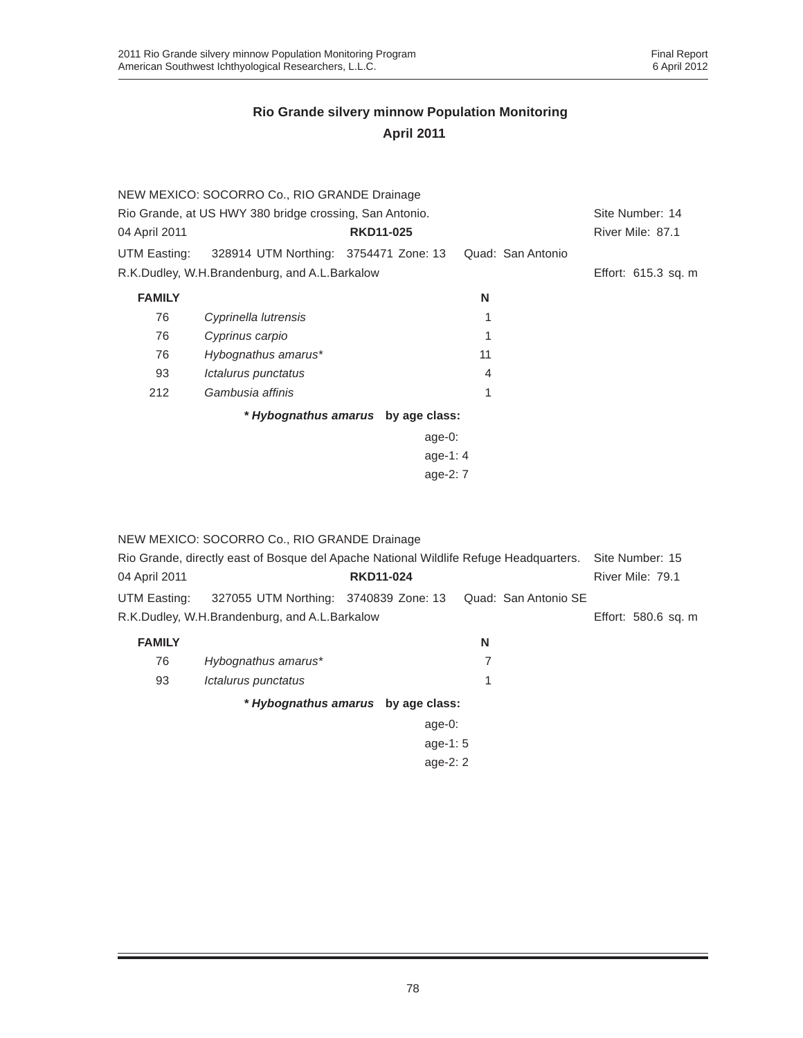|                                                         | NEW MEXICO: SOCORRO Co., RIO GRANDE Drainage  |                                    |                   |                     |
|---------------------------------------------------------|-----------------------------------------------|------------------------------------|-------------------|---------------------|
| Rio Grande, at US HWY 380 bridge crossing, San Antonio. | Site Number: 14                               |                                    |                   |                     |
| 04 April 2011                                           |                                               | <b>RKD11-025</b>                   |                   | River Mile: 87.1    |
| UTM Easting:                                            | 328914 UTM Northing: 3754471 Zone: 13         |                                    | Quad: San Antonio |                     |
|                                                         | R.K.Dudley, W.H.Brandenburg, and A.L.Barkalow |                                    |                   | Effort: 615.3 sq. m |
| <b>FAMILY</b>                                           |                                               |                                    | N                 |                     |
| 76                                                      | Cyprinella lutrensis                          |                                    | 1                 |                     |
| 76                                                      | Cyprinus carpio                               |                                    |                   |                     |
| 76                                                      | Hybognathus amarus*                           |                                    | 11                |                     |
| 93                                                      | <i><b>Ictalurus punctatus</b></i>             |                                    | 4                 |                     |
| 212                                                     | Gambusia affinis                              |                                    | 1                 |                     |
|                                                         |                                               | * Hybognathus amarus by age class: |                   |                     |
|                                                         |                                               | age-0:                             |                   |                     |
|                                                         |                                               | age-1: $4$                         |                   |                     |
|                                                         |                                               | age-2: 7                           |                   |                     |

NEW MEXICO: SOCORRO Co., RIO GRANDE Drainage

|               | Rio Grande, directly east of Bosque del Apache National Wildlife Refuge Headquarters.  Site Number: 15 |                  |   |                     |
|---------------|--------------------------------------------------------------------------------------------------------|------------------|---|---------------------|
| 04 April 2011 |                                                                                                        | <b>RKD11-024</b> |   | River Mile: 79.1    |
|               | UTM Easting: 327055 UTM Northing: 3740839 Zone: 13 Quad: San Antonio SE                                |                  |   |                     |
|               | R.K.Dudley, W.H.Brandenburg, and A.L.Barkalow                                                          |                  |   | Effort: 580.6 sq. m |
| <b>FAMILY</b> |                                                                                                        |                  | N |                     |

| 76 | Hybognathus amarus*               |  |
|----|-----------------------------------|--|
| 93 | <i><b>Ictalurus punctatus</b></i> |  |

*\* Hybognathus amarus* **by age class:**

| age-0:   |  |
|----------|--|
| age-1: 5 |  |
| age-2: 2 |  |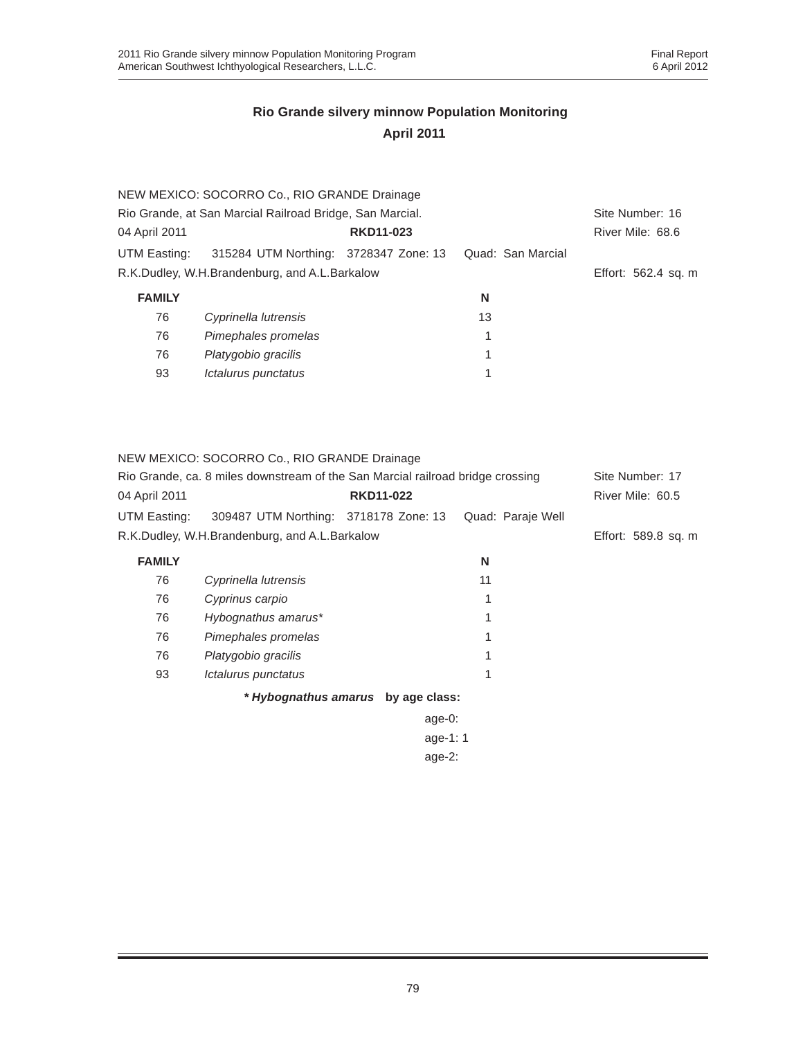|               | NEW MEXICO: SOCORRO Co., RIO GRANDE Drainage             |                  |                   |                     |
|---------------|----------------------------------------------------------|------------------|-------------------|---------------------|
|               | Rio Grande, at San Marcial Railroad Bridge, San Marcial. |                  |                   | Site Number: 16     |
| 04 April 2011 |                                                          | <b>RKD11-023</b> |                   | River Mile: 68.6    |
| UTM Easting:  | 315284 UTM Northing: 3728347 Zone: 13                    |                  | Quad: San Marcial |                     |
|               | R.K.Dudley, W.H.Brandenburg, and A.L.Barkalow            |                  |                   | Effort: 562.4 sq. m |
| <b>FAMILY</b> |                                                          |                  | N                 |                     |
| 76            | Cyprinella lutrensis                                     |                  | 13                |                     |
| 76            | Pimephales promelas                                      |                  | 1                 |                     |
| 76            | Platygobio gracilis                                      |                  | 1                 |                     |
| 93            | Ictalurus punctatus                                      |                  |                   |                     |

NEW MEXICO: SOCORRO Co., RIO GRANDE Drainage

| Rio Grande, ca. 8 miles downstream of the San Marcial railroad bridge crossing |                                                         |                  |  | Site Number: 17     |
|--------------------------------------------------------------------------------|---------------------------------------------------------|------------------|--|---------------------|
| 04 April 2011                                                                  |                                                         | <b>RKD11-022</b> |  | River Mile: 60.5    |
| UTM Easting:                                                                   | 309487 UTM Northing: 3718178 Zone: 13 Quad: Paraje Well |                  |  |                     |
|                                                                                | R.K.Dudley, W.H.Brandenburg, and A.L.Barkalow           |                  |  | Effort: 589.8 sq. m |

| <b>FAMILY</b> |                      | N  |
|---------------|----------------------|----|
| 76            | Cyprinella lutrensis | 11 |
| 76            | Cyprinus carpio      | 1  |
| 76            | Hybognathus amarus*  | 1  |
| 76            | Pimephales promelas  | 1  |
| 76            | Platygobio gracilis  | 1  |
| 93            | Ictalurus punctatus  | 1  |
|               |                      |    |

*\* Hybognathus amarus* **by age class:**

| age-0:   |  |
|----------|--|
| age-1: 1 |  |
| age-2:   |  |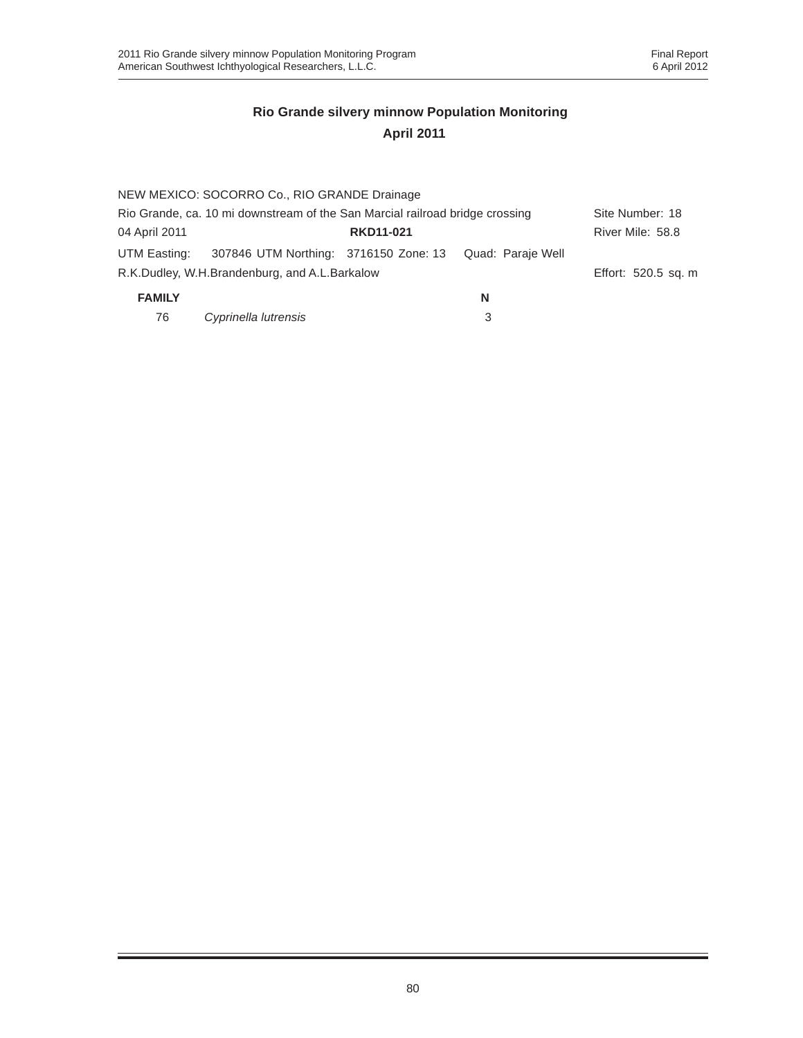|                                                                              | NEW MEXICO: SOCORRO Co., RIO GRANDE Drainage  |                  |                   |                     |
|------------------------------------------------------------------------------|-----------------------------------------------|------------------|-------------------|---------------------|
| Rio Grande, ca. 10 mi downstream of the San Marcial railroad bridge crossing |                                               |                  | Site Number: 18   |                     |
| 04 April 2011                                                                |                                               | <b>RKD11-021</b> |                   | River Mile: 58.8    |
| UTM Easting:                                                                 | 307846 UTM Northing: 3716150 Zone: 13         |                  | Quad: Paraje Well |                     |
|                                                                              | R.K.Dudley, W.H.Brandenburg, and A.L.Barkalow |                  |                   | Effort: 520.5 sq. m |
| <b>FAMILY</b>                                                                |                                               |                  | N                 |                     |

| 76 | Cyprinella lutrensis |  |
|----|----------------------|--|
|    |                      |  |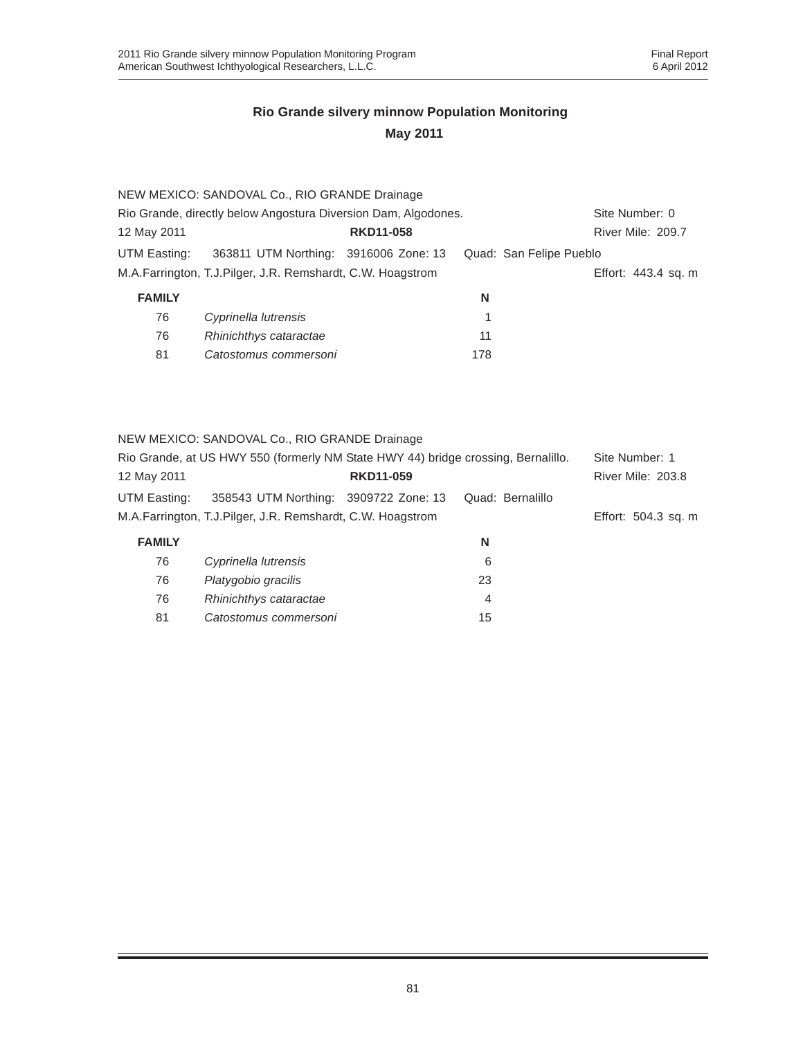|               | NEW MEXICO: SANDOVAL Co., RIO GRANDE Drainage                  |                  |                         |                     |
|---------------|----------------------------------------------------------------|------------------|-------------------------|---------------------|
|               | Rio Grande, directly below Angostura Diversion Dam, Algodones. |                  |                         | Site Number: 0      |
| 12 May 2011   |                                                                | <b>RKD11-058</b> |                         | River Mile: 209.7   |
| UTM Easting:  | 363811 UTM Northing: 3916006 Zone: 13                          |                  | Quad: San Felipe Pueblo |                     |
|               | M.A.Farrington, T.J.Pilger, J.R. Remshardt, C.W. Hoagstrom     |                  |                         | Effort: 443.4 sq. m |
| <b>FAMILY</b> |                                                                |                  | N                       |                     |
| 76            | Cyprinella lutrensis                                           |                  | 1                       |                     |
| 76            | Rhinichthys cataractae                                         |                  | 11                      |                     |

NEW MEXICO: SANDOVAL Co., RIO GRANDE Drainage

81 *Catostomus commersoni* 178

|               | Rio Grande, at US HWY 550 (formerly NM State HWY 44) bridge crossing, Bernalillo. |                  |                  | Site Number: 1      |
|---------------|-----------------------------------------------------------------------------------|------------------|------------------|---------------------|
| 12 May 2011   |                                                                                   | <b>RKD11-059</b> |                  | River Mile: 203.8   |
| UTM Easting:  | 358543 UTM Northing: 3909722 Zone: 13                                             |                  | Quad: Bernalillo |                     |
|               | M.A.Farrington, T.J.Pilger, J.R. Remshardt, C.W. Hoagstrom                        |                  |                  | Effort: 504.3 sq. m |
| <b>FAMILY</b> |                                                                                   |                  | N                |                     |
| 76            | Cyprinella lutrensis                                                              |                  | 6                |                     |
| 76            | Platygobio gracilis                                                               |                  | 23               |                     |
| 76            | Rhinichthys cataractae                                                            |                  | 4                |                     |
| 81            | Catostomus commersoni                                                             |                  | 15               |                     |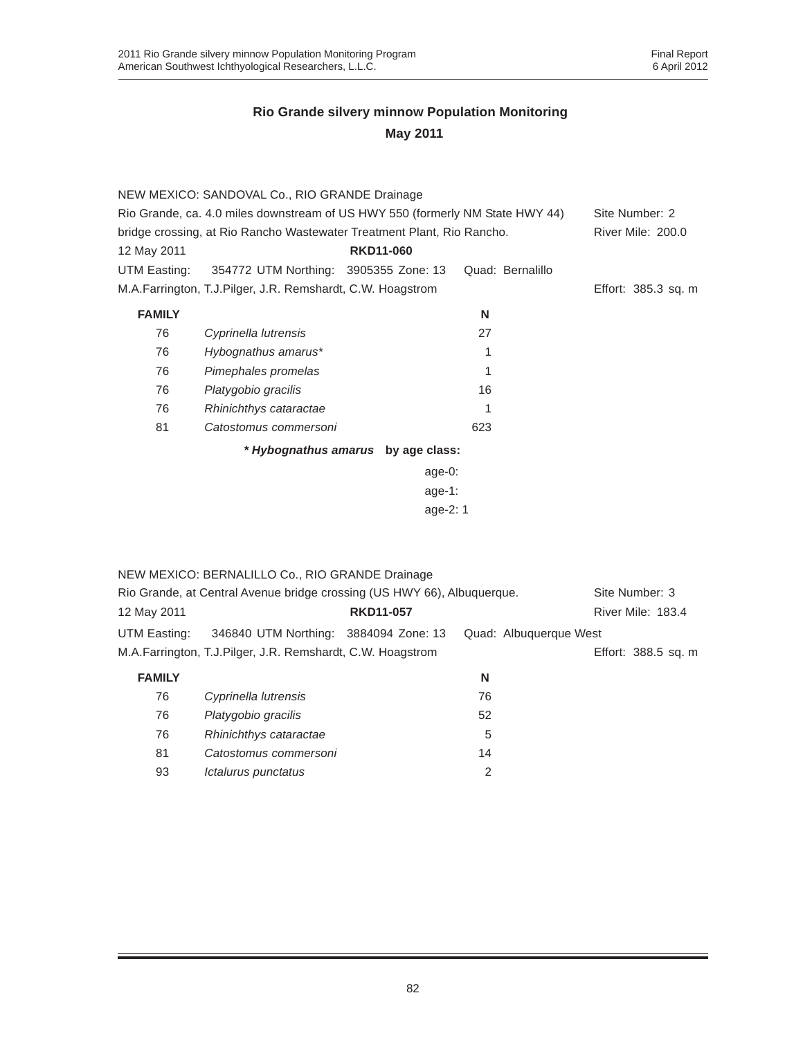|               | NEW MEXICO: SANDOVAL Co., RIO GRANDE Drainage                                 |                                    |                  |                     |
|---------------|-------------------------------------------------------------------------------|------------------------------------|------------------|---------------------|
|               | Rio Grande, ca. 4.0 miles downstream of US HWY 550 (formerly NM State HWY 44) |                                    |                  | Site Number: 2      |
|               | bridge crossing, at Rio Rancho Wastewater Treatment Plant, Rio Rancho.        |                                    |                  | River Mile: 200.0   |
| 12 May 2011   |                                                                               | <b>RKD11-060</b>                   |                  |                     |
| UTM Easting:  | 354772 UTM Northing: 3905355 Zone: 13                                         |                                    | Quad: Bernalillo |                     |
|               | M.A.Farrington, T.J.Pilger, J.R. Remshardt, C.W. Hoagstrom                    |                                    |                  | Effort: 385.3 sq. m |
| <b>FAMILY</b> |                                                                               |                                    | N                |                     |
| 76            | Cyprinella lutrensis                                                          |                                    | 27               |                     |
| 76            | Hybognathus amarus*                                                           |                                    |                  |                     |
| 76            | Pimephales promelas                                                           |                                    |                  |                     |
| 76            | Platygobio gracilis                                                           |                                    | 16               |                     |
| 76            | Rhinichthys cataractae                                                        |                                    |                  |                     |
| 81            | Catostomus commersoni                                                         |                                    | 623              |                     |
|               |                                                                               | * Hybognathus amarus by age class: |                  |                     |
|               |                                                                               | age-0:                             |                  |                     |
|               |                                                                               | --- 1.                             |                  |                     |

| age-1:   |  |
|----------|--|
| age-2: 1 |  |

|               | NEW MEXICO: BERNALILLO Co., RIO GRANDE Drainage                         |                  |    |                        |
|---------------|-------------------------------------------------------------------------|------------------|----|------------------------|
|               | Rio Grande, at Central Avenue bridge crossing (US HWY 66), Albuguergue. |                  |    | Site Number: 3         |
| 12 May 2011   |                                                                         | <b>RKD11-057</b> |    | River Mile: 183.4      |
| UTM Easting:  | 346840 UTM Northing: 3884094 Zone: 13                                   |                  |    | Quad: Albuquerque West |
|               | M.A.Farrington, T.J.Pilger, J.R. Remshardt, C.W. Hoagstrom              |                  |    | Effort: 388.5 sq. m    |
| <b>FAMILY</b> |                                                                         |                  | N  |                        |
| 76            | Cyprinella lutrensis                                                    |                  | 76 |                        |
| 76            | Platygobio gracilis                                                     |                  | 52 |                        |
| 76            | Rhinichthys cataractae                                                  |                  | 5  |                        |
| 81            | Catostomus commersoni                                                   |                  | 14 |                        |
| 93            | Ictalurus punctatus                                                     |                  | 2  |                        |
|               |                                                                         |                  |    |                        |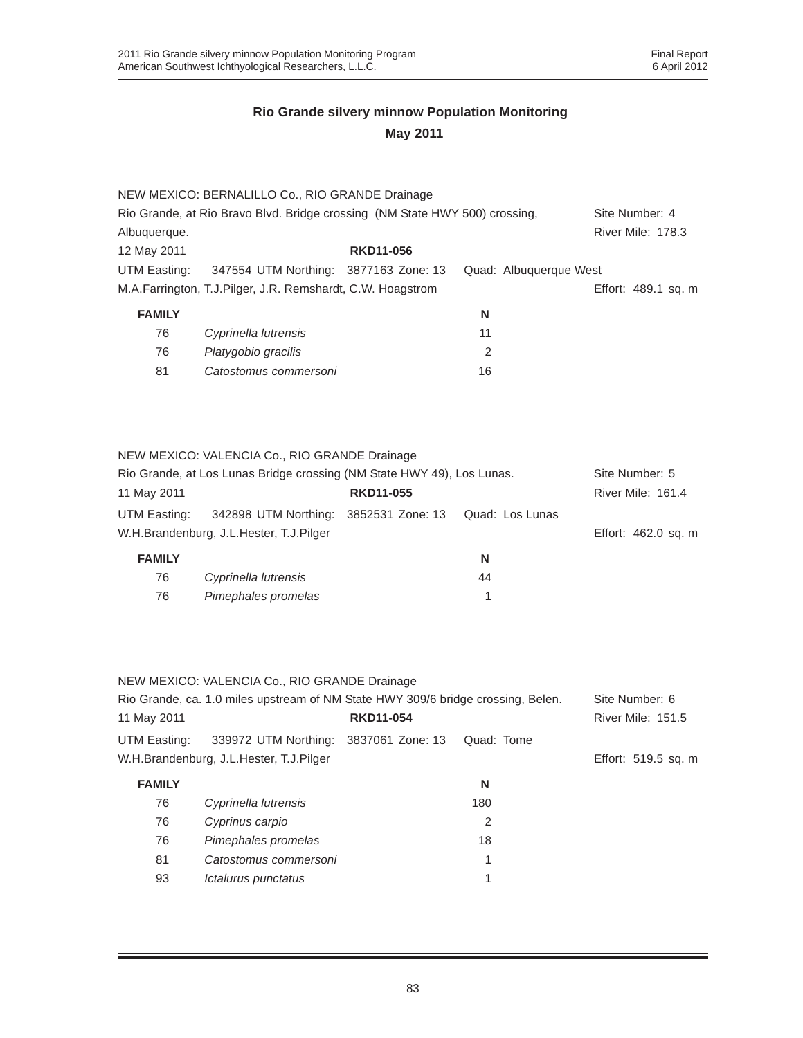|               | NEW MEXICO: BERNALILLO Co., RIO GRANDE Drainage                             |                  |    |                        |                     |
|---------------|-----------------------------------------------------------------------------|------------------|----|------------------------|---------------------|
|               | Rio Grande, at Rio Bravo Blvd. Bridge crossing (NM State HWY 500) crossing, |                  |    |                        | Site Number: 4      |
| Albuquerque.  |                                                                             |                  |    |                        | River Mile: 178.3   |
| 12 May 2011   |                                                                             | <b>RKD11-056</b> |    |                        |                     |
| UTM Easting:  | 347554 UTM Northing: 3877163 Zone: 13                                       |                  |    | Quad: Albuquerque West |                     |
|               | M.A.Farrington, T.J.Pilger, J.R. Remshardt, C.W. Hoagstrom                  |                  |    |                        | Effort: 489.1 sq. m |
| <b>FAMILY</b> |                                                                             |                  | N  |                        |                     |
| 76            | Cyprinella lutrensis                                                        |                  | 11 |                        |                     |
| 76            | Platygobio gracilis                                                         |                  | 2  |                        |                     |

81 *Catostomus commersoni* 16

|               | NEW MEXICO: VALENCIA Co., RIO GRANDE Drainage                          |                  |                 |                     |
|---------------|------------------------------------------------------------------------|------------------|-----------------|---------------------|
|               | Rio Grande, at Los Lunas Bridge crossing (NM State HWY 49), Los Lunas. |                  |                 | Site Number: 5      |
| 11 May 2011   |                                                                        | <b>RKD11-055</b> |                 | River Mile: 161.4   |
| UTM Easting:  | 342898 UTM Northing: 3852531 Zone: 13                                  |                  | Quad: Los Lunas |                     |
|               | W.H.Brandenburg, J.L.Hester, T.J.Pilger                                |                  |                 | Effort: 462.0 sq. m |
| <b>FAMILY</b> |                                                                        |                  | N               |                     |
| 76            | Cyprinella lutrensis                                                   |                  | 44              |                     |
| 76            | Pimephales promelas                                                    |                  |                 |                     |

|               | NEW MEXICO: VALENCIA Co., RIO GRANDE Drainage                                    |                  |            |                     |
|---------------|----------------------------------------------------------------------------------|------------------|------------|---------------------|
|               | Rio Grande, ca. 1.0 miles upstream of NM State HWY 309/6 bridge crossing, Belen. |                  |            | Site Number: 6      |
| 11 May 2011   |                                                                                  | <b>RKD11-054</b> |            | River Mile: 151.5   |
| UTM Easting:  | 339972 UTM Northing: 3837061 Zone: 13                                            |                  | Quad: Tome |                     |
|               | W.H.Brandenburg, J.L.Hester, T.J.Pilger                                          |                  |            | Effort: 519.5 sq. m |
| <b>FAMILY</b> |                                                                                  |                  | N          |                     |
| 76            | Cyprinella lutrensis                                                             |                  | 180        |                     |
| 76            | Cyprinus carpio                                                                  |                  | 2          |                     |
| 76            | Pimephales promelas                                                              |                  | 18         |                     |
| 81            | Catostomus commersoni                                                            |                  | 1          |                     |
| 93            | Ictalurus punctatus                                                              |                  |            |                     |
|               |                                                                                  |                  |            |                     |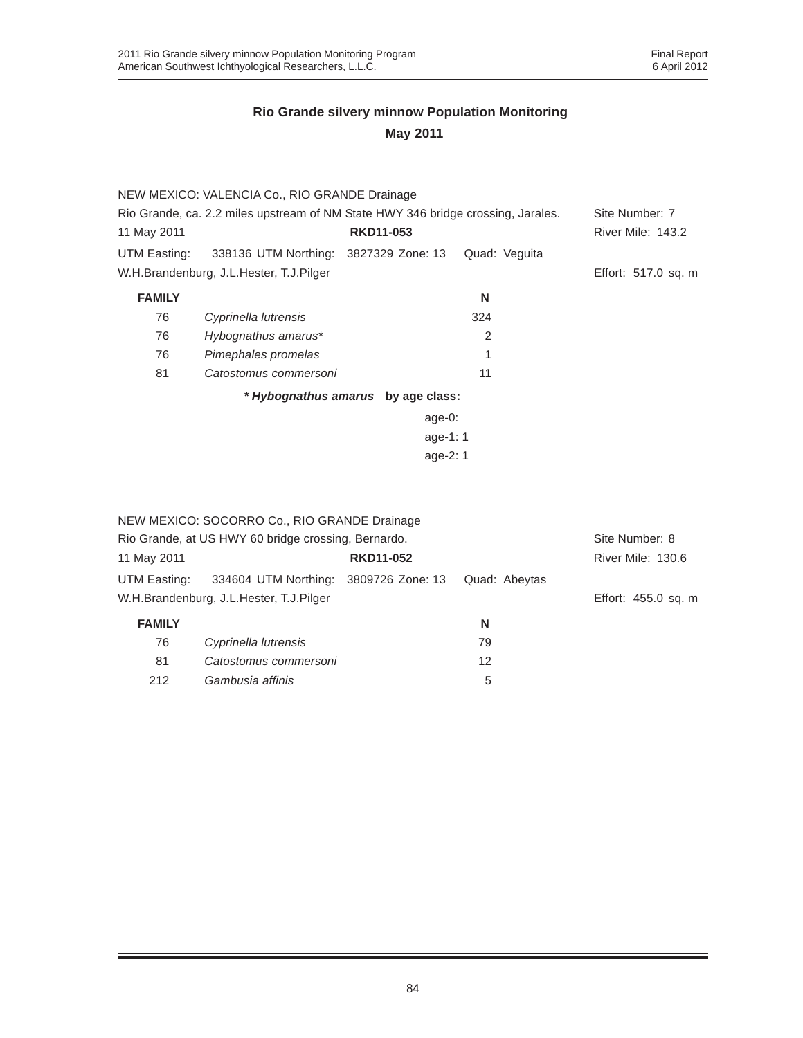|                                                                                  | NEW MEXICO: VALENCIA Co., RIO GRANDE Drainage |                                    |               |                          |
|----------------------------------------------------------------------------------|-----------------------------------------------|------------------------------------|---------------|--------------------------|
| Rio Grande, ca. 2.2 miles upstream of NM State HWY 346 bridge crossing, Jarales. |                                               |                                    |               | Site Number: 7           |
| 11 May 2011                                                                      |                                               | <b>RKD11-053</b>                   |               | <b>River Mile: 143.2</b> |
| UTM Easting:                                                                     | 338136 UTM Northing: 3827329 Zone: 13         |                                    | Quad: Veguita |                          |
|                                                                                  | W.H.Brandenburg, J.L.Hester, T.J.Pilger       |                                    |               | Effort: 517.0 sq. m      |
| <b>FAMILY</b>                                                                    |                                               |                                    | N             |                          |
| 76                                                                               | Cyprinella lutrensis                          |                                    | 324           |                          |
| 76                                                                               | Hybognathus amarus*                           |                                    | 2             |                          |
| 76                                                                               | Pimephales promelas                           |                                    |               |                          |
| 81                                                                               | Catostomus commersoni                         |                                    | 11            |                          |
|                                                                                  |                                               | * Hybognathus amarus by age class: |               |                          |
|                                                                                  |                                               | age-0:                             |               |                          |
|                                                                                  |                                               | age-1: $1$                         |               |                          |
|                                                                                  |                                               | age- $2:1$                         |               |                          |

|                                                     | NEW MEXICO: SOCORRO Co., RIO GRANDE Drainage |                  |                |                     |
|-----------------------------------------------------|----------------------------------------------|------------------|----------------|---------------------|
| Rio Grande, at US HWY 60 bridge crossing, Bernardo. |                                              |                  | Site Number: 8 |                     |
| 11 May 2011                                         |                                              | <b>RKD11-052</b> |                | River Mile: 130.6   |
| UTM Easting:                                        | 334604 UTM Northing: 3809726 Zone: 13        |                  | Quad: Abeytas  |                     |
|                                                     | W.H.Brandenburg, J.L.Hester, T.J.Pilger      |                  |                | Effort: 455.0 sq. m |
| <b>FAMILY</b>                                       |                                              |                  | N              |                     |
| 76                                                  | Cyprinella lutrensis                         |                  | 79             |                     |
| 81                                                  | Catostomus commersoni                        |                  | 12             |                     |
| 212                                                 | Gambusia affinis                             |                  | 5              |                     |
|                                                     |                                              |                  |                |                     |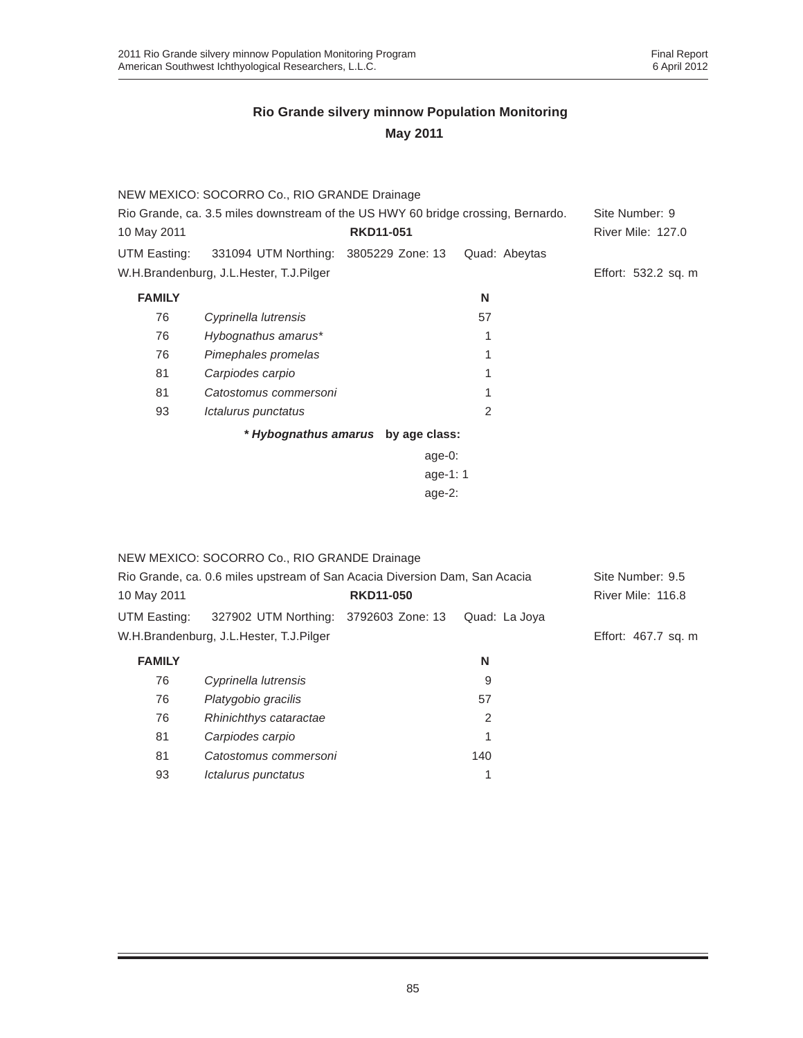|                                                                                  | NEW MEXICO: SOCORRO Co., RIO GRANDE Drainage |                                    |               |                          |
|----------------------------------------------------------------------------------|----------------------------------------------|------------------------------------|---------------|--------------------------|
| Rio Grande, ca. 3.5 miles downstream of the US HWY 60 bridge crossing, Bernardo. |                                              |                                    |               | Site Number: 9           |
| 10 May 2011                                                                      |                                              | <b>RKD11-051</b>                   |               | <b>River Mile: 127.0</b> |
| UTM Easting:                                                                     | 331094 UTM Northing: 3805229 Zone: 13        |                                    | Quad: Abeytas |                          |
|                                                                                  | W.H.Brandenburg, J.L.Hester, T.J.Pilger      |                                    |               | Effort: 532.2 sq. m      |
| <b>FAMILY</b>                                                                    |                                              |                                    | N             |                          |
| 76                                                                               | Cyprinella lutrensis                         |                                    | 57            |                          |
| 76                                                                               | Hybognathus amarus*                          |                                    | 1             |                          |
| 76                                                                               | Pimephales promelas                          |                                    | 1             |                          |
| 81                                                                               | Carpiodes carpio                             |                                    | 1             |                          |
| 81                                                                               | Catostomus commersoni                        |                                    | 1             |                          |
| 93                                                                               | Ictalurus punctatus                          |                                    | $\mathcal{P}$ |                          |
|                                                                                  |                                              | * Hybognathus amarus by age class: |               |                          |
|                                                                                  |                                              | age- $0$ :                         |               |                          |
|                                                                                  |                                              | age-1: $1$                         |               |                          |
|                                                                                  |                                              | age- $2$ :                         |               |                          |

|               | NEW MEXICO: SOCORRO Co., RIO GRANDE Drainage                               |                  |               |                     |
|---------------|----------------------------------------------------------------------------|------------------|---------------|---------------------|
|               | Rio Grande, ca. 0.6 miles upstream of San Acacia Diversion Dam, San Acacia |                  |               | Site Number: 9.5    |
| 10 May 2011   |                                                                            | <b>RKD11-050</b> |               | River Mile: 116.8   |
| UTM Easting:  | 327902 UTM Northing: 3792603 Zone: 13                                      |                  | Quad: La Joya |                     |
|               | W.H.Brandenburg, J.L.Hester, T.J.Pilger                                    |                  |               | Effort: 467.7 sq. m |
| <b>FAMILY</b> |                                                                            |                  | N             |                     |
| 76            | Cyprinella lutrensis                                                       |                  | 9             |                     |
| 76            | Platygobio gracilis                                                        |                  | 57            |                     |
| 76            | Rhinichthys cataractae                                                     |                  | 2             |                     |
| 81            | Carpiodes carpio                                                           |                  |               |                     |
| 81            | Catostomus commersoni                                                      |                  | 140           |                     |
| 93            | Ictalurus punctatus                                                        |                  | 1             |                     |
|               |                                                                            |                  |               |                     |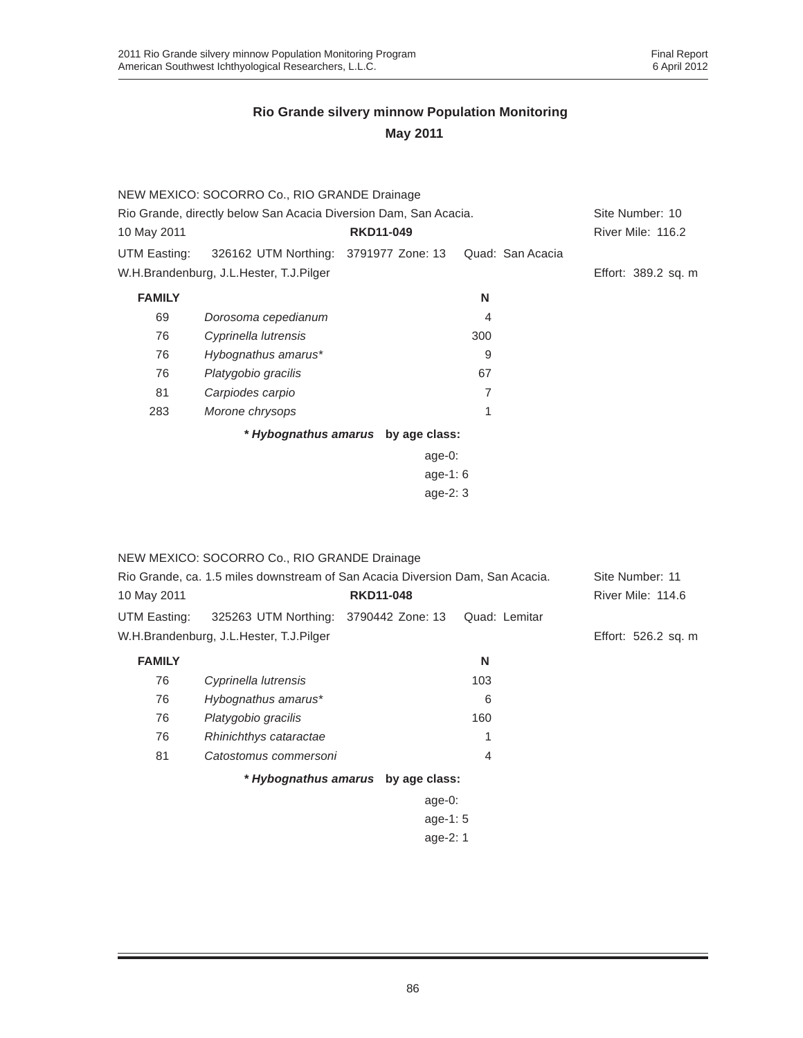|               | NEW MEXICO: SOCORRO Co., RIO GRANDE Drainage                     |  |                  |                  |  |                     |  |
|---------------|------------------------------------------------------------------|--|------------------|------------------|--|---------------------|--|
|               | Rio Grande, directly below San Acacia Diversion Dam, San Acacia. |  |                  |                  |  | Site Number: 10     |  |
| 10 May 2011   |                                                                  |  | <b>RKD11-049</b> |                  |  | River Mile: 116.2   |  |
| UTM Easting:  | 326162 UTM Northing: 3791977 Zone: 13                            |  |                  | Quad: San Acacia |  |                     |  |
|               | W.H.Brandenburg, J.L.Hester, T.J.Pilger                          |  |                  |                  |  | Effort: 389.2 sq. m |  |
| <b>FAMILY</b> |                                                                  |  |                  | N                |  |                     |  |
| 69            | Dorosoma cepedianum                                              |  |                  | 4                |  |                     |  |
| 76            | Cyprinella lutrensis                                             |  |                  | 300              |  |                     |  |
| 76            | Hybognathus amarus*                                              |  |                  | 9                |  |                     |  |
| 76            | Platygobio gracilis                                              |  |                  | 67               |  |                     |  |
| 81            | Carpiodes carpio                                                 |  |                  | 7                |  |                     |  |
| 283           | Morone chrysops                                                  |  |                  | 1                |  |                     |  |
|               | * Hybognathus amarus by age class:                               |  |                  |                  |  |                     |  |
|               |                                                                  |  | $age-0$ :        |                  |  |                     |  |
|               | age-1: $6$                                                       |  |                  |                  |  |                     |  |
|               |                                                                  |  | age- $2:3$       |                  |  |                     |  |

|                                                                               | NEW MEXICO: SOCORRO Co., RIO GRANDE Drainage |                                    |                |                     |
|-------------------------------------------------------------------------------|----------------------------------------------|------------------------------------|----------------|---------------------|
| Rio Grande, ca. 1.5 miles downstream of San Acacia Diversion Dam, San Acacia. |                                              |                                    |                | Site Number: 11     |
| 10 May 2011                                                                   |                                              | <b>RKD11-048</b>                   |                | River Mile: 114.6   |
| UTM Easting:                                                                  | 325263 UTM Northing: 3790442 Zone: 13        |                                    | Quad: Lemitar  |                     |
|                                                                               | W.H.Brandenburg, J.L.Hester, T.J.Pilger      |                                    |                | Effort: 526.2 sq. m |
| <b>FAMILY</b>                                                                 |                                              |                                    | N              |                     |
| 76                                                                            | Cyprinella lutrensis                         |                                    | 103            |                     |
| 76                                                                            | Hybognathus amarus*                          |                                    | 6              |                     |
| 76                                                                            | Platygobio gracilis                          |                                    | 160            |                     |
| 76                                                                            | Rhinichthys cataractae                       |                                    | 1              |                     |
| 81                                                                            | Catostomus commersoni                        |                                    | $\overline{4}$ |                     |
|                                                                               |                                              | * Hybognathus amarus by age class: |                |                     |
|                                                                               |                                              | age- $0:$                          |                |                     |
|                                                                               |                                              | age-1: $5$                         |                |                     |
|                                                                               |                                              | age-2: 1                           |                |                     |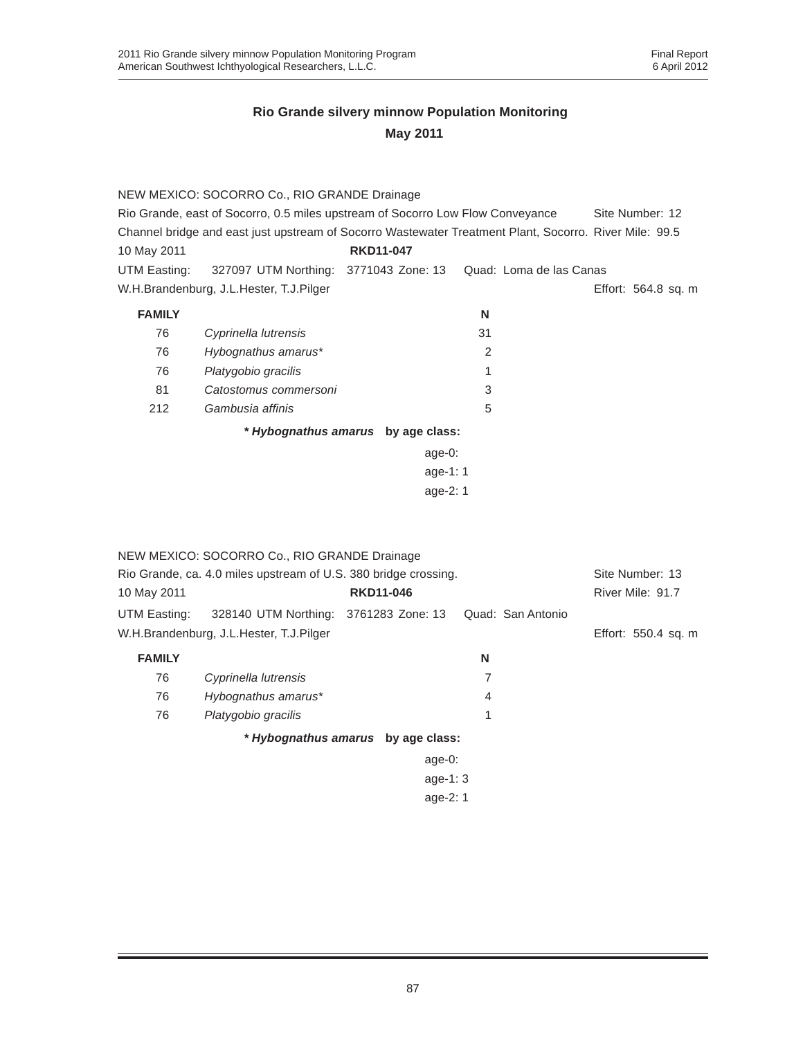| NEW MEXICO: SOCORRO Co., RIO GRANDE Drainage                                                           |                                         |                  |            |    |                         |                     |
|--------------------------------------------------------------------------------------------------------|-----------------------------------------|------------------|------------|----|-------------------------|---------------------|
| Rio Grande, east of Socorro, 0.5 miles upstream of Socorro Low Flow Conveyance<br>Site Number: 12      |                                         |                  |            |    |                         |                     |
| Channel bridge and east just upstream of Socorro Wastewater Treatment Plant, Socorro. River Mile: 99.5 |                                         |                  |            |    |                         |                     |
| 10 May 2011                                                                                            |                                         | <b>RKD11-047</b> |            |    |                         |                     |
| UTM Easting:                                                                                           | 327097 UTM Northing: 3771043 Zone: 13   |                  |            |    | Quad: Loma de las Canas |                     |
|                                                                                                        | W.H.Brandenburg, J.L.Hester, T.J.Pilger |                  |            |    |                         | Effort: 564.8 sq. m |
| <b>FAMILY</b>                                                                                          |                                         |                  |            | N  |                         |                     |
| 76                                                                                                     | Cyprinella lutrensis                    |                  |            | 31 |                         |                     |
| 76                                                                                                     | Hybognathus amarus*                     |                  |            | 2  |                         |                     |
| 76                                                                                                     | Platygobio gracilis                     |                  |            |    |                         |                     |
| 81                                                                                                     | Catostomus commersoni                   |                  |            | 3  |                         |                     |
| 212                                                                                                    | Gambusia affinis                        |                  |            | 5  |                         |                     |
|                                                                                                        | * Hybognathus amarus by age class:      |                  |            |    |                         |                     |
|                                                                                                        |                                         |                  | age- $0:$  |    |                         |                     |
|                                                                                                        |                                         |                  | age-1: $1$ |    |                         |                     |
|                                                                                                        |                                         |                  | age-2: 1   |    |                         |                     |

|                                                                 | NEW MEXICO: SOCORRO Co., RIO GRANDE Drainage |                                    |                   |  |                     |
|-----------------------------------------------------------------|----------------------------------------------|------------------------------------|-------------------|--|---------------------|
| Rio Grande, ca. 4.0 miles upstream of U.S. 380 bridge crossing. |                                              |                                    |                   |  | Site Number: 13     |
| 10 May 2011                                                     |                                              | <b>RKD11-046</b>                   |                   |  | River Mile: 91.7    |
| UTM Easting:                                                    | 328140 UTM Northing: 3761283 Zone: 13        |                                    | Quad: San Antonio |  |                     |
|                                                                 | W.H.Brandenburg, J.L.Hester, T.J.Pilger      |                                    |                   |  | Effort: 550.4 sq. m |
| <b>FAMILY</b>                                                   |                                              |                                    | N                 |  |                     |
| 76                                                              | Cyprinella lutrensis                         |                                    | 7                 |  |                     |
| 76                                                              | Hybognathus amarus*                          |                                    | 4                 |  |                     |
| 76                                                              | Platygobio gracilis                          |                                    | 1                 |  |                     |
|                                                                 |                                              | * Hybognathus amarus by age class: |                   |  |                     |
|                                                                 |                                              | age-0:                             |                   |  |                     |
|                                                                 |                                              | age-1: $3$                         |                   |  |                     |
|                                                                 |                                              | age-2: 1                           |                   |  |                     |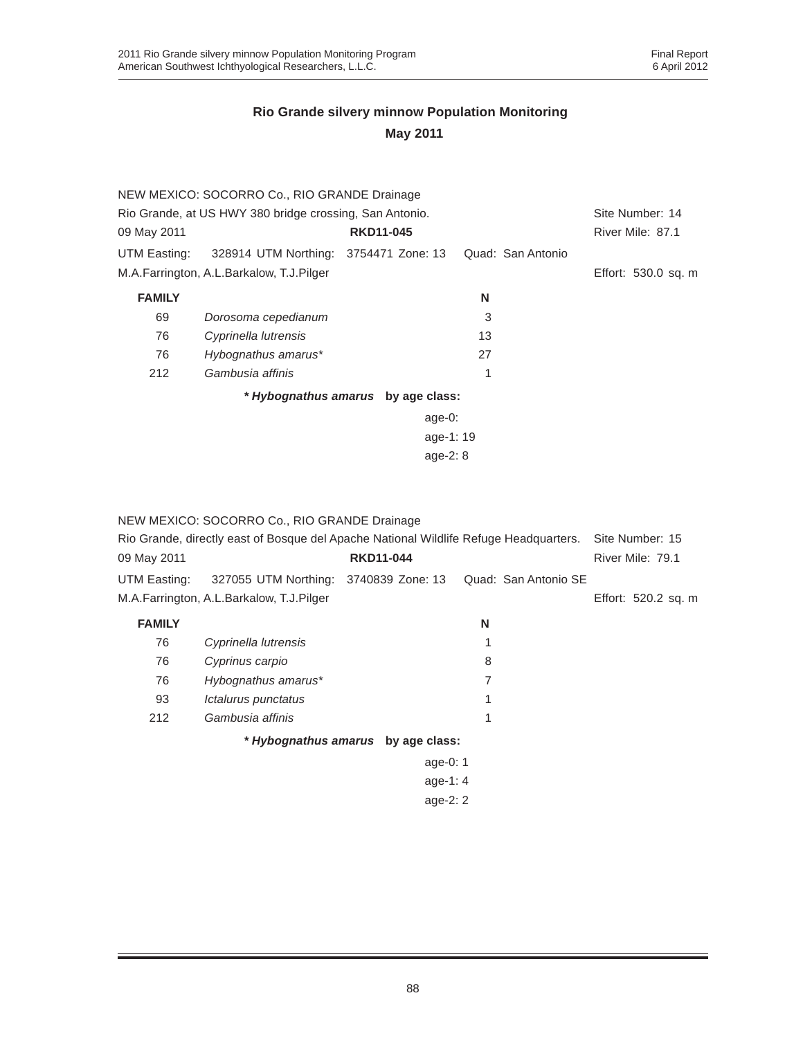|                                                         | NEW MEXICO: SOCORRO Co., RIO GRANDE Drainage |                                    |                   |                     |
|---------------------------------------------------------|----------------------------------------------|------------------------------------|-------------------|---------------------|
| Rio Grande, at US HWY 380 bridge crossing, San Antonio. |                                              |                                    |                   | Site Number: 14     |
| 09 May 2011                                             |                                              | <b>RKD11-045</b>                   |                   | River Mile: 87.1    |
| UTM Easting:                                            | 328914 UTM Northing: 3754471 Zone: 13        |                                    | Quad: San Antonio |                     |
|                                                         | M.A.Farrington, A.L.Barkalow, T.J.Pilger     |                                    |                   | Effort: 530.0 sq. m |
| <b>FAMILY</b>                                           |                                              |                                    | N                 |                     |
| 69                                                      | Dorosoma cepedianum                          |                                    | 3                 |                     |
| 76                                                      | Cyprinella lutrensis                         |                                    | 13                |                     |
| 76                                                      | Hybognathus amarus*                          |                                    | 27                |                     |
| 212                                                     | Gambusia affinis                             |                                    | 1                 |                     |
|                                                         |                                              | * Hybognathus amarus by age class: |                   |                     |
|                                                         |                                              | age- $0$ :                         |                   |                     |
|                                                         |                                              | age-1:19                           |                   |                     |
|                                                         |                                              | age- $2:8$                         |                   |                     |

NEW MEXICO: SOCORRO Co., RIO GRANDE Drainage

| Rio Grande, directly east of Bosque del Apache National Wildlife Refuge Headquarters. |                                          |                                    |   |                      | Site Number: 15     |
|---------------------------------------------------------------------------------------|------------------------------------------|------------------------------------|---|----------------------|---------------------|
| 09 May 2011                                                                           |                                          | <b>RKD11-044</b>                   |   |                      | River Mile: 79.1    |
| UTM Easting:                                                                          | 327055 UTM Northing: 3740839 Zone: 13    |                                    |   | Quad: San Antonio SE |                     |
|                                                                                       | M.A.Farrington, A.L.Barkalow, T.J.Pilger |                                    |   |                      | Effort: 520.2 sq. m |
| <b>FAMILY</b>                                                                         |                                          |                                    | N |                      |                     |
| 76                                                                                    | Cyprinella lutrensis                     |                                    |   |                      |                     |
| 76                                                                                    | Cyprinus carpio                          |                                    | 8 |                      |                     |
| 76                                                                                    | Hybognathus amarus*                      |                                    | 7 |                      |                     |
| 93                                                                                    | Ictalurus punctatus                      |                                    |   |                      |                     |
| 212                                                                                   | Gambusia affinis                         |                                    | 1 |                      |                     |
|                                                                                       |                                          | * Hybognathus amarus by age class: |   |                      |                     |
|                                                                                       |                                          | age-0: $1$                         |   |                      |                     |
|                                                                                       |                                          | age-1: $4$                         |   |                      |                     |
|                                                                                       |                                          | age- $2:2$                         |   |                      |                     |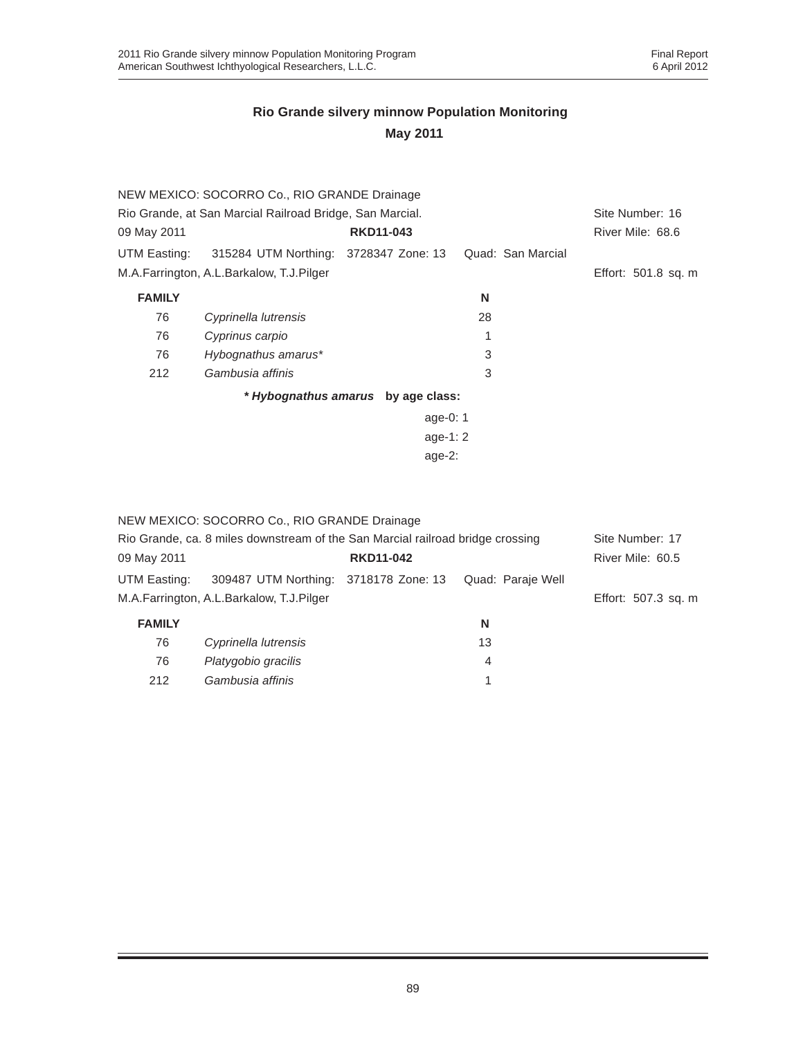|                                                          | NEW MEXICO: SOCORRO Co., RIO GRANDE Drainage       |                                    |                   |                     |
|----------------------------------------------------------|----------------------------------------------------|------------------------------------|-------------------|---------------------|
| Rio Grande, at San Marcial Railroad Bridge, San Marcial. | Site Number: 16                                    |                                    |                   |                     |
| 09 May 2011                                              |                                                    | <b>RKD11-043</b>                   |                   | River Mile: 68.6    |
|                                                          | UTM Easting: 315284 UTM Northing: 3728347 Zone: 13 |                                    | Quad: San Marcial |                     |
|                                                          | M.A.Farrington, A.L.Barkalow, T.J.Pilger           |                                    |                   | Effort: 501.8 sq. m |
| <b>FAMILY</b>                                            |                                                    |                                    | N                 |                     |
| 76                                                       | Cyprinella lutrensis                               |                                    | 28                |                     |
| 76                                                       | Cyprinus carpio                                    |                                    | 1                 |                     |
| 76                                                       | Hybognathus amarus*                                |                                    | 3                 |                     |
| 212                                                      | Gambusia affinis                                   |                                    | 3                 |                     |
|                                                          |                                                    | * Hybognathus amarus by age class: |                   |                     |
|                                                          |                                                    | age-0: $1$                         |                   |                     |
|                                                          |                                                    | age-1: $2 \overline{ }$            |                   |                     |
|                                                          |                                                    | age- $2:$                          |                   |                     |
|                                                          |                                                    |                                    |                   |                     |

|                                                                                | NEW MEXICO: SOCORRO Co., RIO GRANDE Drainage |                  |                   |                     |
|--------------------------------------------------------------------------------|----------------------------------------------|------------------|-------------------|---------------------|
| Rio Grande, ca. 8 miles downstream of the San Marcial railroad bridge crossing | Site Number: 17                              |                  |                   |                     |
| 09 May 2011                                                                    |                                              | <b>RKD11-042</b> |                   | River Mile: 60.5    |
| UTM Easting:                                                                   | 309487 UTM Northing: 3718178 Zone: 13        |                  | Quad: Paraje Well |                     |
|                                                                                | M.A.Farrington, A.L.Barkalow, T.J.Pilger     |                  |                   | Effort: 507.3 sq. m |
| <b>FAMILY</b>                                                                  |                                              |                  | N                 |                     |
| 76                                                                             | Cyprinella lutrensis                         |                  | 13                |                     |
| 76                                                                             | Platygobio gracilis                          |                  | 4                 |                     |
| 212                                                                            | Gambusia affinis                             |                  |                   |                     |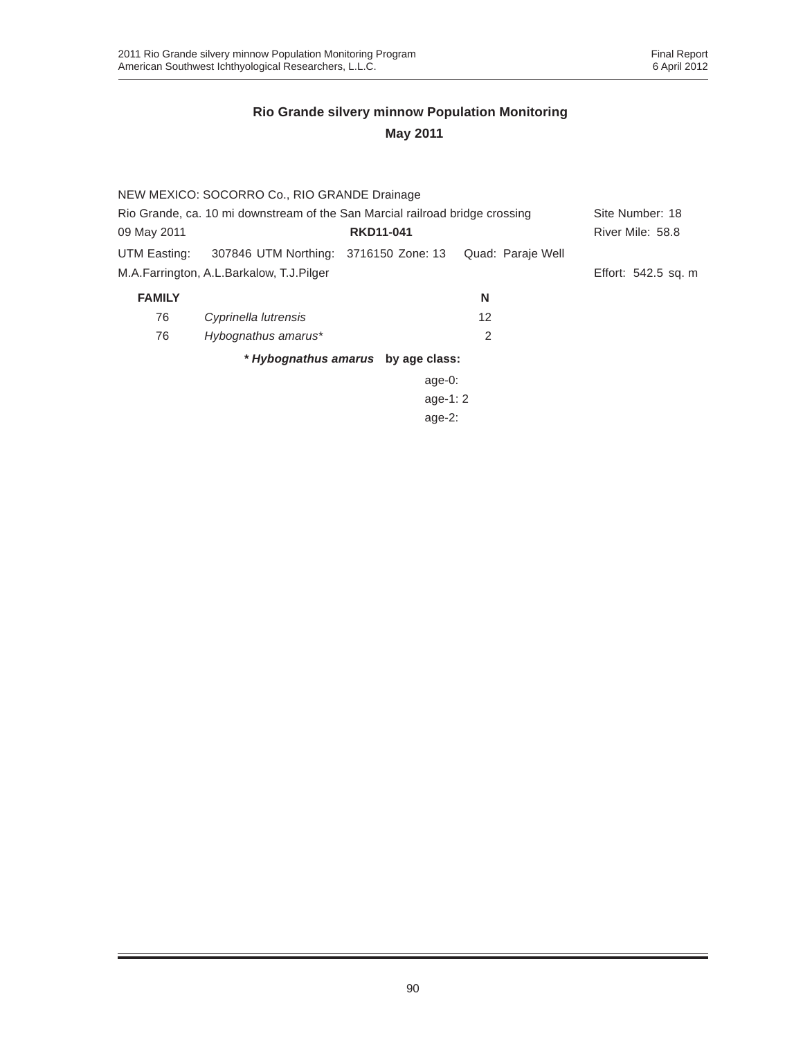|                                                                              | NEW MEXICO: SOCORRO Co., RIO GRANDE Drainage |                                    |                   |                     |
|------------------------------------------------------------------------------|----------------------------------------------|------------------------------------|-------------------|---------------------|
| Rio Grande, ca. 10 mi downstream of the San Marcial railroad bridge crossing |                                              |                                    |                   | Site Number: 18     |
| 09 May 2011                                                                  |                                              | <b>RKD11-041</b>                   |                   | River Mile: 58.8    |
| UTM Easting:                                                                 | 307846 UTM Northing: 3716150 Zone: 13        |                                    | Quad: Paraje Well |                     |
|                                                                              | M.A.Farrington, A.L.Barkalow, T.J.Pilger     |                                    |                   | Effort: 542.5 sq. m |
| <b>FAMILY</b>                                                                |                                              |                                    | N                 |                     |
| 76                                                                           | Cyprinella lutrensis                         |                                    | 12                |                     |
| 76                                                                           | Hybognathus amarus*                          |                                    | 2                 |                     |
|                                                                              |                                              | * Hybognathus amarus by age class: |                   |                     |
|                                                                              |                                              | age- $0$ :                         |                   |                     |
|                                                                              |                                              | age-1: $2$                         |                   |                     |
|                                                                              |                                              | age- $2:$                          |                   |                     |
|                                                                              |                                              |                                    |                   |                     |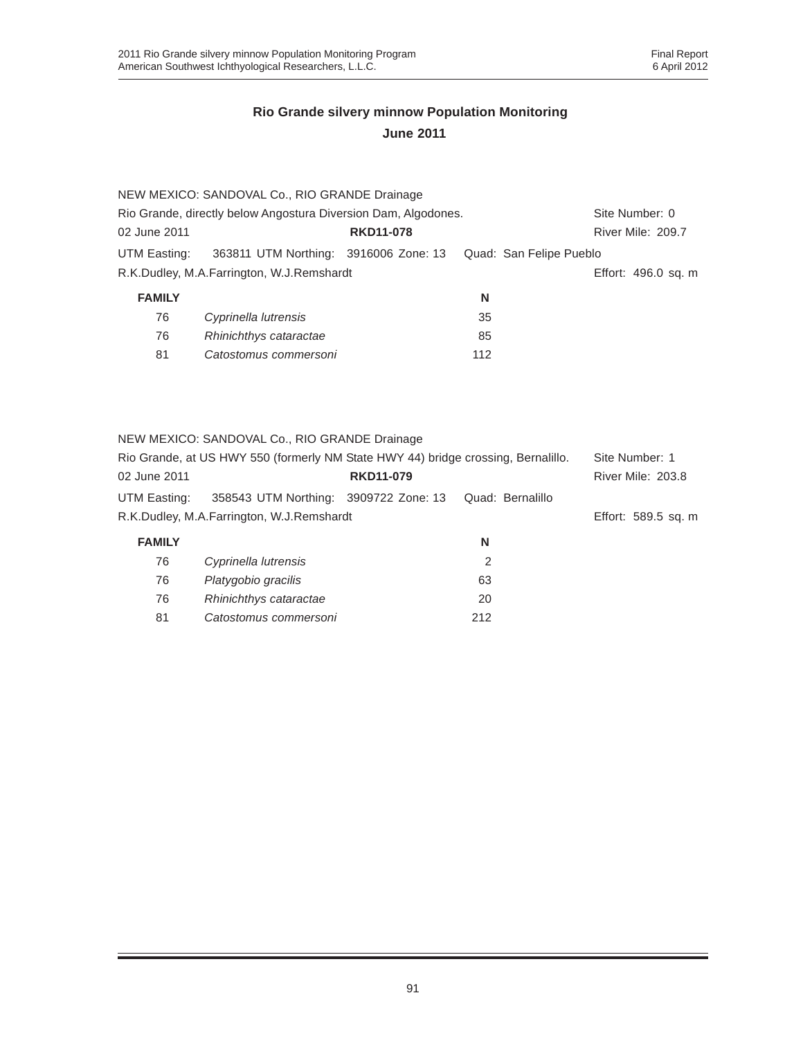|                                                                | NEW MEXICO: SANDOVAL Co., RIO GRANDE Drainage |                  |    |                         |
|----------------------------------------------------------------|-----------------------------------------------|------------------|----|-------------------------|
| Rio Grande, directly below Angostura Diversion Dam, Algodones. | Site Number: 0                                |                  |    |                         |
| 02 June 2011                                                   |                                               | <b>RKD11-078</b> |    | River Mile: 209.7       |
| UTM Easting:                                                   | 363811 UTM Northing: 3916006 Zone: 13         |                  |    | Quad: San Felipe Pueblo |
|                                                                | R.K.Dudley, M.A.Farrington, W.J.Remshardt     |                  |    | Effort: 496.0 sq. m     |
| <b>FAMILY</b>                                                  |                                               |                  | N  |                         |
| 76                                                             | Cyprinella lutrensis                          |                  | 35 |                         |
| 76                                                             | Rhinichthys cataractae                        |                  | 85 |                         |

NEW MEXICO: SANDOVAL Co., RIO GRANDE Drainage

81 *Catostomus commersoni* 112

81 *Catostomus commersoni* 212

| Rio Grande, at US HWY 550 (formerly NM State HWY 44) bridge crossing, Bernalillo. |                                           |                  | Site Number: 1   |                          |
|-----------------------------------------------------------------------------------|-------------------------------------------|------------------|------------------|--------------------------|
| 02 June 2011                                                                      |                                           | <b>RKD11-079</b> |                  | <b>River Mile: 203.8</b> |
| UTM Easting:                                                                      | 358543 UTM Northing: 3909722 Zone: 13     |                  | Quad: Bernalillo |                          |
|                                                                                   | R.K.Dudley, M.A.Farrington, W.J.Remshardt |                  |                  | Effort: 589.5 sq. m      |
| <b>FAMILY</b>                                                                     |                                           |                  | N                |                          |
| 76                                                                                | Cyprinella lutrensis                      |                  | 2                |                          |
| 76                                                                                | Platygobio gracilis                       |                  | 63               |                          |
| 76                                                                                | Rhinichthys cataractae                    |                  | 20               |                          |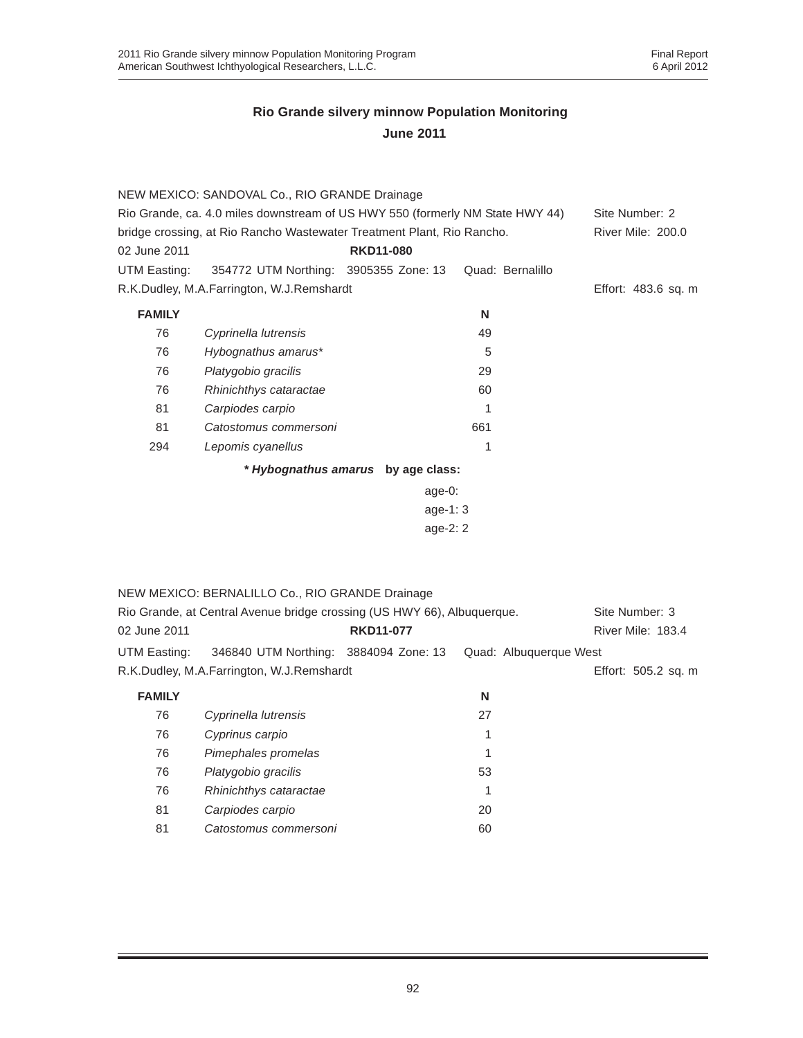| 02 June 2011<br>UTM Easting: | NEW MEXICO: SANDOVAL Co., RIO GRANDE Drainage<br>Rio Grande, ca. 4.0 miles downstream of US HWY 550 (formerly NM State HWY 44)<br>bridge crossing, at Rio Rancho Wastewater Treatment Plant, Rio Rancho.<br>354772 UTM Northing: 3905355 Zone: 13 | <b>RKD11-080</b>                   | Quad: Bernalillo       | Site Number: 2<br>River Mile: 200.0 |
|------------------------------|---------------------------------------------------------------------------------------------------------------------------------------------------------------------------------------------------------------------------------------------------|------------------------------------|------------------------|-------------------------------------|
|                              | R.K.Dudley, M.A.Farrington, W.J.Remshardt                                                                                                                                                                                                         |                                    |                        | Effort: 483.6 sq. m                 |
| <b>FAMILY</b>                |                                                                                                                                                                                                                                                   |                                    | N                      |                                     |
| 76                           | Cyprinella lutrensis                                                                                                                                                                                                                              |                                    | 49                     |                                     |
| 76                           | Hybognathus amarus*                                                                                                                                                                                                                               |                                    | 5                      |                                     |
| 76                           | Platygobio gracilis                                                                                                                                                                                                                               |                                    | 29                     |                                     |
| 76                           | Rhinichthys cataractae                                                                                                                                                                                                                            |                                    | 60                     |                                     |
| 81                           | Carpiodes carpio                                                                                                                                                                                                                                  |                                    | 1                      |                                     |
| 81                           | Catostomus commersoni                                                                                                                                                                                                                             |                                    | 661                    |                                     |
| 294                          | Lepomis cyanellus                                                                                                                                                                                                                                 |                                    | 1                      |                                     |
|                              |                                                                                                                                                                                                                                                   | * Hybognathus amarus by age class: |                        |                                     |
|                              |                                                                                                                                                                                                                                                   | age- $0$ :                         |                        |                                     |
| age-1: 3                     |                                                                                                                                                                                                                                                   |                                    |                        |                                     |
|                              |                                                                                                                                                                                                                                                   | age-2: 2                           |                        |                                     |
|                              |                                                                                                                                                                                                                                                   |                                    |                        |                                     |
|                              | NEW MEXICO: BERNALILLO Co., RIO GRANDE Drainage                                                                                                                                                                                                   |                                    |                        |                                     |
|                              | Rio Grande, at Central Avenue bridge crossing (US HWY 66), Albuquerque.                                                                                                                                                                           |                                    |                        | Site Number: 3                      |
| 02 June 2011                 |                                                                                                                                                                                                                                                   | <b>RKD11-077</b>                   |                        | River Mile: 183.4                   |
| <b>UTM Easting:</b>          | 346840 UTM Northing: 3884094 Zone: 13                                                                                                                                                                                                             |                                    | Quad: Albuquerque West |                                     |
|                              | R.K.Dudley, M.A.Farrington, W.J.Remshardt                                                                                                                                                                                                         |                                    |                        | Effort: 505.2 sq. m                 |
| <b>FAMILY</b>                |                                                                                                                                                                                                                                                   |                                    | N                      |                                     |
| 76                           | Cyprinella lutrensis                                                                                                                                                                                                                              |                                    | 27                     |                                     |
| 76                           | Cyprinus carpio                                                                                                                                                                                                                                   |                                    | 1                      |                                     |
| 76                           | Pimephales promelas                                                                                                                                                                                                                               |                                    | 1                      |                                     |
| 76                           | Platygobio gracilis                                                                                                                                                                                                                               |                                    | 53                     |                                     |
| 76                           | Rhinichthys cataractae                                                                                                                                                                                                                            |                                    | 1                      |                                     |
| 81                           | Carpiodes carpio                                                                                                                                                                                                                                  |                                    | 20                     |                                     |
| 81                           | Catostomus commersoni                                                                                                                                                                                                                             |                                    | 60                     |                                     |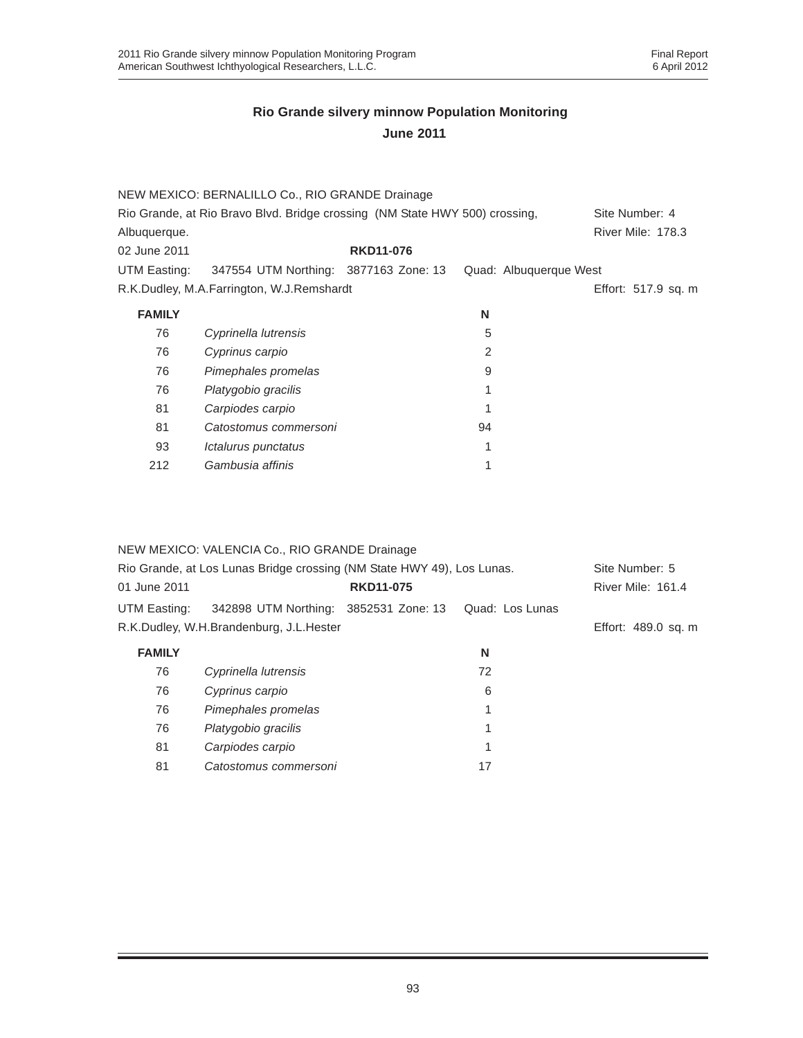|               | NEW MEXICO: BERNALILLO Co., RIO GRANDE Drainage                             |                  |    |                        |                          |
|---------------|-----------------------------------------------------------------------------|------------------|----|------------------------|--------------------------|
|               | Rio Grande, at Rio Bravo Blvd. Bridge crossing (NM State HWY 500) crossing, |                  |    |                        | Site Number: 4           |
| Albuquerque.  |                                                                             |                  |    |                        | <b>River Mile: 178.3</b> |
| 02 June 2011  |                                                                             | <b>RKD11-076</b> |    |                        |                          |
|               | UTM Easting: 347554 UTM Northing: 3877163 Zone: 13                          |                  |    | Quad: Albuquerque West |                          |
|               | R.K.Dudley, M.A.Farrington, W.J.Remshardt                                   |                  |    |                        | Effort: 517.9 sq. m      |
| <b>FAMILY</b> |                                                                             |                  | N  |                        |                          |
| 76            | Cyprinella lutrensis                                                        |                  | 5  |                        |                          |
| 76            | Cyprinus carpio                                                             |                  | 2  |                        |                          |
| 76            | Pimephales promelas                                                         |                  | 9  |                        |                          |
| 76            | Platygobio gracilis                                                         |                  |    |                        |                          |
| 81            | Carpiodes carpio                                                            |                  | 1  |                        |                          |
| 81            | Catostomus commersoni                                                       |                  | 94 |                        |                          |
| 93            | Ictalurus punctatus                                                         |                  | 1  |                        |                          |
| 212           | Gambusia affinis                                                            |                  |    |                        |                          |

|               | NEW MEXICO: VALENCIA Co., RIO GRANDE Drainage                          |                  |                 |                          |
|---------------|------------------------------------------------------------------------|------------------|-----------------|--------------------------|
|               | Rio Grande, at Los Lunas Bridge crossing (NM State HWY 49), Los Lunas. |                  |                 | Site Number: 5           |
| 01 June 2011  |                                                                        | <b>RKD11-075</b> |                 | <b>River Mile: 161.4</b> |
| UTM Easting:  | 342898 UTM Northing: 3852531 Zone: 13                                  |                  | Quad: Los Lunas |                          |
|               | R.K.Dudley, W.H.Brandenburg, J.L.Hester                                |                  |                 | Effort: 489.0 sq. m      |
| <b>FAMILY</b> |                                                                        |                  | N               |                          |
| 76            | Cyprinella lutrensis                                                   |                  | 72              |                          |
| 76            | Cyprinus carpio                                                        |                  | 6               |                          |
| 76            | Pimephales promelas                                                    |                  |                 |                          |
| 76            | Platygobio gracilis                                                    |                  | 1               |                          |
| 81            | Carpiodes carpio                                                       |                  | 1               |                          |
| 81            | Catostomus commersoni                                                  |                  | 17              |                          |
|               |                                                                        |                  |                 |                          |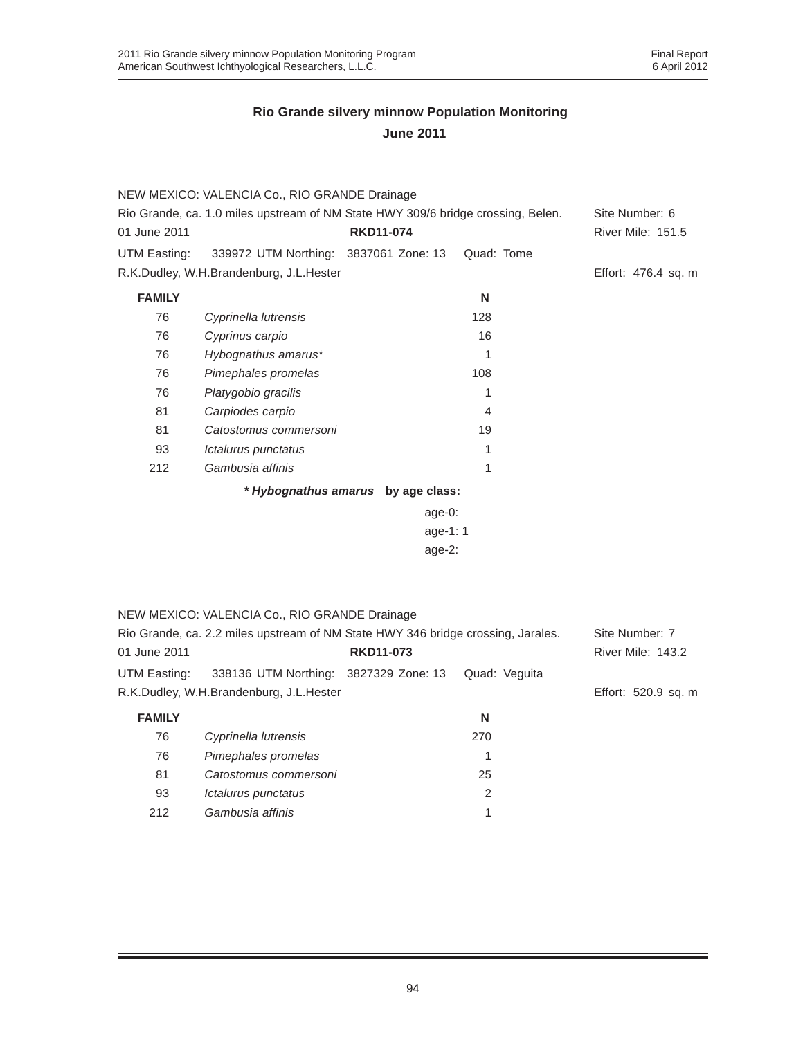|                                                                                  | NEW MEXICO: VALENCIA Co., RIO GRANDE Drainage                                    |                                    |                |                     |
|----------------------------------------------------------------------------------|----------------------------------------------------------------------------------|------------------------------------|----------------|---------------------|
| Rio Grande, ca. 1.0 miles upstream of NM State HWY 309/6 bridge crossing, Belen. |                                                                                  |                                    | Site Number: 6 |                     |
| 01 June 2011                                                                     |                                                                                  | <b>RKD11-074</b>                   |                | River Mile: 151.5   |
| <b>UTM Easting:</b>                                                              | 339972 UTM Northing: 3837061 Zone: 13                                            |                                    | Quad: Tome     |                     |
|                                                                                  | R.K.Dudley, W.H.Brandenburg, J.L.Hester                                          |                                    |                | Effort: 476.4 sq. m |
| <b>FAMILY</b>                                                                    |                                                                                  |                                    | N              |                     |
| 76                                                                               | Cyprinella lutrensis                                                             |                                    | 128            |                     |
| 76                                                                               | Cyprinus carpio                                                                  |                                    | 16             |                     |
| 76                                                                               | Hybognathus amarus*                                                              |                                    | 1              |                     |
| 76                                                                               | Pimephales promelas                                                              |                                    | 108            |                     |
| 76                                                                               | Platygobio gracilis                                                              |                                    | 1              |                     |
| 81                                                                               | Carpiodes carpio                                                                 |                                    | 4              |                     |
| 81                                                                               | Catostomus commersoni                                                            |                                    | 19             |                     |
| 93                                                                               | Ictalurus punctatus                                                              |                                    | 1              |                     |
| 212                                                                              | Gambusia affinis                                                                 |                                    | 1              |                     |
|                                                                                  |                                                                                  | * Hybognathus amarus by age class: |                |                     |
|                                                                                  |                                                                                  | age-0:                             |                |                     |
|                                                                                  |                                                                                  | age-1: 1                           |                |                     |
|                                                                                  |                                                                                  | age-2:                             |                |                     |
|                                                                                  |                                                                                  |                                    |                |                     |
|                                                                                  |                                                                                  |                                    |                |                     |
|                                                                                  | NEW MEXICO: VALENCIA Co., RIO GRANDE Drainage                                    |                                    |                |                     |
|                                                                                  | Rio Grande, ca. 2.2 miles upstream of NM State HWY 346 bridge crossing, Jarales. |                                    |                | Site Number: 7      |
| 01 June 2011                                                                     |                                                                                  | <b>RKD11-073</b>                   |                | River Mile: 143.2   |
| UTM Easting:                                                                     | 338136 UTM Northing: 3827329 Zone: 13                                            |                                    | Quad: Veguita  |                     |
|                                                                                  | R.K.Dudley, W.H.Brandenburg, J.L.Hester                                          |                                    |                | Effort: 520.9 sq. m |
| <b>FAMILY</b>                                                                    |                                                                                  |                                    | N              |                     |
| 76                                                                               | Cyprinella lutrensis                                                             |                                    | 270            |                     |
| 76                                                                               | Pimephales promelas                                                              |                                    | 1              |                     |
| 81                                                                               | Catostomus commersoni                                                            |                                    | 25             |                     |
| 93                                                                               | Ictalurus punctatus                                                              |                                    | $\overline{2}$ |                     |
| 212                                                                              | Gambusia affinis                                                                 |                                    | 1              |                     |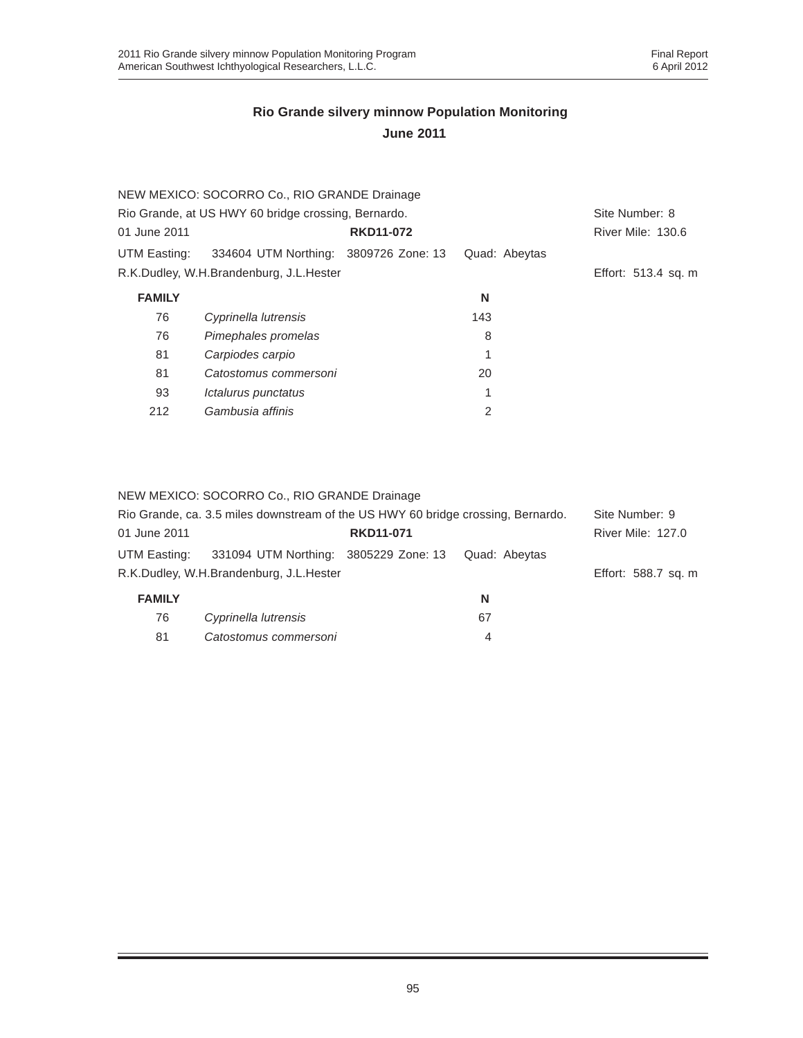|               | NEW MEXICO: SOCORRO Co., RIO GRANDE Drainage        |                  |               |                     |
|---------------|-----------------------------------------------------|------------------|---------------|---------------------|
|               | Rio Grande, at US HWY 60 bridge crossing, Bernardo. |                  |               | Site Number: 8      |
| 01 June 2011  |                                                     | <b>RKD11-072</b> |               | River Mile: 130.6   |
| UTM Easting:  | 334604 UTM Northing: 3809726 Zone: 13               |                  | Quad: Abeytas |                     |
|               | R.K.Dudley, W.H.Brandenburg, J.L.Hester             |                  |               | Effort: 513.4 sq. m |
| <b>FAMILY</b> |                                                     |                  | N             |                     |
| 76            | Cyprinella lutrensis                                |                  | 143           |                     |
| 76            | Pimephales promelas                                 |                  | 8             |                     |
| 81            | Carpiodes carpio                                    |                  | 1             |                     |
| 81            | Catostomus commersoni                               |                  | 20            |                     |
| 93            | Ictalurus punctatus                                 |                  | 1             |                     |
| 212           | Gambusia affinis                                    |                  | 2             |                     |
|               |                                                     |                  |               |                     |

#### NEW MEXICO: SOCORRO Co., RIO GRANDE Drainage

| Rio Grande, ca. 3.5 miles downstream of the US HWY 60 bridge crossing, Bernardo. |                                         |                  | Site Number: 9 |                          |
|----------------------------------------------------------------------------------|-----------------------------------------|------------------|----------------|--------------------------|
| 01 June 2011                                                                     |                                         | <b>RKD11-071</b> |                | <b>River Mile: 127.0</b> |
| UTM Easting:                                                                     | 331094 UTM Northing: 3805229 Zone: 13   |                  | Quad: Abeytas  |                          |
|                                                                                  | R.K.Dudley, W.H.Brandenburg, J.L.Hester |                  |                | Effort: 588.7 sq. m      |
| <b>FAMILY</b>                                                                    |                                         |                  | N              |                          |
| 76                                                                               | Cyprinella lutrensis                    |                  | 67             |                          |
| 81                                                                               | Catostomus commersoni                   |                  | 4              |                          |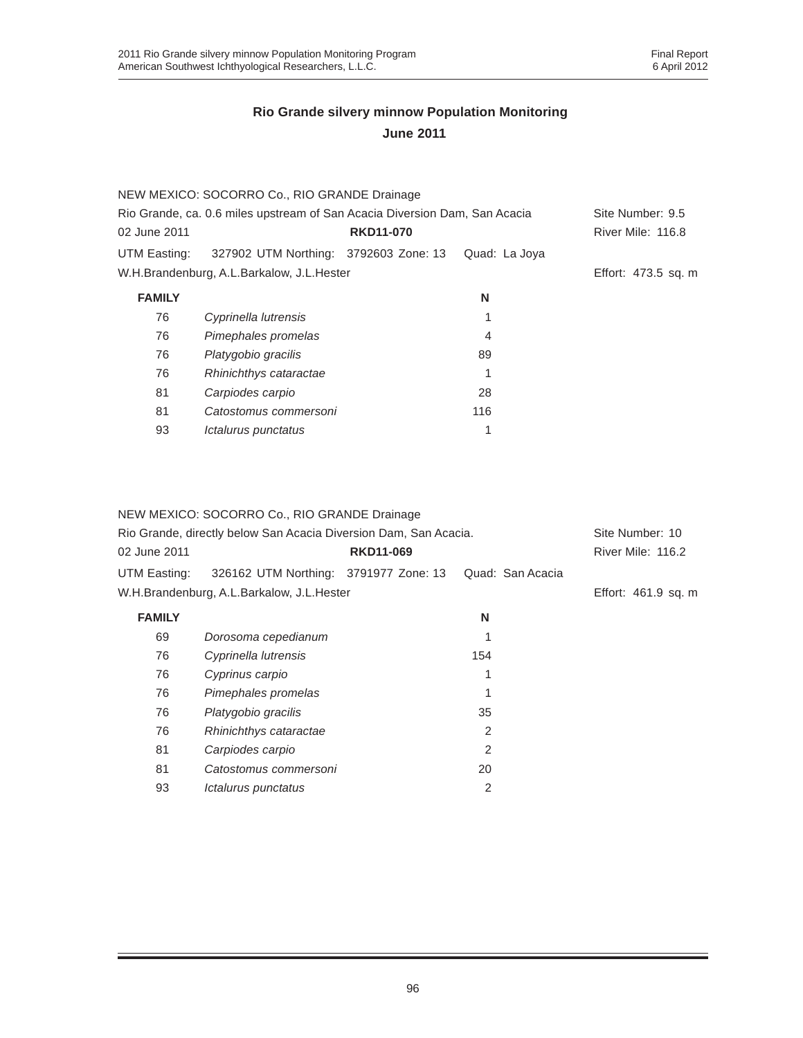|                                                                            | NEW MEXICO: SOCORRO Co., RIO GRANDE Drainage |                  |                  |                     |
|----------------------------------------------------------------------------|----------------------------------------------|------------------|------------------|---------------------|
| Rio Grande, ca. 0.6 miles upstream of San Acacia Diversion Dam, San Acacia |                                              |                  | Site Number: 9.5 |                     |
| 02 June 2011                                                               |                                              | <b>RKD11-070</b> |                  | River Mile: 116.8   |
| UTM Easting:                                                               | 327902 UTM Northing: 3792603 Zone: 13        |                  | Quad: La Joya    |                     |
|                                                                            | W.H.Brandenburg, A.L.Barkalow, J.L.Hester    |                  |                  | Effort: 473.5 sq. m |
| <b>FAMILY</b>                                                              |                                              |                  | N                |                     |
| 76                                                                         | Cyprinella lutrensis                         |                  |                  |                     |
| 76                                                                         | Pimephales promelas                          |                  | 4                |                     |
| 76                                                                         | Platygobio gracilis                          |                  | 89               |                     |
| 76                                                                         | Rhinichthys cataractae                       |                  |                  |                     |
| 81                                                                         | Carpiodes carpio                             |                  | 28               |                     |
| 81                                                                         | Catostomus commersoni                        |                  | 116              |                     |
| 93                                                                         | Ictalurus punctatus                          |                  |                  |                     |
|                                                                            |                                              |                  |                  |                     |

#### NEW MEXICO: SOCORRO Co., RIO GRANDE Drainage

| Rio Grande, directly below San Acacia Diversion Dam, San Acacia. |                                           |                  | Site Number: 10  |                     |
|------------------------------------------------------------------|-------------------------------------------|------------------|------------------|---------------------|
| 02 June 2011                                                     |                                           | <b>RKD11-069</b> |                  | River Mile: 116.2   |
| UTM Easting:                                                     | 326162 UTM Northing: 3791977 Zone: 13     |                  | Quad: San Acacia |                     |
|                                                                  | W.H.Brandenburg, A.L.Barkalow, J.L.Hester |                  |                  | Effort: 461.9 sq. m |
| <b>FAMILY</b>                                                    |                                           |                  | N                |                     |
| 69                                                               | Dorosoma cepedianum                       |                  |                  |                     |
| 76                                                               | Cyprinella lutrensis                      |                  | 154              |                     |
| 76                                                               | Cyprinus carpio                           |                  | 1                |                     |
| 76                                                               | Pimephales promelas                       |                  |                  |                     |
| 76                                                               | Platygobio gracilis                       |                  | 35               |                     |
| 76                                                               | Rhinichthys cataractae                    |                  | 2                |                     |
| 81                                                               | Carpiodes carpio                          |                  | $\mathcal{P}$    |                     |
| 81                                                               | Catostomus commersoni                     |                  | 20               |                     |
| 93                                                               | Ictalurus punctatus                       |                  | 2                |                     |
|                                                                  |                                           |                  |                  |                     |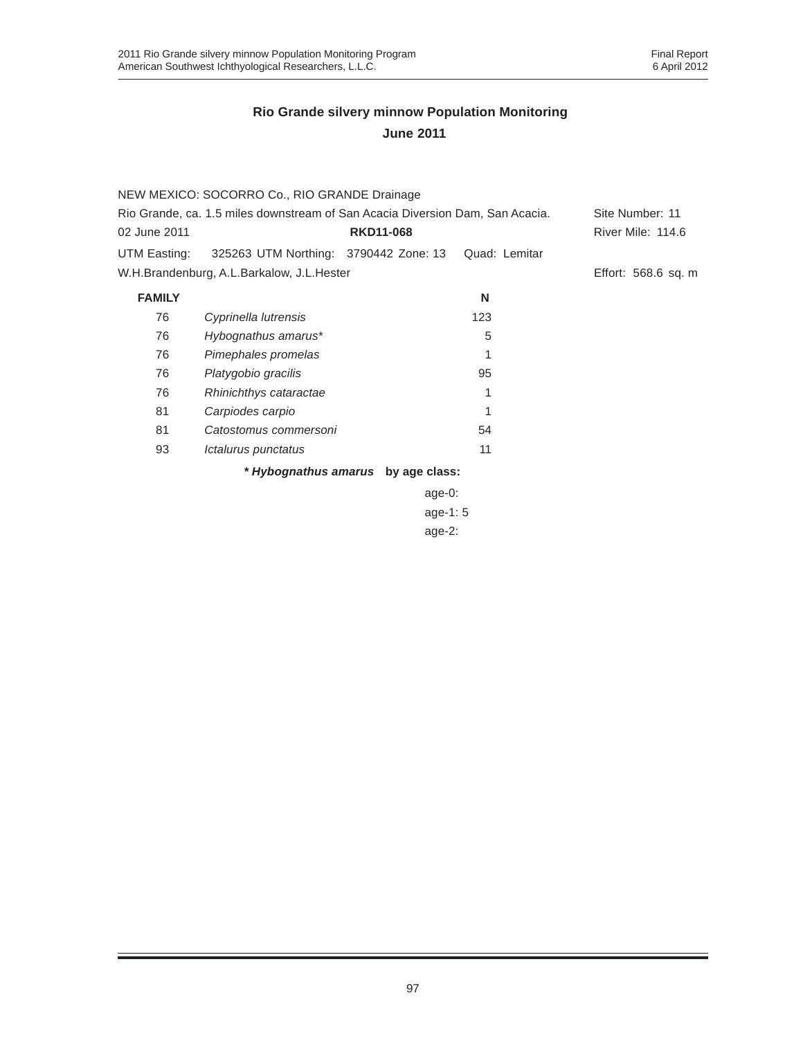|                                                                               | NEW MEXICO: SOCORRO Co., RIO GRANDE Drainage |                                    |                 |                     |
|-------------------------------------------------------------------------------|----------------------------------------------|------------------------------------|-----------------|---------------------|
| Rio Grande, ca. 1.5 miles downstream of San Acacia Diversion Dam, San Acacia. |                                              |                                    | Site Number: 11 |                     |
| 02 June 2011                                                                  |                                              | <b>RKD11-068</b>                   |                 | River Mile: 114.6   |
| UTM Easting:                                                                  | 325263 UTM Northing: 3790442 Zone: 13        |                                    | Quad: Lemitar   |                     |
|                                                                               | W.H.Brandenburg, A.L.Barkalow, J.L.Hester    |                                    |                 | Effort: 568.6 sq. m |
| <b>FAMILY</b>                                                                 |                                              |                                    | N               |                     |
| 76                                                                            | Cyprinella lutrensis                         |                                    | 123             |                     |
| 76                                                                            | Hybognathus amarus*                          |                                    | 5               |                     |
| 76                                                                            | Pimephales promelas                          |                                    |                 |                     |
| 76                                                                            | Platygobio gracilis                          |                                    | 95              |                     |
| 76                                                                            | Rhinichthys cataractae                       |                                    | 1               |                     |
| 81                                                                            | Carpiodes carpio                             |                                    | 1               |                     |
| 81                                                                            | Catostomus commersoni                        |                                    | 54              |                     |
| 93                                                                            | Ictalurus punctatus                          |                                    | 11              |                     |
|                                                                               |                                              | * Hybognathus amarus by age class: |                 |                     |

age-0: age-1: 5 age-2: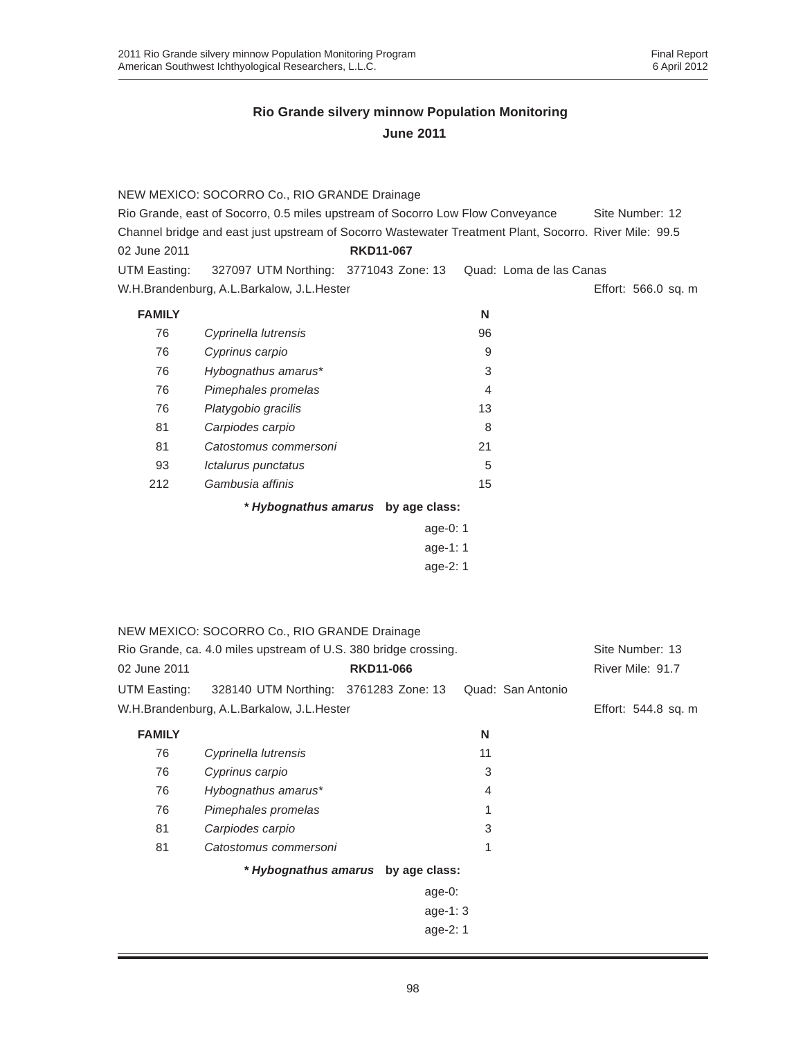|                                                                                | NEW MEXICO: SOCORRO Co., RIO GRANDE Drainage                                                           |                                    |          |                         |                     |
|--------------------------------------------------------------------------------|--------------------------------------------------------------------------------------------------------|------------------------------------|----------|-------------------------|---------------------|
| Rio Grande, east of Socorro, 0.5 miles upstream of Socorro Low Flow Conveyance |                                                                                                        |                                    |          | Site Number: 12         |                     |
|                                                                                | Channel bridge and east just upstream of Socorro Wastewater Treatment Plant, Socorro. River Mile: 99.5 |                                    |          |                         |                     |
| 02 June 2011                                                                   |                                                                                                        | <b>RKD11-067</b>                   |          |                         |                     |
| UTM Easting:                                                                   | 327097 UTM Northing: 3771043 Zone: 13                                                                  |                                    |          | Quad: Loma de las Canas |                     |
|                                                                                | W.H.Brandenburg, A.L.Barkalow, J.L.Hester                                                              |                                    |          |                         | Effort: 566.0 sq. m |
| <b>FAMILY</b>                                                                  |                                                                                                        |                                    | N        |                         |                     |
| 76                                                                             | Cyprinella lutrensis                                                                                   |                                    | 96       |                         |                     |
| 76                                                                             | Cyprinus carpio                                                                                        |                                    | 9        |                         |                     |
| 76                                                                             | Hybognathus amarus*                                                                                    |                                    | 3        |                         |                     |
| 76                                                                             | Pimephales promelas                                                                                    |                                    | 4        |                         |                     |
| 76                                                                             | Platygobio gracilis                                                                                    |                                    | 13       |                         |                     |
| 81                                                                             | Carpiodes carpio                                                                                       |                                    | 8        |                         |                     |
| 81                                                                             | Catostomus commersoni                                                                                  |                                    | 21       |                         |                     |
| 93                                                                             | Ictalurus punctatus                                                                                    |                                    | 5        |                         |                     |
| 212                                                                            | Gambusia affinis                                                                                       |                                    | 15       |                         |                     |
|                                                                                |                                                                                                        | * Hybognathus amarus by age class: |          |                         |                     |
|                                                                                |                                                                                                        |                                    | age-0: 1 |                         |                     |
|                                                                                |                                                                                                        |                                    | age-1: 1 |                         |                     |
|                                                                                |                                                                                                        |                                    | age-2: 1 |                         |                     |
|                                                                                |                                                                                                        |                                    |          |                         |                     |
|                                                                                |                                                                                                        |                                    |          |                         |                     |
|                                                                                | NEW MEXICO: SOCORRO Co., RIO GRANDE Drainage                                                           |                                    |          |                         |                     |
|                                                                                | Rio Grande, ca. 4.0 miles upstream of U.S. 380 bridge crossing.                                        |                                    |          |                         | Site Number: 13     |
| 02 June 2011                                                                   |                                                                                                        | <b>RKD11-066</b>                   |          |                         | River Mile: 91.7    |
|                                                                                |                                                                                                        |                                    |          |                         |                     |
| UTM Easting:                                                                   | 328140 UTM Northing: 3761283 Zone: 13                                                                  |                                    |          | Quad: San Antonio       |                     |
|                                                                                | W.H.Brandenburg, A.L.Barkalow, J.L.Hester                                                              |                                    |          |                         | Effort: 544.8 sq. m |
| <b>FAMILY</b>                                                                  |                                                                                                        |                                    | N        |                         |                     |
| 76                                                                             | Cyprinella lutrensis                                                                                   |                                    | 11       |                         |                     |
| 76                                                                             | Cyprinus carpio                                                                                        |                                    | 3        |                         |                     |
| 76                                                                             | Hybognathus amarus*                                                                                    |                                    | 4        |                         |                     |
| 76                                                                             | Pimephales promelas                                                                                    |                                    | 1        |                         |                     |
| 81                                                                             | Carpiodes carpio                                                                                       |                                    | 3        |                         |                     |
| 81                                                                             | Catostomus commersoni                                                                                  |                                    | 1        |                         |                     |
|                                                                                |                                                                                                        | * Hybognathus amarus by age class: |          |                         |                     |
|                                                                                |                                                                                                        | age-0:                             |          |                         |                     |
|                                                                                |                                                                                                        |                                    | age-1:3  |                         |                     |
|                                                                                |                                                                                                        |                                    | age-2: 1 |                         |                     |
|                                                                                |                                                                                                        |                                    |          |                         |                     |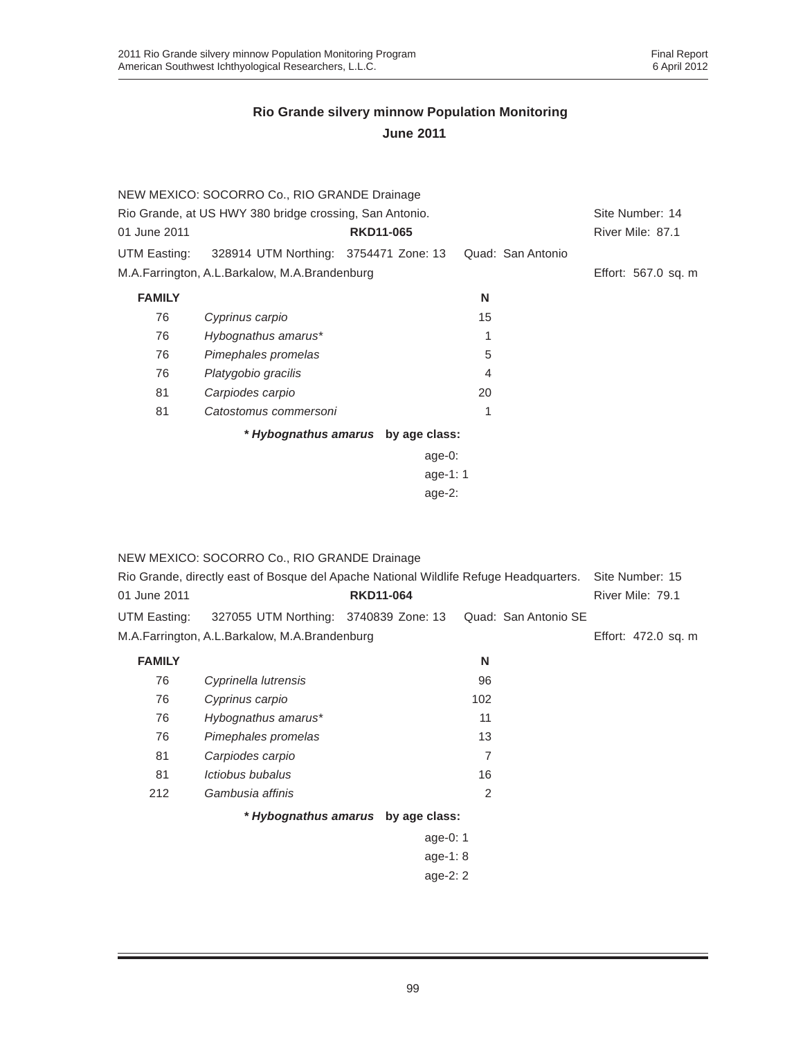|                                                         | NEW MEXICO: SOCORRO Co., RIO GRANDE Drainage  |                                    |                   |                     |
|---------------------------------------------------------|-----------------------------------------------|------------------------------------|-------------------|---------------------|
| Rio Grande, at US HWY 380 bridge crossing, San Antonio. |                                               |                                    |                   | Site Number: 14     |
| 01 June 2011                                            |                                               | <b>RKD11-065</b>                   |                   | River Mile: 87.1    |
| UTM Easting:                                            | 328914 UTM Northing: 3754471 Zone: 13         |                                    | Quad: San Antonio |                     |
|                                                         | M.A.Farrington, A.L.Barkalow, M.A.Brandenburg |                                    |                   | Effort: 567.0 sq. m |
| <b>FAMILY</b>                                           |                                               |                                    | N                 |                     |
| 76                                                      | Cyprinus carpio                               |                                    | 15                |                     |
| 76                                                      | Hybognathus amarus*                           |                                    | 1                 |                     |
| 76                                                      | Pimephales promelas                           |                                    | 5                 |                     |
| 76                                                      | Platygobio gracilis                           |                                    | 4                 |                     |
| 81                                                      | Carpiodes carpio                              |                                    | 20                |                     |
| 81                                                      | Catostomus commersoni                         |                                    | 1                 |                     |
|                                                         |                                               | * Hybognathus amarus by age class: |                   |                     |
|                                                         |                                               | $age-0$ :                          |                   |                     |
|                                                         |                                               | age-1: $1$                         |                   |                     |
|                                                         |                                               | age- $2$ :                         |                   |                     |

|                                               | NEW MEXICO: SOCORRO Co., RIO GRANDE Drainage<br>Rio Grande, directly east of Bosque del Apache National Wildlife Refuge Headquarters. |                                    |     |                      | Site Number: 15  |  |  |
|-----------------------------------------------|---------------------------------------------------------------------------------------------------------------------------------------|------------------------------------|-----|----------------------|------------------|--|--|
| 01 June 2011                                  |                                                                                                                                       | <b>RKD11-064</b>                   |     |                      | River Mile: 79.1 |  |  |
| UTM Easting:                                  | 327055 UTM Northing: 3740839 Zone: 13                                                                                                 |                                    |     | Quad: San Antonio SE |                  |  |  |
| M.A.Farrington, A.L.Barkalow, M.A.Brandenburg | Effort: 472.0 sq. m                                                                                                                   |                                    |     |                      |                  |  |  |
| <b>FAMILY</b>                                 |                                                                                                                                       |                                    | N   |                      |                  |  |  |
| 76                                            | Cyprinella lutrensis                                                                                                                  |                                    | 96  |                      |                  |  |  |
| 76                                            | Cyprinus carpio                                                                                                                       |                                    | 102 |                      |                  |  |  |
| 76                                            | Hybognathus amarus*                                                                                                                   |                                    | 11  |                      |                  |  |  |
| 76                                            | Pimephales promelas                                                                                                                   |                                    | 13  |                      |                  |  |  |
| 81                                            | Carpiodes carpio                                                                                                                      |                                    | 7   |                      |                  |  |  |
| 81                                            | Ictiobus bubalus                                                                                                                      |                                    | 16  |                      |                  |  |  |
| 212                                           | Gambusia affinis                                                                                                                      |                                    | 2   |                      |                  |  |  |
|                                               |                                                                                                                                       | * Hybognathus amarus by age class: |     |                      |                  |  |  |
| age-0: $1$                                    |                                                                                                                                       |                                    |     |                      |                  |  |  |
| age-1: $8$                                    |                                                                                                                                       |                                    |     |                      |                  |  |  |

age-2: 2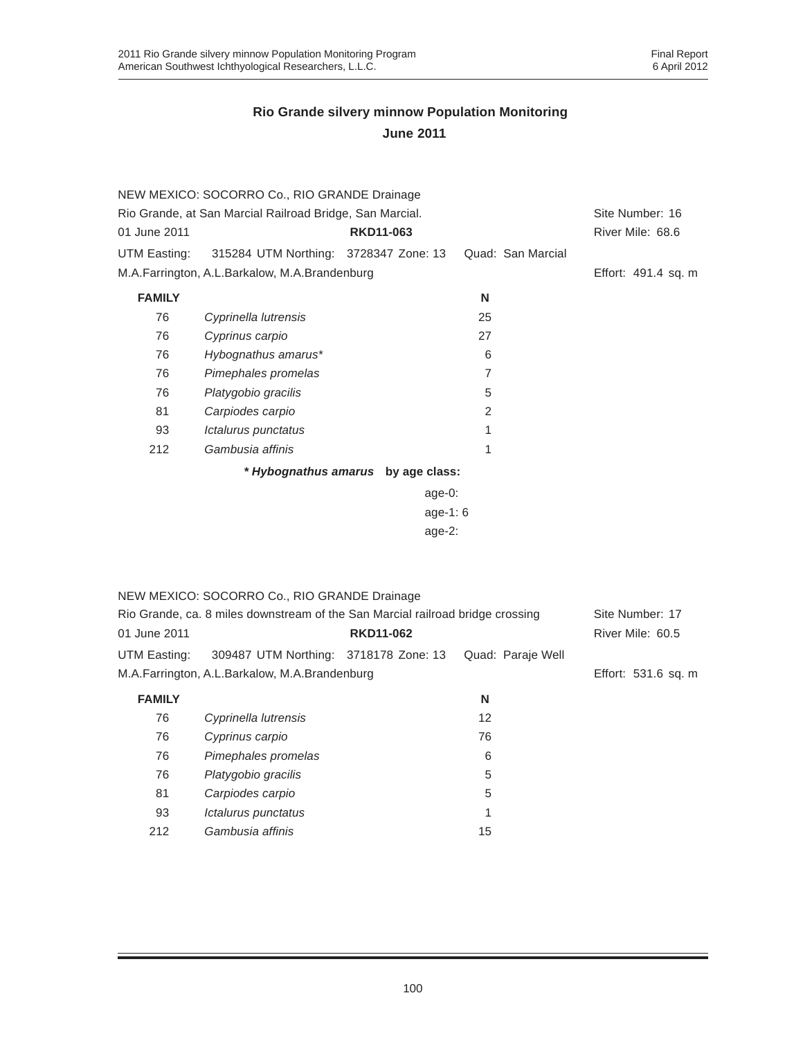|                                                          | NEW MEXICO: SOCORRO Co., RIO GRANDE Drainage                                   |                  |                   |                     |  |  |  |
|----------------------------------------------------------|--------------------------------------------------------------------------------|------------------|-------------------|---------------------|--|--|--|
| Rio Grande, at San Marcial Railroad Bridge, San Marcial. | Site Number: 16                                                                |                  |                   |                     |  |  |  |
| 01 June 2011                                             |                                                                                | <b>RKD11-063</b> |                   | River Mile: 68.6    |  |  |  |
| UTM Easting:                                             | 315284 UTM Northing: 3728347 Zone: 13                                          |                  | Quad: San Marcial |                     |  |  |  |
|                                                          | M.A.Farrington, A.L.Barkalow, M.A.Brandenburg                                  |                  |                   | Effort: 491.4 sq. m |  |  |  |
| <b>FAMILY</b>                                            |                                                                                |                  | N                 |                     |  |  |  |
| 76                                                       | Cyprinella lutrensis                                                           |                  | 25                |                     |  |  |  |
| 76                                                       | Cyprinus carpio                                                                |                  | 27                |                     |  |  |  |
| 76                                                       | Hybognathus amarus*                                                            |                  | 6                 |                     |  |  |  |
| 76                                                       | Pimephales promelas                                                            |                  | $\overline{7}$    |                     |  |  |  |
| 76                                                       | Platygobio gracilis                                                            |                  | 5                 |                     |  |  |  |
| 81                                                       | Carpiodes carpio                                                               |                  | 2                 |                     |  |  |  |
| 93                                                       | Ictalurus punctatus                                                            |                  | 1                 |                     |  |  |  |
| 212                                                      | Gambusia affinis                                                               |                  | 1                 |                     |  |  |  |
| * Hybognathus amarus by age class:                       |                                                                                |                  |                   |                     |  |  |  |
|                                                          |                                                                                |                  |                   |                     |  |  |  |
|                                                          |                                                                                |                  |                   |                     |  |  |  |
|                                                          |                                                                                |                  |                   |                     |  |  |  |
|                                                          |                                                                                |                  |                   |                     |  |  |  |
|                                                          |                                                                                |                  |                   |                     |  |  |  |
|                                                          | NEW MEXICO: SOCORRO Co., RIO GRANDE Drainage                                   |                  |                   |                     |  |  |  |
|                                                          | Rio Grande, ca. 8 miles downstream of the San Marcial railroad bridge crossing |                  |                   | Site Number: 17     |  |  |  |
| 01 June 2011                                             |                                                                                | <b>RKD11-062</b> |                   | River Mile: 60.5    |  |  |  |
| UTM Easting:                                             | 309487 UTM Northing: 3718178 Zone: 13                                          |                  | Quad: Paraje Well |                     |  |  |  |
|                                                          | M.A.Farrington, A.L.Barkalow, M.A.Brandenburg                                  |                  |                   | Effort: 531.6 sq. m |  |  |  |
| <b>FAMILY</b>                                            |                                                                                |                  | N                 |                     |  |  |  |
| 76                                                       | Cyprinella lutrensis                                                           |                  | 12                |                     |  |  |  |
| 76                                                       | Cyprinus carpio                                                                |                  | 76                |                     |  |  |  |
| 76                                                       | Pimephales promelas                                                            |                  | 6                 |                     |  |  |  |
| 76                                                       | Platygobio gracilis                                                            |                  | 5                 |                     |  |  |  |

81 *Carpiodes carpio* 5 93 *Ictalurus punctatus* 1 212 *Gambusia affinis* 15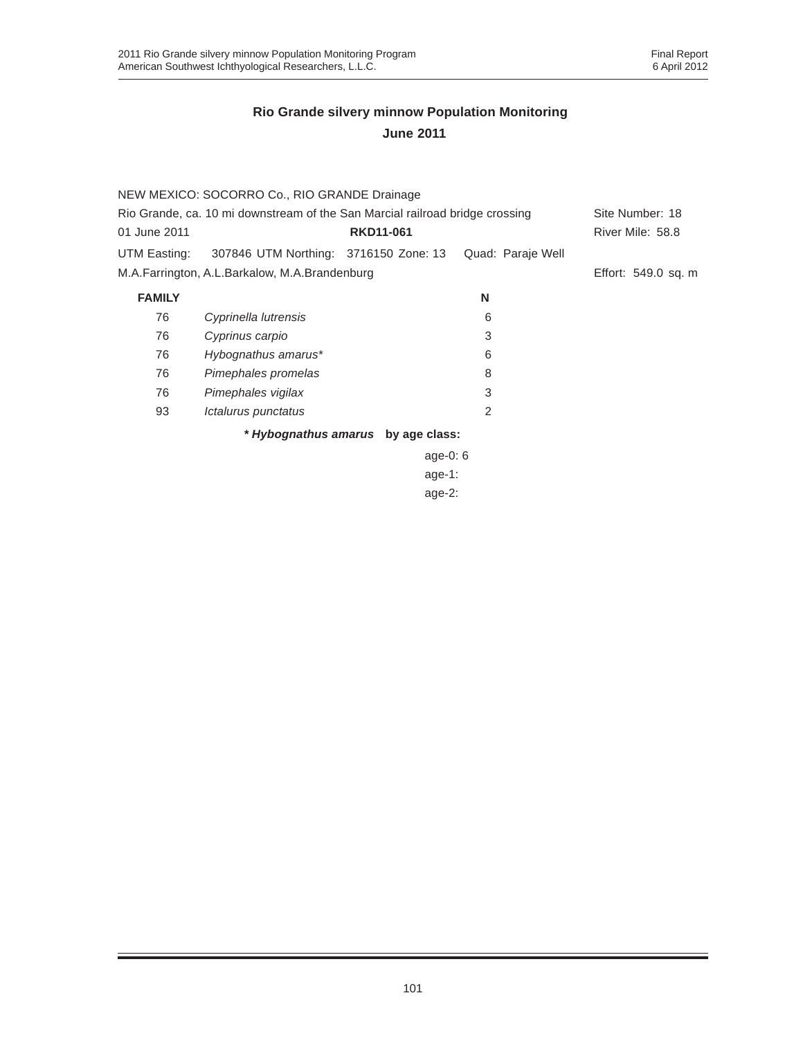|                                                                              | NEW MEXICO: SOCORRO Co., RIO GRANDE Drainage  |                                    |                   |                     |
|------------------------------------------------------------------------------|-----------------------------------------------|------------------------------------|-------------------|---------------------|
| Rio Grande, ca. 10 mi downstream of the San Marcial railroad bridge crossing |                                               |                                    | Site Number: 18   |                     |
| 01 June 2011                                                                 |                                               | <b>RKD11-061</b>                   |                   | River Mile: 58.8    |
| UTM Easting:                                                                 | 307846 UTM Northing: 3716150 Zone: 13         |                                    | Quad: Paraje Well |                     |
|                                                                              | M.A.Farrington, A.L.Barkalow, M.A.Brandenburg |                                    |                   | Effort: 549.0 sq. m |
| <b>FAMILY</b>                                                                |                                               |                                    | N                 |                     |
| 76                                                                           | Cyprinella lutrensis                          |                                    | 6                 |                     |
| 76                                                                           | Cyprinus carpio                               |                                    | 3                 |                     |
| 76                                                                           | Hybognathus amarus*                           |                                    | 6                 |                     |
| 76                                                                           | Pimephales promelas                           |                                    | 8                 |                     |
| 76                                                                           | Pimephales vigilax                            |                                    | 3                 |                     |
| 93                                                                           | Ictalurus punctatus                           |                                    | 2                 |                     |
|                                                                              |                                               | * Hybognathus amarus by age class: |                   |                     |
|                                                                              |                                               | age-0: $6$                         |                   |                     |
|                                                                              |                                               | $age-1:$                           |                   |                     |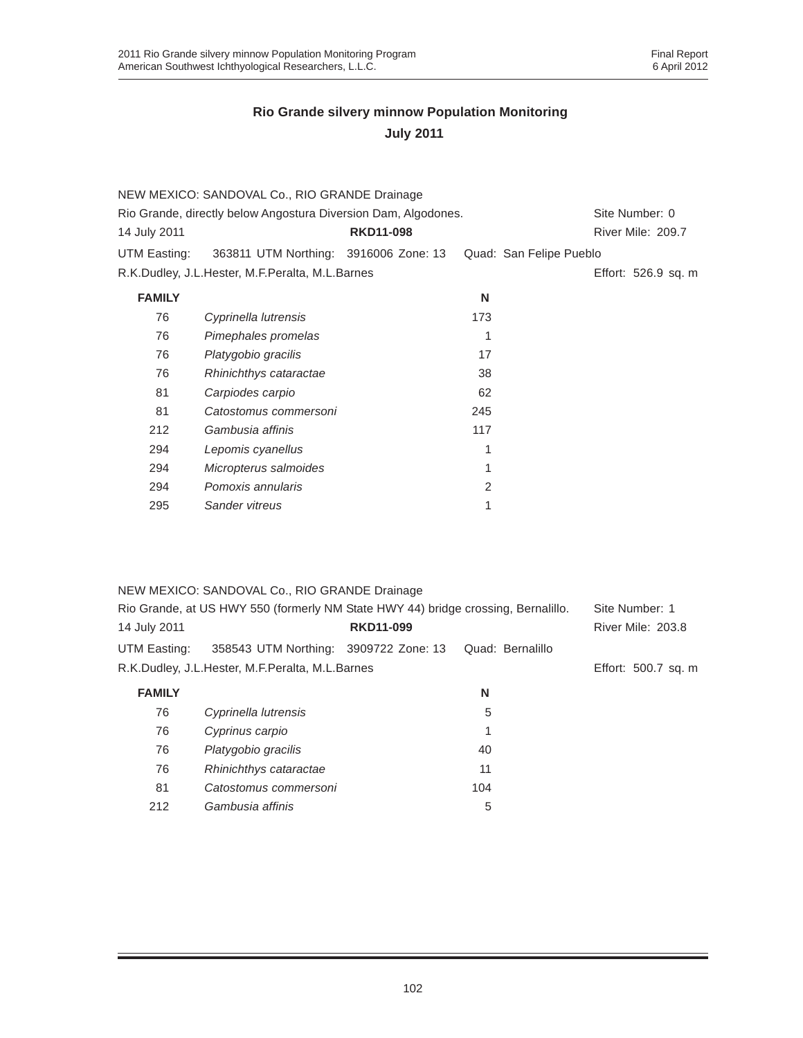|                                                                | NEW MEXICO: SANDOVAL Co., RIO GRANDE Drainage   |                  |                |                         |
|----------------------------------------------------------------|-------------------------------------------------|------------------|----------------|-------------------------|
| Rio Grande, directly below Angostura Diversion Dam, Algodones. |                                                 |                  | Site Number: 0 |                         |
| 14 July 2011                                                   |                                                 | <b>RKD11-098</b> |                | River Mile: 209.7       |
| UTM Easting:                                                   | 363811 UTM Northing: 3916006 Zone: 13           |                  |                | Quad: San Felipe Pueblo |
|                                                                | R.K.Dudley, J.L.Hester, M.F.Peralta, M.L.Barnes |                  |                | Effort: 526.9 sq. m     |
| <b>FAMILY</b>                                                  |                                                 |                  | N              |                         |
| 76                                                             | Cyprinella lutrensis                            |                  | 173            |                         |
| 76                                                             | Pimephales promelas                             |                  |                |                         |
| 76                                                             | Platygobio gracilis                             |                  | 17             |                         |
| 76                                                             | Rhinichthys cataractae                          |                  | 38             |                         |
| 81                                                             | Carpiodes carpio                                |                  | 62             |                         |
| 81                                                             | Catostomus commersoni                           |                  | 245            |                         |
| 212                                                            | Gambusia affinis                                |                  | 117            |                         |
| 294                                                            | Lepomis cyanellus                               |                  | 1              |                         |
| 294                                                            | Micropterus salmoides                           |                  | 1              |                         |
| 294                                                            | Pomoxis annularis                               |                  | $\mathcal{P}$  |                         |
| 295                                                            | Sander vitreus                                  |                  |                |                         |
|                                                                |                                                 |                  |                |                         |

|               | NEW MEXICO: SANDOVAL Co., RIO GRANDE Drainage                                     |                  |                  |                     |
|---------------|-----------------------------------------------------------------------------------|------------------|------------------|---------------------|
|               | Rio Grande, at US HWY 550 (formerly NM State HWY 44) bridge crossing, Bernalillo. |                  |                  | Site Number: 1      |
| 14 July 2011  |                                                                                   | <b>RKD11-099</b> |                  | River Mile: 203.8   |
| UTM Easting:  | 358543 UTM Northing: 3909722 Zone: 13                                             |                  | Quad: Bernalillo |                     |
|               | R.K.Dudley, J.L.Hester, M.F.Peralta, M.L.Barnes                                   |                  |                  | Effort: 500.7 sq. m |
| <b>FAMILY</b> |                                                                                   |                  | N                |                     |
| 76            | Cyprinella lutrensis                                                              |                  | 5                |                     |

| 76  | Cyprinella lutrensis   | G   |  |
|-----|------------------------|-----|--|
| 76  | Cyprinus carpio        |     |  |
| 76  | Platygobio gracilis    | 40  |  |
| 76  | Rhinichthys cataractae | 11  |  |
| 81  | Catostomus commersoni  | 104 |  |
| 212 | Gambusia affinis       | 5   |  |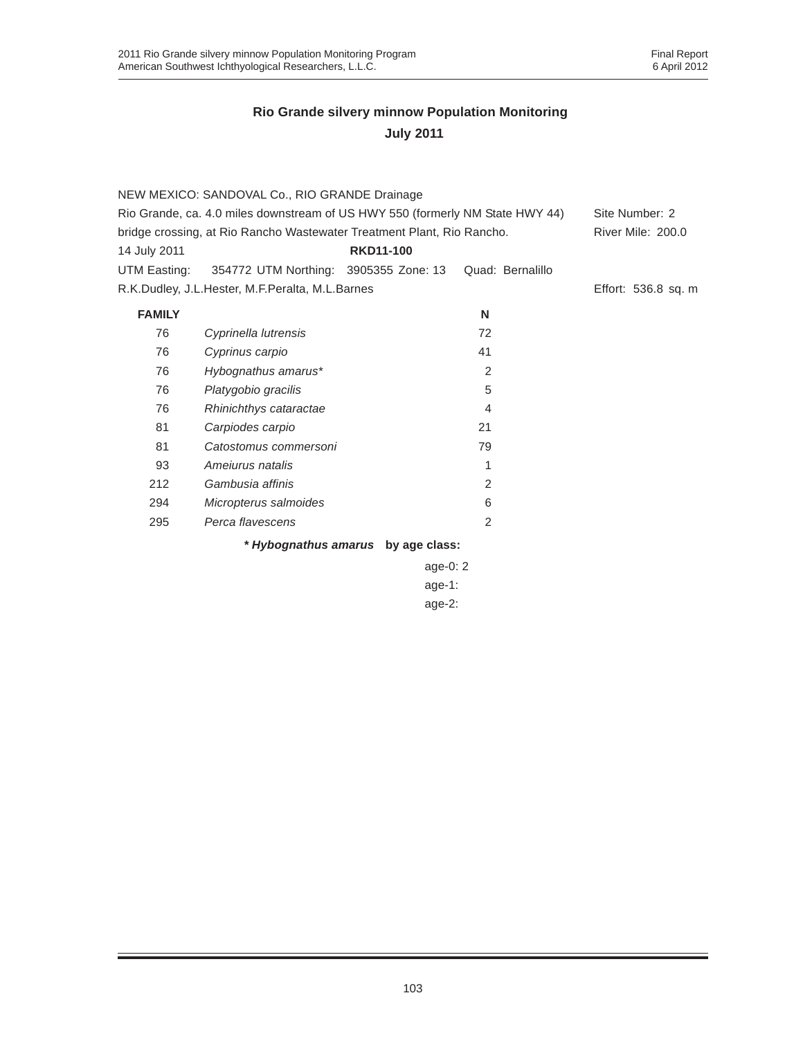|               | NEW MEXICO: SANDOVAL Co., RIO GRANDE Drainage                                 |                                    |                  |                     |
|---------------|-------------------------------------------------------------------------------|------------------------------------|------------------|---------------------|
|               | Rio Grande, ca. 4.0 miles downstream of US HWY 550 (formerly NM State HWY 44) |                                    |                  | Site Number: 2      |
|               | bridge crossing, at Rio Rancho Wastewater Treatment Plant, Rio Rancho.        |                                    |                  | River Mile: 200.0   |
| 14 July 2011  |                                                                               | <b>RKD11-100</b>                   |                  |                     |
| UTM Easting:  | 354772 UTM Northing: 3905355 Zone: 13                                         |                                    | Quad: Bernalillo |                     |
|               | R.K.Dudley, J.L.Hester, M.F.Peralta, M.L.Barnes                               |                                    |                  | Effort: 536.8 sq. m |
| <b>FAMILY</b> |                                                                               |                                    | N                |                     |
| 76            | Cyprinella lutrensis                                                          |                                    | 72               |                     |
| 76            | Cyprinus carpio                                                               |                                    | 41               |                     |
| 76            | Hybognathus amarus*                                                           |                                    | 2                |                     |
| 76            | Platygobio gracilis                                                           |                                    | 5                |                     |
| 76            | Rhinichthys cataractae                                                        |                                    | 4                |                     |
| 81            | Carpiodes carpio                                                              |                                    | 21               |                     |
| 81            | Catostomus commersoni                                                         |                                    | 79               |                     |
| 93            | Ameiurus natalis                                                              |                                    | 1                |                     |
| 212           | Gambusia affinis                                                              |                                    | 2                |                     |
| 294           | Micropterus salmoides                                                         |                                    | 6                |                     |
| 295           | Perca flavescens                                                              |                                    | 2                |                     |
|               |                                                                               | * Hybognathus amarus by age class: |                  |                     |
|               |                                                                               | age-0: $2$                         |                  |                     |
|               |                                                                               | age-1:                             |                  |                     |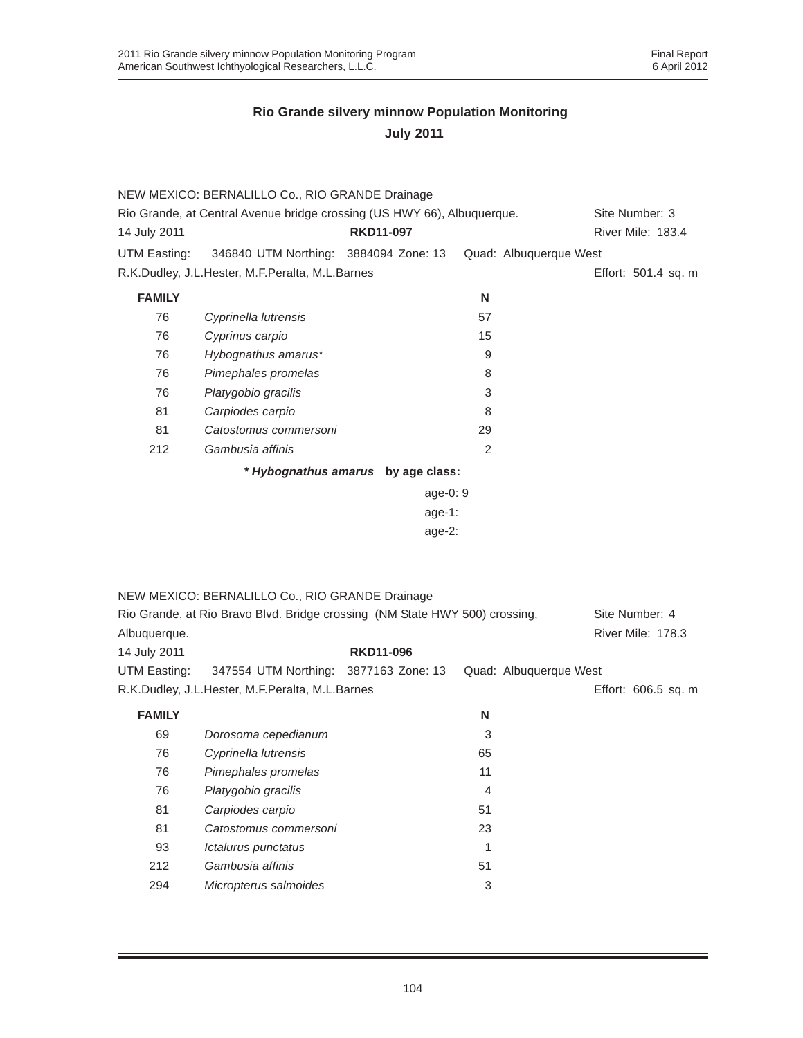|               | NEW MEXICO: BERNALILLO Co., RIO GRANDE Drainage                             |                                    |                           |                        |                     |
|---------------|-----------------------------------------------------------------------------|------------------------------------|---------------------------|------------------------|---------------------|
|               | Rio Grande, at Central Avenue bridge crossing (US HWY 66), Albuquerque.     |                                    |                           |                        | Site Number: 3      |
| 14 July 2011  |                                                                             | <b>RKD11-097</b>                   |                           |                        | River Mile: 183.4   |
| UTM Easting:  | 346840 UTM Northing: 3884094 Zone: 13                                       |                                    |                           | Quad: Albuquerque West |                     |
|               | R.K.Dudley, J.L.Hester, M.F.Peralta, M.L.Barnes                             |                                    |                           |                        | Effort: 501.4 sq. m |
| <b>FAMILY</b> |                                                                             |                                    | N                         |                        |                     |
| 76            | Cyprinella lutrensis                                                        |                                    | 57                        |                        |                     |
| 76            | Cyprinus carpio                                                             |                                    | 15                        |                        |                     |
| 76            | Hybognathus amarus*                                                         |                                    | 9                         |                        |                     |
| 76            | Pimephales promelas                                                         |                                    | 8                         |                        |                     |
| 76            | Platygobio gracilis                                                         |                                    | 3                         |                        |                     |
| 81            | Carpiodes carpio                                                            |                                    | 8                         |                        |                     |
| 81            | Catostomus commersoni                                                       |                                    | 29                        |                        |                     |
| 212           | Gambusia affinis                                                            |                                    | 2                         |                        |                     |
|               |                                                                             | * Hybognathus amarus by age class: |                           |                        |                     |
|               |                                                                             | age-0: 9                           |                           |                        |                     |
|               |                                                                             | age-1:                             |                           |                        |                     |
|               |                                                                             | $age-2$ :                          |                           |                        |                     |
|               |                                                                             |                                    |                           |                        |                     |
|               |                                                                             |                                    |                           |                        |                     |
|               | NEW MEXICO: BERNALILLO Co., RIO GRANDE Drainage                             |                                    |                           |                        |                     |
|               | Rio Grande, at Rio Bravo Blvd. Bridge crossing (NM State HWY 500) crossing, |                                    |                           |                        | Site Number: 4      |
| Albuquerque.  |                                                                             |                                    |                           |                        | River Mile: 178.3   |
| 14 July 2011  |                                                                             | <b>RKD11-096</b>                   |                           |                        |                     |
| UTM Easting:  | 347554 UTM Northing: 3877163 Zone: 13                                       |                                    |                           | Quad: Albuquerque West |                     |
|               | R.K.Dudley, J.L.Hester, M.F.Peralta, M.L.Barnes                             |                                    |                           |                        | Effort: 606.5 sq. m |
| <b>FAMILY</b> |                                                                             |                                    |                           |                        |                     |
|               |                                                                             |                                    | N                         |                        |                     |
| 69            | Dorosoma cepedianum                                                         |                                    | 3                         |                        |                     |
| 76            | Cyprinella lutrensis                                                        |                                    | 65                        |                        |                     |
| 76            | Pimephales promelas                                                         |                                    | 11                        |                        |                     |
| 76            | Platygobio gracilis                                                         |                                    | 4                         |                        |                     |
| 81            | Carpiodes carpio                                                            |                                    | 51                        |                        |                     |
| 81            | Catostomus commersoni                                                       |                                    | 23                        |                        |                     |
| 93            | Ictalurus punctatus                                                         |                                    | 1                         |                        |                     |
| 212           | Gambusia affinis                                                            |                                    | 51                        |                        |                     |
| 294           | Micropterus salmoides                                                       |                                    | $\ensuremath{\mathsf{3}}$ |                        |                     |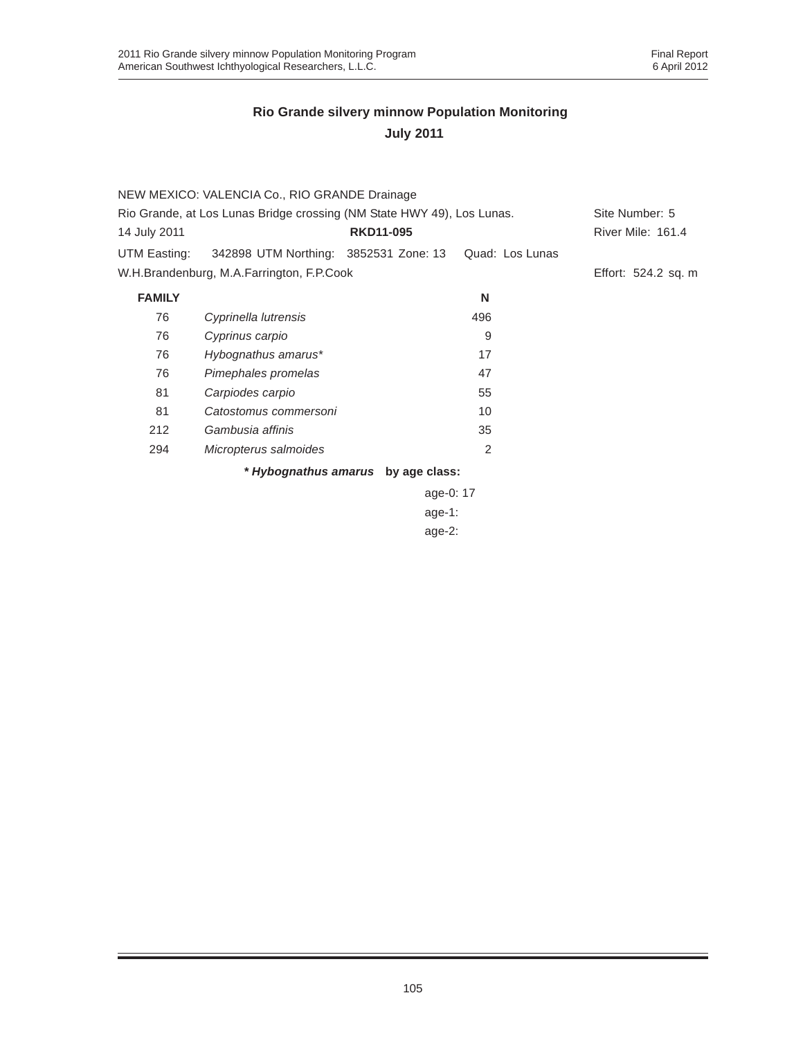|                                                                        | NEW MEXICO: VALENCIA Co., RIO GRANDE Drainage |                                    |                 |                          |
|------------------------------------------------------------------------|-----------------------------------------------|------------------------------------|-----------------|--------------------------|
| Rio Grande, at Los Lunas Bridge crossing (NM State HWY 49), Los Lunas. |                                               |                                    | Site Number: 5  |                          |
| 14 July 2011                                                           |                                               | <b>RKD11-095</b>                   |                 | <b>River Mile: 161.4</b> |
| UTM Easting:                                                           | 342898 UTM Northing: 3852531 Zone: 13         |                                    | Quad: Los Lunas |                          |
|                                                                        | W.H.Brandenburg, M.A.Farrington, F.P.Cook     |                                    |                 | Effort: 524.2 sq. m      |
| <b>FAMILY</b>                                                          |                                               |                                    | N               |                          |
| 76                                                                     | Cyprinella lutrensis                          |                                    | 496             |                          |
| 76                                                                     | Cyprinus carpio                               |                                    | 9               |                          |
| 76                                                                     | Hybognathus amarus*                           |                                    | 17              |                          |
| 76                                                                     | Pimephales promelas                           |                                    | 47              |                          |
| 81                                                                     | Carpiodes carpio                              |                                    | 55              |                          |
| 81                                                                     | Catostomus commersoni                         |                                    | 10              |                          |
| 212                                                                    | Gambusia affinis                              |                                    | 35              |                          |
| 294                                                                    | Micropterus salmoides                         |                                    | 2               |                          |
|                                                                        |                                               | * Hybognathus amarus by age class: |                 |                          |

age-0: 17 age-1: age-2: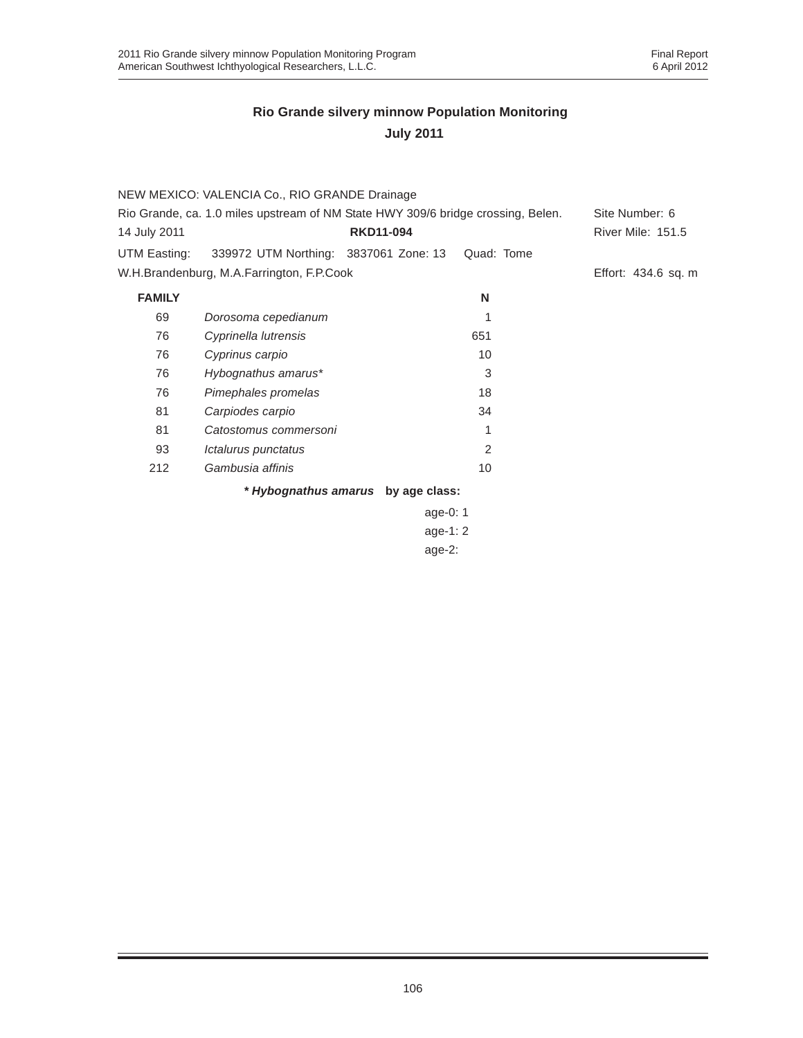| Site Number: 6<br>River Mile: 151.5<br>Effort: 434.6 sq. m |
|------------------------------------------------------------|
|                                                            |
|                                                            |
|                                                            |
|                                                            |
|                                                            |
|                                                            |
|                                                            |
|                                                            |
|                                                            |
|                                                            |
|                                                            |
|                                                            |
|                                                            |
|                                                            |
|                                                            |
|                                                            |
|                                                            |

age-1: 2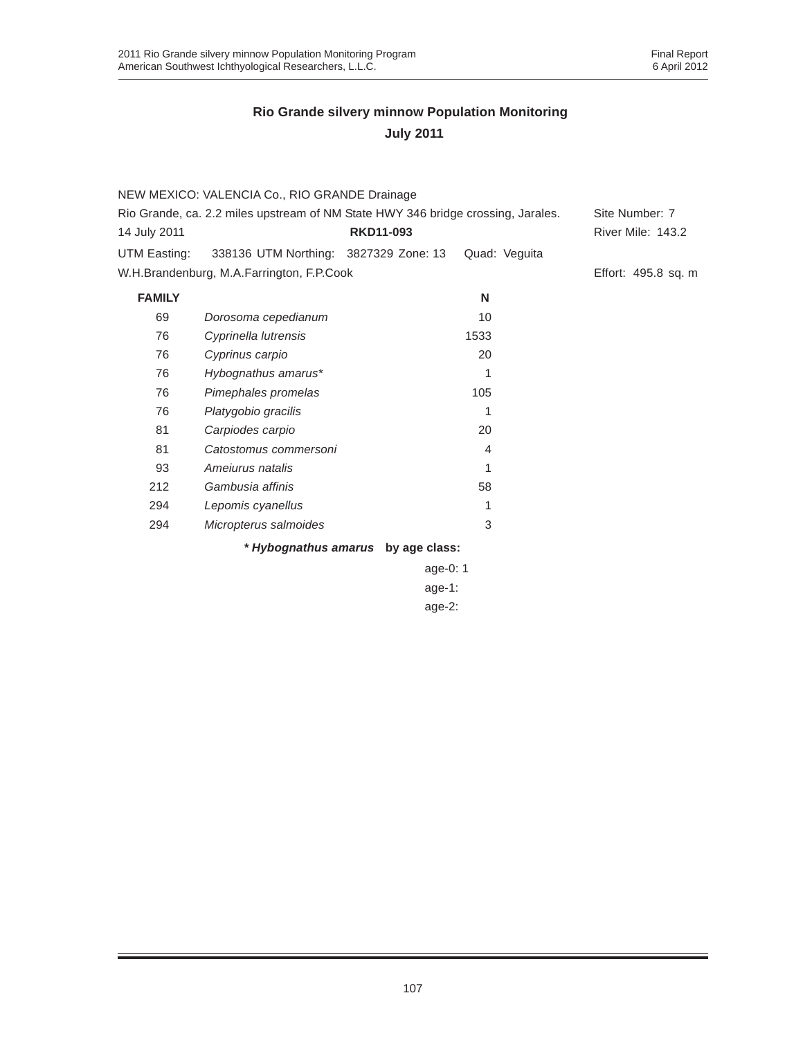|                                                                                  | NEW MEXICO: VALENCIA Co., RIO GRANDE Drainage      |                  |                |                     |
|----------------------------------------------------------------------------------|----------------------------------------------------|------------------|----------------|---------------------|
| Rio Grande, ca. 2.2 miles upstream of NM State HWY 346 bridge crossing, Jarales. |                                                    |                  |                | Site Number: 7      |
| 14 July 2011                                                                     |                                                    | <b>RKD11-093</b> |                | River Mile: 143.2   |
|                                                                                  | UTM Easting: 338136 UTM Northing: 3827329 Zone: 13 |                  | Quad: Veguita  |                     |
|                                                                                  | W.H.Brandenburg, M.A.Farrington, F.P.Cook          |                  |                | Effort: 495.8 sq. m |
| <b>FAMILY</b>                                                                    |                                                    |                  | N              |                     |
| 69                                                                               | Dorosoma cepedianum                                |                  | 10             |                     |
| 76                                                                               | Cyprinella lutrensis                               |                  | 1533           |                     |
| 76                                                                               | Cyprinus carpio                                    |                  | 20             |                     |
| 76                                                                               | Hybognathus amarus*                                |                  | 1              |                     |
| 76                                                                               | Pimephales promelas                                |                  | 105            |                     |
| 76                                                                               | Platygobio gracilis                                |                  | 1              |                     |
| 81                                                                               | Carpiodes carpio                                   |                  | 20             |                     |
| 81                                                                               | Catostomus commersoni                              |                  | $\overline{4}$ |                     |
| 93                                                                               | Amejurus natalis                                   |                  | 1              |                     |
| 212                                                                              | Gambusia affinis                                   |                  | 58             |                     |
| 294                                                                              | Lepomis cyanellus                                  |                  | 1              |                     |
| 294                                                                              | Micropterus salmoides                              |                  | 3              |                     |
|                                                                                  | * Hybognathus amarus                               | by age class:    |                |                     |

age-0: 1 age-1: age-2: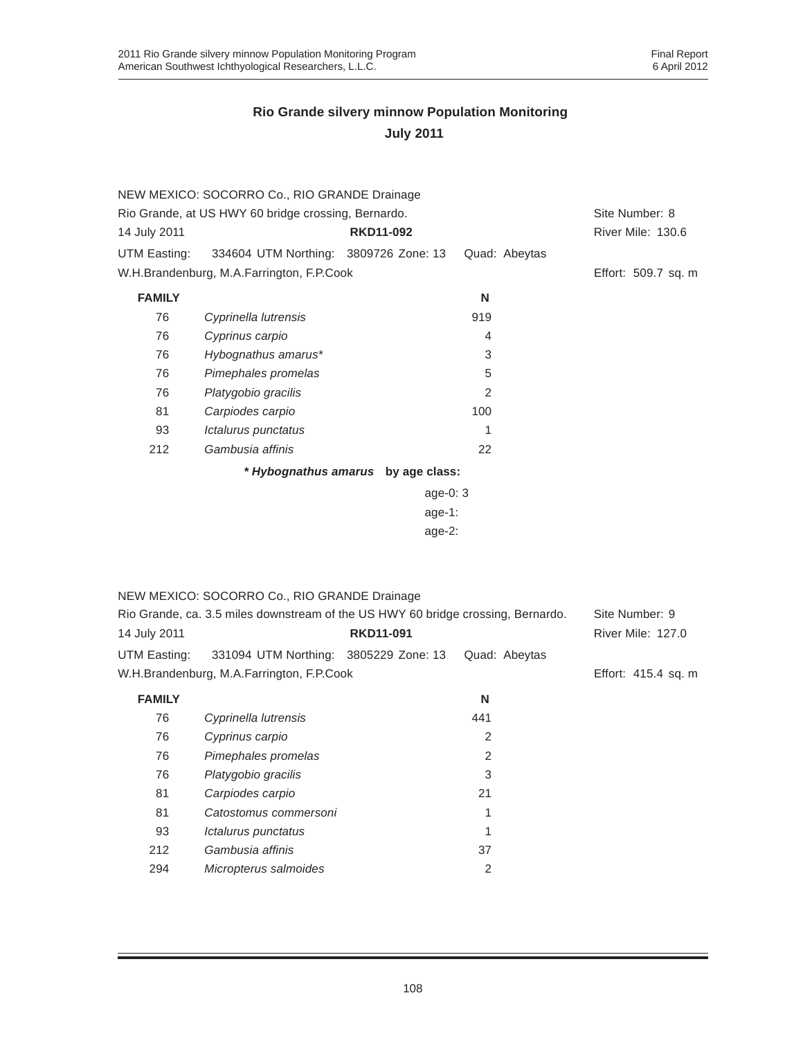|               | NEW MEXICO: SOCORRO Co., RIO GRANDE Drainage                                     |                                    |                |                     |
|---------------|----------------------------------------------------------------------------------|------------------------------------|----------------|---------------------|
|               | Rio Grande, at US HWY 60 bridge crossing, Bernardo.                              |                                    |                | Site Number: 8      |
| 14 July 2011  |                                                                                  | <b>RKD11-092</b>                   |                | River Mile: 130.6   |
| UTM Easting:  | 334604 UTM Northing: 3809726 Zone: 13                                            |                                    | Quad: Abeytas  |                     |
|               | W.H.Brandenburg, M.A.Farrington, F.P.Cook                                        |                                    |                | Effort: 509.7 sq. m |
| <b>FAMILY</b> |                                                                                  |                                    | N              |                     |
| 76            | Cyprinella lutrensis                                                             |                                    | 919            |                     |
| 76            | Cyprinus carpio                                                                  |                                    | 4              |                     |
| 76            | Hybognathus amarus*                                                              |                                    | 3              |                     |
| 76            | Pimephales promelas                                                              |                                    | 5              |                     |
| 76            | Platygobio gracilis                                                              |                                    | 2              |                     |
| 81            | Carpiodes carpio                                                                 |                                    | 100            |                     |
| 93            | Ictalurus punctatus                                                              |                                    | 1              |                     |
| 212           | Gambusia affinis                                                                 |                                    | 22             |                     |
|               |                                                                                  | * Hybognathus amarus by age class: |                |                     |
|               |                                                                                  | age-0: 3                           |                |                     |
|               |                                                                                  | age-1:                             |                |                     |
|               |                                                                                  | $age-2$ :                          |                |                     |
|               |                                                                                  |                                    |                |                     |
|               |                                                                                  |                                    |                |                     |
|               | NEW MEXICO: SOCORRO Co., RIO GRANDE Drainage                                     |                                    |                |                     |
|               | Rio Grande, ca. 3.5 miles downstream of the US HWY 60 bridge crossing, Bernardo. |                                    |                | Site Number: 9      |
| 14 July 2011  |                                                                                  | <b>RKD11-091</b>                   |                | River Mile: 127.0   |
| UTM Easting:  | 331094 UTM Northing: 3805229 Zone: 13                                            |                                    | Quad: Abeytas  |                     |
|               | W.H.Brandenburg, M.A.Farrington, F.P.Cook                                        |                                    |                | Effort: 415.4 sq. m |
| <b>FAMILY</b> |                                                                                  |                                    | N              |                     |
| 76            | Cyprinella lutrensis                                                             |                                    | 441            |                     |
| 76            | Cyprinus carpio                                                                  |                                    | 2              |                     |
| 76            | Pimephales promelas                                                              |                                    | $\overline{c}$ |                     |
| 76            | Platygobio gracilis                                                              |                                    | 3              |                     |
| 81            | Carpiodes carpio                                                                 |                                    | 21             |                     |
| 81            | Catostomus commersoni                                                            |                                    | 1              |                     |
| 93            | Ictalurus punctatus                                                              |                                    | 1              |                     |
| 212           | Gambusia affinis                                                                 |                                    | 37             |                     |
| 294           | Micropterus salmoides                                                            |                                    | $\overline{c}$ |                     |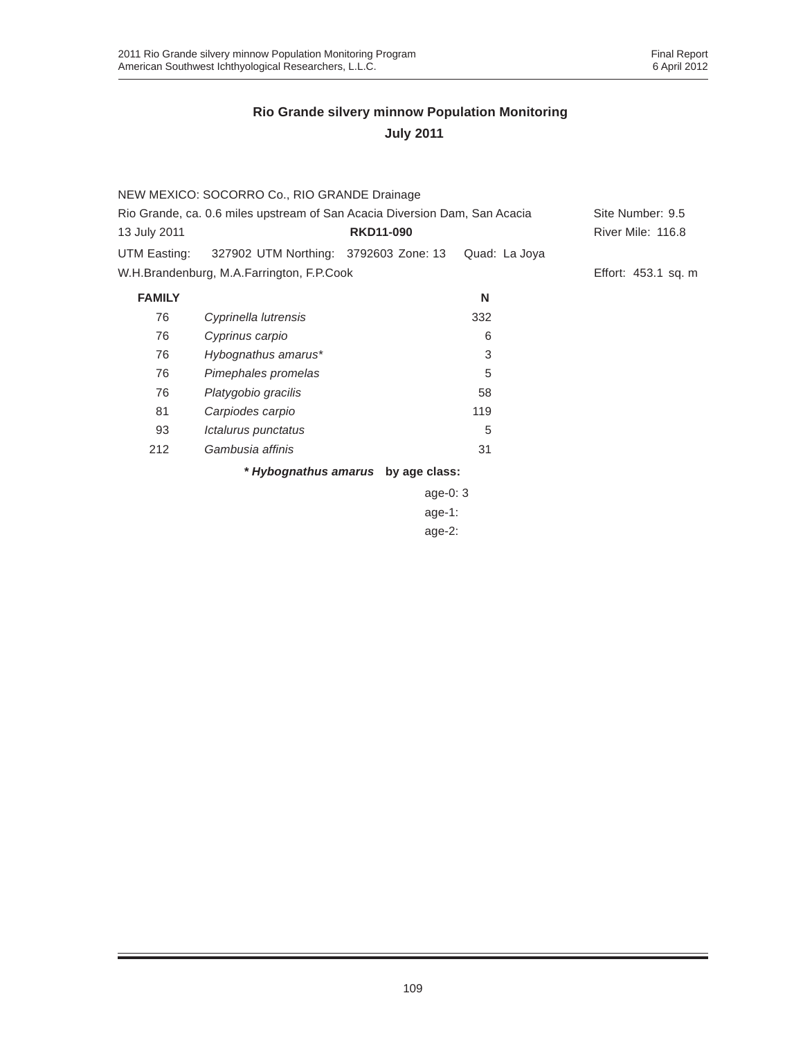|                                                                            | NEW MEXICO: SOCORRO Co., RIO GRANDE Drainage |                                    |                  |                     |
|----------------------------------------------------------------------------|----------------------------------------------|------------------------------------|------------------|---------------------|
| Rio Grande, ca. 0.6 miles upstream of San Acacia Diversion Dam, San Acacia |                                              |                                    | Site Number: 9.5 |                     |
| 13 July 2011                                                               |                                              | <b>RKD11-090</b>                   |                  | River Mile: 116.8   |
| UTM Easting:                                                               | 327902 UTM Northing: 3792603 Zone: 13        |                                    | Quad: La Joya    |                     |
|                                                                            | W.H.Brandenburg, M.A.Farrington, F.P.Cook    |                                    |                  | Effort: 453.1 sq. m |
| <b>FAMILY</b>                                                              |                                              |                                    | N                |                     |
| 76                                                                         | Cyprinella lutrensis                         |                                    | 332              |                     |
| 76                                                                         | Cyprinus carpio                              |                                    | 6                |                     |
| 76                                                                         | Hybognathus amarus*                          |                                    | 3                |                     |
| 76                                                                         | Pimephales promelas                          |                                    | 5                |                     |
| 76                                                                         | Platygobio gracilis                          |                                    | 58               |                     |
| 81                                                                         | Carpiodes carpio                             |                                    | 119              |                     |
| 93                                                                         | Ictalurus punctatus                          |                                    | 5                |                     |
| 212                                                                        | Gambusia affinis                             |                                    | 31               |                     |
|                                                                            |                                              | * Hybognathus amarus by age class: |                  |                     |

age-0: 3 age-1: age-2: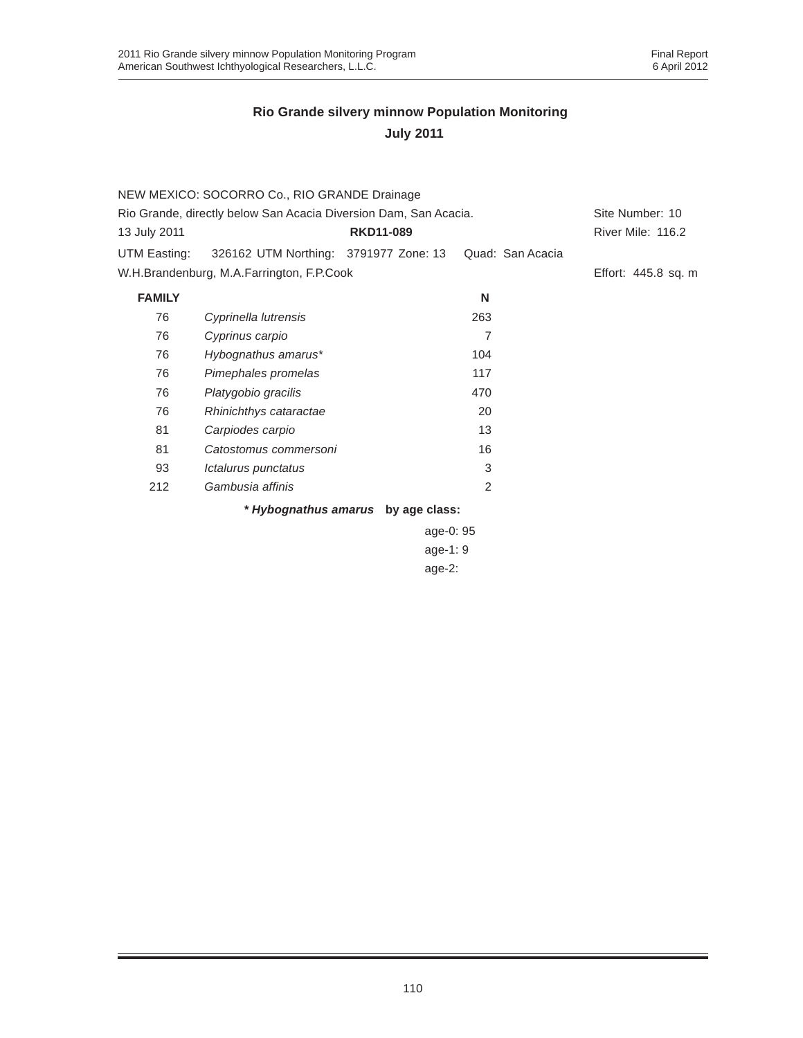|                                                                  | NEW MEXICO: SOCORRO Co., RIO GRANDE Drainage |                                    |                  |                     |
|------------------------------------------------------------------|----------------------------------------------|------------------------------------|------------------|---------------------|
| Rio Grande, directly below San Acacia Diversion Dam, San Acacia. | Site Number: 10                              |                                    |                  |                     |
| 13 July 2011                                                     |                                              | <b>RKD11-089</b>                   |                  | River Mile: 116.2   |
| UTM Easting:                                                     | 326162 UTM Northing: 3791977 Zone: 13        |                                    | Quad: San Acacia |                     |
|                                                                  | W.H.Brandenburg, M.A.Farrington, F.P.Cook    |                                    |                  | Effort: 445.8 sq. m |
| <b>FAMILY</b>                                                    |                                              |                                    | N                |                     |
| 76                                                               | Cyprinella lutrensis                         |                                    | 263              |                     |
| 76                                                               | Cyprinus carpio                              |                                    | 7                |                     |
| 76                                                               | Hybognathus amarus*                          |                                    | 104              |                     |
| 76                                                               | Pimephales promelas                          |                                    | 117              |                     |
| 76                                                               | Platygobio gracilis                          |                                    | 470              |                     |
| 76                                                               | Rhinichthys cataractae                       |                                    | 20               |                     |
| 81                                                               | Carpiodes carpio                             |                                    | 13               |                     |
| 81                                                               | Catostomus commersoni                        |                                    | 16               |                     |
| 93                                                               | Ictalurus punctatus                          |                                    | 3                |                     |
| 212                                                              | Gambusia affinis                             |                                    | $\overline{2}$   |                     |
|                                                                  |                                              | * Hybognathus amarus by age class: |                  |                     |
|                                                                  |                                              |                                    | age-0: 95        |                     |
|                                                                  |                                              | age-1: $9$                         |                  |                     |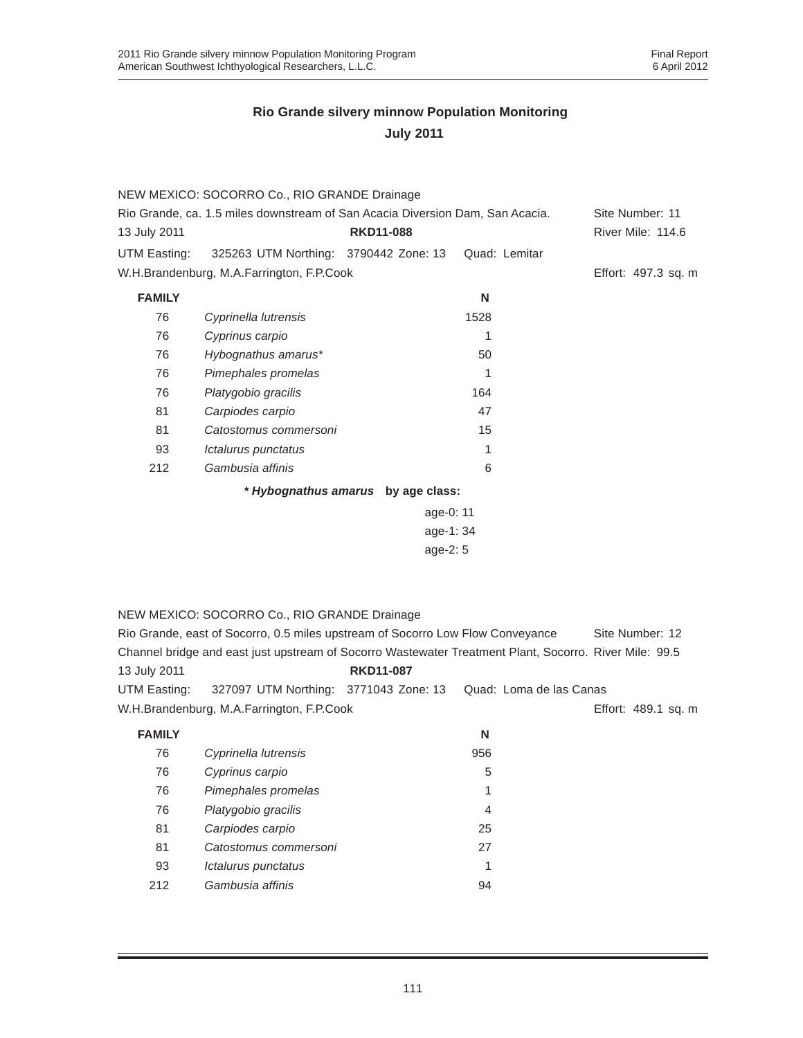|               | NEW MEXICO: SOCORRO Co., RIO GRANDE Drainage                                                           |                                    |                         |                     |
|---------------|--------------------------------------------------------------------------------------------------------|------------------------------------|-------------------------|---------------------|
|               | Rio Grande, ca. 1.5 miles downstream of San Acacia Diversion Dam, San Acacia.                          |                                    |                         | Site Number: 11     |
| 13 July 2011  |                                                                                                        | <b>RKD11-088</b>                   |                         | River Mile: 114.6   |
| UTM Easting:  | 325263 UTM Northing: 3790442 Zone: 13                                                                  |                                    | Quad: Lemitar           |                     |
|               | W.H.Brandenburg, M.A.Farrington, F.P.Cook                                                              |                                    |                         | Effort: 497.3 sq. m |
| <b>FAMILY</b> |                                                                                                        |                                    | N                       |                     |
| 76            | Cyprinella lutrensis                                                                                   |                                    | 1528                    |                     |
| 76            | Cyprinus carpio                                                                                        |                                    | 1                       |                     |
| 76            | Hybognathus amarus*                                                                                    |                                    | 50                      |                     |
| 76            | Pimephales promelas                                                                                    |                                    | 1                       |                     |
| 76            | Platygobio gracilis                                                                                    |                                    | 164                     |                     |
| 81            | Carpiodes carpio                                                                                       |                                    | 47                      |                     |
| 81            | Catostomus commersoni                                                                                  |                                    | 15                      |                     |
| 93            | Ictalurus punctatus                                                                                    |                                    | 1                       |                     |
| 212           | Gambusia affinis                                                                                       |                                    | 6                       |                     |
|               |                                                                                                        | * Hybognathus amarus by age class: |                         |                     |
|               |                                                                                                        | age-0: 11                          |                         |                     |
|               |                                                                                                        | age-1:34                           |                         |                     |
|               |                                                                                                        | age-2: 5                           |                         |                     |
|               |                                                                                                        |                                    |                         |                     |
|               |                                                                                                        |                                    |                         |                     |
|               | NEW MEXICO: SOCORRO Co., RIO GRANDE Drainage                                                           |                                    |                         |                     |
|               | Rio Grande, east of Socorro, 0.5 miles upstream of Socorro Low Flow Conveyance                         |                                    |                         | Site Number: 12     |
|               | Channel bridge and east just upstream of Socorro Wastewater Treatment Plant, Socorro. River Mile: 99.5 |                                    |                         |                     |
| 13 July 2011  |                                                                                                        | <b>RKD11-087</b>                   |                         |                     |
| UTM Easting:  | 327097 UTM Northing:                                                                                   | 3771043 Zone: 13                   | Quad: Loma de las Canas |                     |

W.H.Brandenburg, M.A.Farrington, F.P.Cook

| Effort: 489.1 sq. m |  |  |
|---------------------|--|--|

| FAMILY |                       | N   |
|--------|-----------------------|-----|
| 76     | Cyprinella lutrensis  | 956 |
| 76     | Cyprinus carpio       | 5   |
| 76     | Pimephales promelas   | 1   |
| 76     | Platygobio gracilis   | 4   |
| 81     | Carpiodes carpio      | 25  |
| 81     | Catostomus commersoni | 27  |
| 93     | Ictalurus punctatus   | 1   |
| 212    | Gambusia affinis      | 94  |
|        |                       |     |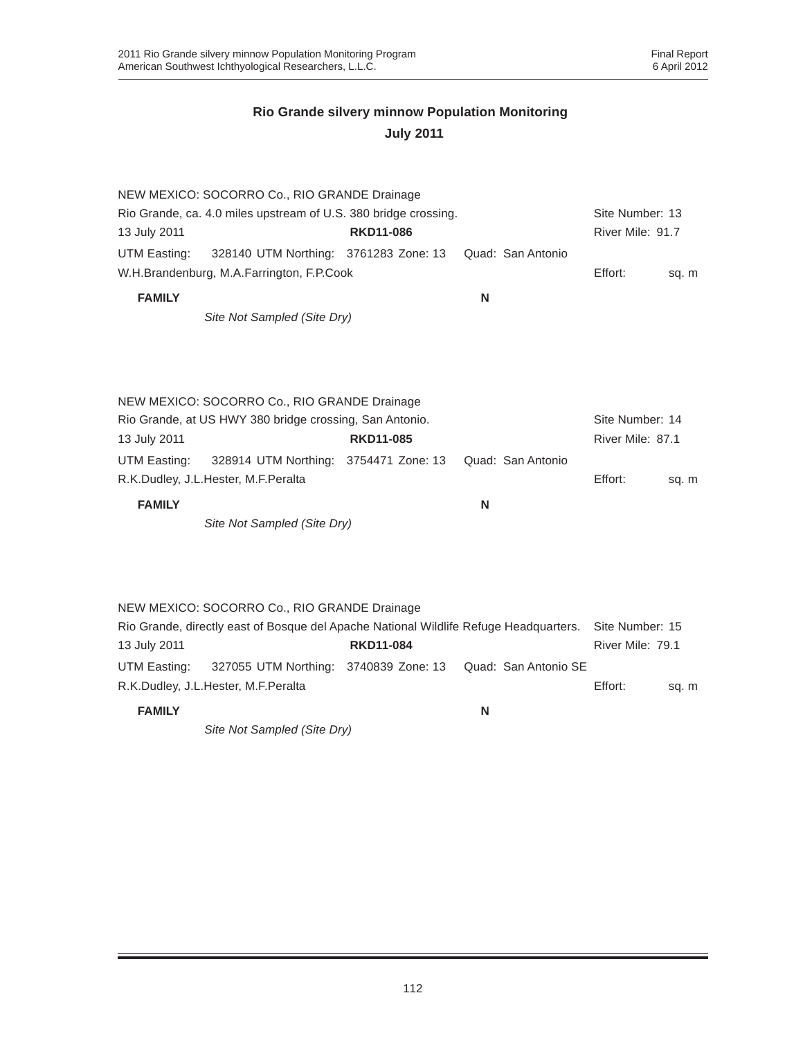|               | NEW MEXICO: SOCORRO Co., RIO GRANDE Drainage                    |                  |                   |                  |       |
|---------------|-----------------------------------------------------------------|------------------|-------------------|------------------|-------|
|               | Rio Grande, ca. 4.0 miles upstream of U.S. 380 bridge crossing. |                  |                   | Site Number: 13  |       |
| 13 July 2011  |                                                                 | <b>RKD11-086</b> |                   | River Mile: 91.7 |       |
| UTM Easting:  | 328140 UTM Northing: 3761283 Zone: 13                           |                  | Quad: San Antonio |                  |       |
|               | W.H.Brandenburg, M.A.Farrington, F.P.Cook                       |                  |                   | Effort:          | sq. m |
| <b>FAMILY</b> |                                                                 |                  | N                 |                  |       |

*Site Not Sampled (Site Dry)*

NEW MEXICO: SOCORRO Co., RIO GRANDE Drainage Rio Grande, at US HWY 380 bridge crossing, San Antonio. Site Number: 14 13 July 2011 **RKD11-085** River Mile: 87.1 UTM Easting: 328914 UTM Northing: 3754471 Zone: 13 Quad: San Antonio R.K.Dudley, J.L.Hester, M.F.Peralta **Effort:** sq. m **FAMILY N**

*Site Not Sampled (Site Dry)*

NEW MEXICO: SOCORRO Co., RIO GRANDE Drainage Rio Grande, directly east of Bosque del Apache National Wildlife Refuge Headquarters. Site Number: 15 13 July 2011 **RKD11-084** River Mile: 79.1 UTM Easting: 327055 UTM Northing: 3740839 Zone: 13 Quad: San Antonio SE R.K.Dudley, J.L.Hester, M.F.Peralta **Effort:** sq. m **FAMILY N**

*Site Not Sampled (Site Dry)*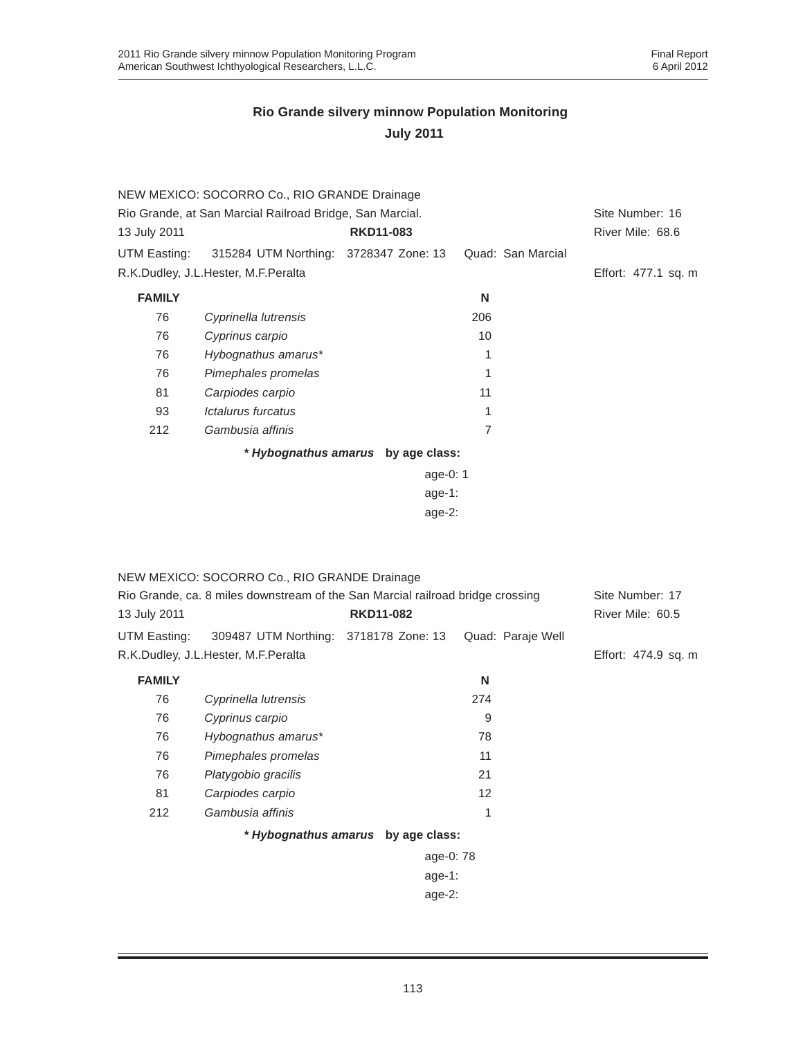|               | NEW MEXICO: SOCORRO Co., RIO GRANDE Drainage             |                                    |                   |                     |
|---------------|----------------------------------------------------------|------------------------------------|-------------------|---------------------|
|               | Rio Grande, at San Marcial Railroad Bridge, San Marcial. |                                    |                   |                     |
| 13 July 2011  |                                                          | <b>RKD11-083</b>                   |                   | River Mile: 68.6    |
| UTM Easting:  | 315284 UTM Northing: 3728347 Zone: 13                    |                                    | Quad: San Marcial |                     |
|               | R.K.Dudley, J.L.Hester, M.F.Peralta                      |                                    |                   | Effort: 477.1 sq. m |
| <b>FAMILY</b> |                                                          |                                    | N                 |                     |
| 76            | Cyprinella lutrensis                                     |                                    | 206               |                     |
| 76            | Cyprinus carpio                                          |                                    | 10                |                     |
| 76            | Hybognathus amarus*                                      |                                    | 1                 |                     |
| 76            | Pimephales promelas                                      |                                    | 1                 |                     |
| 81            | Carpiodes carpio                                         |                                    | 11                |                     |
| 93            | Ictalurus furcatus                                       |                                    | 1                 |                     |
| 212           | Gambusia affinis                                         |                                    | 7                 |                     |
|               |                                                          | * Hybognathus amarus by age class: |                   |                     |
|               |                                                          | age-0: $1$                         |                   |                     |
|               |                                                          | age-1:                             |                   |                     |
|               |                                                          | age-2:                             |                   |                     |

|                                                                                | NEW MEXICO: SOCORRO Co., RIO GRANDE Drainage |                                    |                   |                     |
|--------------------------------------------------------------------------------|----------------------------------------------|------------------------------------|-------------------|---------------------|
| Rio Grande, ca. 8 miles downstream of the San Marcial railroad bridge crossing |                                              |                                    |                   | Site Number: 17     |
| 13 July 2011                                                                   |                                              | <b>RKD11-082</b>                   |                   | River Mile: 60.5    |
| UTM Easting:                                                                   | 309487 UTM Northing: 3718178 Zone: 13        |                                    | Quad: Paraje Well |                     |
|                                                                                | R.K.Dudley, J.L.Hester, M.F.Peralta          |                                    |                   | Effort: 474.9 sq. m |
| <b>FAMILY</b>                                                                  |                                              |                                    | N                 |                     |
| 76                                                                             | Cyprinella lutrensis                         |                                    | 274               |                     |
| 76                                                                             | Cyprinus carpio                              |                                    | 9                 |                     |
| 76                                                                             | Hybognathus amarus*                          |                                    | 78                |                     |
| 76                                                                             | Pimephales promelas                          |                                    | 11                |                     |
| 76                                                                             | Platygobio gracilis                          |                                    | 21                |                     |
| 81                                                                             | Carpiodes carpio                             |                                    | 12                |                     |
| 212                                                                            | Gambusia affinis                             |                                    | 1                 |                     |
|                                                                                |                                              | * Hybognathus amarus by age class: |                   |                     |
|                                                                                |                                              | age-0: 78                          |                   |                     |
|                                                                                |                                              | age-1:                             |                   |                     |
|                                                                                |                                              | age- $2$ :                         |                   |                     |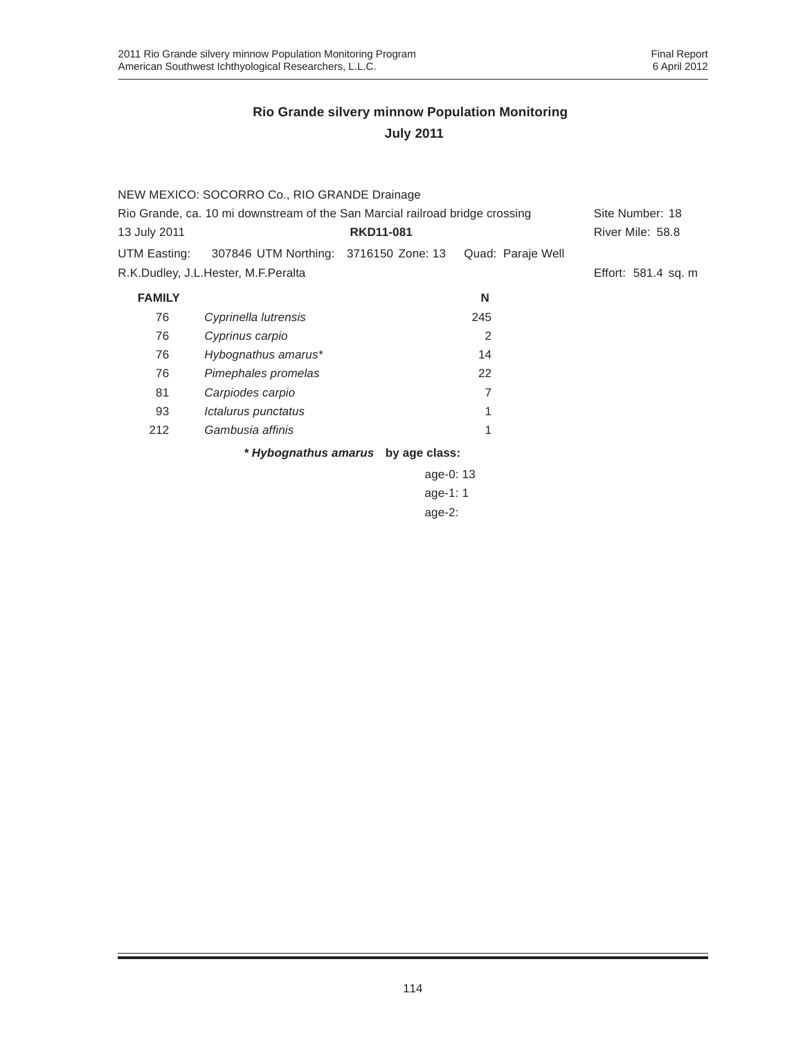|                                                                              | NEW MEXICO: SOCORRO Co., RIO GRANDE Drainage |                                    |                   |                     |
|------------------------------------------------------------------------------|----------------------------------------------|------------------------------------|-------------------|---------------------|
| Rio Grande, ca. 10 mi downstream of the San Marcial railroad bridge crossing |                                              |                                    | Site Number: 18   |                     |
| 13 July 2011                                                                 |                                              | <b>RKD11-081</b>                   |                   | River Mile: 58.8    |
| UTM Easting:                                                                 | 307846 UTM Northing: 3716150 Zone: 13        |                                    | Quad: Paraje Well |                     |
|                                                                              | R.K.Dudley, J.L.Hester, M.F.Peralta          |                                    |                   | Effort: 581.4 sq. m |
| <b>FAMILY</b>                                                                |                                              |                                    | N                 |                     |
| 76                                                                           | Cyprinella lutrensis                         |                                    | 245               |                     |
| 76                                                                           | Cyprinus carpio                              |                                    | 2                 |                     |
| 76                                                                           | Hybognathus amarus*                          |                                    | 14                |                     |
| 76                                                                           | Pimephales promelas                          |                                    | 22                |                     |
| 81                                                                           | Carpiodes carpio                             |                                    | 7                 |                     |
| 93                                                                           | Ictalurus punctatus                          |                                    |                   |                     |
| 212                                                                          | Gambusia affinis                             |                                    | 1                 |                     |
|                                                                              |                                              | * Hybognathus amarus by age class: |                   |                     |
|                                                                              |                                              | age-0: 13                          |                   |                     |
|                                                                              |                                              |                                    |                   |                     |

age-1: 1 age-2:

114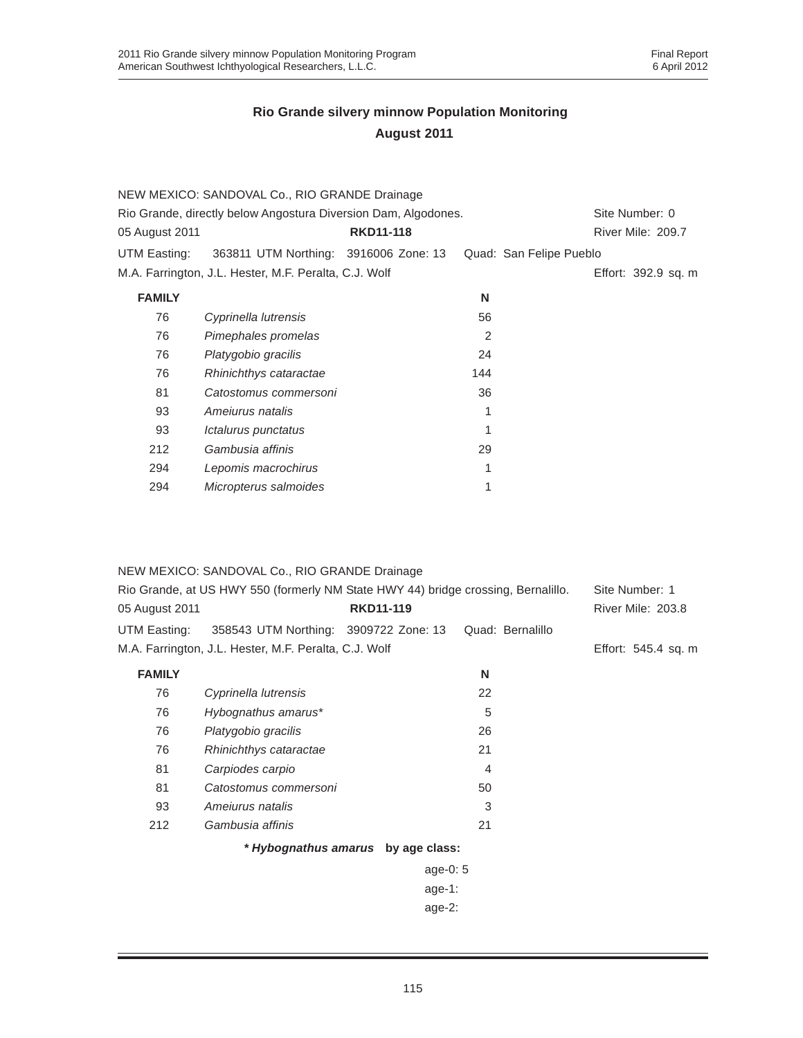|                | NEW MEXICO: SANDOVAL Co., RIO GRANDE Drainage                  |                  |     |                         |
|----------------|----------------------------------------------------------------|------------------|-----|-------------------------|
|                | Rio Grande, directly below Angostura Diversion Dam, Algodones. |                  |     | Site Number: 0          |
| 05 August 2011 |                                                                | <b>RKD11-118</b> |     | River Mile: 209.7       |
| UTM Easting:   | 363811 UTM Northing: 3916006 Zone: 13                          |                  |     | Quad: San Felipe Pueblo |
|                | M.A. Farrington, J.L. Hester, M.F. Peralta, C.J. Wolf          |                  |     | Effort: 392.9 sq. m     |
| <b>FAMILY</b>  |                                                                |                  | N   |                         |
| 76             | Cyprinella lutrensis                                           |                  | 56  |                         |
| 76             | Pimephales promelas                                            |                  | 2   |                         |
| 76             | Platygobio gracilis                                            |                  | 24  |                         |
| 76             | Rhinichthys cataractae                                         |                  | 144 |                         |
| 81             | Catostomus commersoni                                          |                  | 36  |                         |
| 93             | Amejurus natalis                                               |                  | 1   |                         |
| 93             | Ictalurus punctatus                                            |                  |     |                         |
| 212            | Gambusia affinis                                               |                  | 29  |                         |
| 294            | Lepomis macrochirus                                            |                  | 1   |                         |
| 294            | Micropterus salmoides                                          |                  | 1   |                         |
|                |                                                                |                  |     |                         |

|                                                                                   | NEW MEXICO: SANDOVAL Co., RIO GRANDE Drainage         |                                    |                  |                          |
|-----------------------------------------------------------------------------------|-------------------------------------------------------|------------------------------------|------------------|--------------------------|
| Rio Grande, at US HWY 550 (formerly NM State HWY 44) bridge crossing, Bernalillo. | Site Number: 1                                        |                                    |                  |                          |
| 05 August 2011                                                                    |                                                       | <b>RKD11-119</b>                   |                  | <b>River Mile: 203.8</b> |
| UTM Easting:                                                                      | 358543 UTM Northing: 3909722 Zone: 13                 |                                    | Quad: Bernalillo |                          |
|                                                                                   | M.A. Farrington, J.L. Hester, M.F. Peralta, C.J. Wolf |                                    |                  | Effort: 545.4 sq. m      |
| <b>FAMILY</b>                                                                     |                                                       |                                    | N                |                          |
| 76                                                                                | Cyprinella lutrensis                                  |                                    | 22               |                          |
| 76                                                                                | Hybognathus amarus*                                   |                                    | 5                |                          |
| 76                                                                                | Platygobio gracilis                                   |                                    | 26               |                          |
| 76                                                                                | Rhinichthys cataractae                                |                                    | 21               |                          |
| 81                                                                                | Carpiodes carpio                                      |                                    | 4                |                          |
| 81                                                                                | Catostomus commersoni                                 |                                    | 50               |                          |
| 93                                                                                | Amejurus natalis                                      |                                    | 3                |                          |
| 212                                                                               | Gambusia affinis                                      |                                    | 21               |                          |
|                                                                                   |                                                       | * Hybognathus amarus by age class: |                  |                          |
|                                                                                   |                                                       | age-0: $5$                         |                  |                          |
|                                                                                   |                                                       | $age-1$ :                          |                  |                          |
|                                                                                   |                                                       | $age-2$ :                          |                  |                          |
|                                                                                   |                                                       |                                    |                  |                          |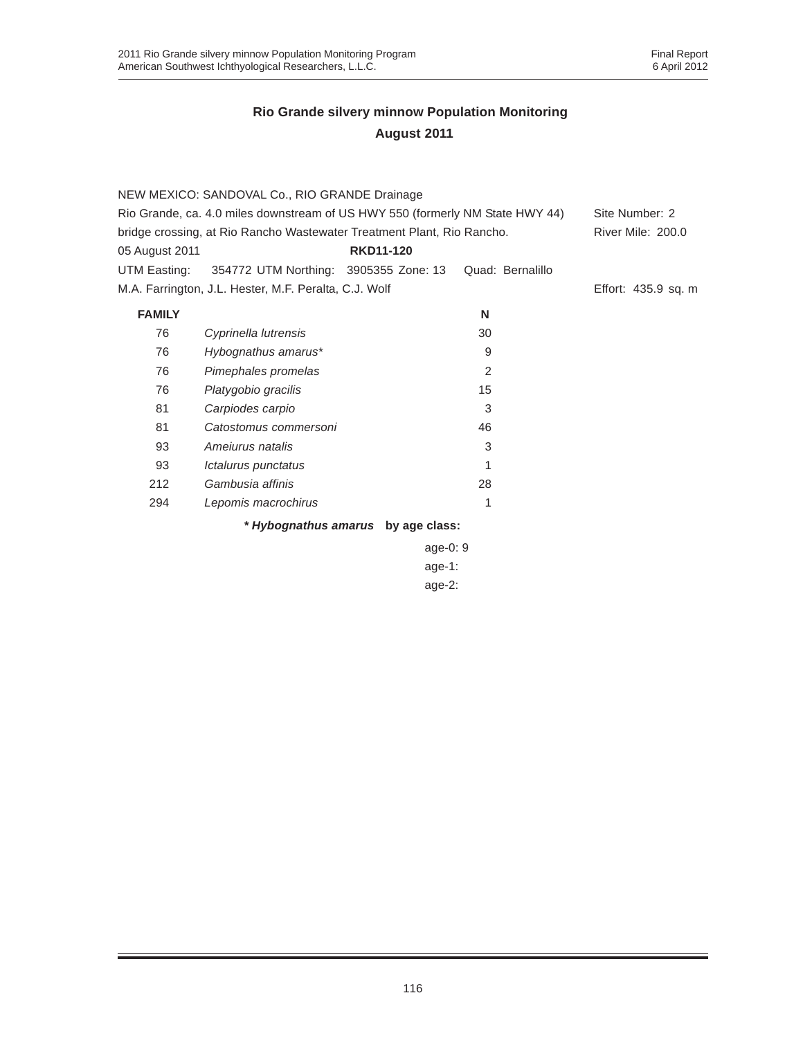|                | NEW MEXICO: SANDOVAL Co., RIO GRANDE Drainage                                 |                  |                  |                     |
|----------------|-------------------------------------------------------------------------------|------------------|------------------|---------------------|
|                | Rio Grande, ca. 4.0 miles downstream of US HWY 550 (formerly NM State HWY 44) |                  |                  | Site Number: 2      |
|                | bridge crossing, at Rio Rancho Wastewater Treatment Plant, Rio Rancho.        |                  |                  | River Mile: 200.0   |
| 05 August 2011 |                                                                               | <b>RKD11-120</b> |                  |                     |
| UTM Easting:   | 354772 UTM Northing: 3905355 Zone: 13                                         |                  | Quad: Bernalillo |                     |
|                | M.A. Farrington, J.L. Hester, M.F. Peralta, C.J. Wolf                         |                  |                  | Effort: 435.9 sq. m |
| <b>FAMILY</b>  |                                                                               |                  | N                |                     |
| 76             | Cyprinella lutrensis                                                          |                  | 30               |                     |
| 76             | Hybognathus amarus*                                                           |                  | 9                |                     |
| 76             | Pimephales promelas                                                           |                  | 2                |                     |
| 76             | Platygobio gracilis                                                           |                  | 15               |                     |
| 81             | Carpiodes carpio                                                              |                  | 3                |                     |
| 81             | Catostomus commersoni                                                         |                  | 46               |                     |
| 93             | Amejurus natalis                                                              |                  | 3                |                     |
| 93             | Ictalurus punctatus                                                           |                  |                  |                     |
| 212            | Gambusia affinis                                                              |                  | 28               |                     |
| 294            | Lepomis macrochirus                                                           |                  | 1                |                     |
|                |                                                                               |                  |                  |                     |

*\* Hybognathus amarus* **by age class:**

| age-0: 9 |  |
|----------|--|
| age-1:   |  |
| age-2:   |  |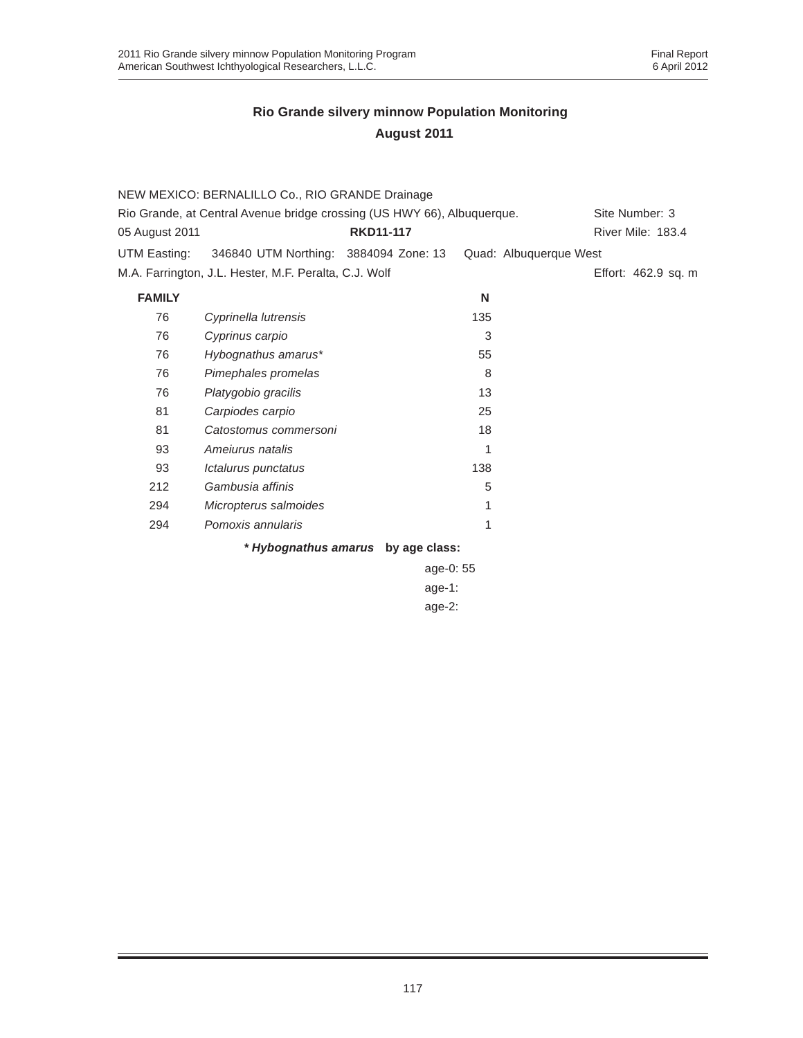|                                                                         | NEW MEXICO: BERNALILLO Co., RIO GRANDE Drainage       |                                    |                        |                     |
|-------------------------------------------------------------------------|-------------------------------------------------------|------------------------------------|------------------------|---------------------|
| Rio Grande, at Central Avenue bridge crossing (US HWY 66), Albuquerque. | Site Number: 3                                        |                                    |                        |                     |
| 05 August 2011                                                          |                                                       | <b>RKD11-117</b>                   |                        | River Mile: 183.4   |
| UTM Easting:                                                            | 346840 UTM Northing: 3884094 Zone: 13                 |                                    | Quad: Albuquerque West |                     |
|                                                                         | M.A. Farrington, J.L. Hester, M.F. Peralta, C.J. Wolf |                                    |                        | Effort: 462.9 sq. m |
| <b>FAMILY</b>                                                           |                                                       |                                    | N                      |                     |
| 76                                                                      | Cyprinella lutrensis                                  |                                    | 135                    |                     |
| 76                                                                      | Cyprinus carpio                                       |                                    | 3                      |                     |
| 76                                                                      | Hybognathus amarus*                                   |                                    | 55                     |                     |
| 76                                                                      | Pimephales promelas                                   |                                    | 8                      |                     |
| 76                                                                      | Platygobio gracilis                                   |                                    | 13                     |                     |
| 81                                                                      | Carpiodes carpio                                      |                                    | 25                     |                     |
| 81                                                                      | Catostomus commersoni                                 |                                    | 18                     |                     |
| 93                                                                      | Amejurus natalis                                      |                                    | 1                      |                     |
| 93                                                                      | Ictalurus punctatus                                   |                                    | 138                    |                     |
| 212                                                                     | Gambusia affinis                                      |                                    | 5                      |                     |
| 294                                                                     | Micropterus salmoides                                 |                                    | 1                      |                     |
| 294                                                                     | Pomoxis annularis                                     |                                    | 1                      |                     |
|                                                                         |                                                       | * Hybognathus amarus by age class: |                        |                     |
|                                                                         |                                                       | age-0: 55                          |                        |                     |
|                                                                         |                                                       | age-1:                             |                        |                     |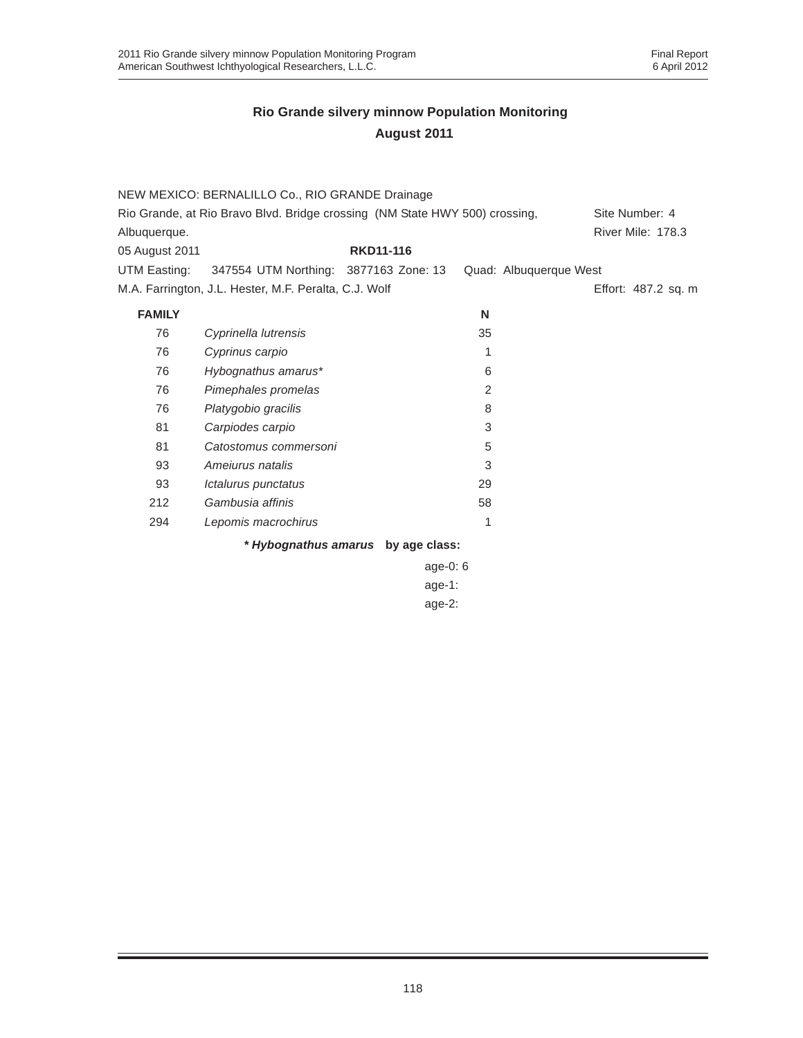|                | NEW MEXICO: BERNALILLO Co., RIO GRANDE Drainage                             |                                    |                        |                          |
|----------------|-----------------------------------------------------------------------------|------------------------------------|------------------------|--------------------------|
|                | Rio Grande, at Rio Bravo Blvd. Bridge crossing (NM State HWY 500) crossing, |                                    |                        | Site Number: 4           |
| Albuquerque.   |                                                                             |                                    |                        | <b>River Mile: 178.3</b> |
| 05 August 2011 |                                                                             | <b>RKD11-116</b>                   |                        |                          |
| UTM Easting:   | 347554 UTM Northing: 3877163 Zone: 13                                       |                                    | Quad: Albuquerque West |                          |
|                | M.A. Farrington, J.L. Hester, M.F. Peralta, C.J. Wolf                       |                                    |                        | Effort: 487.2 sq. m      |
| <b>FAMILY</b>  |                                                                             |                                    | N                      |                          |
| 76             | Cyprinella lutrensis                                                        |                                    | 35                     |                          |
| 76             | Cyprinus carpio                                                             |                                    | 1                      |                          |
| 76             | Hybognathus amarus*                                                         |                                    | 6                      |                          |
| 76             | Pimephales promelas                                                         |                                    | 2                      |                          |
| 76             | Platygobio gracilis                                                         |                                    | 8                      |                          |
| 81             | Carpiodes carpio                                                            |                                    | 3                      |                          |
| 81             | Catostomus commersoni                                                       |                                    | 5                      |                          |
| 93             | Amejurus natalis                                                            |                                    | 3                      |                          |
| 93             | Ictalurus punctatus                                                         |                                    | 29                     |                          |
| 212            | Gambusia affinis                                                            |                                    | 58                     |                          |
| 294            | Lepomis macrochirus                                                         |                                    | 1                      |                          |
|                |                                                                             | * Hybognathus amarus by age class: |                        |                          |
|                |                                                                             | age-0: 6                           |                        |                          |
|                |                                                                             | $age-1$ :                          |                        |                          |
|                |                                                                             | age-2:                             |                        |                          |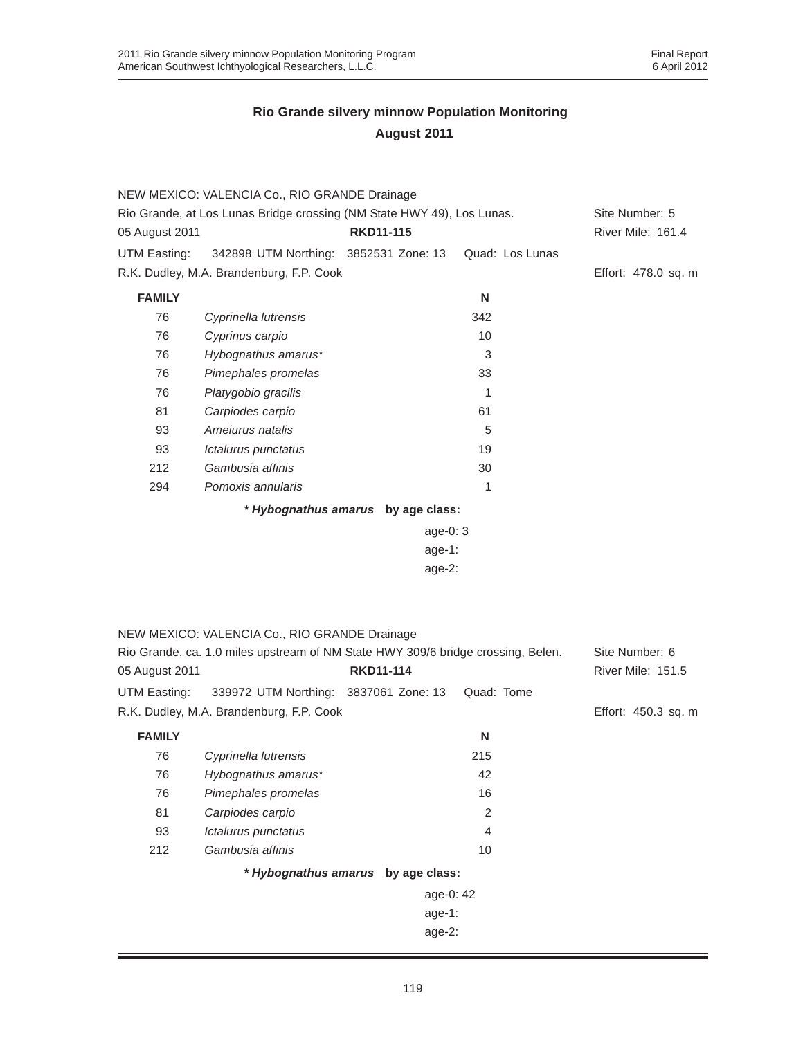|                                                                        | NEW MEXICO: VALENCIA Co., RIO GRANDE Drainage                                    |                                    |                 |                          |
|------------------------------------------------------------------------|----------------------------------------------------------------------------------|------------------------------------|-----------------|--------------------------|
| Rio Grande, at Los Lunas Bridge crossing (NM State HWY 49), Los Lunas. |                                                                                  |                                    | Site Number: 5  |                          |
| 05 August 2011                                                         |                                                                                  | <b>RKD11-115</b>                   |                 | River Mile: 161.4        |
| UTM Easting:                                                           | 342898 UTM Northing: 3852531 Zone: 13                                            |                                    | Quad: Los Lunas |                          |
|                                                                        | R.K. Dudley, M.A. Brandenburg, F.P. Cook                                         |                                    |                 | Effort: 478.0 sq. m      |
| <b>FAMILY</b>                                                          |                                                                                  |                                    | N               |                          |
| 76                                                                     | Cyprinella lutrensis                                                             |                                    | 342             |                          |
| 76                                                                     | Cyprinus carpio                                                                  |                                    | 10              |                          |
| 76                                                                     | Hybognathus amarus*                                                              |                                    | 3               |                          |
| 76                                                                     | Pimephales promelas                                                              |                                    | 33              |                          |
| 76                                                                     | Platygobio gracilis                                                              |                                    | 1               |                          |
| 81                                                                     | Carpiodes carpio                                                                 |                                    | 61              |                          |
| 93                                                                     | Ameiurus natalis                                                                 |                                    | 5               |                          |
| 93                                                                     | Ictalurus punctatus                                                              |                                    | 19              |                          |
| 212                                                                    | Gambusia affinis                                                                 |                                    | 30              |                          |
| 294                                                                    | Pomoxis annularis                                                                |                                    | 1               |                          |
|                                                                        |                                                                                  | * Hybognathus amarus by age class: |                 |                          |
|                                                                        |                                                                                  | age-0: $3$                         |                 |                          |
|                                                                        |                                                                                  | $age-1:$                           |                 |                          |
|                                                                        |                                                                                  | $age-2$ :                          |                 |                          |
|                                                                        |                                                                                  |                                    |                 |                          |
|                                                                        |                                                                                  |                                    |                 |                          |
|                                                                        | NEW MEXICO: VALENCIA Co., RIO GRANDE Drainage                                    |                                    |                 |                          |
|                                                                        | Rio Grande, ca. 1.0 miles upstream of NM State HWY 309/6 bridge crossing, Belen. |                                    |                 | Site Number: 6           |
| 05 August 2011                                                         |                                                                                  | <b>RKD11-114</b>                   |                 | <b>River Mile: 151.5</b> |
| UTM Easting:                                                           | 339972 UTM Northing: 3837061 Zone: 13                                            |                                    | Quad: Tome      |                          |
|                                                                        | R.K. Dudley, M.A. Brandenburg, F.P. Cook                                         |                                    |                 | Effort: 450.3 sq. m      |
|                                                                        |                                                                                  |                                    |                 |                          |
| <b>FAMILY</b>                                                          |                                                                                  |                                    | N               |                          |
| 76                                                                     | Cyprinella lutrensis                                                             |                                    | 215             |                          |
| 76                                                                     | Hybognathus amarus*                                                              |                                    | 42              |                          |
| 76                                                                     | Pimephales promelas                                                              |                                    | 16              |                          |
| 81                                                                     | Carpiodes carpio                                                                 |                                    | $\overline{2}$  |                          |
| 93                                                                     | Ictalurus punctatus                                                              |                                    | 4               |                          |
| 212                                                                    | Gambusia affinis                                                                 |                                    | 10              |                          |
|                                                                        |                                                                                  | * Hybognathus amarus by age class: |                 |                          |
|                                                                        |                                                                                  | age-0: 42                          |                 |                          |
|                                                                        |                                                                                  | age-1:                             |                 |                          |
|                                                                        |                                                                                  | age-2:                             |                 |                          |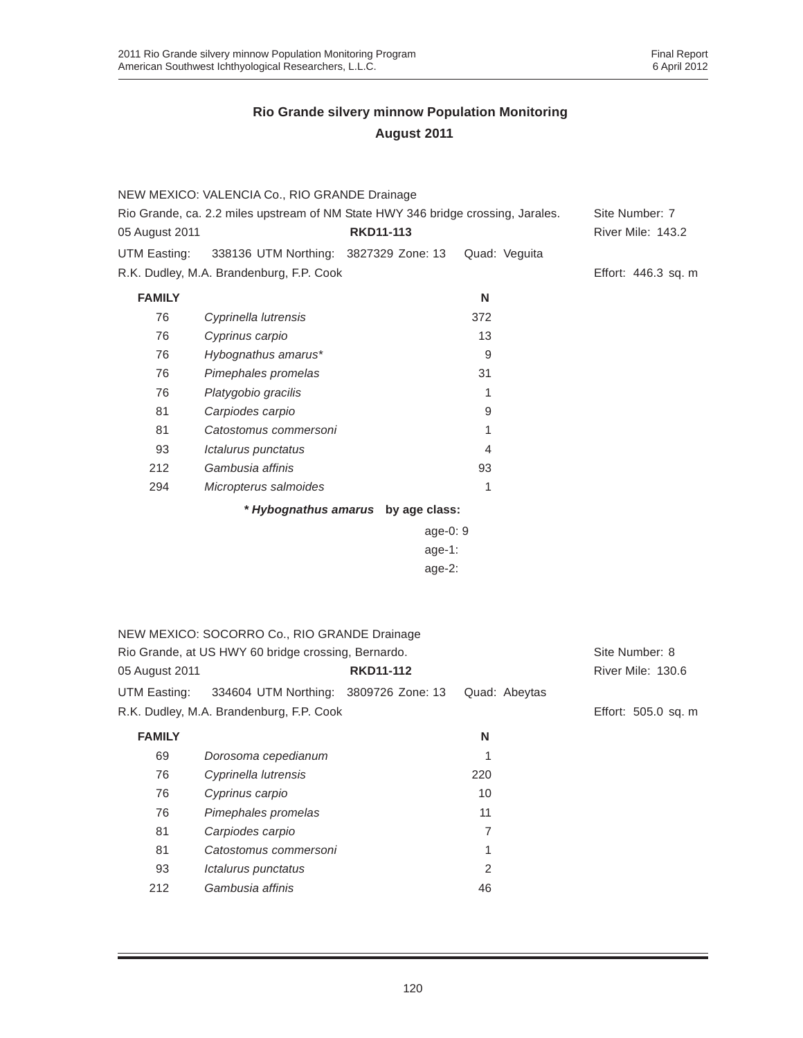|                | NEW MEXICO: VALENCIA Co., RIO GRANDE Drainage                                    |                                    |                |                     |
|----------------|----------------------------------------------------------------------------------|------------------------------------|----------------|---------------------|
|                | Rio Grande, ca. 2.2 miles upstream of NM State HWY 346 bridge crossing, Jarales. |                                    |                | Site Number: 7      |
| 05 August 2011 |                                                                                  | <b>RKD11-113</b>                   |                | River Mile: 143.2   |
| UTM Easting:   | 338136 UTM Northing: 3827329 Zone: 13                                            |                                    | Quad: Veguita  |                     |
|                | R.K. Dudley, M.A. Brandenburg, F.P. Cook                                         |                                    |                | Effort: 446.3 sq. m |
| <b>FAMILY</b>  |                                                                                  |                                    | N              |                     |
| 76             | Cyprinella lutrensis                                                             |                                    | 372            |                     |
| 76             | Cyprinus carpio                                                                  |                                    | 13             |                     |
| 76             | Hybognathus amarus*                                                              |                                    | 9              |                     |
| 76             | Pimephales promelas                                                              |                                    | 31             |                     |
| 76             | Platygobio gracilis                                                              |                                    | 1              |                     |
| 81             | Carpiodes carpio                                                                 |                                    | 9              |                     |
| 81             | Catostomus commersoni                                                            |                                    | 1              |                     |
| 93             | Ictalurus punctatus                                                              |                                    | $\overline{4}$ |                     |
| 212            | Gambusia affinis                                                                 |                                    | 93             |                     |
| 294            | Micropterus salmoides                                                            |                                    | 1              |                     |
|                |                                                                                  | * Hybognathus amarus by age class: |                |                     |
|                |                                                                                  | age-0: 9                           |                |                     |
|                |                                                                                  | $age-1$ :                          |                |                     |
|                |                                                                                  | age-2:                             |                |                     |
|                |                                                                                  |                                    |                |                     |
|                |                                                                                  |                                    |                |                     |
|                | NEW MEXICO: SOCORRO Co., RIO GRANDE Drainage                                     |                                    |                |                     |
|                | Rio Grande, at US HWY 60 bridge crossing, Bernardo.                              |                                    |                | Site Number: 8      |
| 05 August 2011 |                                                                                  | <b>RKD11-112</b>                   |                | River Mile: 130.6   |
| UTM Easting:   | 334604 UTM Northing: 3809726 Zone: 13                                            |                                    | Quad: Abeytas  |                     |
|                | R.K. Dudley, M.A. Brandenburg, F.P. Cook                                         |                                    |                | Effort: 505.0 sq. m |
| <b>FAMILY</b>  |                                                                                  |                                    | N              |                     |
| 69             | Dorosoma cepedianum                                                              |                                    | 1              |                     |
| 76             | Cyprinella lutrensis                                                             |                                    | 220            |                     |
| 76             | Cyprinus carpio                                                                  |                                    | 10             |                     |
| 76             | Pimephales promelas                                                              |                                    | 11             |                     |
| 81             | Carpiodes carpio                                                                 |                                    | 7              |                     |
| 81             | Catostomus commersoni                                                            |                                    | 1              |                     |
| 93             | Ictalurus punctatus                                                              |                                    | $\overline{2}$ |                     |
| 212            | Gambusia affinis                                                                 |                                    | 46             |                     |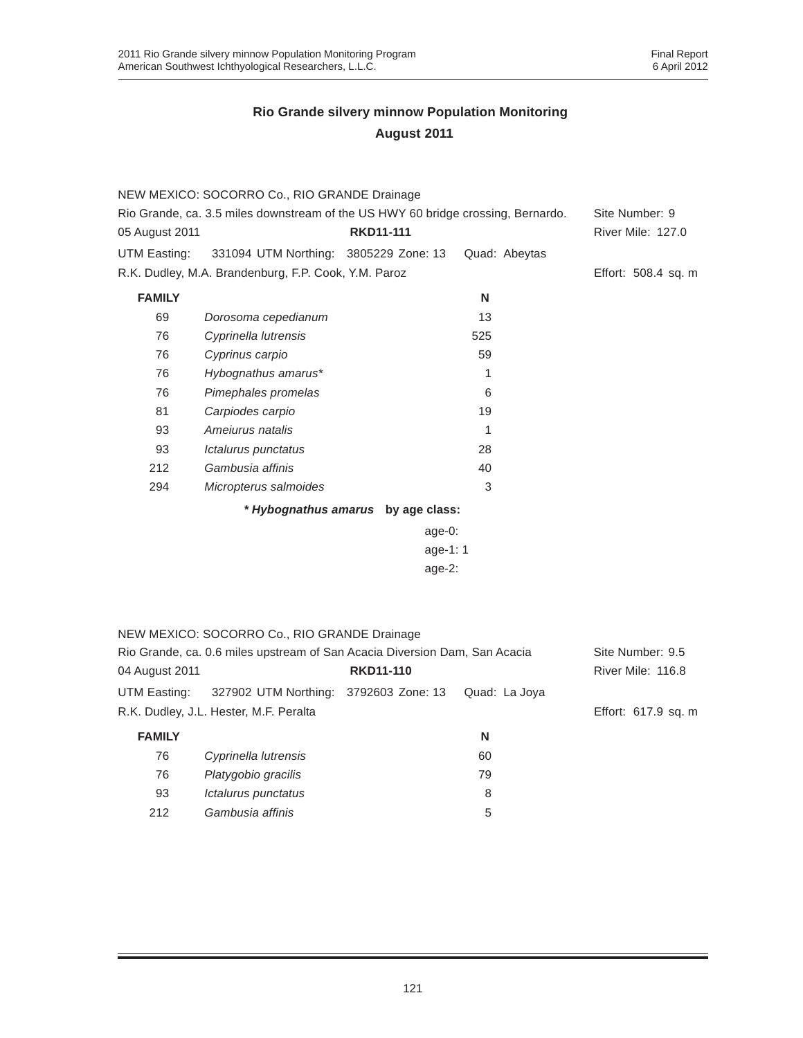|                | NEW MEXICO: SOCORRO Co., RIO GRANDE Drainage                                     |                                    |               |                     |
|----------------|----------------------------------------------------------------------------------|------------------------------------|---------------|---------------------|
|                | Rio Grande, ca. 3.5 miles downstream of the US HWY 60 bridge crossing, Bernardo. |                                    |               | Site Number: 9      |
| 05 August 2011 |                                                                                  | <b>RKD11-111</b>                   |               | River Mile: 127.0   |
| UTM Easting:   | 331094 UTM Northing: 3805229 Zone: 13                                            |                                    | Quad: Abeytas |                     |
|                | R.K. Dudley, M.A. Brandenburg, F.P. Cook, Y.M. Paroz                             |                                    |               | Effort: 508.4 sq. m |
| <b>FAMILY</b>  |                                                                                  |                                    | N             |                     |
| 69             | Dorosoma cepedianum                                                              |                                    | 13            |                     |
| 76             | Cyprinella lutrensis                                                             |                                    | 525           |                     |
| 76             | Cyprinus carpio                                                                  |                                    | 59            |                     |
| 76             | Hybognathus amarus*                                                              |                                    | 1             |                     |
| 76             | Pimephales promelas                                                              |                                    | 6             |                     |
| 81             | Carpiodes carpio                                                                 |                                    | 19            |                     |
| 93             | Ameiurus natalis                                                                 |                                    | 1             |                     |
| 93             | Ictalurus punctatus                                                              |                                    | 28            |                     |
| 212            | Gambusia affinis                                                                 |                                    | 40            |                     |
| 294            | Micropterus salmoides                                                            |                                    | 3             |                     |
|                |                                                                                  | * Hybognathus amarus by age class: |               |                     |
|                |                                                                                  | $age-0$ :                          |               |                     |
|                |                                                                                  | age-1: 1                           |               |                     |
|                |                                                                                  | $age-2$ :                          |               |                     |
|                |                                                                                  |                                    |               |                     |
|                |                                                                                  |                                    |               |                     |
|                | NEW MEXICO: SOCORRO Co., RIO GRANDE Drainage                                     |                                    |               |                     |
|                | Rio Grande, ca. 0.6 miles upstream of San Acacia Diversion Dam, San Acacia       |                                    |               | Site Number: 9.5    |
| 04 August 2011 |                                                                                  | <b>RKD11-110</b>                   |               | River Mile: 116.8   |
| UTM Easting:   | 327902 UTM Northing: 3792603 Zone: 13                                            |                                    | Quad: La Joya |                     |
|                | R.K. Dudley, J.L. Hester, M.F. Peralta                                           |                                    |               | Effort: 617.9 sq. m |
| <b>FAMILY</b>  |                                                                                  |                                    | N             |                     |
| 76             | Cyprinella lutrensis                                                             |                                    | 60            |                     |
| 76             | Platygobio gracilis                                                              |                                    | 79            |                     |
| 93             | Ictalurus punctatus                                                              |                                    | 8             |                     |
| 212            | Gambusia affinis                                                                 |                                    | 5             |                     |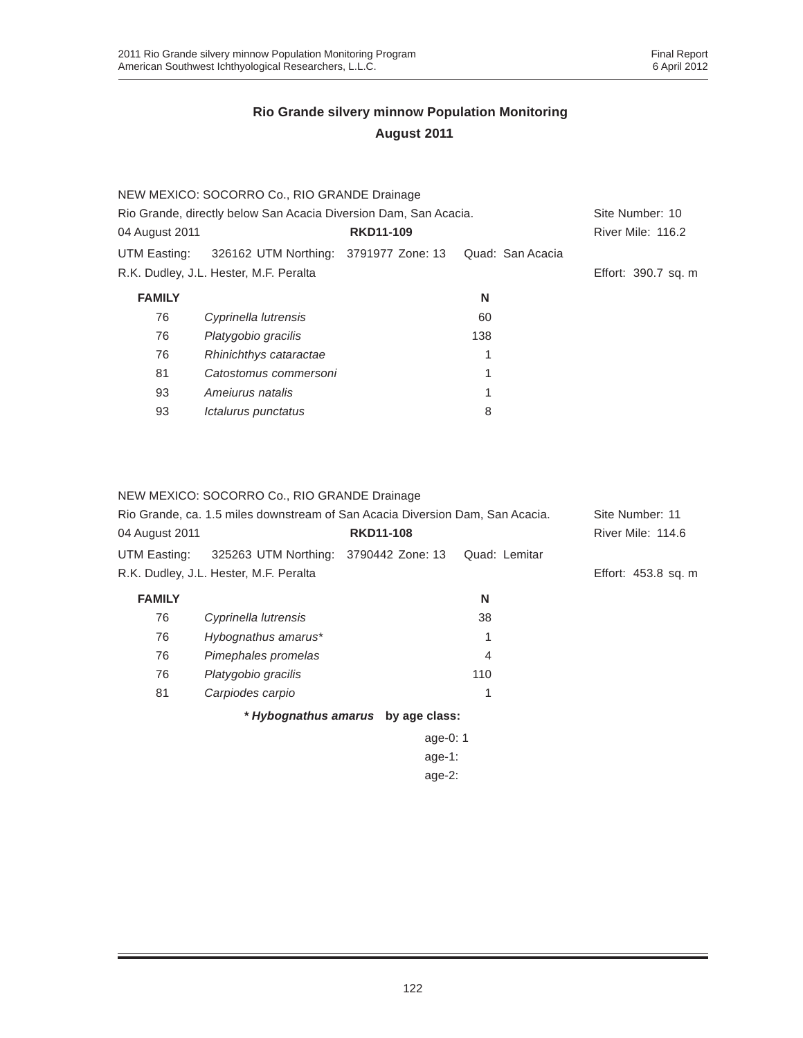|                | NEW MEXICO: SOCORRO Co., RIO GRANDE Drainage                     |                  |                  |                     |  |
|----------------|------------------------------------------------------------------|------------------|------------------|---------------------|--|
|                | Rio Grande, directly below San Acacia Diversion Dam, San Acacia. |                  |                  |                     |  |
| 04 August 2011 |                                                                  | <b>RKD11-109</b> |                  | River Mile: 116.2   |  |
| UTM Easting:   | 326162 UTM Northing: 3791977 Zone: 13                            |                  | Quad: San Acacia |                     |  |
|                | R.K. Dudley, J.L. Hester, M.F. Peralta                           |                  |                  | Effort: 390.7 sq. m |  |
| <b>FAMILY</b>  |                                                                  |                  | N                |                     |  |
| 76             | Cyprinella lutrensis                                             |                  | 60               |                     |  |
| 76             | Platygobio gracilis                                              |                  | 138              |                     |  |
| 76             | Rhinichthys cataractae                                           |                  | 1                |                     |  |
| 81             | Catostomus commersoni                                            |                  | 1                |                     |  |
| 93             | Amejurus natalis                                                 |                  | 1                |                     |  |
| 93             | <i><b>Ictalurus punctatus</b></i>                                |                  | 8                |                     |  |
|                |                                                                  |                  |                  |                     |  |

NEW MEXICO: SOCORRO Co., RIO GRANDE Drainage

|                | Rio Grande, ca. 1.5 miles downstream of San Acacia Diversion Dam, San Acacia. |                                    |               | Site Number: 11     |
|----------------|-------------------------------------------------------------------------------|------------------------------------|---------------|---------------------|
| 04 August 2011 |                                                                               | <b>RKD11-108</b>                   |               | River Mile: 114.6   |
| UTM Easting:   | 325263 UTM Northing: 3790442 Zone: 13                                         |                                    | Quad: Lemitar |                     |
|                | R.K. Dudley, J.L. Hester, M.F. Peralta                                        |                                    |               | Effort: 453.8 sq. m |
| <b>FAMILY</b>  |                                                                               |                                    | N             |                     |
| 76             | Cyprinella lutrensis                                                          |                                    | 38            |                     |
| 76             | Hybognathus amarus*                                                           |                                    | 1             |                     |
| 76             | Pimephales promelas                                                           |                                    | 4             |                     |
| 76             | Platygobio gracilis                                                           |                                    | 110           |                     |
| 81             | Carpiodes carpio                                                              |                                    | 1             |                     |
|                |                                                                               | * Hybognathus amarus by age class: |               |                     |
|                |                                                                               | age-0: $1$                         |               |                     |
|                |                                                                               | age-1:                             |               |                     |
|                |                                                                               | age- $2$ :                         |               |                     |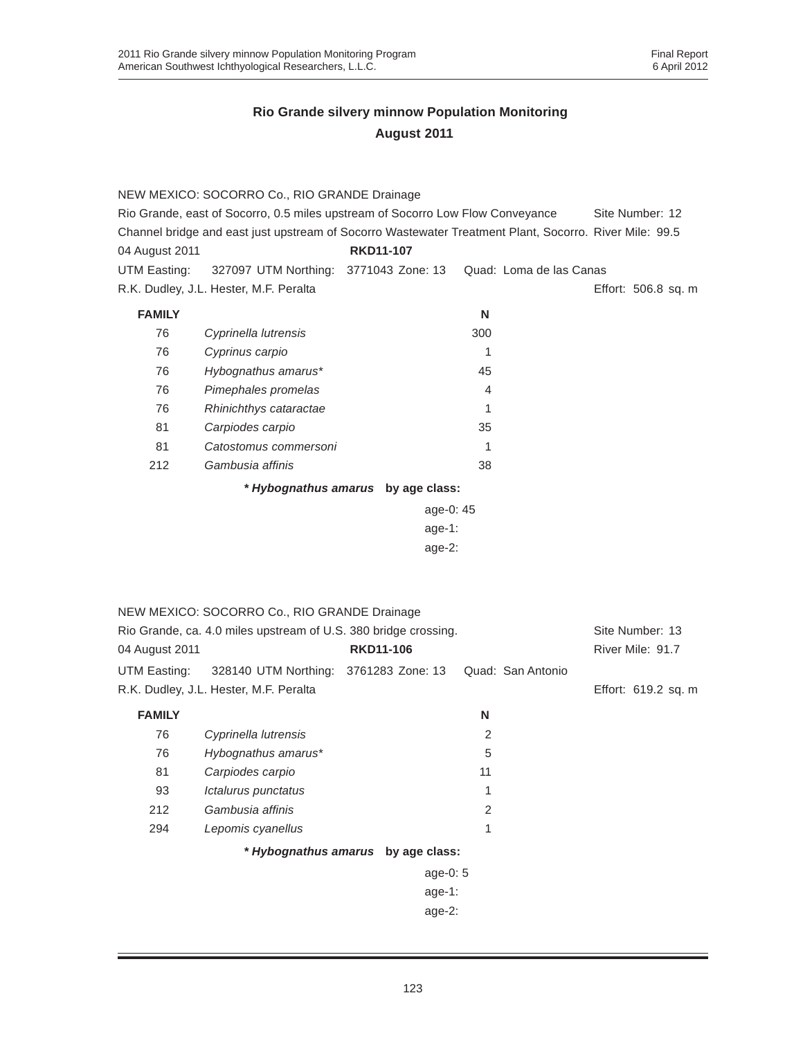|                | NEW MEXICO: SOCORRO Co., RIO GRANDE Drainage                                                           |                                    |                |                         |                     |
|----------------|--------------------------------------------------------------------------------------------------------|------------------------------------|----------------|-------------------------|---------------------|
|                | Rio Grande, east of Socorro, 0.5 miles upstream of Socorro Low Flow Conveyance                         |                                    |                |                         | Site Number: 12     |
|                | Channel bridge and east just upstream of Socorro Wastewater Treatment Plant, Socorro. River Mile: 99.5 |                                    |                |                         |                     |
| 04 August 2011 |                                                                                                        | <b>RKD11-107</b>                   |                |                         |                     |
| UTM Easting:   | 327097 UTM Northing: 3771043 Zone: 13                                                                  |                                    |                | Quad: Loma de las Canas |                     |
|                | R.K. Dudley, J.L. Hester, M.F. Peralta                                                                 |                                    |                |                         | Effort: 506.8 sq. m |
| <b>FAMILY</b>  |                                                                                                        |                                    | N              |                         |                     |
| 76             | Cyprinella lutrensis                                                                                   |                                    | 300            |                         |                     |
| 76             | Cyprinus carpio                                                                                        |                                    | 1              |                         |                     |
| 76             | Hybognathus amarus*                                                                                    |                                    | 45             |                         |                     |
| 76             | Pimephales promelas                                                                                    |                                    | 4              |                         |                     |
| 76             | Rhinichthys cataractae                                                                                 |                                    | 1              |                         |                     |
| 81             | Carpiodes carpio                                                                                       |                                    | 35             |                         |                     |
| 81             | Catostomus commersoni                                                                                  |                                    | 1              |                         |                     |
| 212            | Gambusia affinis                                                                                       |                                    | 38             |                         |                     |
|                |                                                                                                        | * Hybognathus amarus by age class: |                |                         |                     |
| age-0: 45      |                                                                                                        |                                    |                |                         |                     |
|                |                                                                                                        | age-1:                             |                |                         |                     |
|                |                                                                                                        | age-2:                             |                |                         |                     |
|                |                                                                                                        |                                    |                |                         |                     |
|                |                                                                                                        |                                    |                |                         |                     |
|                | NEW MEXICO: SOCORRO Co., RIO GRANDE Drainage                                                           |                                    |                |                         |                     |
|                | Rio Grande, ca. 4.0 miles upstream of U.S. 380 bridge crossing.                                        |                                    |                |                         | Site Number: 13     |
| 04 August 2011 |                                                                                                        | <b>RKD11-106</b>                   |                |                         | River Mile: 91.7    |
| UTM Easting:   | 328140 UTM Northing: 3761283 Zone: 13                                                                  |                                    |                | Quad: San Antonio       |                     |
|                | R.K. Dudley, J.L. Hester, M.F. Peralta                                                                 |                                    |                |                         | Effort: 619.2 sq. m |
|                |                                                                                                        |                                    |                |                         |                     |
| <b>FAMILY</b>  |                                                                                                        |                                    | N              |                         |                     |
| 76<br>76       | Cyprinella lutrensis                                                                                   |                                    | 2              |                         |                     |
|                | Hybognathus amarus*                                                                                    |                                    | 5              |                         |                     |
| 81             | Carpiodes carpio                                                                                       |                                    | 11             |                         |                     |
| 93             | Ictalurus punctatus                                                                                    |                                    | 1              |                         |                     |
| 212            | Gambusia affinis                                                                                       |                                    | $\overline{c}$ |                         |                     |
| 294            | Lepomis cyanellus                                                                                      |                                    | 1              |                         |                     |
|                |                                                                                                        | * Hybognathus amarus by age class: |                |                         |                     |
|                |                                                                                                        | age-0: 5                           |                |                         |                     |
|                |                                                                                                        | age-1:                             |                |                         |                     |
|                |                                                                                                        | age-2:                             |                |                         |                     |
|                |                                                                                                        |                                    |                |                         |                     |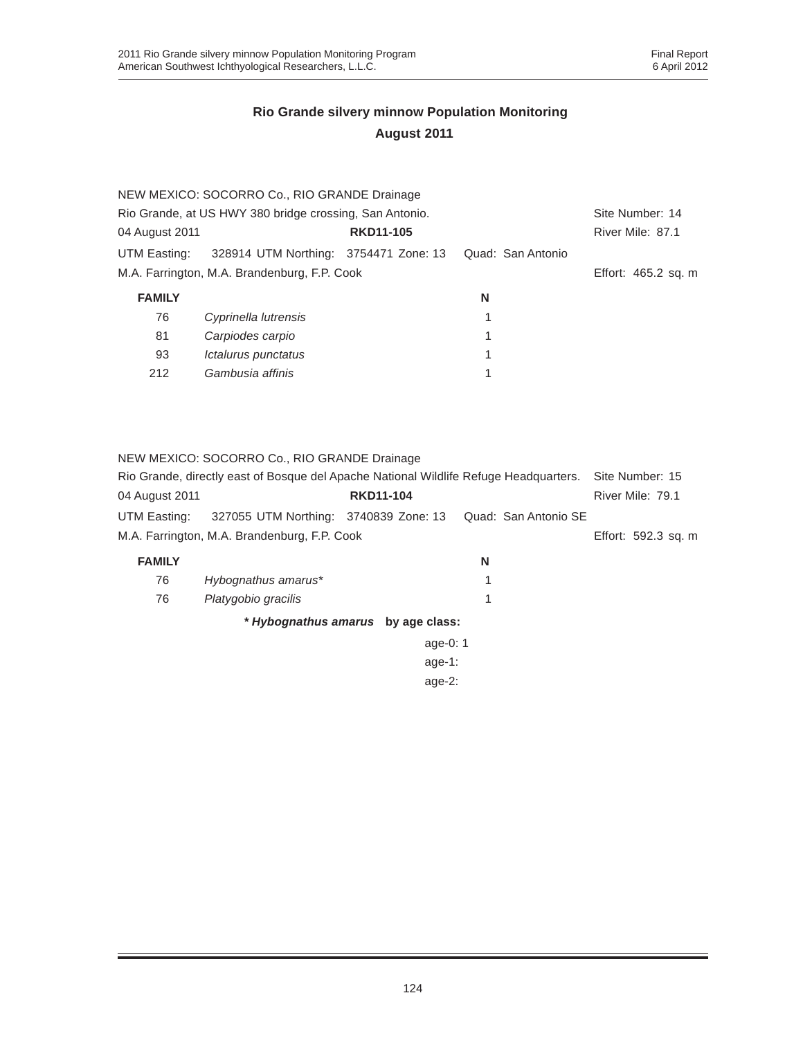|                | NEW MEXICO: SOCORRO Co., RIO GRANDE Drainage            |                  |                   |                     |  |
|----------------|---------------------------------------------------------|------------------|-------------------|---------------------|--|
|                | Rio Grande, at US HWY 380 bridge crossing, San Antonio. |                  |                   |                     |  |
| 04 August 2011 |                                                         | <b>RKD11-105</b> |                   | River Mile: 87.1    |  |
| UTM Easting:   | 328914 UTM Northing: 3754471 Zone: 13                   |                  | Quad: San Antonio |                     |  |
|                | M.A. Farrington, M.A. Brandenburg, F.P. Cook            |                  |                   | Effort: 465.2 sq. m |  |
| <b>FAMILY</b>  |                                                         |                  | N                 |                     |  |
| 76             | Cyprinella lutrensis                                    |                  |                   |                     |  |
| 81             | Carpiodes carpio                                        |                  | 1                 |                     |  |
| 93             | <i><b>Ictalurus punctatus</b></i>                       |                  | 1                 |                     |  |
| 212            | Gambusia affinis                                        |                  |                   |                     |  |

NEW MEXICO: SOCORRO Co., RIO GRANDE Drainage

|                | Rio Grande, directly east of Bosque del Apache National Wildlife Refuge Headquarters. |                  | Site Number: 15     |
|----------------|---------------------------------------------------------------------------------------|------------------|---------------------|
| 04 August 2011 |                                                                                       | <b>RKD11-104</b> | River Mile: 79.1    |
| UTM Easting:   | 327055 UTM Northing: 3740839 Zone: 13 Quad: San Antonio SE                            |                  |                     |
|                | M.A. Farrington, M.A. Brandenburg, F.P. Cook                                          |                  | Effort: 592.3 sq. m |

| <b>FAMILY</b> |                                    | N |
|---------------|------------------------------------|---|
| 76            | Hybognathus amarus*                |   |
| 76            | Platygobio gracilis                |   |
|               | * Hybognathus amarus by age class: |   |

age-0: 1 age-1: age-2: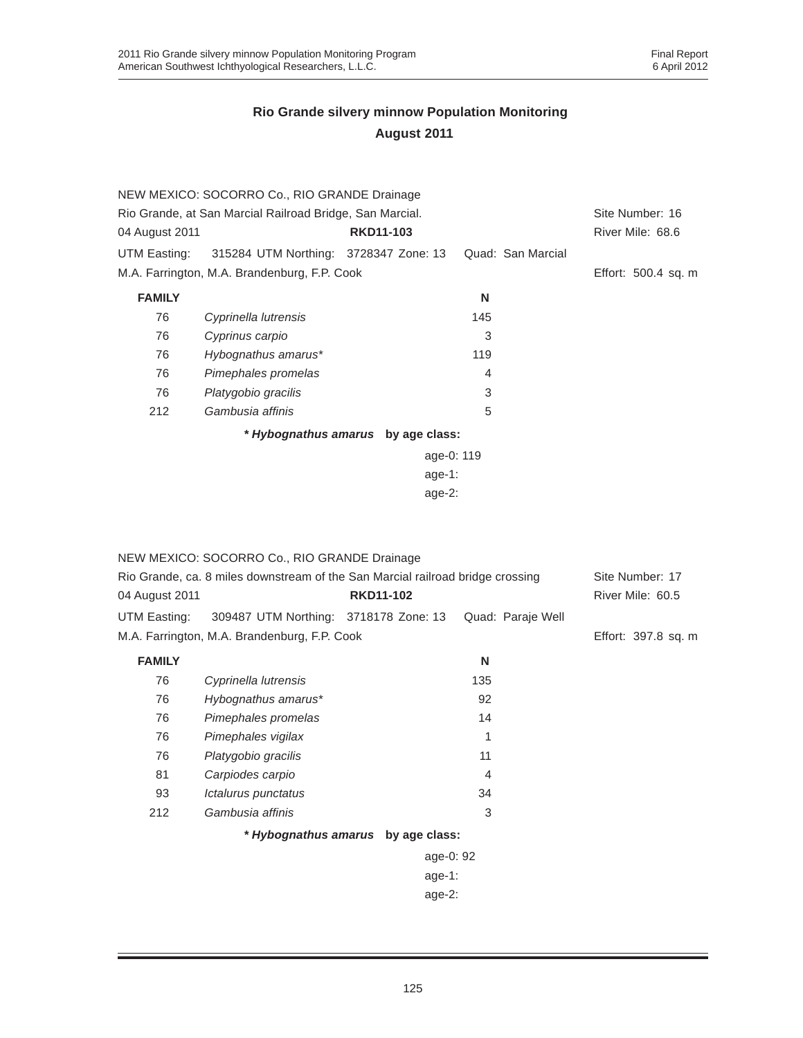|                | NEW MEXICO: SOCORRO Co., RIO GRANDE Drainage             |                                    |                   |                     |  |
|----------------|----------------------------------------------------------|------------------------------------|-------------------|---------------------|--|
|                | Rio Grande, at San Marcial Railroad Bridge, San Marcial. |                                    |                   |                     |  |
| 04 August 2011 |                                                          | <b>RKD11-103</b>                   |                   | River Mile: 68.6    |  |
| UTM Easting:   | 315284 UTM Northing: 3728347 Zone: 13                    |                                    | Quad: San Marcial |                     |  |
|                | M.A. Farrington, M.A. Brandenburg, F.P. Cook             |                                    |                   | Effort: 500.4 sq. m |  |
| <b>FAMILY</b>  |                                                          |                                    | N                 |                     |  |
| 76             | Cyprinella lutrensis                                     |                                    | 145               |                     |  |
| 76             | Cyprinus carpio                                          |                                    | 3                 |                     |  |
| 76             | Hybognathus amarus*                                      |                                    | 119               |                     |  |
| 76             | Pimephales promelas                                      |                                    | 4                 |                     |  |
| 76             | Platygobio gracilis                                      |                                    | 3                 |                     |  |
| 212            | Gambusia affinis                                         |                                    | 5                 |                     |  |
|                |                                                          | * Hybognathus amarus by age class: |                   |                     |  |
|                |                                                          |                                    | age-0: 119        |                     |  |
|                |                                                          | age-1:                             |                   |                     |  |
|                |                                                          | age- $2:$                          |                   |                     |  |

|                | NEW MEXICO: SOCORRO Co., RIO GRANDE Drainage                                   |                                    |                   |                     |
|----------------|--------------------------------------------------------------------------------|------------------------------------|-------------------|---------------------|
|                | Rio Grande, ca. 8 miles downstream of the San Marcial railroad bridge crossing |                                    |                   |                     |
| 04 August 2011 |                                                                                | <b>RKD11-102</b>                   |                   | River Mile: 60.5    |
| UTM Easting:   | 309487 UTM Northing: 3718178 Zone: 13                                          |                                    | Quad: Paraje Well |                     |
|                | M.A. Farrington, M.A. Brandenburg, F.P. Cook                                   |                                    |                   | Effort: 397.8 sq. m |
| <b>FAMILY</b>  |                                                                                |                                    | N                 |                     |
| 76             | Cyprinella lutrensis                                                           |                                    | 135               |                     |
| 76             | Hybognathus amarus*                                                            |                                    | 92                |                     |
| 76             | Pimephales promelas                                                            |                                    | 14                |                     |
| 76             | Pimephales vigilax                                                             |                                    | 1                 |                     |
| 76             | Platygobio gracilis                                                            |                                    | 11                |                     |
| 81             | Carpiodes carpio                                                               |                                    | 4                 |                     |
| 93             | Ictalurus punctatus                                                            |                                    | 34                |                     |
| 212            | Gambusia affinis                                                               |                                    | 3                 |                     |
|                |                                                                                | * Hybognathus amarus by age class: |                   |                     |
|                |                                                                                | age-0: 92                          |                   |                     |
|                |                                                                                | age-1:                             |                   |                     |
|                |                                                                                | age-2:                             |                   |                     |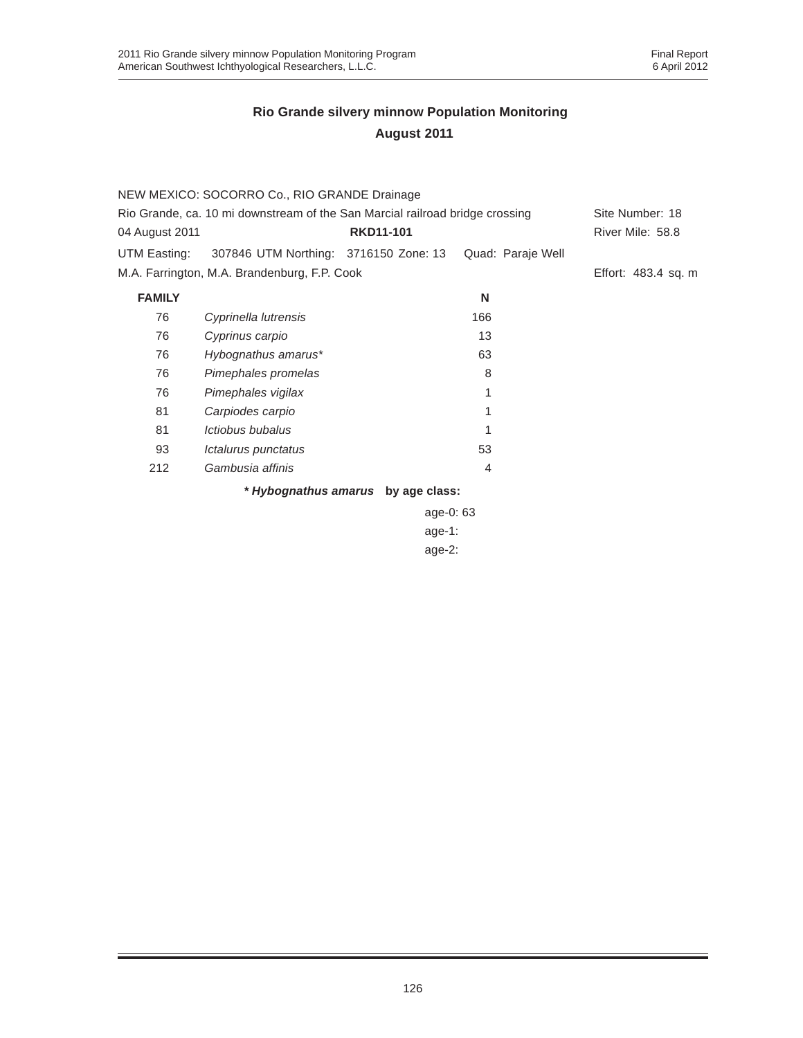|                |                                                                              | * Hybognathus amarus by age class: |                   |                     |
|----------------|------------------------------------------------------------------------------|------------------------------------|-------------------|---------------------|
| 212            | Gambusia affinis                                                             |                                    | $\overline{4}$    |                     |
| 93             | Ictalurus punctatus                                                          |                                    | 53                |                     |
| 81             | <i>Ictiobus bubalus</i>                                                      |                                    |                   |                     |
| 81             | Carpiodes carpio                                                             |                                    |                   |                     |
| 76             | Pimephales vigilax                                                           |                                    | 1                 |                     |
| 76             | Pimephales promelas                                                          |                                    | 8                 |                     |
| 76             | Hybognathus amarus*                                                          |                                    | 63                |                     |
| 76             | Cyprinus carpio                                                              |                                    | 13                |                     |
| 76             | Cyprinella lutrensis                                                         |                                    | 166               |                     |
| <b>FAMILY</b>  |                                                                              |                                    | N                 |                     |
|                | M.A. Farrington, M.A. Brandenburg, F.P. Cook                                 |                                    |                   | Effort: 483.4 sq. m |
| UTM Easting:   | 307846 UTM Northing: 3716150 Zone: 13                                        |                                    | Quad: Paraje Well |                     |
| 04 August 2011 |                                                                              | <b>RKD11-101</b>                   |                   | River Mile: 58.8    |
|                | Rio Grande, ca. 10 mi downstream of the San Marcial railroad bridge crossing |                                    |                   |                     |
|                | NEW MEXICO: SOCORRO Co., RIO GRANDE Drainage                                 |                                    |                   |                     |

age-0: 63 age-1: age-2: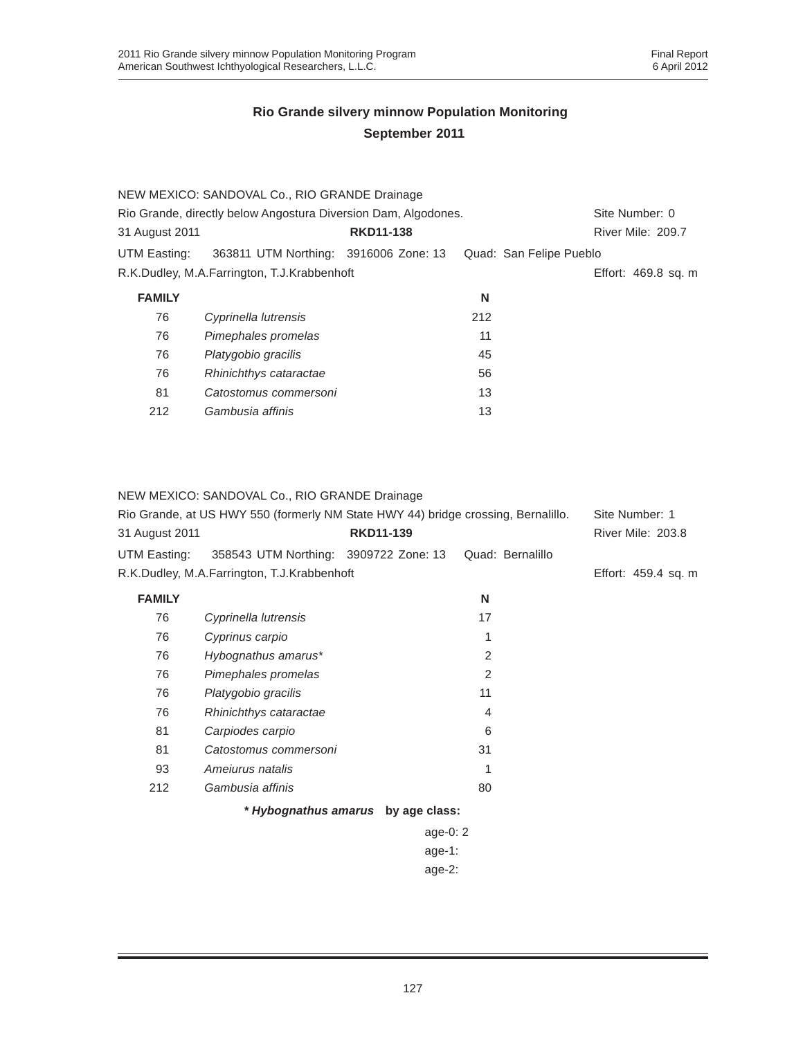|                | NEW MEXICO: SANDOVAL Co., RIO GRANDE Drainage                  |                  |     |                         |
|----------------|----------------------------------------------------------------|------------------|-----|-------------------------|
|                | Rio Grande, directly below Angostura Diversion Dam, Algodones. |                  |     | Site Number: 0          |
| 31 August 2011 |                                                                | <b>RKD11-138</b> |     | River Mile: 209.7       |
| UTM Easting:   | 363811 UTM Northing: 3916006 Zone: 13                          |                  |     | Quad: San Felipe Pueblo |
|                | R.K.Dudley, M.A.Farrington, T.J.Krabbenhoft                    |                  |     | Effort: 469.8 sq. m     |
| <b>FAMILY</b>  |                                                                |                  | N   |                         |
| 76             | Cyprinella lutrensis                                           |                  | 212 |                         |
| 76             | Pimephales promelas                                            |                  | 11  |                         |
| 76             | Platygobio gracilis                                            |                  | 45  |                         |
| 76             | Rhinichthys cataractae                                         |                  | 56  |                         |
| 81             | Catostomus commersoni                                          |                  | 13  |                         |
| 212            | Gambusia affinis                                               |                  | 13  |                         |

NEW MEXICO: SANDOVAL Co., RIO GRANDE Drainage

| 31 August 2011 | Rio Grande, at US HWY 550 (formerly NM State HWY 44) bridge crossing, Bernalillo. | <b>RKD11-139</b> |                  | Site Number: 1<br>River Mile: 203.8 |
|----------------|-----------------------------------------------------------------------------------|------------------|------------------|-------------------------------------|
| UTM Easting:   | 358543 UTM Northing: 3909722 Zone: 13                                             |                  | Quad: Bernalillo |                                     |
|                | R.K.Dudley, M.A.Farrington, T.J.Krabbenhoft                                       |                  |                  | Effort: 459.4 sq. m                 |
| <b>FAMILY</b>  |                                                                                   |                  | N                |                                     |
| 76             | Cyprinella lutrensis                                                              |                  | 17               |                                     |
| 76             | Cyprinus carpio                                                                   |                  | 1                |                                     |
| 76             | Hybognathus amarus*                                                               |                  | 2                |                                     |
| 76             | Pimephales promelas                                                               |                  | 2                |                                     |
| 76             | Platygobio gracilis                                                               |                  | 11               |                                     |
| 76             | Rhinichthys cataractae                                                            |                  | 4                |                                     |
| 81             | Carpiodes carpio                                                                  |                  | 6                |                                     |
| 81             | Catostomus commersoni                                                             |                  | 31               |                                     |
| 93             | Amejurus natalis                                                                  |                  | 1                |                                     |
| 212            | Gambusia affinis                                                                  |                  | 80               |                                     |
|                | * Hybognathus amarus by age class:                                                |                  |                  |                                     |
|                |                                                                                   |                  | age-0: $2$       |                                     |
|                |                                                                                   |                  |                  |                                     |

age-1: age-2: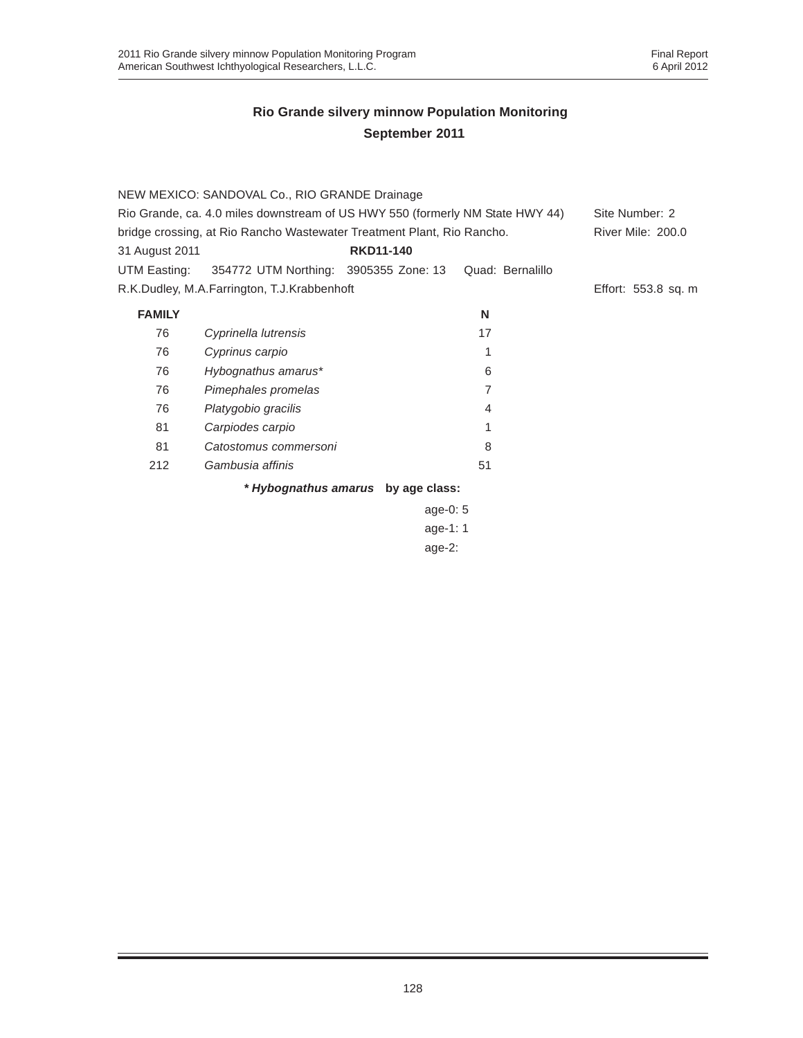| Rio Grande, ca. 4.0 miles downstream of US HWY 550 (formerly NM State HWY 44) |                  |                                                                                                                                       |                                                                |
|-------------------------------------------------------------------------------|------------------|---------------------------------------------------------------------------------------------------------------------------------------|----------------------------------------------------------------|
| bridge crossing, at Rio Rancho Wastewater Treatment Plant, Rio Rancho.        |                  |                                                                                                                                       |                                                                |
|                                                                               | <b>RKD11-140</b> |                                                                                                                                       |                                                                |
|                                                                               |                  | Quad: Bernalillo                                                                                                                      |                                                                |
|                                                                               |                  |                                                                                                                                       | Effort: 553.8 sq. m                                            |
|                                                                               |                  | N                                                                                                                                     |                                                                |
| Cyprinella lutrensis                                                          |                  | 17                                                                                                                                    |                                                                |
| Cyprinus carpio                                                               |                  | 1                                                                                                                                     |                                                                |
| Hybognathus amarus*                                                           |                  | 6                                                                                                                                     |                                                                |
| Pimephales promelas                                                           |                  | 7                                                                                                                                     |                                                                |
| Platygobio gracilis                                                           |                  | 4                                                                                                                                     |                                                                |
| Carpiodes carpio                                                              |                  |                                                                                                                                       |                                                                |
| Catostomus commersoni                                                         |                  | 8                                                                                                                                     |                                                                |
| Gambusia affinis                                                              |                  | 51                                                                                                                                    |                                                                |
|                                                                               |                  |                                                                                                                                       |                                                                |
|                                                                               |                  |                                                                                                                                       |                                                                |
|                                                                               |                  |                                                                                                                                       |                                                                |
|                                                                               |                  | NEW MEXICO: SANDOVAL Co., RIO GRANDE Drainage<br>354772 UTM Northing: 3905355 Zone: 13<br>R.K.Dudley, M.A.Farrington, T.J.Krabbenhoft | * Hybognathus amarus by age class:<br>age-0: $5$<br>age-1: $1$ |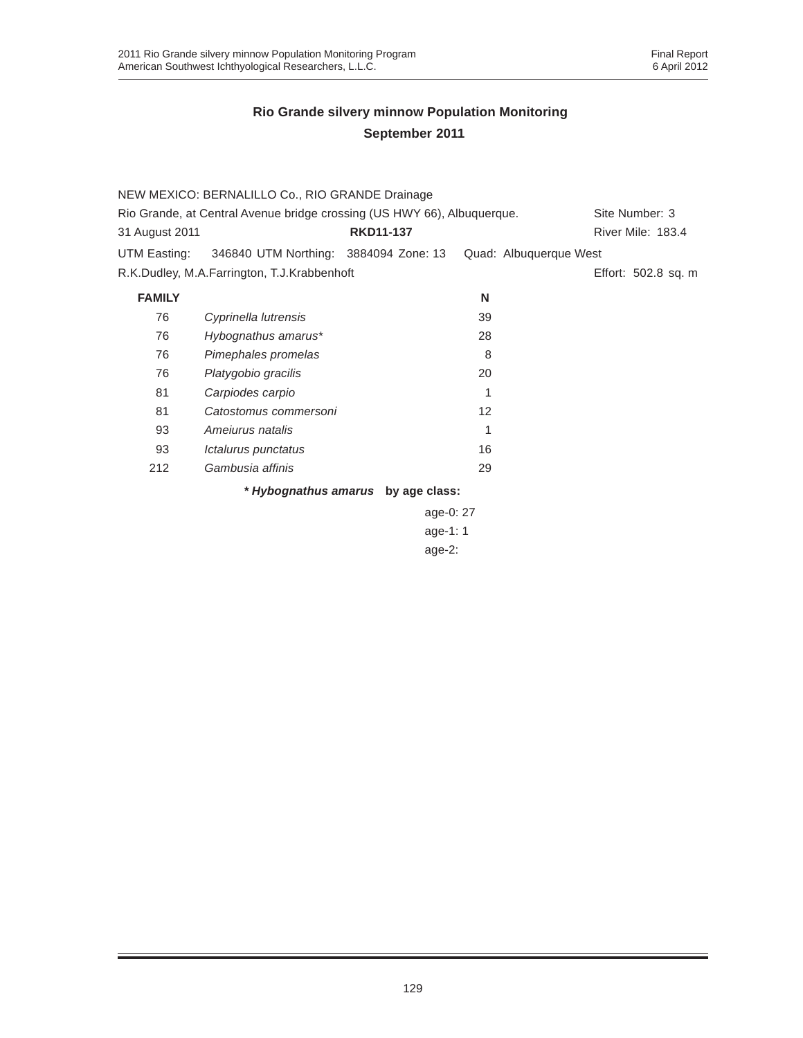|                | NEW MEXICO: BERNALILLO Co., RIO GRANDE Drainage                         |                                    |                   |                        |
|----------------|-------------------------------------------------------------------------|------------------------------------|-------------------|------------------------|
|                | Rio Grande, at Central Avenue bridge crossing (US HWY 66), Albuquerque. |                                    |                   | Site Number: 3         |
| 31 August 2011 |                                                                         | <b>RKD11-137</b>                   |                   | River Mile: 183.4      |
| UTM Easting:   | 346840 UTM Northing: 3884094 Zone: 13                                   |                                    |                   | Quad: Albuquerque West |
|                | R.K.Dudley, M.A.Farrington, T.J.Krabbenhoft                             |                                    |                   | Effort: 502.8 sq. m    |
| <b>FAMILY</b>  |                                                                         |                                    | N                 |                        |
| 76             | Cyprinella lutrensis                                                    |                                    | 39                |                        |
| 76             | Hybognathus amarus*                                                     |                                    | 28                |                        |
| 76             | Pimephales promelas                                                     |                                    | 8                 |                        |
| 76             | Platygobio gracilis                                                     |                                    | 20                |                        |
| 81             | Carpiodes carpio                                                        |                                    |                   |                        |
| 81             | Catostomus commersoni                                                   |                                    | $12 \overline{ }$ |                        |
| 93             | Amejurus natalis                                                        |                                    | 1                 |                        |
| 93             | Ictalurus punctatus                                                     |                                    | 16                |                        |
| 212            | Gambusia affinis                                                        |                                    | 29                |                        |
|                |                                                                         | * Hybognathus amarus by age class: |                   |                        |

age-0: 27 age-1: 1 age-2: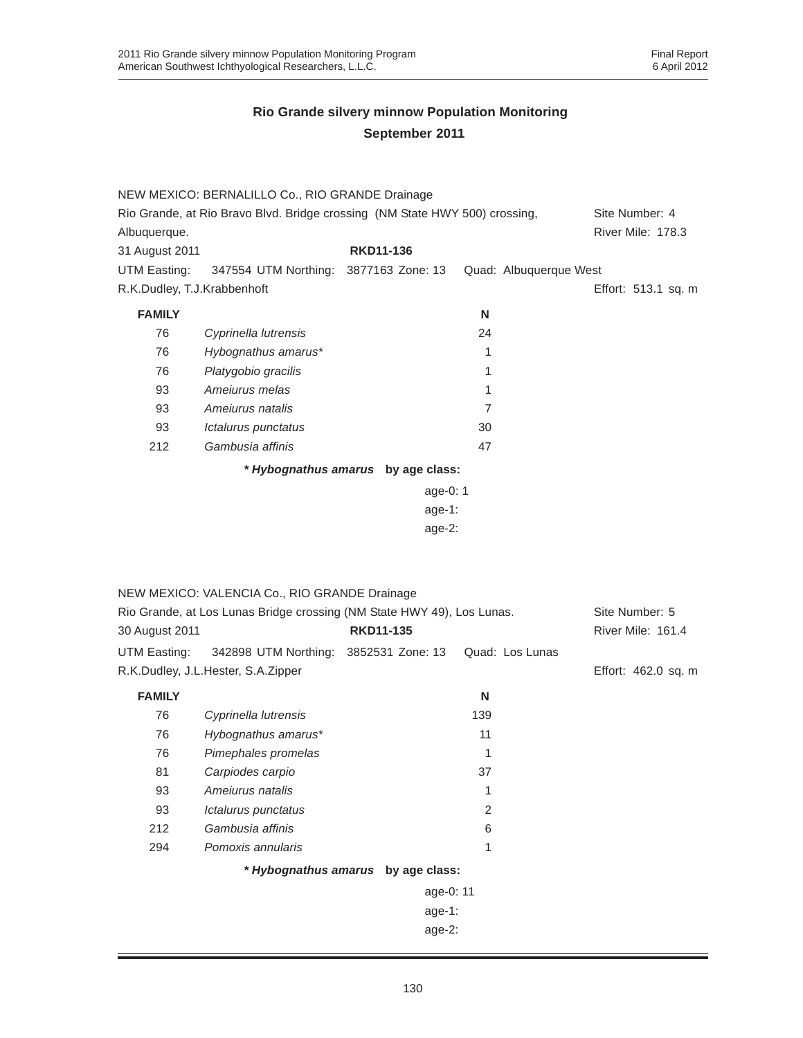| Rio Grande, at Rio Bravo Blvd. Bridge crossing (NM State HWY 500) crossing,<br>Site Number: 4<br>River Mile: 178.3<br>Albuquerque.<br><b>RKD11-136</b><br>31 August 2011 |  |
|--------------------------------------------------------------------------------------------------------------------------------------------------------------------------|--|
|                                                                                                                                                                          |  |
|                                                                                                                                                                          |  |
|                                                                                                                                                                          |  |
| UTM Easting:<br>347554 UTM Northing: 3877163 Zone: 13<br>Quad: Albuquerque West                                                                                          |  |
| R.K.Dudley, T.J.Krabbenhoft<br>Effort: 513.1 sq. m                                                                                                                       |  |
| <b>FAMILY</b><br>N                                                                                                                                                       |  |
| 76<br>Cyprinella lutrensis<br>24                                                                                                                                         |  |
| Hybognathus amarus*<br>76<br>1                                                                                                                                           |  |
| Platygobio gracilis<br>76<br>1                                                                                                                                           |  |
| Ameiurus melas<br>93<br>1                                                                                                                                                |  |
| 93<br>Amejurus natalis<br>7                                                                                                                                              |  |
| 93<br>30<br>Ictalurus punctatus                                                                                                                                          |  |
| Gambusia affinis<br>47<br>212                                                                                                                                            |  |
| * Hybognathus amarus by age class:                                                                                                                                       |  |
| age-0: 1                                                                                                                                                                 |  |
| age-1:                                                                                                                                                                   |  |
|                                                                                                                                                                          |  |
| $age-2$ :                                                                                                                                                                |  |
|                                                                                                                                                                          |  |
|                                                                                                                                                                          |  |
| NEW MEXICO: VALENCIA Co., RIO GRANDE Drainage                                                                                                                            |  |
| Rio Grande, at Los Lunas Bridge crossing (NM State HWY 49), Los Lunas.<br>Site Number: 5                                                                                 |  |
| <b>RKD11-135</b><br>River Mile: 161.4<br>30 August 2011                                                                                                                  |  |
| 342898 UTM Northing: 3852531 Zone: 13<br>Quad: Los Lunas<br>UTM Easting:                                                                                                 |  |
| R.K.Dudley, J.L.Hester, S.A.Zipper<br>Effort: 462.0 sq. m                                                                                                                |  |
| <b>FAMILY</b><br>Ν                                                                                                                                                       |  |
| 76<br>Cyprinella lutrensis<br>139                                                                                                                                        |  |
| Hybognathus amarus*<br>11<br>76                                                                                                                                          |  |
| Pimephales promelas<br>76<br>1                                                                                                                                           |  |
| 37<br>81<br>Carpiodes carpio                                                                                                                                             |  |
| Ameiurus natalis<br>93<br>1                                                                                                                                              |  |
| $\overline{2}$<br>93<br>Ictalurus punctatus                                                                                                                              |  |
| Gambusia affinis<br>212<br>6                                                                                                                                             |  |
| 294<br>Pomoxis annularis<br>1                                                                                                                                            |  |
| * Hybognathus amarus by age class:                                                                                                                                       |  |
| age-0: 11                                                                                                                                                                |  |
| age-1:                                                                                                                                                                   |  |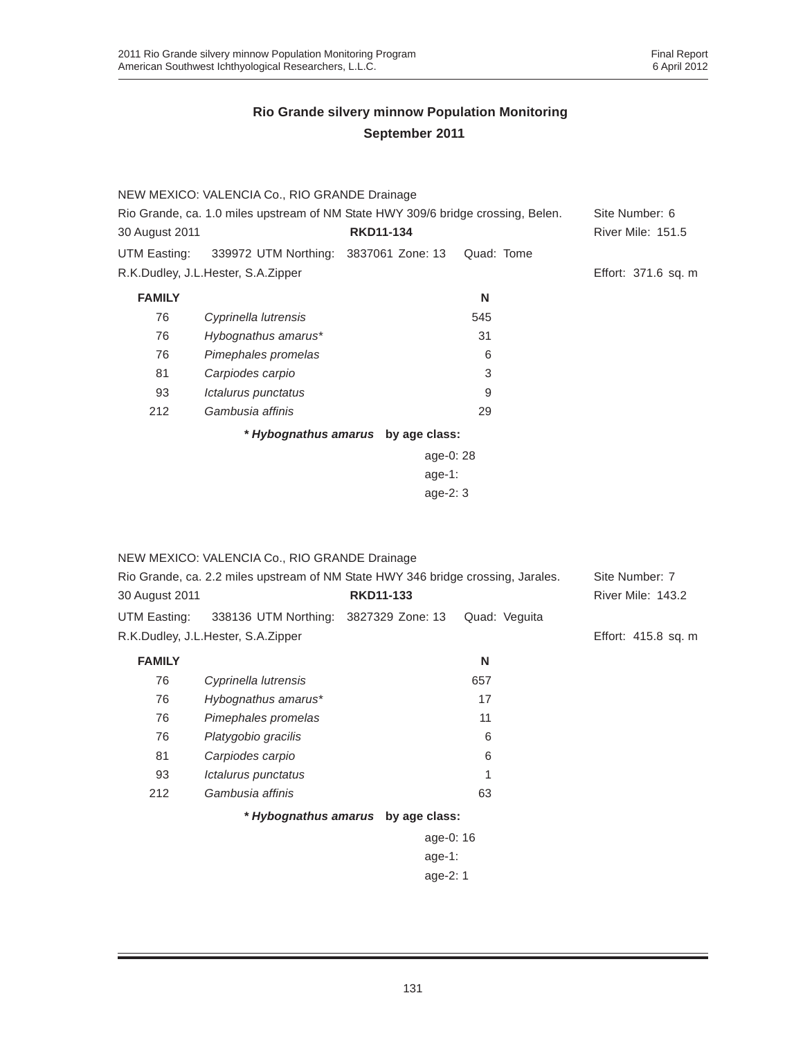| Rio Grande, ca. 1.0 miles upstream of NM State HWY 309/6 bridge crossing, Belen. |  |                                                                                        |                                                           |  |
|----------------------------------------------------------------------------------|--|----------------------------------------------------------------------------------------|-----------------------------------------------------------|--|
| <b>RKD11-134</b><br>30 August 2011                                               |  |                                                                                        | <b>River Mile: 151.5</b>                                  |  |
|                                                                                  |  | Quad: Tome                                                                             |                                                           |  |
| R.K.Dudley, J.L.Hester, S.A.Zipper                                               |  |                                                                                        | Effort: 371.6 sq. m                                       |  |
|                                                                                  |  | N                                                                                      |                                                           |  |
| Cyprinella lutrensis                                                             |  | 545                                                                                    |                                                           |  |
| Hybognathus amarus*                                                              |  | 31                                                                                     |                                                           |  |
| Pimephales promelas                                                              |  | 6                                                                                      |                                                           |  |
| Carpiodes carpio                                                                 |  | 3                                                                                      |                                                           |  |
| Ictalurus punctatus                                                              |  | 9                                                                                      |                                                           |  |
| Gambusia affinis                                                                 |  | 29                                                                                     |                                                           |  |
|                                                                                  |  |                                                                                        |                                                           |  |
|                                                                                  |  |                                                                                        |                                                           |  |
|                                                                                  |  |                                                                                        |                                                           |  |
|                                                                                  |  | NEW MEXICO: VALENCIA Co., RIO GRANDE Drainage<br>339972 UTM Northing: 3837061 Zone: 13 | * Hybognathus amarus by age class:<br>age-0: 28<br>age-1: |  |

age-2: 3

|                | NEW MEXICO: VALENCIA Co., RIO GRANDE Drainage                                    |                                    |               |                          |
|----------------|----------------------------------------------------------------------------------|------------------------------------|---------------|--------------------------|
|                | Rio Grande, ca. 2.2 miles upstream of NM State HWY 346 bridge crossing, Jarales. | Site Number: 7                     |               |                          |
| 30 August 2011 |                                                                                  | <b>RKD11-133</b>                   |               | <b>River Mile: 143.2</b> |
| UTM Easting:   | 338136 UTM Northing: 3827329 Zone: 13                                            |                                    | Quad: Veguita |                          |
|                | R.K.Dudley, J.L.Hester, S.A.Zipper                                               |                                    |               | Effort: 415.8 sq. m      |
| <b>FAMILY</b>  |                                                                                  |                                    | N             |                          |
| 76             | Cyprinella lutrensis                                                             |                                    | 657           |                          |
| 76             | Hybognathus amarus*                                                              |                                    | 17            |                          |
| 76             | Pimephales promelas                                                              |                                    | 11            |                          |
| 76             | Platygobio gracilis                                                              |                                    | 6             |                          |
| 81             | Carpiodes carpio                                                                 |                                    | 6             |                          |
| 93             | Ictalurus punctatus                                                              |                                    |               |                          |
| 212            | Gambusia affinis                                                                 |                                    | 63            |                          |
|                |                                                                                  | * Hybognathus amarus by age class: |               |                          |
|                |                                                                                  | age-0: 16                          |               |                          |
|                |                                                                                  | age-1:                             |               |                          |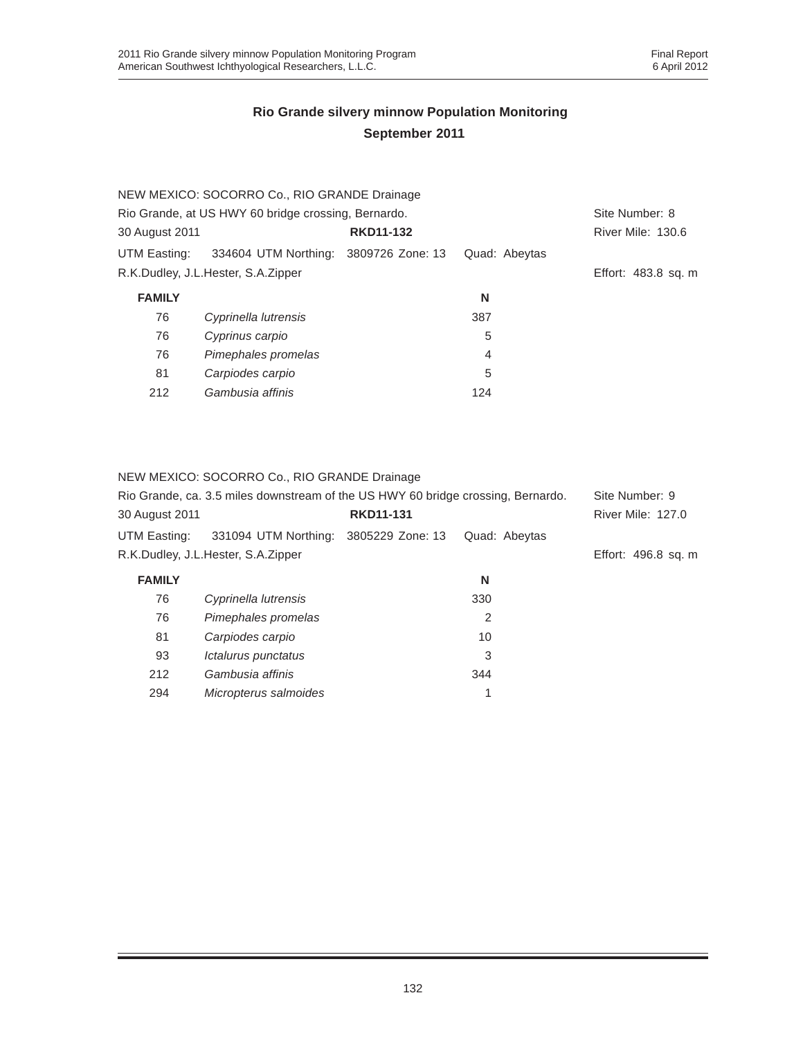|                                                     | NEW MEXICO: SOCORRO Co., RIO GRANDE Drainage |                  |               |                     |
|-----------------------------------------------------|----------------------------------------------|------------------|---------------|---------------------|
| Rio Grande, at US HWY 60 bridge crossing, Bernardo. | Site Number: 8                               |                  |               |                     |
| 30 August 2011                                      |                                              | <b>RKD11-132</b> |               | River Mile: 130.6   |
| UTM Easting:                                        | 334604 UTM Northing: 3809726 Zone: 13        |                  | Quad: Abeytas |                     |
|                                                     | R.K.Dudley, J.L.Hester, S.A.Zipper           |                  |               | Effort: 483.8 sq. m |
| <b>FAMILY</b>                                       |                                              |                  | N             |                     |
| 76                                                  | Cyprinella lutrensis                         |                  | 387           |                     |
| 76                                                  | Cyprinus carpio                              |                  | 5             |                     |
| 76                                                  | Pimephales promelas                          |                  | 4             |                     |
| 81                                                  | Carpiodes carpio                             |                  | 5             |                     |
| 212                                                 | Gambusia affinis                             |                  | 124           |                     |

NEW MEXICO: SOCORRO Co., RIO GRANDE Drainage

| 30 August 2011 | Rio Grande, ca. 3.5 miles downstream of the US HWY 60 bridge crossing, Bernardo. | <b>RKD11-131</b> |               | Site Number: 9<br><b>River Mile: 127.0</b> |
|----------------|----------------------------------------------------------------------------------|------------------|---------------|--------------------------------------------|
| UTM Easting:   | 331094 UTM Northing: 3805229 Zone: 13                                            |                  | Quad: Abeytas |                                            |
|                | R.K.Dudley, J.L.Hester, S.A.Zipper                                               |                  |               | Effort: 496.8 sq. m                        |
| <b>FAMILY</b>  |                                                                                  |                  | N             |                                            |
| 76             | Cyprinella lutrensis                                                             |                  | 330           |                                            |
| 76             | Pimephales promelas                                                              |                  | 2             |                                            |
| 81             | Carpiodes carpio                                                                 |                  | 10            |                                            |
| 93             | Ictalurus punctatus                                                              |                  | 3             |                                            |
| 212            | Gambusia affinis                                                                 |                  | 344           |                                            |
| 294            | Micropterus salmoides                                                            |                  | 1             |                                            |
|                |                                                                                  |                  |               |                                            |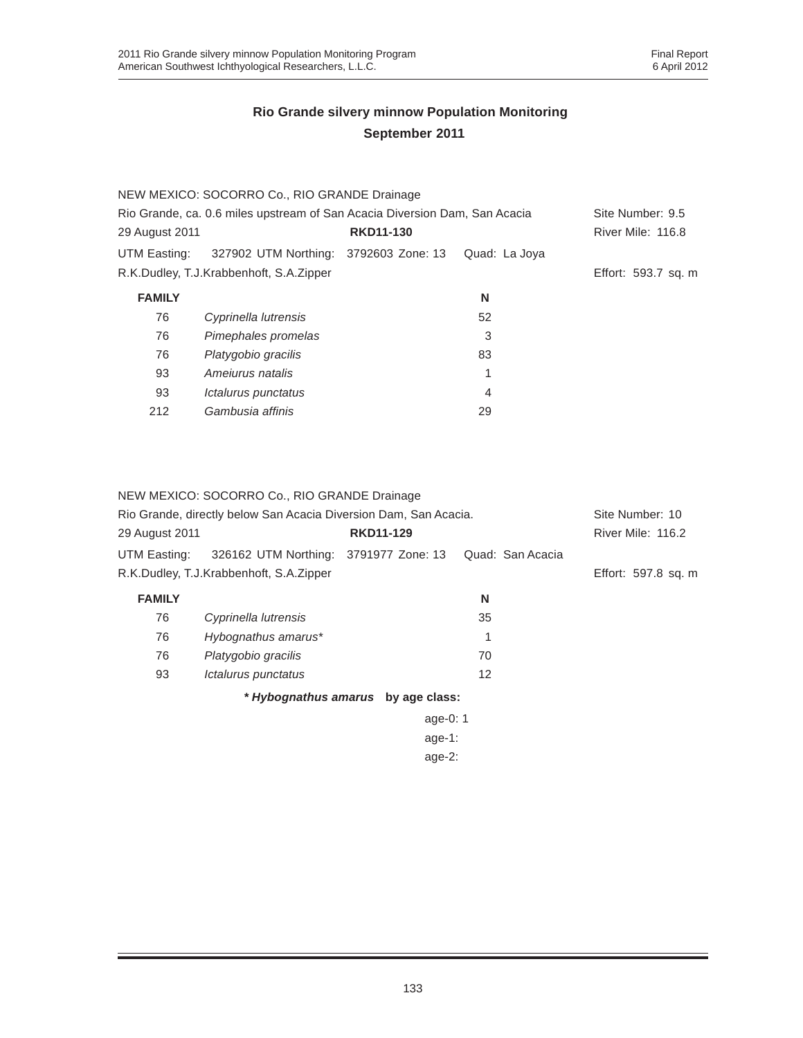|                                                                            | NEW MEXICO: SOCORRO Co., RIO GRANDE Drainage |                  |                  |                     |
|----------------------------------------------------------------------------|----------------------------------------------|------------------|------------------|---------------------|
| Rio Grande, ca. 0.6 miles upstream of San Acacia Diversion Dam, San Acacia |                                              |                  | Site Number: 9.5 |                     |
| 29 August 2011                                                             |                                              | <b>RKD11-130</b> |                  | River Mile: 116.8   |
| UTM Easting:                                                               | 327902 UTM Northing: 3792603 Zone: 13        |                  | Quad: La Joya    |                     |
|                                                                            | R.K.Dudley, T.J.Krabbenhoft, S.A.Zipper      |                  |                  | Effort: 593.7 sq. m |
| <b>FAMILY</b>                                                              |                                              |                  | N                |                     |
| 76                                                                         | Cyprinella lutrensis                         |                  | 52               |                     |
| 76                                                                         | Pimephales promelas                          |                  | 3                |                     |
| 76                                                                         | Platygobio gracilis                          |                  | 83               |                     |
| 93                                                                         | Amejurus natalis                             |                  | 1                |                     |
| 93                                                                         | Ictalurus punctatus                          |                  | 4                |                     |
| 212                                                                        | Gambusia affinis                             |                  | 29               |                     |

NEW MEXICO: SOCORRO Co., RIO GRANDE Drainage

| Rio Grande, directly below San Acacia Diversion Dam, San Acacia. |                                         |                                    |                  | Site Number: 10     |
|------------------------------------------------------------------|-----------------------------------------|------------------------------------|------------------|---------------------|
| 29 August 2011                                                   |                                         | <b>RKD11-129</b>                   |                  | River Mile: 116.2   |
| UTM Easting:                                                     | 326162 UTM Northing: 3791977 Zone: 13   |                                    | Quad: San Acacia |                     |
|                                                                  | R.K.Dudley, T.J.Krabbenhoft, S.A.Zipper |                                    |                  | Effort: 597.8 sq. m |
| <b>FAMILY</b>                                                    |                                         |                                    | N                |                     |
| 76                                                               | Cyprinella lutrensis                    |                                    | 35               |                     |
| 76                                                               | Hybognathus amarus*                     |                                    | 1                |                     |
| 76                                                               | Platygobio gracilis                     |                                    | 70               |                     |
| 93                                                               | Ictalurus punctatus                     |                                    | 12               |                     |
|                                                                  |                                         | * Hybognathus amarus by age class: |                  |                     |
|                                                                  |                                         | age-0: $1$                         |                  |                     |
|                                                                  |                                         | age-1:                             |                  |                     |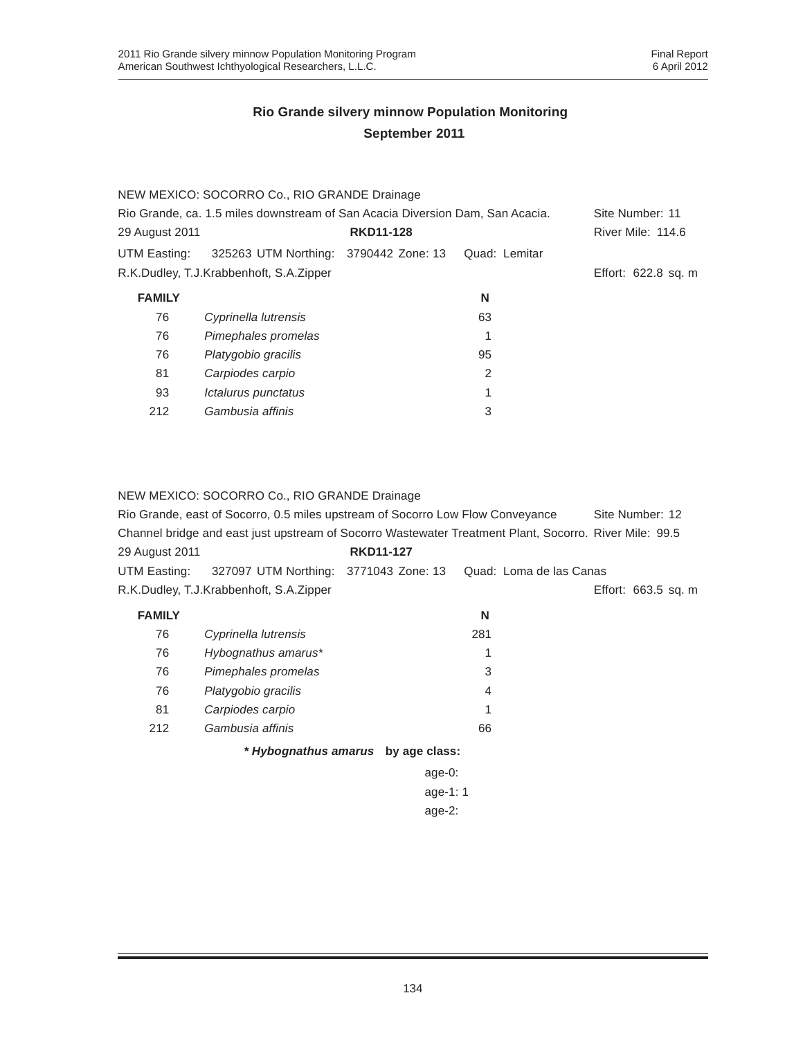|                                                                               | NEW MEXICO: SOCORRO Co., RIO GRANDE Drainage |                  |                 |                     |
|-------------------------------------------------------------------------------|----------------------------------------------|------------------|-----------------|---------------------|
| Rio Grande, ca. 1.5 miles downstream of San Acacia Diversion Dam, San Acacia. |                                              |                  | Site Number: 11 |                     |
| 29 August 2011                                                                |                                              | <b>RKD11-128</b> |                 | River Mile: 114.6   |
| UTM Easting:                                                                  | 325263 UTM Northing: 3790442 Zone: 13        |                  | Quad: Lemitar   |                     |
|                                                                               | R.K.Dudley, T.J.Krabbenhoft, S.A.Zipper      |                  |                 | Effort: 622.8 sq. m |
| <b>FAMILY</b>                                                                 |                                              |                  | N               |                     |
| 76                                                                            | Cyprinella lutrensis                         |                  | 63              |                     |
| 76                                                                            | Pimephales promelas                          |                  | 1               |                     |
| 76                                                                            | Platygobio gracilis                          |                  | 95              |                     |
| 81                                                                            | Carpiodes carpio                             |                  | 2               |                     |
| 93                                                                            | Ictalurus punctatus                          |                  | 1               |                     |
| 212                                                                           | Gambusia affinis                             |                  | 3               |                     |

#### NEW MEXICO: SOCORRO Co., RIO GRANDE Drainage

|                | Rio Grande, east of Socorro, 0.5 miles upstream of Socorro Low Flow Conveyance                         |                                    |                         | Site Number: 12     |
|----------------|--------------------------------------------------------------------------------------------------------|------------------------------------|-------------------------|---------------------|
|                | Channel bridge and east just upstream of Socorro Wastewater Treatment Plant, Socorro. River Mile: 99.5 |                                    |                         |                     |
| 29 August 2011 |                                                                                                        | <b>RKD11-127</b>                   |                         |                     |
| UTM Easting:   | 327097 UTM Northing: 3771043 Zone: 13                                                                  |                                    | Quad: Loma de las Canas |                     |
|                | R.K.Dudley, T.J.Krabbenhoft, S.A.Zipper                                                                |                                    |                         | Effort: 663.5 sq. m |
| <b>FAMILY</b>  |                                                                                                        |                                    | N                       |                     |
| 76             | Cyprinella lutrensis                                                                                   |                                    | 281                     |                     |
| 76             | Hybognathus amarus*                                                                                    |                                    |                         |                     |
| 76             | Pimephales promelas                                                                                    |                                    | 3                       |                     |
| 76             | Platygobio gracilis                                                                                    |                                    | 4                       |                     |
| 81             | Carpiodes carpio                                                                                       |                                    |                         |                     |
| 212            | Gambusia affinis                                                                                       |                                    | 66                      |                     |
|                |                                                                                                        | * Hybognathus amarus by age class: |                         |                     |
|                |                                                                                                        | age-0:                             |                         |                     |
|                |                                                                                                        | age-1: $1$                         |                         |                     |
|                |                                                                                                        | age- $2$ :                         |                         |                     |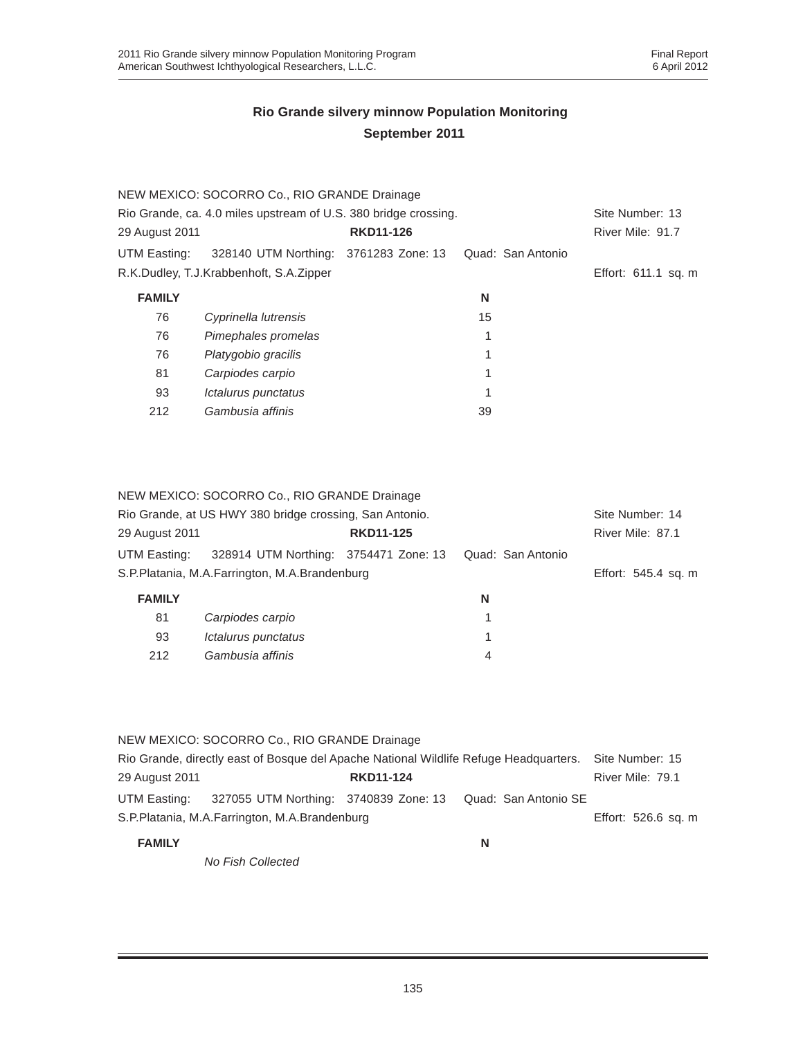|                                                                 | NEW MEXICO: SOCORRO Co., RIO GRANDE Drainage |                  |                   |                     |
|-----------------------------------------------------------------|----------------------------------------------|------------------|-------------------|---------------------|
| Rio Grande, ca. 4.0 miles upstream of U.S. 380 bridge crossing. | Site Number: 13                              |                  |                   |                     |
| 29 August 2011                                                  |                                              | <b>RKD11-126</b> |                   | River Mile: 91.7    |
| UTM Easting:                                                    | 328140 UTM Northing: 3761283 Zone: 13        |                  | Quad: San Antonio |                     |
|                                                                 | R.K.Dudley, T.J.Krabbenhoft, S.A.Zipper      |                  |                   | Effort: 611.1 sq. m |
| <b>FAMILY</b>                                                   |                                              |                  | N                 |                     |
| 76                                                              | Cyprinella lutrensis                         |                  | 15                |                     |
| 76                                                              | Pimephales promelas                          |                  | 1                 |                     |
| 76                                                              | Platygobio gracilis                          |                  | 1                 |                     |
| 81                                                              | Carpiodes carpio                             |                  | 1                 |                     |
| 93                                                              | Ictalurus punctatus                          |                  | 1                 |                     |
| 212                                                             | Gambusia affinis                             |                  | 39                |                     |

| NEW MEXICO: SOCORRO Co., RIO GRANDE Drainage |  |
|----------------------------------------------|--|
|----------------------------------------------|--|

| Rio Grande, at US HWY 380 bridge crossing, San Antonio. |                                       |                  |                   | Site Number: 14     |
|---------------------------------------------------------|---------------------------------------|------------------|-------------------|---------------------|
| 29 August 2011                                          |                                       | <b>RKD11-125</b> |                   | River Mile: 87.1    |
| UTM Easting:                                            | 328914 UTM Northing: 3754471 Zone: 13 |                  | Quad: San Antonio |                     |
| S.P.Platania, M.A.Farrington, M.A.Brandenburg           |                                       |                  |                   | Effort: 545.4 sq. m |
| <b>FAMILY</b>                                           |                                       |                  | N                 |                     |
| 81                                                      | Carpiodes carpio                      |                  |                   |                     |
| 93                                                      | Ictalurus punctatus                   |                  | 1                 |                     |
| 212                                                     | Gambusia affinis                      |                  | 4                 |                     |

|                                                                                       | NEW MEXICO: SOCORRO Co., RIO GRANDE Drainage                            |                  |   |                     |
|---------------------------------------------------------------------------------------|-------------------------------------------------------------------------|------------------|---|---------------------|
| Rio Grande, directly east of Bosque del Apache National Wildlife Refuge Headquarters. |                                                                         |                  |   | Site Number: 15     |
| 29 August 2011                                                                        |                                                                         | <b>RKD11-124</b> |   | River Mile: 79.1    |
|                                                                                       | UTM Easting: 327055 UTM Northing: 3740839 Zone: 13 Quad: San Antonio SE |                  |   |                     |
|                                                                                       | S.P.Platania, M.A.Farrington, M.A.Brandenburg                           |                  |   | Effort: 526.6 sq. m |
| <b>FAMILY</b>                                                                         |                                                                         |                  | N |                     |

*No Fish Collected*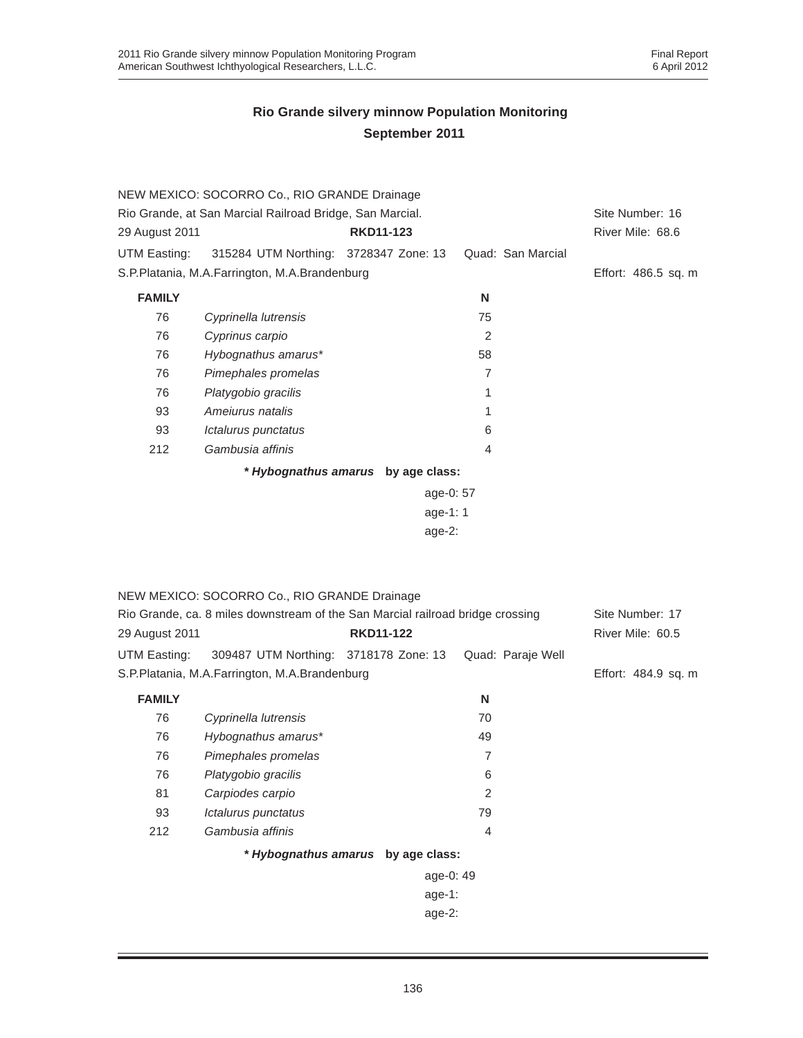|                                                          | NEW MEXICO: SOCORRO Co., RIO GRANDE Drainage                                   |                                    |                   |                     |
|----------------------------------------------------------|--------------------------------------------------------------------------------|------------------------------------|-------------------|---------------------|
| Rio Grande, at San Marcial Railroad Bridge, San Marcial. | Site Number: 16                                                                |                                    |                   |                     |
| 29 August 2011                                           |                                                                                | <b>RKD11-123</b>                   |                   | River Mile: 68.6    |
| UTM Easting:                                             | 315284 UTM Northing: 3728347 Zone: 13                                          |                                    | Quad: San Marcial |                     |
|                                                          | S.P.Platania, M.A.Farrington, M.A.Brandenburg                                  |                                    |                   | Effort: 486.5 sq. m |
| <b>FAMILY</b>                                            |                                                                                |                                    | N                 |                     |
| 76                                                       | Cyprinella lutrensis                                                           |                                    | 75                |                     |
| 76                                                       | Cyprinus carpio                                                                |                                    | 2                 |                     |
| 76                                                       | Hybognathus amarus*                                                            |                                    | 58                |                     |
| 76                                                       | Pimephales promelas                                                            |                                    | $\overline{7}$    |                     |
| 76                                                       | Platygobio gracilis                                                            |                                    | 1                 |                     |
| 93                                                       | Ameiurus natalis                                                               |                                    | 1                 |                     |
| 93                                                       | Ictalurus punctatus                                                            |                                    | 6                 |                     |
| 212                                                      | Gambusia affinis                                                               |                                    | 4                 |                     |
|                                                          |                                                                                | * Hybognathus amarus by age class: |                   |                     |
|                                                          |                                                                                | age-0: 57                          |                   |                     |
|                                                          |                                                                                | age-1: 1                           |                   |                     |
|                                                          |                                                                                | age-2:                             |                   |                     |
|                                                          |                                                                                |                                    |                   |                     |
|                                                          |                                                                                |                                    |                   |                     |
|                                                          | NEW MEXICO: SOCORRO Co., RIO GRANDE Drainage                                   |                                    |                   |                     |
|                                                          | Rio Grande, ca. 8 miles downstream of the San Marcial railroad bridge crossing |                                    |                   | Site Number: 17     |
| 29 August 2011                                           |                                                                                | <b>RKD11-122</b>                   |                   | River Mile: 60.5    |
| UTM Easting:                                             | 309487 UTM Northing: 3718178 Zone: 13                                          |                                    | Quad: Paraje Well |                     |
|                                                          | S.P.Platania, M.A.Farrington, M.A.Brandenburg                                  |                                    |                   | Effort: 484.9 sq. m |
| <b>FAMILY</b>                                            |                                                                                |                                    | N                 |                     |
| 76                                                       | Cyprinella lutrensis                                                           |                                    | 70                |                     |
| 76                                                       | Hybognathus amarus*                                                            |                                    | 49                |                     |
| 76                                                       | Pimephales promelas                                                            |                                    | 7                 |                     |
| 76                                                       | Platygobio gracilis                                                            |                                    | 6                 |                     |
| 81                                                       | Carpiodes carpio                                                               |                                    | 2                 |                     |
| 93                                                       | Ictalurus punctatus                                                            |                                    | 79                |                     |
| 212                                                      | Gambusia affinis                                                               |                                    | 4                 |                     |
|                                                          |                                                                                | * Hybognathus amarus by age class: |                   |                     |
|                                                          |                                                                                | age-0: 49                          |                   |                     |
|                                                          |                                                                                | age-1:                             |                   |                     |
|                                                          |                                                                                | age-2:                             |                   |                     |
|                                                          |                                                                                |                                    |                   |                     |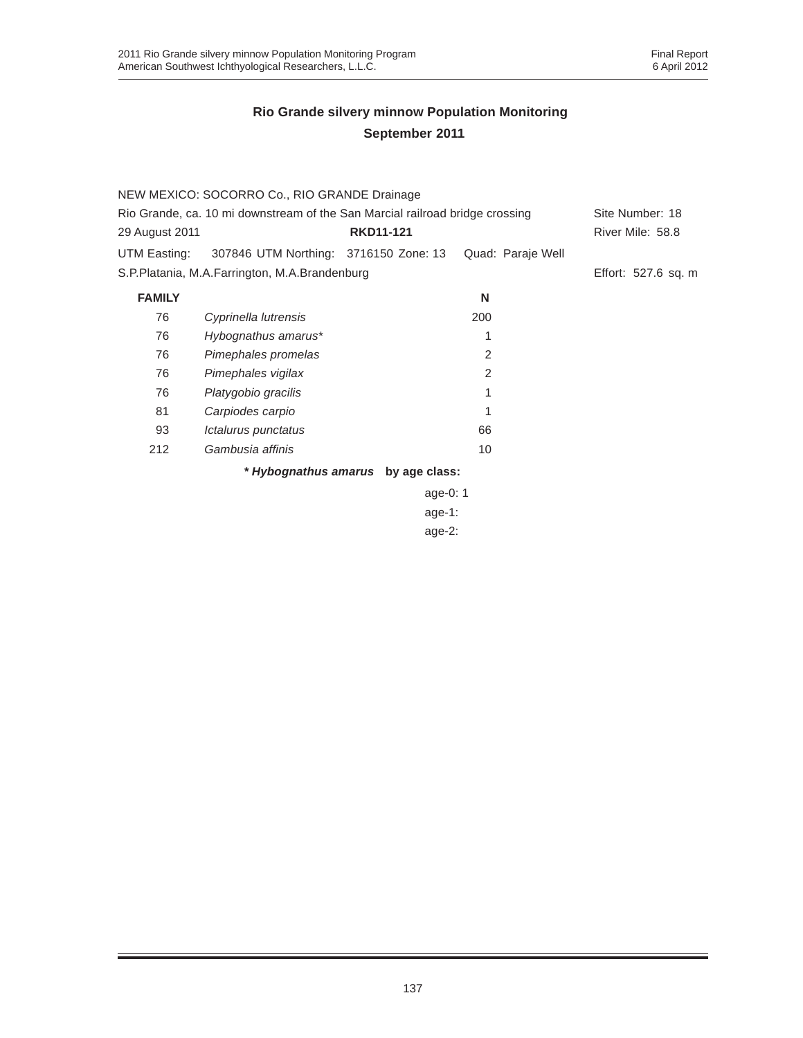|                                                                              | NEW MEXICO: SOCORRO Co., RIO GRANDE Drainage  |                                    |                   |                     |
|------------------------------------------------------------------------------|-----------------------------------------------|------------------------------------|-------------------|---------------------|
| Rio Grande, ca. 10 mi downstream of the San Marcial railroad bridge crossing | Site Number: 18                               |                                    |                   |                     |
| 29 August 2011                                                               |                                               | <b>RKD11-121</b>                   |                   | River Mile: 58.8    |
| UTM Easting:                                                                 | 307846 UTM Northing: 3716150 Zone: 13         |                                    | Quad: Paraje Well |                     |
|                                                                              | S.P.Platania, M.A.Farrington, M.A.Brandenburg |                                    |                   | Effort: 527.6 sq. m |
| <b>FAMILY</b>                                                                |                                               |                                    | N                 |                     |
| 76                                                                           | Cyprinella lutrensis                          |                                    | 200               |                     |
| 76                                                                           | Hybognathus amarus*                           |                                    | 1                 |                     |
| 76                                                                           | Pimephales promelas                           |                                    | 2                 |                     |
| 76                                                                           | Pimephales vigilax                            |                                    | $\mathfrak{p}$    |                     |
| 76                                                                           | Platygobio gracilis                           |                                    | 1                 |                     |
| 81                                                                           | Carpiodes carpio                              |                                    | 1                 |                     |
| 93                                                                           | Ictalurus punctatus                           |                                    | 66                |                     |
| 212                                                                          | Gambusia affinis                              |                                    | 10                |                     |
|                                                                              |                                               | * Hybognathus amarus by age class: |                   |                     |

age-0: 1 age-1: age-2: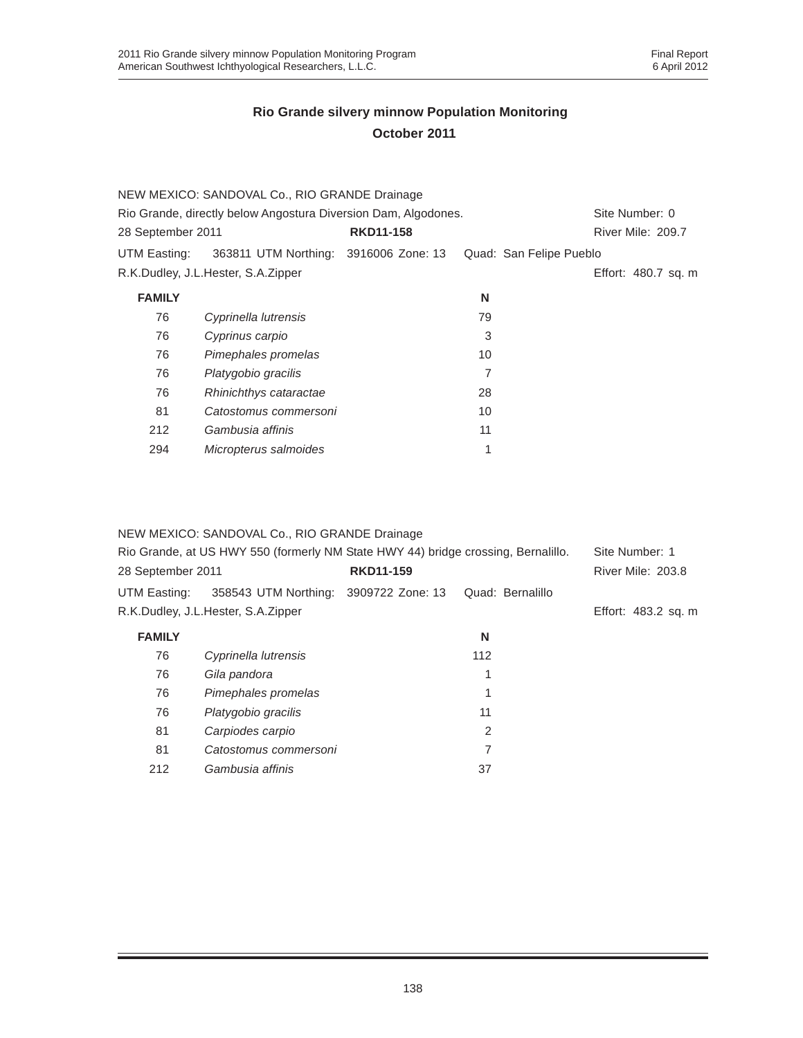|                                                                | NEW MEXICO: SANDOVAL Co., RIO GRANDE Drainage |                  |    |                         |
|----------------------------------------------------------------|-----------------------------------------------|------------------|----|-------------------------|
| Rio Grande, directly below Angostura Diversion Dam, Algodones. | Site Number: 0                                |                  |    |                         |
| 28 September 2011                                              |                                               | <b>RKD11-158</b> |    | River Mile: 209.7       |
| UTM Easting:                                                   | 363811 UTM Northing: 3916006 Zone: 13         |                  |    | Quad: San Felipe Pueblo |
|                                                                | R.K.Dudley, J.L.Hester, S.A.Zipper            |                  |    | Effort: 480.7 sq. m     |
| <b>FAMILY</b>                                                  |                                               |                  | N  |                         |
| 76                                                             | Cyprinella lutrensis                          |                  | 79 |                         |
| 76                                                             | Cyprinus carpio                               |                  | 3  |                         |
| 76                                                             | Pimephales promelas                           |                  | 10 |                         |
| 76                                                             | Platygobio gracilis                           |                  |    |                         |
| 76                                                             | Rhinichthys cataractae                        |                  | 28 |                         |
| 81                                                             | Catostomus commersoni                         |                  | 10 |                         |
| 212                                                            | Gambusia affinis                              |                  | 11 |                         |
| 294                                                            | Micropterus salmoides                         |                  |    |                         |

#### NEW MEXICO: SANDOVAL Co., RIO GRANDE Drainage

| Rio Grande, at US HWY 550 (formerly NM State HWY 44) bridge crossing, Bernalillo.<br><b>RKD11-159</b><br>28 September 2011 |                                       |  |                  | Site Number: 1<br>River Mile: 203.8 |
|----------------------------------------------------------------------------------------------------------------------------|---------------------------------------|--|------------------|-------------------------------------|
| UTM Easting:                                                                                                               | 358543 UTM Northing: 3909722 Zone: 13 |  | Quad: Bernalillo |                                     |
|                                                                                                                            | R.K.Dudley, J.L.Hester, S.A.Zipper    |  |                  | Effort: 483.2 sq. m                 |
| <b>FAMILY</b>                                                                                                              |                                       |  | N                |                                     |
| 76                                                                                                                         | Cyprinella lutrensis                  |  | 112              |                                     |
| 76                                                                                                                         | Gila pandora                          |  |                  |                                     |
| 76                                                                                                                         | Pimephales promelas                   |  |                  |                                     |
| 76                                                                                                                         | Platygobio gracilis                   |  | 11               |                                     |
| 81                                                                                                                         | Carpiodes carpio                      |  | $\overline{2}$   |                                     |
| 81                                                                                                                         | Catostomus commersoni                 |  | 7                |                                     |
| 212                                                                                                                        | Gambusia affinis                      |  | 37               |                                     |
|                                                                                                                            |                                       |  |                  |                                     |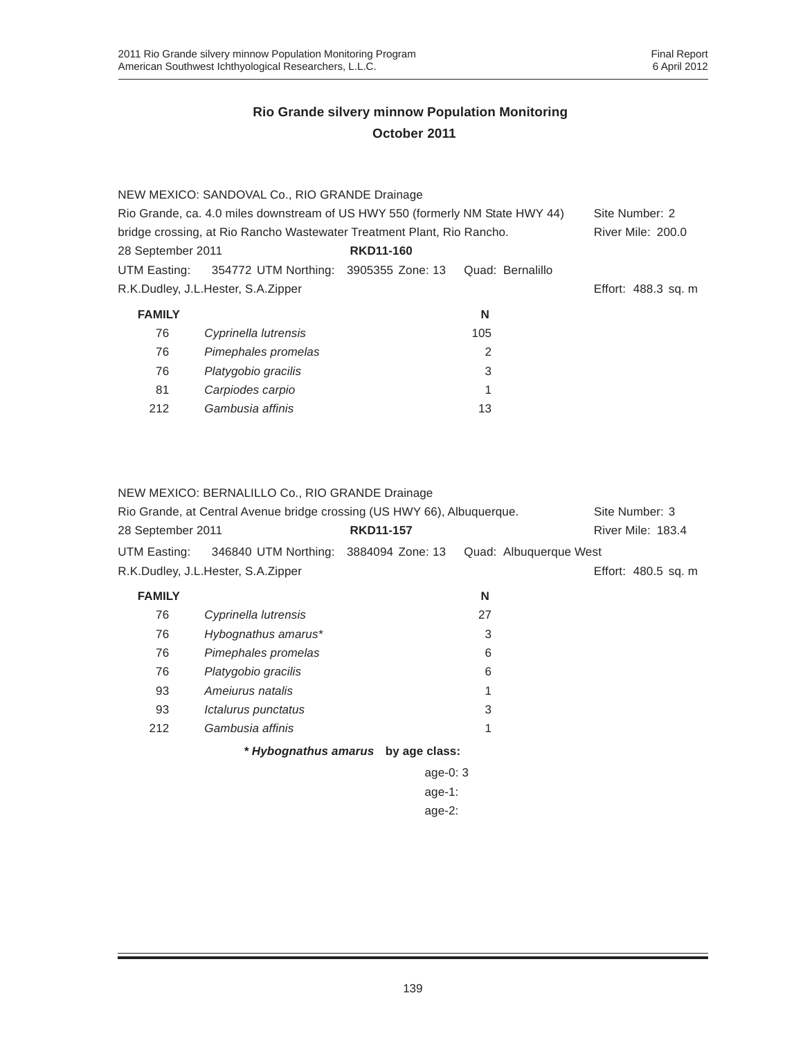|                                                                               | NEW MEXICO: SANDOVAL Co., RIO GRANDE Drainage |                  |                          |                     |
|-------------------------------------------------------------------------------|-----------------------------------------------|------------------|--------------------------|---------------------|
| Rio Grande, ca. 4.0 miles downstream of US HWY 550 (formerly NM State HWY 44) |                                               |                  |                          | Site Number: 2      |
| bridge crossing, at Rio Rancho Wastewater Treatment Plant, Rio Rancho.        |                                               |                  | <b>River Mile: 200.0</b> |                     |
| 28 September 2011                                                             |                                               | <b>RKD11-160</b> |                          |                     |
| UTM Easting:                                                                  | 354772 UTM Northing: 3905355 Zone: 13         |                  | Quad: Bernalillo         |                     |
|                                                                               | R.K.Dudley, J.L.Hester, S.A.Zipper            |                  |                          | Effort: 488.3 sq. m |
| <b>FAMILY</b>                                                                 |                                               |                  | N                        |                     |
|                                                                               |                                               |                  |                          |                     |
| 76                                                                            | Cyprinella lutrensis                          |                  | 105                      |                     |
| 76                                                                            | Pimephales promelas                           |                  | 2                        |                     |
| 76                                                                            | Platygobio gracilis                           |                  | 3                        |                     |
| 81                                                                            | Carpiodes carpio                              |                  | 1                        |                     |

NEW MEXICO: BERNALILLO Co., RIO GRANDE Drainage

| Rio Grande, at Central Avenue bridge crossing (US HWY 66), Albuquerque. | Site Number: 3                        |                                    |                        |                     |
|-------------------------------------------------------------------------|---------------------------------------|------------------------------------|------------------------|---------------------|
| 28 September 2011                                                       |                                       | <b>RKD11-157</b>                   |                        | River Mile: 183.4   |
| UTM Easting:                                                            | 346840 UTM Northing: 3884094 Zone: 13 |                                    | Quad: Albuquerque West |                     |
|                                                                         | R.K.Dudley, J.L.Hester, S.A.Zipper    |                                    |                        | Effort: 480.5 sq. m |
| <b>FAMILY</b>                                                           |                                       |                                    | N                      |                     |
| 76                                                                      | Cyprinella lutrensis                  |                                    | 27                     |                     |
| 76                                                                      | Hybognathus amarus*                   |                                    | 3                      |                     |
| 76                                                                      | Pimephales promelas                   |                                    | 6                      |                     |
| 76                                                                      | Platygobio gracilis                   |                                    | 6                      |                     |
| 93                                                                      | Amejurus natalis                      |                                    | 1                      |                     |
| 93                                                                      | Ictalurus punctatus                   |                                    | 3                      |                     |
| 212                                                                     | Gambusia affinis                      |                                    | 1                      |                     |
|                                                                         |                                       | * Hybognathus amarus by age class: |                        |                     |
|                                                                         |                                       | age-0: $3$                         |                        |                     |
|                                                                         |                                       | age-1:                             |                        |                     |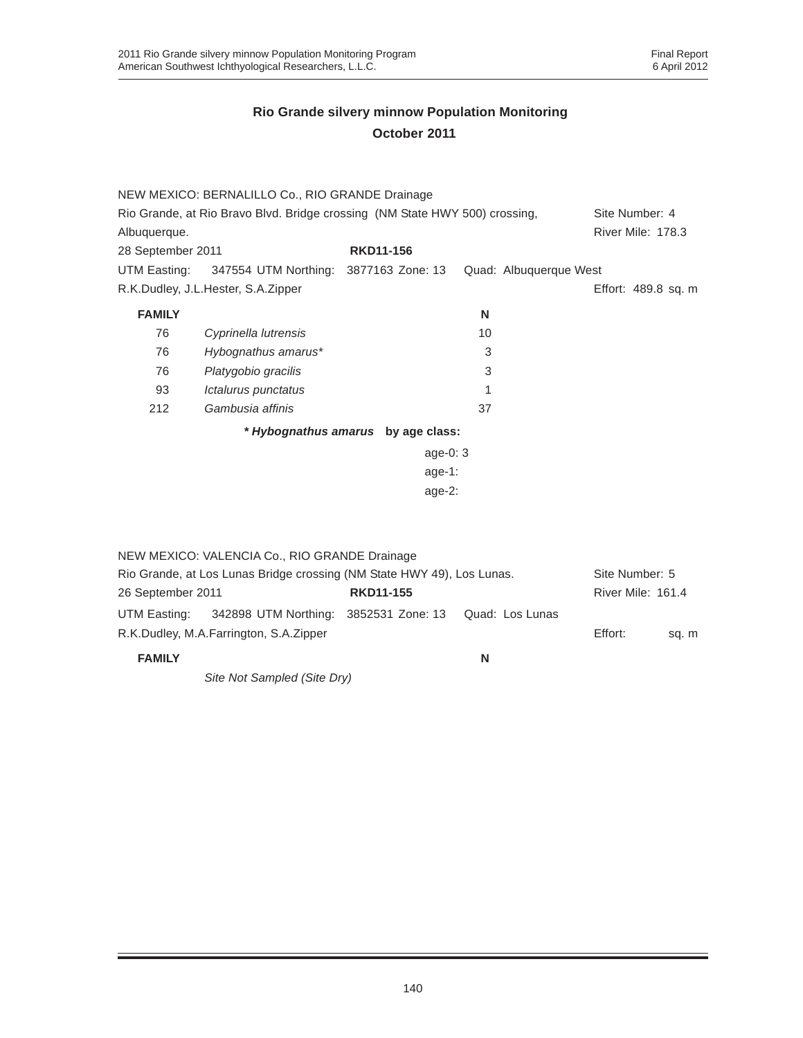|                                                                             | NEW MEXICO: BERNALILLO Co., RIO GRANDE Drainage |                  |            |    |                        |                     |
|-----------------------------------------------------------------------------|-------------------------------------------------|------------------|------------|----|------------------------|---------------------|
| Rio Grande, at Rio Bravo Blvd. Bridge crossing (NM State HWY 500) crossing, |                                                 |                  |            |    |                        | Site Number: 4      |
| Albuquerque.                                                                |                                                 |                  |            |    |                        | River Mile: 178.3   |
| 28 September 2011                                                           |                                                 | <b>RKD11-156</b> |            |    |                        |                     |
| UTM Easting:                                                                | 347554 UTM Northing: 3877163 Zone: 13           |                  |            |    | Quad: Albuquerque West |                     |
|                                                                             | R.K.Dudley, J.L.Hester, S.A.Zipper              |                  |            |    |                        | Effort: 489.8 sq. m |
| <b>FAMILY</b>                                                               |                                                 |                  |            | N  |                        |                     |
| 76                                                                          | Cyprinella lutrensis                            |                  |            | 10 |                        |                     |
| 76                                                                          | Hybognathus amarus*                             |                  |            | 3  |                        |                     |
| 76                                                                          | Platygobio gracilis                             |                  |            | 3  |                        |                     |
| 93                                                                          | Ictalurus punctatus                             |                  |            | 1  |                        |                     |
| 212                                                                         | Gambusia affinis                                |                  |            | 37 |                        |                     |
|                                                                             | * Hybognathus amarus by age class:              |                  |            |    |                        |                     |
|                                                                             |                                                 |                  | age-0: $3$ |    |                        |                     |
|                                                                             |                                                 |                  | age-1:     |    |                        |                     |
|                                                                             |                                                 |                  | age- $2:$  |    |                        |                     |
|                                                                             |                                                 |                  |            |    |                        |                     |

|                                                                        | NEW MEXICO: VALENCIA Co., RIO GRANDE Drainage |                  |                 |                   |                |
|------------------------------------------------------------------------|-----------------------------------------------|------------------|-----------------|-------------------|----------------|
| Rio Grande, at Los Lunas Bridge crossing (NM State HWY 49), Los Lunas. |                                               |                  |                 |                   | Site Number: 5 |
| 26 September 2011                                                      |                                               | <b>RKD11-155</b> |                 | River Mile: 161.4 |                |
| UTM Easting:                                                           | 342898 UTM Northing: 3852531 Zone: 13         |                  | Quad: Los Lunas |                   |                |
|                                                                        | R.K.Dudley, M.A.Farrington, S.A.Zipper        |                  |                 | Effort:           | sq. m          |
| <b>FAMILY</b>                                                          |                                               |                  | N               |                   |                |

*Site Not Sampled (Site Dry)*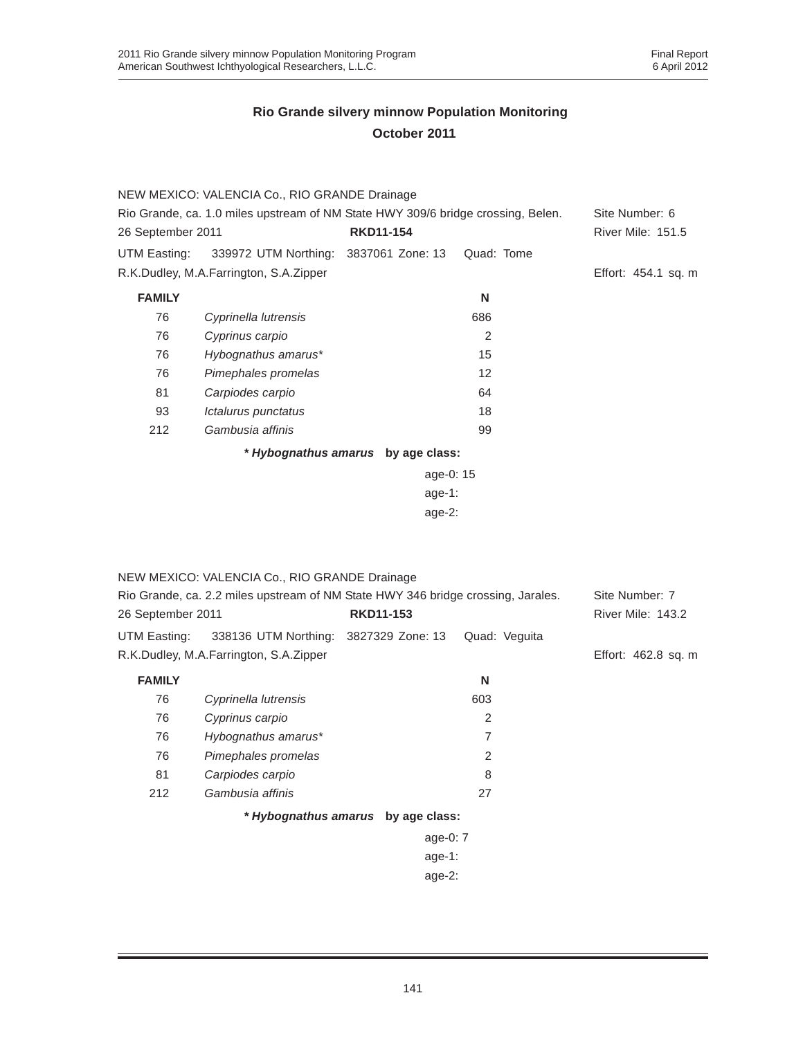|                                                                                  | NEW MEXICO: VALENCIA Co., RIO GRANDE Drainage      |                                    |            |                          |
|----------------------------------------------------------------------------------|----------------------------------------------------|------------------------------------|------------|--------------------------|
| Rio Grande, ca. 1.0 miles upstream of NM State HWY 309/6 bridge crossing, Belen. | Site Number: 6                                     |                                    |            |                          |
| 26 September 2011                                                                |                                                    | <b>RKD11-154</b>                   |            | <b>River Mile: 151.5</b> |
|                                                                                  | UTM Easting: 339972 UTM Northing: 3837061 Zone: 13 |                                    | Quad: Tome |                          |
|                                                                                  | R.K.Dudley, M.A.Farrington, S.A.Zipper             |                                    |            | Effort: 454.1 sq. m      |
| <b>FAMILY</b>                                                                    |                                                    |                                    | N          |                          |
| 76                                                                               | Cyprinella lutrensis                               |                                    | 686        |                          |
| 76                                                                               | Cyprinus carpio                                    |                                    | 2          |                          |
| 76                                                                               | Hybognathus amarus*                                |                                    | 15         |                          |
| 76                                                                               | Pimephales promelas                                |                                    | 12         |                          |
| 81                                                                               | Carpiodes carpio                                   |                                    | 64         |                          |
| 93                                                                               | Ictalurus punctatus                                |                                    | 18         |                          |
| 212                                                                              | Gambusia affinis                                   |                                    | 99         |                          |
|                                                                                  |                                                    | * Hybognathus amarus by age class: |            |                          |
|                                                                                  |                                                    | age-0: 15                          |            |                          |
|                                                                                  |                                                    | age-1:                             |            |                          |
|                                                                                  |                                                    | age-2:                             |            |                          |

| NEW MEXICO: VALENCIA Co., RIO GRANDE Drainage                                    |                          |  |  |  |  |
|----------------------------------------------------------------------------------|--------------------------|--|--|--|--|
| Rio Grande, ca. 2.2 miles upstream of NM State HWY 346 bridge crossing, Jarales. |                          |  |  |  |  |
| <b>RKD11-153</b>                                                                 | <b>River Mile: 143.2</b> |  |  |  |  |
| 338136 UTM Northing: 3827329 Zone: 13<br>Quad: Veguita                           |                          |  |  |  |  |
|                                                                                  | Effort: 462.8 sq. m      |  |  |  |  |
| N                                                                                |                          |  |  |  |  |
| 603                                                                              |                          |  |  |  |  |
| 2                                                                                |                          |  |  |  |  |
| 7                                                                                |                          |  |  |  |  |
| $\overline{2}$                                                                   |                          |  |  |  |  |
| 8                                                                                |                          |  |  |  |  |
| 27                                                                               |                          |  |  |  |  |
| * Hybognathus amarus by age class:                                               |                          |  |  |  |  |
| age-0: $7$                                                                       |                          |  |  |  |  |
| age-1:                                                                           |                          |  |  |  |  |
|                                                                                  |                          |  |  |  |  |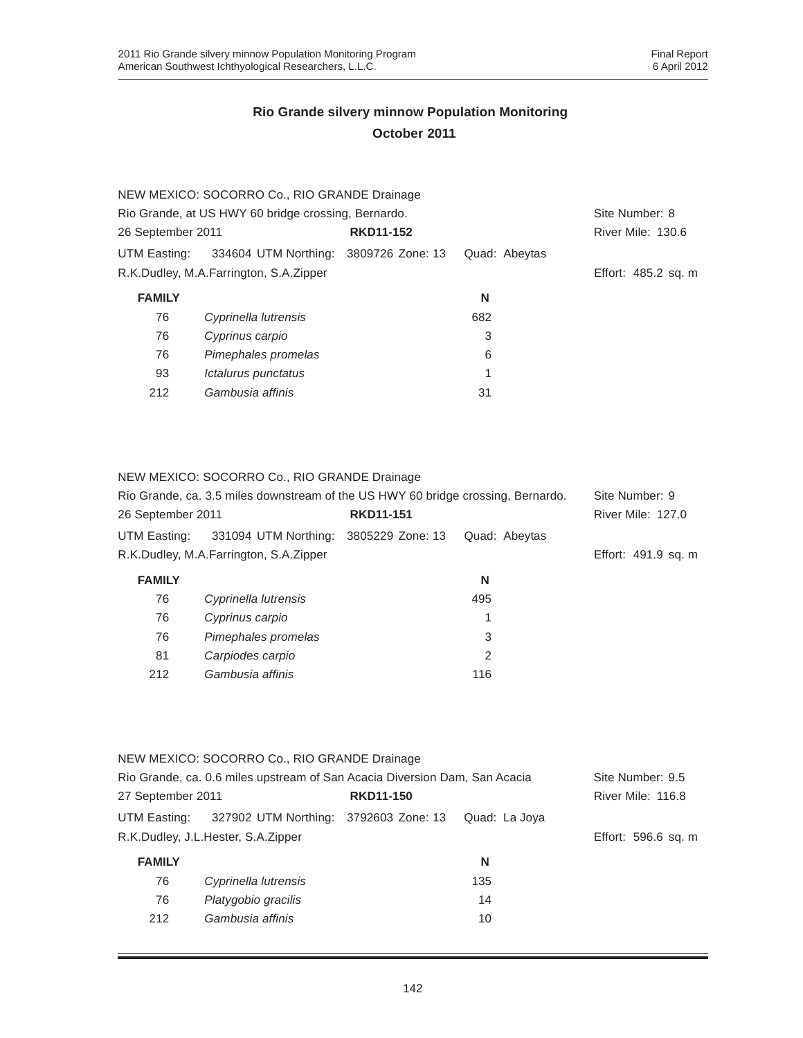| NEW MEXICO: SOCORRO Co., RIO GRANDE Drainage        |                                        |                  |               |                     |
|-----------------------------------------------------|----------------------------------------|------------------|---------------|---------------------|
| Rio Grande, at US HWY 60 bridge crossing, Bernardo. | Site Number: 8                         |                  |               |                     |
| 26 September 2011                                   |                                        | <b>RKD11-152</b> |               | River Mile: 130.6   |
| UTM Easting:                                        | 334604 UTM Northing: 3809726 Zone: 13  |                  | Quad: Abeytas |                     |
|                                                     | R.K.Dudley, M.A.Farrington, S.A.Zipper |                  |               | Effort: 485.2 sq. m |
| <b>FAMILY</b>                                       |                                        |                  | N             |                     |
| 76                                                  | Cyprinella lutrensis                   |                  | 682           |                     |
| 76                                                  | Cyprinus carpio                        |                  | 3             |                     |
| 76                                                  | Pimephales promelas                    |                  | 6             |                     |
| 93                                                  | Ictalurus punctatus                    |                  | 1             |                     |
| 212                                                 | Gambusia affinis                       |                  | 31            |                     |
|                                                     |                                        |                  |               |                     |

NEW MEXICO: SOCORRO Co., RIO GRANDE Drainage

| Rio Grande, ca. 3.5 miles downstream of the US HWY 60 bridge crossing, Bernardo. | Site Number: 9                         |                  |               |                          |
|----------------------------------------------------------------------------------|----------------------------------------|------------------|---------------|--------------------------|
| 26 September 2011                                                                |                                        | <b>RKD11-151</b> |               | <b>River Mile: 127.0</b> |
| UTM Easting:                                                                     | 331094 UTM Northing:                   | 3805229 Zone: 13 | Quad: Abeytas |                          |
|                                                                                  | R.K.Dudley, M.A.Farrington, S.A.Zipper |                  |               | Effort: 491.9 sq. m      |
| <b>FAMILY</b>                                                                    |                                        |                  | N             |                          |
| 76                                                                               | Cyprinella lutrensis                   |                  | 495           |                          |
| 76                                                                               | Cyprinus carpio                        |                  | 1             |                          |
| 76                                                                               | Pimephales promelas                    |                  | 3             |                          |
| 81                                                                               | Carpiodes carpio                       |                  | 2             |                          |
| 212                                                                              | Gambusia affinis                       |                  | 116           |                          |

|                                                                            | NEW MEXICO: SOCORRO Co., RIO GRANDE Drainage |  |               |                     |
|----------------------------------------------------------------------------|----------------------------------------------|--|---------------|---------------------|
| Rio Grande, ca. 0.6 miles upstream of San Acacia Diversion Dam, San Acacia |                                              |  |               | Site Number: 9.5    |
| 27 September 2011                                                          | <b>RKD11-150</b>                             |  |               | River Mile: 116.8   |
| UTM Easting:                                                               | 327902 UTM Northing: 3792603 Zone: 13        |  | Quad: La Joya |                     |
|                                                                            | R.K.Dudley, J.L.Hester, S.A.Zipper           |  |               | Effort: 596.6 sq. m |
| <b>FAMILY</b>                                                              |                                              |  | N             |                     |
| 76                                                                         | Cyprinella lutrensis                         |  | 135           |                     |
| 76                                                                         | Platygobio gracilis                          |  | 14            |                     |
| 212                                                                        | Gambusia affinis                             |  | 10            |                     |
|                                                                            |                                              |  |               |                     |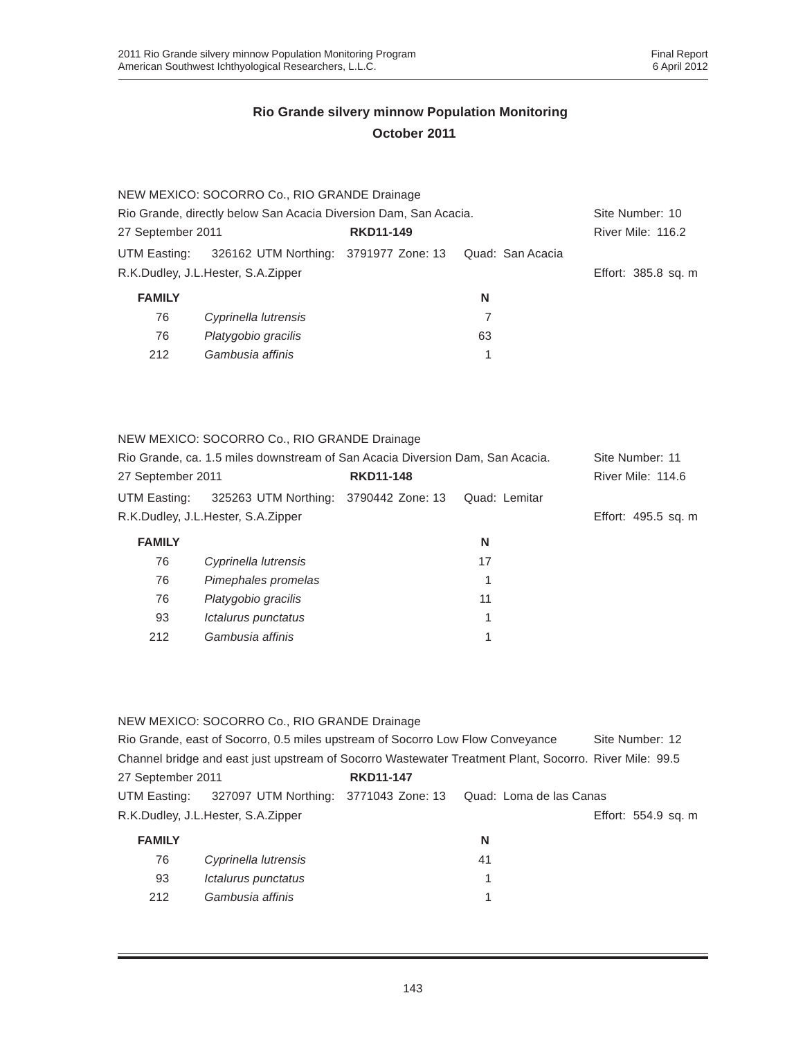|                                                                  | NEW MEXICO: SOCORRO Co., RIO GRANDE Drainage                         |  |                     |                 |
|------------------------------------------------------------------|----------------------------------------------------------------------|--|---------------------|-----------------|
| Rio Grande, directly below San Acacia Diversion Dam, San Acacia. |                                                                      |  |                     | Site Number: 10 |
| 27 September 2011<br><b>RKD11-149</b>                            |                                                                      |  | River Mile: 116.2   |                 |
|                                                                  | UTM Easting: 326162 UTM Northing: 3791977 Zone: 13  Quad: San Acacia |  |                     |                 |
| R.K.Dudley, J.L.Hester, S.A.Zipper                               |                                                                      |  | Effort: 385.8 sq. m |                 |
| <b>FAMILY</b>                                                    |                                                                      |  | N                   |                 |
| 76                                                               | Cyprinella lutrensis                                                 |  |                     |                 |
| 76                                                               | Platygobio gracilis                                                  |  | 63                  |                 |
| 212                                                              | Gambusia affinis                                                     |  |                     |                 |

#### NEW MEXICO: SOCORRO Co., RIO GRANDE Drainage

| Rio Grande, ca. 1.5 miles downstream of San Acacia Diversion Dam, San Acacia. |                                       |  | Site Number: 11 |                     |
|-------------------------------------------------------------------------------|---------------------------------------|--|-----------------|---------------------|
| <b>RKD11-148</b><br>27 September 2011                                         |                                       |  |                 | River Mile: 114.6   |
| UTM Easting:                                                                  | 325263 UTM Northing: 3790442 Zone: 13 |  | Quad: Lemitar   |                     |
|                                                                               | R.K.Dudley, J.L.Hester, S.A.Zipper    |  |                 | Effort: 495.5 sq. m |
| <b>FAMILY</b>                                                                 |                                       |  | N               |                     |
| 76                                                                            | Cyprinella lutrensis                  |  | 17              |                     |
| 76                                                                            | Pimephales promelas                   |  |                 |                     |
| 76                                                                            | Platygobio gracilis                   |  | 11              |                     |
| 93                                                                            | Ictalurus punctatus                   |  |                 |                     |
| 212                                                                           | Gambusia affinis                      |  |                 |                     |

#### NEW MEXICO: SOCORRO Co., RIO GRANDE Drainage

|                   | Rio Grande, east of Socorro, 0.5 miles upstream of Socorro Low Flow Conveyance                         |                  |                         | Site Number: 12     |
|-------------------|--------------------------------------------------------------------------------------------------------|------------------|-------------------------|---------------------|
|                   | Channel bridge and east just upstream of Socorro Wastewater Treatment Plant, Socorro, River Mile: 99.5 |                  |                         |                     |
| 27 September 2011 |                                                                                                        | <b>RKD11-147</b> |                         |                     |
| UTM Easting:      | 327097 UTM Northing: 3771043 Zone: 13                                                                  |                  | Quad: Loma de las Canas |                     |
|                   | R.K.Dudley, J.L.Hester, S.A.Zipper                                                                     |                  |                         | Effort: 554.9 sq. m |
| <b>FAMILY</b>     |                                                                                                        |                  | N                       |                     |
| 76                | Cyprinella lutrensis                                                                                   |                  | 41                      |                     |
| 93                | <i><b>Ictalurus punctatus</b></i>                                                                      |                  | 1                       |                     |
| 212               | Gambusia affinis                                                                                       |                  |                         |                     |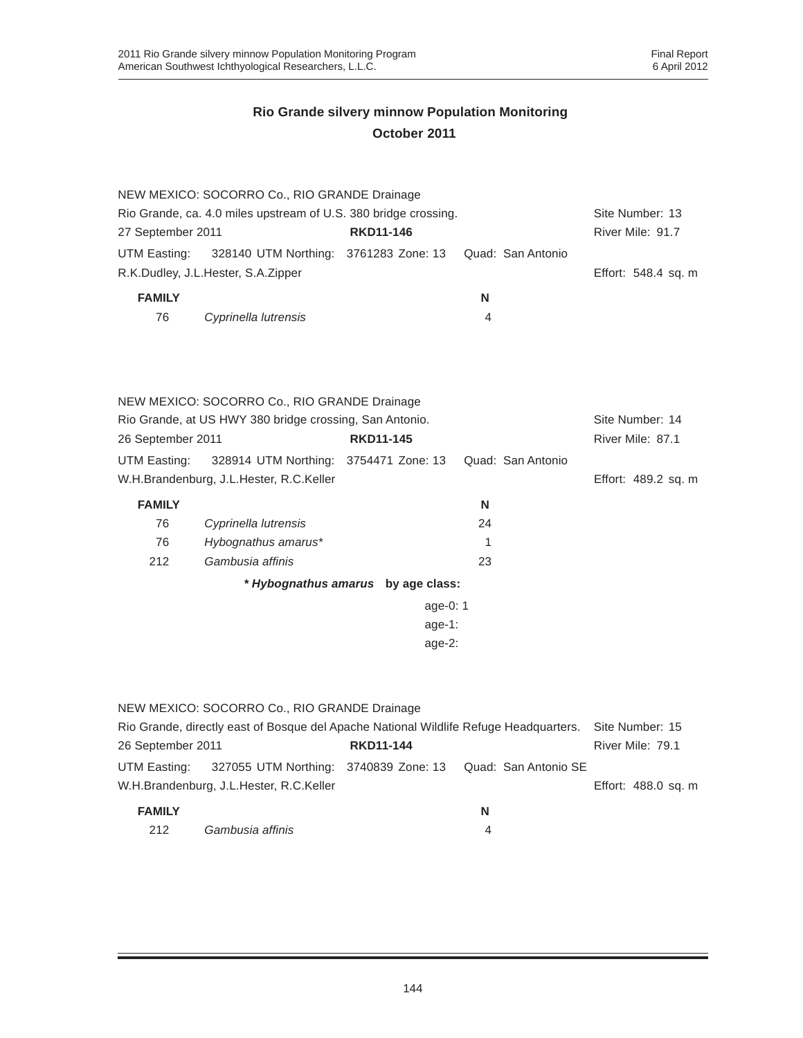|                                                                 | NEW MEXICO: SOCORRO Co., RIO GRANDE Drainage            |                                    |    |                   |                     |
|-----------------------------------------------------------------|---------------------------------------------------------|------------------------------------|----|-------------------|---------------------|
| Rio Grande, ca. 4.0 miles upstream of U.S. 380 bridge crossing. |                                                         |                                    |    |                   | Site Number: 13     |
| 27 September 2011                                               |                                                         | <b>RKD11-146</b>                   |    |                   | River Mile: 91.7    |
| UTM Easting:                                                    | 328140 UTM Northing: 3761283 Zone: 13                   |                                    |    | Quad: San Antonio |                     |
|                                                                 | R.K.Dudley, J.L.Hester, S.A.Zipper                      |                                    |    |                   | Effort: 548.4 sq. m |
| <b>FAMILY</b>                                                   |                                                         |                                    | N  |                   |                     |
| 76                                                              | Cyprinella lutrensis                                    |                                    | 4  |                   |                     |
|                                                                 |                                                         |                                    |    |                   |                     |
|                                                                 |                                                         |                                    |    |                   |                     |
|                                                                 | NEW MEXICO: SOCORRO Co., RIO GRANDE Drainage            |                                    |    |                   |                     |
|                                                                 | Rio Grande, at US HWY 380 bridge crossing, San Antonio. |                                    |    |                   | Site Number: 14     |
| 26 September 2011                                               |                                                         | <b>RKD11-145</b>                   |    |                   | River Mile: 87.1    |
| UTM Easting:                                                    | 328914 UTM Northing: 3754471 Zone: 13                   |                                    |    | Quad: San Antonio |                     |
|                                                                 | W.H.Brandenburg, J.L.Hester, R.C.Keller                 |                                    |    |                   | Effort: 489.2 sq. m |
| <b>FAMILY</b>                                                   |                                                         |                                    | N  |                   |                     |
| 76                                                              | Cyprinella lutrensis                                    |                                    | 24 |                   |                     |
| 76                                                              | Hybognathus amarus*                                     |                                    | 1  |                   |                     |
| 212                                                             | Gambusia affinis                                        |                                    | 23 |                   |                     |
|                                                                 |                                                         | * Hybognathus amarus by age class: |    |                   |                     |

| age-0: 1  |  |
|-----------|--|
| $age-1:$  |  |
| age- $2:$ |  |

|                   | NEW MEXICO: SOCORRO Co., RIO GRANDE Drainage                                          |                  |                      |                     |
|-------------------|---------------------------------------------------------------------------------------|------------------|----------------------|---------------------|
|                   | Rio Grande, directly east of Bosque del Apache National Wildlife Refuge Headquarters. |                  |                      | Site Number: 15     |
| 26 September 2011 |                                                                                       | <b>RKD11-144</b> |                      | River Mile: 79.1    |
|                   | UTM Easting: 327055 UTM Northing: 3740839 Zone: 13                                    |                  | Quad: San Antonio SE |                     |
|                   | W.H.Brandenburg, J.L.Hester, R.C.Keller                                               |                  |                      | Effort: 488.0 sq. m |
| <b>FAMILY</b>     |                                                                                       |                  | N                    |                     |
| 212               | Gambusia affinis                                                                      |                  | 4                    |                     |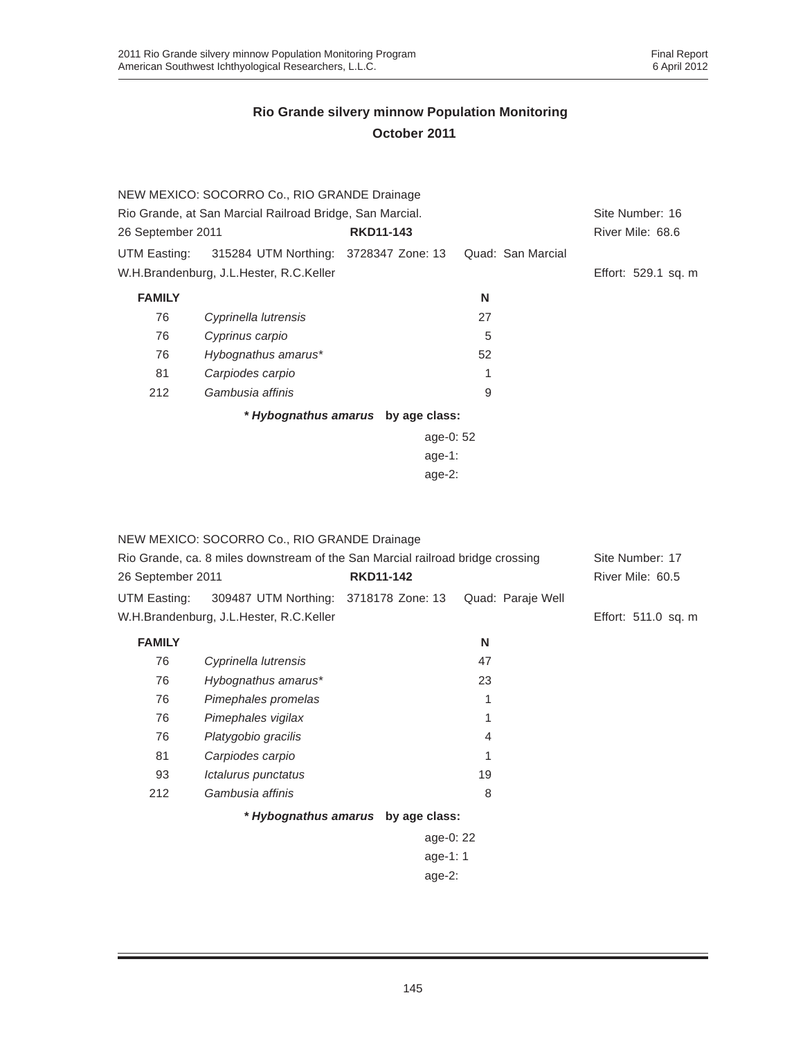|                                                          | NEW MEXICO: SOCORRO Co., RIO GRANDE Drainage       |                                    |                   |                     |
|----------------------------------------------------------|----------------------------------------------------|------------------------------------|-------------------|---------------------|
| Rio Grande, at San Marcial Railroad Bridge, San Marcial. | Site Number: 16                                    |                                    |                   |                     |
| 26 September 2011                                        |                                                    | <b>RKD11-143</b>                   |                   | River Mile: 68.6    |
|                                                          | UTM Easting: 315284 UTM Northing: 3728347 Zone: 13 |                                    | Quad: San Marcial |                     |
|                                                          | W.H.Brandenburg, J.L.Hester, R.C.Keller            |                                    |                   | Effort: 529.1 sq. m |
| <b>FAMILY</b>                                            |                                                    |                                    | N                 |                     |
| 76                                                       | Cyprinella lutrensis                               |                                    | 27                |                     |
| 76                                                       | Cyprinus carpio                                    |                                    | 5                 |                     |
| 76                                                       | Hybognathus amarus*                                |                                    | 52                |                     |
| 81                                                       | Carpiodes carpio                                   |                                    |                   |                     |
| 212                                                      | Gambusia affinis                                   |                                    | 9                 |                     |
|                                                          |                                                    | * Hybognathus amarus by age class: |                   |                     |
|                                                          |                                                    | age-0: 52                          |                   |                     |
|                                                          |                                                    | age-1:                             |                   |                     |

age-2:

|                   | NEW MEXICO: SOCORRO Co., RIO GRANDE Drainage                                   |                                    |                   |                     |  |
|-------------------|--------------------------------------------------------------------------------|------------------------------------|-------------------|---------------------|--|
|                   | Rio Grande, ca. 8 miles downstream of the San Marcial railroad bridge crossing |                                    |                   |                     |  |
| 26 September 2011 |                                                                                | <b>RKD11-142</b>                   |                   | River Mile: 60.5    |  |
| UTM Easting:      | 309487 UTM Northing: 3718178 Zone: 13                                          |                                    | Quad: Paraje Well |                     |  |
|                   | W.H.Brandenburg, J.L.Hester, R.C.Keller                                        |                                    |                   | Effort: 511.0 sq. m |  |
| <b>FAMILY</b>     |                                                                                |                                    | N                 |                     |  |
| 76                | Cyprinella lutrensis                                                           |                                    | 47                |                     |  |
| 76                | Hybognathus amarus*                                                            |                                    | 23                |                     |  |
| 76                | Pimephales promelas                                                            |                                    | 1                 |                     |  |
| 76                | Pimephales vigilax                                                             |                                    | 1                 |                     |  |
| 76                | Platygobio gracilis                                                            |                                    | 4                 |                     |  |
| 81                | Carpiodes carpio                                                               |                                    |                   |                     |  |
| 93                | Ictalurus punctatus                                                            |                                    | 19                |                     |  |
| 212               | Gambusia affinis                                                               |                                    | 8                 |                     |  |
|                   |                                                                                | * Hybognathus amarus by age class: |                   |                     |  |
|                   |                                                                                | age-0: 22                          |                   |                     |  |
|                   |                                                                                | age-1: $1$                         |                   |                     |  |